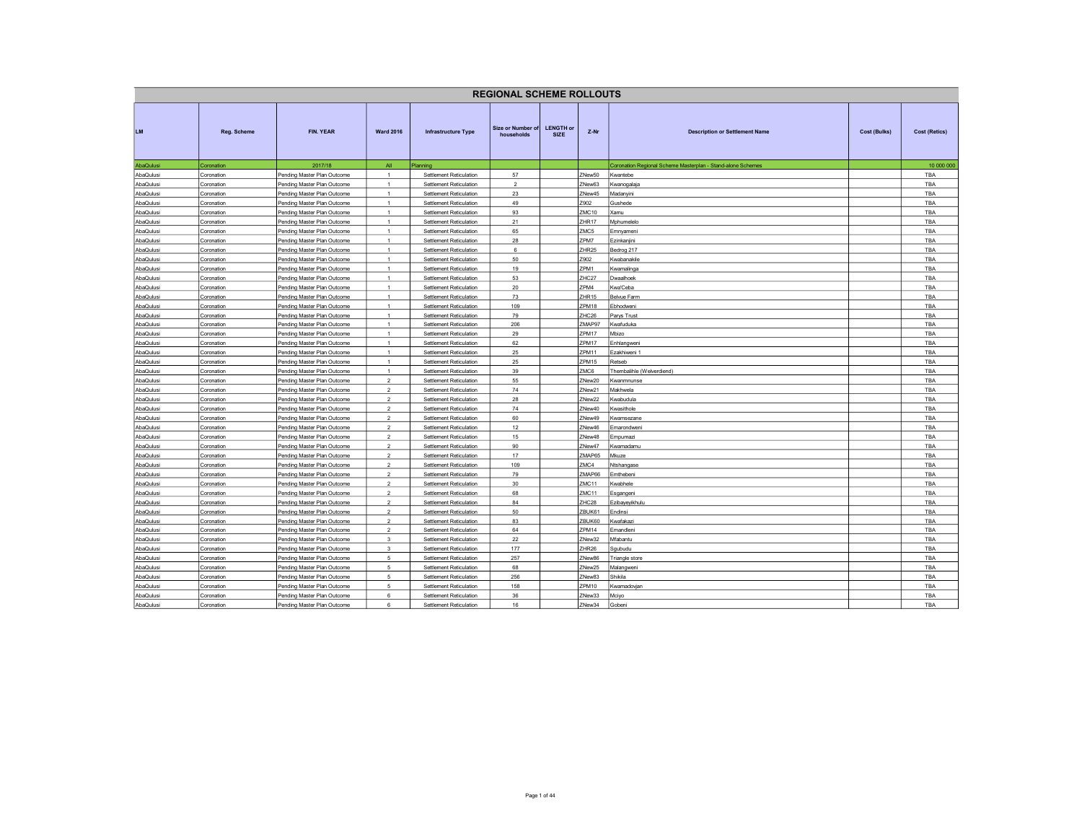| <b>LENGTH or</b><br>Size or Number of<br>LM.<br>FIN. YEAR<br><b>Ward 2016</b><br>$Z-Nr$<br>Reg. Scheme<br><b>Infrastructure Type</b><br><b>Description or Settlement Name</b><br><b>Cost (Bulks)</b><br><b>Cost (Retics)</b><br><b>SIZE</b><br>households<br>AbaQulusi<br>2017/18<br>All<br>Planning<br>Coronation Regional Scheme Masterplan - Stand-alone Schemes<br>10 000 000<br>Coronation<br>57<br>ZNew50<br>TBA<br>AbaQulusi<br>Pending Master Plan Outcome<br>$\overline{1}$<br>Settlement Reticulation<br>Kwantebe<br>Coronation<br>$\overline{2}$<br>ZNew63<br>TBA<br>AbaQulusi<br>Coronation<br>Pending Master Plan Outcome<br>$\overline{1}$<br>Settlement Reticulation<br>Kwanogalaja<br>23<br>AbaQulusi<br>Pending Master Plan Outcome<br>Settlement Reticulation<br>ZNew45<br><b>TBA</b><br>Coronation<br>$\overline{1}$<br>Madanyini<br>Z902<br>AbaQulusi<br>Pending Master Plan Outcome<br>$\mathbf{1}$<br>49<br>TBA<br>Settlement Reticulation<br>Gushede<br>Coronation<br>AbaQulusi<br>Pending Master Plan Outcome<br>Settlement Reticulation<br>93<br>ZMC10<br>TBA<br>Coronation<br>$\overline{1}$<br>Kamu<br>AbaQulusi<br>Pending Master Plan Outcome<br>Settlement Reticulation<br>21<br><b>7HR17</b><br><b>TBA</b><br>Coronation<br>Mphumelelo<br>$\overline{1}$<br>AbaQulusi<br>$\overline{1}$<br>65<br>ZMC5<br>TBA<br>Coronation<br>Pending Master Plan Outcome<br>Settlement Reticulation<br>Emnyameni<br>ZPM7<br>AbaQulusi<br>Pending Master Plan Outcome<br>Settlement Reticulation<br>28<br>TBA<br>Coronation<br>$\overline{1}$<br>Ezinkanjini<br>6<br>AbaQulusi<br>Pending Master Plan Outcome<br>Settlement Reticulation<br>ZHR <sub>25</sub><br>TBA<br>Coronation<br>$\overline{1}$<br>Bedrog 217<br>50<br>Z902<br>AbaQulusi<br>Pending Master Plan Outcome<br>$\mathbf{1}$<br><wabanakile<br>TBA<br/>Coronation<br/>Settlement Reticulation<br/>19<br/>ZPM1<br/>TBA<br/>AbaQulusi<br/>Coronation<br/>Pending Master Plan Outcome<br/><math>\mathbf{1}</math><br/>Settlement Reticulation<br/>Kwamalinga<br/>53<br/>AbaQulusi<br/>Pending Master Plan Outcome<br/>Settlement Reticulation<br/>ZHC<sub>27</sub><br/>TBA<br/>Owaalhoek<br/>Coronation<br/><math>\overline{1}</math><br/><math>\overline{1}</math><br/>20<br/>ZPM4<br/>AbaQulusi<br/>Pending Master Plan Outcome<br/>Settlement Reticulation<br/><wa'ceba<br>TBA<br/>Coronation<br/>73<br/>TBA<br/>AbaQulusi<br/>Coronation<br/>Pending Master Plan Outcome<br/><math>\mathbf{1}</math><br/>Settlement Reticulation<br/>ZHR<sub>15</sub><br/>Belvue Farm<br/>AbaQulusi<br/>Pending Master Plan Outcome<br/>Settlement Reticulation<br/>109<br/>ZPM18<br/><b>TBA</b><br/>Coronation<br/>Ebhodweni<br/><math>\overline{1}</math><br/>79<br/>ZHC26<br/>Pending Master Plan Outcome<br/><math>\overline{1}</math><br/><b>TBA</b><br/>AbaQulusi<br/>Coronation<br/>Settlement Reticulation<br/>Parys Trust<br/>AbaQulusi<br/>Pending Master Plan Outcome<br/>Settlement Reticulation<br/>206<br/>ZMAP97<br/>TBA<br/>Coronation<br/><math>\overline{1}</math><br/><wafuduka<br>29<br/>ZPM17<br/>Mbizo<br/>AbaQulusi<br/>Coronation<br/>Pending Master Plan Outcome<br/>Settlement Reticulation<br/>TBA<br/><math>\overline{1}</math><br/>62<br/>ZPM17<br/>AbaQulusi<br/>Pending Master Plan Outcome<br/><math>\mathbf{1}</math><br/>TBA<br/>Coronation<br/>Settlement Reticulation<br/>Enhlangwen<br/>25<br/>ZPM11<br/>TBA<br/>AbaQulusi<br/>Coronation<br/>Pending Master Plan Outcome<br/><math>\mathbf{1}</math><br/>Settlement Reticulation<br/>Ezakhiweni 1<br/>25<br/><b>7PM15</b><br/>AbaQulusi<br/>Pending Master Plan Outcome<br/>Settlement Reticulation<br/><b>TBA</b><br/>Coronation<br/>Retseb<br/><math>\overline{1}</math><br/>39<br/>AbaQulusi<br/>Pending Master Plan Outcome<br/><math>\overline{1}</math><br/>ZMC6<br/>Settlement Reticulation<br/>Thembalihle (Welverdiend)<br/>TBA<br/>Coronation<br/>55<br/>AbaQulusi<br/>Pending Master Plan Outcome<br/><math>\overline{2}</math><br/>Settlement Reticulation<br/>ZNew20<br/><wanmnunse<br>TBA<br/>Coronation<br/>74<br/>AbaQulusi<br/>Pending Master Plan Outcome<br/><math>\mathfrak{p}</math><br/>Settlement Reticulation<br/>ZNew21<br/>Makhwela<br/><b>TBA</b><br/>Coronation<br/><math>\overline{2}</math><br/>28<br/>AbaQulusi<br/>Pending Master Plan Outcome<br/>ZNew22<br/>TBA<br/>Coronation<br/>Settlement Reticulation<br/>(wabudula<br/>AbaQulusi<br/>Pending Master Plan Outcome<br/><math>\overline{2}</math><br/>Settlement Reticulation<br/>74<br/>ZNew40<br/>TBA<br/>Coronation<br/>(wasithole<br/>60<br/>ZNew49<br/>AbaQulusi<br/>Coronation<br/>Pending Master Plan Outcome<br/><math>\mathfrak{p}</math><br/>Settlement Reticulation<br/>(wamsezane<br/><b>TBA</b><br/><math>\overline{2}</math><br/>12<br/>AbaQulusi<br/>Pending Master Plan Outcome<br/>ZNew46<br/>TBA<br/>Coronation<br/>Settlement Reticulation<br/>Emarondweni<br/>Pending Master Plan Outcome<br/><math>\overline{2}</math><br/>15<br/>ZNew48<br/>TBA<br/>AbaQulusi<br/>Coronation<br/>Settlement Reticulation<br/><i><u>Empumazi</u></i><br/>90<br/>AbaQulusi<br/>Pending Master Plan Outcome<br/><math>\mathfrak{p}</math><br/>Settlement Reticulation<br/>ZNew47<br/>TBA<br/>Coronation<br/>(wamadamu<br/><math>\overline{2}</math><br/>17<br/>ZMAP65<br/>AbaQulusi<br/>Pending Master Plan Outcome<br/>Settlement Reticulation<br/>Mkuze<br/>TBA<br/>Coronation<br/>109<br/>TBA<br/>AbaQulusi<br/>Pending Master Plan Outcome<br/><math>\overline{2}</math><br/>Settlement Reticulation<br/>ZMC4<br/>Coronation<br/>Ntshangase<br/>79<br/>ZMAP66<br/>TBA<br/>AbaQulusi<br/>Pending Master Plan Outcome<br/><math>\mathfrak{p}</math><br/>Settlement Reticulation<br/>Coronation<br/>Emthebeni<br/><math>\overline{2}</math><br/>30<sup>°</sup><br/>ZMC11<br/>AbaQulusi<br/>Pending Master Plan Outcome<br/>(wabhele<br/>TBA<br/>Coronation<br/>Settlement Reticulation<br/>AbaQulusi<br/>Pending Master Plan Outcome<br/><math>\overline{2}</math><br/>Settlement Reticulation<br/>68<br/>ZMC11<br/>TBA<br/>Coronation<br/>Esgangeni<br/>84<br/>ZHC28<br/>AbaQulusi<br/>Coronation<br/>Pending Master Plan Outcome<br/><math>\overline{2}</math><br/>Settlement Reticulation<br/>Ezibayeyikhulu<br/>TBA<br/><math>\overline{2}</math><br/>50<br/>ZBUK61<br/>TBA<br/>AbaQulusi<br/>Coronation<br/>Pending Master Plan Outcome<br/>Settlement Reticulation<br/>Endinsi<br/><math>\overline{2}</math><br/>83<br/>ZBUK60<br/>TBA<br/>AbaQulusi<br/>Coronation<br/>Pending Master Plan Outcome<br/>Settlement Reticulation<br/>(wafakazi<br/>64<br/><b>7PM14</b><br/>AbaQulusi<br/>Pending Master Plan Outcome<br/><math>\mathfrak{p}</math><br/>Settlement Reticulation<br/>Emandleni<br/><b>TBA</b><br/>Coronation<br/><math>\overline{\mathbf{3}}</math><br/><math display="inline">22\,</math><br/>AbaQulusi<br/>ZNew32<br/>TBA<br/>Pending Master Plan Outcome<br/>Settlement Reticulation<br/>Mfabantu<br/>Coronation<br/>177<br/>ZHR<sub>26</sub><br/>AbaQulusi<br/>Pending Master Plan Outcome<br/><math>\mathbf{3}</math><br/>Settlement Reticulation<br/>TBA<br/>Coronation<br/>Sgubudu<br/>Pending Master Plan Outcome<br/>257<br/>ZNew86<br/>AbaQulusi<br/>5<br/>Settlement Reticulation<br/>TBA<br/>Coronation<br/>Triangle store<br/>5<br/>68<br/>AbaQulusi<br/>Pending Master Plan Outcome<br/>ZNew25<br/>TBA<br/>Coronation<br/>Settlement Reticulation<br/>Malangweni<br/>AbaQulusi<br/>Pending Master Plan Outcome<br/><math display="inline">\,</math> 5 <math display="inline">\,</math><br/>Settlement Reticulation<br/>256<br/>ZNew83<br/>TBA<br/>Coronation<br/><b>Shikila</b><br/>158<br/>ZPM10<br/>AbaQulusi<br/>Coronation<br/>Pending Master Plan Outcome<br/>5<br/>Settlement Reticulation<br/><b>Kwamadovjan</b><br/><b>TBA</b><br/>36<br/>6<br/><b>TBA</b><br/>AbaQulusi<br/>Coronation<br/>Pending Master Plan Outcome<br/>Settlement Reticulation<br/>ZNew33<br/>Mciyo<br/>AbaQulusi<br/>Pending Master Plan Outcome<br/>6<br/>Settlement Reticulation<br/>16<br/>ZNew34<br/>Gobeni<br/>TBA<br/>Coronation</wanmnunse<br></wafuduka<br></wa'ceba<br></wabanakile<br> |  |  | <b>REGIONAL SCHEME ROLLOUTS</b> |  |  |  |
|----------------------------------------------------------------------------------------------------------------------------------------------------------------------------------------------------------------------------------------------------------------------------------------------------------------------------------------------------------------------------------------------------------------------------------------------------------------------------------------------------------------------------------------------------------------------------------------------------------------------------------------------------------------------------------------------------------------------------------------------------------------------------------------------------------------------------------------------------------------------------------------------------------------------------------------------------------------------------------------------------------------------------------------------------------------------------------------------------------------------------------------------------------------------------------------------------------------------------------------------------------------------------------------------------------------------------------------------------------------------------------------------------------------------------------------------------------------------------------------------------------------------------------------------------------------------------------------------------------------------------------------------------------------------------------------------------------------------------------------------------------------------------------------------------------------------------------------------------------------------------------------------------------------------------------------------------------------------------------------------------------------------------------------------------------------------------------------------------------------------------------------------------------------------------------------------------------------------------------------------------------------------------------------------------------------------------------------------------------------------------------------------------------------------------------------------------------------------------------------------------------------------------------------------------------------------------------------------------------------------------------------------------------------------------------------------------------------------------------------------------------------------------------------------------------------------------------------------------------------------------------------------------------------------------------------------------------------------------------------------------------------------------------------------------------------------------------------------------------------------------------------------------------------------------------------------------------------------------------------------------------------------------------------------------------------------------------------------------------------------------------------------------------------------------------------------------------------------------------------------------------------------------------------------------------------------------------------------------------------------------------------------------------------------------------------------------------------------------------------------------------------------------------------------------------------------------------------------------------------------------------------------------------------------------------------------------------------------------------------------------------------------------------------------------------------------------------------------------------------------------------------------------------------------------------------------------------------------------------------------------------------------------------------------------------------------------------------------------------------------------------------------------------------------------------------------------------------------------------------------------------------------------------------------------------------------------------------------------------------------------------------------------------------------------------------------------------------------------------------------------------------------------------------------------------------------------------------------------------------------------------------------------------------------------------------------------------------------------------------------------------------------------------------------------------------------------------------------------------------------------------------------------------------------------------------------------------------------------------------------------------------------------------------------------------------------------------------------------------------------------------------------------------------------------------------------------------------------------------------------------------------------------------------------------------------------------------------------------------------------------------------------------------------------------------------------------------------------------------------------------------------------------------------------------------------------------------------------------------------------------------------------------------------------------------------------------------------------------------------------------------------------------------------------------------------------------------------------------------------------------------------------------------------------------------------------------------------------------------------------------------------------------------------------------------------------------------------------------------------------------------------------------------------------------------------------------------------------------------------------------------------------------------------------------------------------------------------------------------------------------------------------------------------------------------------------------------------------------------------------------------------------------------------------------------------------------------------------------------------------------------------------------------------------------------------------------------------------------------------------------------------------------------------------------------------------------------------------------------------------------------------------------------------------------------------------------------------------------------------------------------------------------------------------------------------------------------------------------------------------------------------------------------------------------------------------------------------------------------------------------------------------------------------------------------------------------------------------------------------------------------------------------------------------------------------------------------------------------------------------------------------------------------------------------------------------------------------------------------------------------------------------------------------------------------------------------------------------------------------------------------------------------------------------------------------------------------------------------------------------------------------------------------------|--|--|---------------------------------|--|--|--|
|                                                                                                                                                                                                                                                                                                                                                                                                                                                                                                                                                                                                                                                                                                                                                                                                                                                                                                                                                                                                                                                                                                                                                                                                                                                                                                                                                                                                                                                                                                                                                                                                                                                                                                                                                                                                                                                                                                                                                                                                                                                                                                                                                                                                                                                                                                                                                                                                                                                                                                                                                                                                                                                                                                                                                                                                                                                                                                                                                                                                                                                                                                                                                                                                                                                                                                                                                                                                                                                                                                                                                                                                                                                                                                                                                                                                                                                                                                                                                                                                                                                                                                                                                                                                                                                                                                                                                                                                                                                                                                                                                                                                                                                                                                                                                                                                                                                                                                                                                                                                                                                                                                                                                                                                                                                                                                                                                                                                                                                                                                                                                                                                                                                                                                                                                                                                                                                                                                                                                                                                                                                                                                                                                                                                                                                                                                                                                                                                                                                                                                                                                                                                                                                                                                                                                                                                                                                                                                                                                                                                                                                                                                                                                                                                                                                                                                                                                                                                                                                                                                                                                                                                                                                                                                                                                                                                                                                                                                                                                                                                                                                                                                                                                                |  |  |                                 |  |  |  |
|                                                                                                                                                                                                                                                                                                                                                                                                                                                                                                                                                                                                                                                                                                                                                                                                                                                                                                                                                                                                                                                                                                                                                                                                                                                                                                                                                                                                                                                                                                                                                                                                                                                                                                                                                                                                                                                                                                                                                                                                                                                                                                                                                                                                                                                                                                                                                                                                                                                                                                                                                                                                                                                                                                                                                                                                                                                                                                                                                                                                                                                                                                                                                                                                                                                                                                                                                                                                                                                                                                                                                                                                                                                                                                                                                                                                                                                                                                                                                                                                                                                                                                                                                                                                                                                                                                                                                                                                                                                                                                                                                                                                                                                                                                                                                                                                                                                                                                                                                                                                                                                                                                                                                                                                                                                                                                                                                                                                                                                                                                                                                                                                                                                                                                                                                                                                                                                                                                                                                                                                                                                                                                                                                                                                                                                                                                                                                                                                                                                                                                                                                                                                                                                                                                                                                                                                                                                                                                                                                                                                                                                                                                                                                                                                                                                                                                                                                                                                                                                                                                                                                                                                                                                                                                                                                                                                                                                                                                                                                                                                                                                                                                                                                                |  |  |                                 |  |  |  |
|                                                                                                                                                                                                                                                                                                                                                                                                                                                                                                                                                                                                                                                                                                                                                                                                                                                                                                                                                                                                                                                                                                                                                                                                                                                                                                                                                                                                                                                                                                                                                                                                                                                                                                                                                                                                                                                                                                                                                                                                                                                                                                                                                                                                                                                                                                                                                                                                                                                                                                                                                                                                                                                                                                                                                                                                                                                                                                                                                                                                                                                                                                                                                                                                                                                                                                                                                                                                                                                                                                                                                                                                                                                                                                                                                                                                                                                                                                                                                                                                                                                                                                                                                                                                                                                                                                                                                                                                                                                                                                                                                                                                                                                                                                                                                                                                                                                                                                                                                                                                                                                                                                                                                                                                                                                                                                                                                                                                                                                                                                                                                                                                                                                                                                                                                                                                                                                                                                                                                                                                                                                                                                                                                                                                                                                                                                                                                                                                                                                                                                                                                                                                                                                                                                                                                                                                                                                                                                                                                                                                                                                                                                                                                                                                                                                                                                                                                                                                                                                                                                                                                                                                                                                                                                                                                                                                                                                                                                                                                                                                                                                                                                                                                                |  |  |                                 |  |  |  |
|                                                                                                                                                                                                                                                                                                                                                                                                                                                                                                                                                                                                                                                                                                                                                                                                                                                                                                                                                                                                                                                                                                                                                                                                                                                                                                                                                                                                                                                                                                                                                                                                                                                                                                                                                                                                                                                                                                                                                                                                                                                                                                                                                                                                                                                                                                                                                                                                                                                                                                                                                                                                                                                                                                                                                                                                                                                                                                                                                                                                                                                                                                                                                                                                                                                                                                                                                                                                                                                                                                                                                                                                                                                                                                                                                                                                                                                                                                                                                                                                                                                                                                                                                                                                                                                                                                                                                                                                                                                                                                                                                                                                                                                                                                                                                                                                                                                                                                                                                                                                                                                                                                                                                                                                                                                                                                                                                                                                                                                                                                                                                                                                                                                                                                                                                                                                                                                                                                                                                                                                                                                                                                                                                                                                                                                                                                                                                                                                                                                                                                                                                                                                                                                                                                                                                                                                                                                                                                                                                                                                                                                                                                                                                                                                                                                                                                                                                                                                                                                                                                                                                                                                                                                                                                                                                                                                                                                                                                                                                                                                                                                                                                                                                                |  |  |                                 |  |  |  |
|                                                                                                                                                                                                                                                                                                                                                                                                                                                                                                                                                                                                                                                                                                                                                                                                                                                                                                                                                                                                                                                                                                                                                                                                                                                                                                                                                                                                                                                                                                                                                                                                                                                                                                                                                                                                                                                                                                                                                                                                                                                                                                                                                                                                                                                                                                                                                                                                                                                                                                                                                                                                                                                                                                                                                                                                                                                                                                                                                                                                                                                                                                                                                                                                                                                                                                                                                                                                                                                                                                                                                                                                                                                                                                                                                                                                                                                                                                                                                                                                                                                                                                                                                                                                                                                                                                                                                                                                                                                                                                                                                                                                                                                                                                                                                                                                                                                                                                                                                                                                                                                                                                                                                                                                                                                                                                                                                                                                                                                                                                                                                                                                                                                                                                                                                                                                                                                                                                                                                                                                                                                                                                                                                                                                                                                                                                                                                                                                                                                                                                                                                                                                                                                                                                                                                                                                                                                                                                                                                                                                                                                                                                                                                                                                                                                                                                                                                                                                                                                                                                                                                                                                                                                                                                                                                                                                                                                                                                                                                                                                                                                                                                                                                                |  |  |                                 |  |  |  |
|                                                                                                                                                                                                                                                                                                                                                                                                                                                                                                                                                                                                                                                                                                                                                                                                                                                                                                                                                                                                                                                                                                                                                                                                                                                                                                                                                                                                                                                                                                                                                                                                                                                                                                                                                                                                                                                                                                                                                                                                                                                                                                                                                                                                                                                                                                                                                                                                                                                                                                                                                                                                                                                                                                                                                                                                                                                                                                                                                                                                                                                                                                                                                                                                                                                                                                                                                                                                                                                                                                                                                                                                                                                                                                                                                                                                                                                                                                                                                                                                                                                                                                                                                                                                                                                                                                                                                                                                                                                                                                                                                                                                                                                                                                                                                                                                                                                                                                                                                                                                                                                                                                                                                                                                                                                                                                                                                                                                                                                                                                                                                                                                                                                                                                                                                                                                                                                                                                                                                                                                                                                                                                                                                                                                                                                                                                                                                                                                                                                                                                                                                                                                                                                                                                                                                                                                                                                                                                                                                                                                                                                                                                                                                                                                                                                                                                                                                                                                                                                                                                                                                                                                                                                                                                                                                                                                                                                                                                                                                                                                                                                                                                                                                                |  |  |                                 |  |  |  |
|                                                                                                                                                                                                                                                                                                                                                                                                                                                                                                                                                                                                                                                                                                                                                                                                                                                                                                                                                                                                                                                                                                                                                                                                                                                                                                                                                                                                                                                                                                                                                                                                                                                                                                                                                                                                                                                                                                                                                                                                                                                                                                                                                                                                                                                                                                                                                                                                                                                                                                                                                                                                                                                                                                                                                                                                                                                                                                                                                                                                                                                                                                                                                                                                                                                                                                                                                                                                                                                                                                                                                                                                                                                                                                                                                                                                                                                                                                                                                                                                                                                                                                                                                                                                                                                                                                                                                                                                                                                                                                                                                                                                                                                                                                                                                                                                                                                                                                                                                                                                                                                                                                                                                                                                                                                                                                                                                                                                                                                                                                                                                                                                                                                                                                                                                                                                                                                                                                                                                                                                                                                                                                                                                                                                                                                                                                                                                                                                                                                                                                                                                                                                                                                                                                                                                                                                                                                                                                                                                                                                                                                                                                                                                                                                                                                                                                                                                                                                                                                                                                                                                                                                                                                                                                                                                                                                                                                                                                                                                                                                                                                                                                                                                                |  |  |                                 |  |  |  |
|                                                                                                                                                                                                                                                                                                                                                                                                                                                                                                                                                                                                                                                                                                                                                                                                                                                                                                                                                                                                                                                                                                                                                                                                                                                                                                                                                                                                                                                                                                                                                                                                                                                                                                                                                                                                                                                                                                                                                                                                                                                                                                                                                                                                                                                                                                                                                                                                                                                                                                                                                                                                                                                                                                                                                                                                                                                                                                                                                                                                                                                                                                                                                                                                                                                                                                                                                                                                                                                                                                                                                                                                                                                                                                                                                                                                                                                                                                                                                                                                                                                                                                                                                                                                                                                                                                                                                                                                                                                                                                                                                                                                                                                                                                                                                                                                                                                                                                                                                                                                                                                                                                                                                                                                                                                                                                                                                                                                                                                                                                                                                                                                                                                                                                                                                                                                                                                                                                                                                                                                                                                                                                                                                                                                                                                                                                                                                                                                                                                                                                                                                                                                                                                                                                                                                                                                                                                                                                                                                                                                                                                                                                                                                                                                                                                                                                                                                                                                                                                                                                                                                                                                                                                                                                                                                                                                                                                                                                                                                                                                                                                                                                                                                                |  |  |                                 |  |  |  |
|                                                                                                                                                                                                                                                                                                                                                                                                                                                                                                                                                                                                                                                                                                                                                                                                                                                                                                                                                                                                                                                                                                                                                                                                                                                                                                                                                                                                                                                                                                                                                                                                                                                                                                                                                                                                                                                                                                                                                                                                                                                                                                                                                                                                                                                                                                                                                                                                                                                                                                                                                                                                                                                                                                                                                                                                                                                                                                                                                                                                                                                                                                                                                                                                                                                                                                                                                                                                                                                                                                                                                                                                                                                                                                                                                                                                                                                                                                                                                                                                                                                                                                                                                                                                                                                                                                                                                                                                                                                                                                                                                                                                                                                                                                                                                                                                                                                                                                                                                                                                                                                                                                                                                                                                                                                                                                                                                                                                                                                                                                                                                                                                                                                                                                                                                                                                                                                                                                                                                                                                                                                                                                                                                                                                                                                                                                                                                                                                                                                                                                                                                                                                                                                                                                                                                                                                                                                                                                                                                                                                                                                                                                                                                                                                                                                                                                                                                                                                                                                                                                                                                                                                                                                                                                                                                                                                                                                                                                                                                                                                                                                                                                                                                                |  |  |                                 |  |  |  |
|                                                                                                                                                                                                                                                                                                                                                                                                                                                                                                                                                                                                                                                                                                                                                                                                                                                                                                                                                                                                                                                                                                                                                                                                                                                                                                                                                                                                                                                                                                                                                                                                                                                                                                                                                                                                                                                                                                                                                                                                                                                                                                                                                                                                                                                                                                                                                                                                                                                                                                                                                                                                                                                                                                                                                                                                                                                                                                                                                                                                                                                                                                                                                                                                                                                                                                                                                                                                                                                                                                                                                                                                                                                                                                                                                                                                                                                                                                                                                                                                                                                                                                                                                                                                                                                                                                                                                                                                                                                                                                                                                                                                                                                                                                                                                                                                                                                                                                                                                                                                                                                                                                                                                                                                                                                                                                                                                                                                                                                                                                                                                                                                                                                                                                                                                                                                                                                                                                                                                                                                                                                                                                                                                                                                                                                                                                                                                                                                                                                                                                                                                                                                                                                                                                                                                                                                                                                                                                                                                                                                                                                                                                                                                                                                                                                                                                                                                                                                                                                                                                                                                                                                                                                                                                                                                                                                                                                                                                                                                                                                                                                                                                                                                                |  |  |                                 |  |  |  |
|                                                                                                                                                                                                                                                                                                                                                                                                                                                                                                                                                                                                                                                                                                                                                                                                                                                                                                                                                                                                                                                                                                                                                                                                                                                                                                                                                                                                                                                                                                                                                                                                                                                                                                                                                                                                                                                                                                                                                                                                                                                                                                                                                                                                                                                                                                                                                                                                                                                                                                                                                                                                                                                                                                                                                                                                                                                                                                                                                                                                                                                                                                                                                                                                                                                                                                                                                                                                                                                                                                                                                                                                                                                                                                                                                                                                                                                                                                                                                                                                                                                                                                                                                                                                                                                                                                                                                                                                                                                                                                                                                                                                                                                                                                                                                                                                                                                                                                                                                                                                                                                                                                                                                                                                                                                                                                                                                                                                                                                                                                                                                                                                                                                                                                                                                                                                                                                                                                                                                                                                                                                                                                                                                                                                                                                                                                                                                                                                                                                                                                                                                                                                                                                                                                                                                                                                                                                                                                                                                                                                                                                                                                                                                                                                                                                                                                                                                                                                                                                                                                                                                                                                                                                                                                                                                                                                                                                                                                                                                                                                                                                                                                                                                                |  |  |                                 |  |  |  |
|                                                                                                                                                                                                                                                                                                                                                                                                                                                                                                                                                                                                                                                                                                                                                                                                                                                                                                                                                                                                                                                                                                                                                                                                                                                                                                                                                                                                                                                                                                                                                                                                                                                                                                                                                                                                                                                                                                                                                                                                                                                                                                                                                                                                                                                                                                                                                                                                                                                                                                                                                                                                                                                                                                                                                                                                                                                                                                                                                                                                                                                                                                                                                                                                                                                                                                                                                                                                                                                                                                                                                                                                                                                                                                                                                                                                                                                                                                                                                                                                                                                                                                                                                                                                                                                                                                                                                                                                                                                                                                                                                                                                                                                                                                                                                                                                                                                                                                                                                                                                                                                                                                                                                                                                                                                                                                                                                                                                                                                                                                                                                                                                                                                                                                                                                                                                                                                                                                                                                                                                                                                                                                                                                                                                                                                                                                                                                                                                                                                                                                                                                                                                                                                                                                                                                                                                                                                                                                                                                                                                                                                                                                                                                                                                                                                                                                                                                                                                                                                                                                                                                                                                                                                                                                                                                                                                                                                                                                                                                                                                                                                                                                                                                                |  |  |                                 |  |  |  |
|                                                                                                                                                                                                                                                                                                                                                                                                                                                                                                                                                                                                                                                                                                                                                                                                                                                                                                                                                                                                                                                                                                                                                                                                                                                                                                                                                                                                                                                                                                                                                                                                                                                                                                                                                                                                                                                                                                                                                                                                                                                                                                                                                                                                                                                                                                                                                                                                                                                                                                                                                                                                                                                                                                                                                                                                                                                                                                                                                                                                                                                                                                                                                                                                                                                                                                                                                                                                                                                                                                                                                                                                                                                                                                                                                                                                                                                                                                                                                                                                                                                                                                                                                                                                                                                                                                                                                                                                                                                                                                                                                                                                                                                                                                                                                                                                                                                                                                                                                                                                                                                                                                                                                                                                                                                                                                                                                                                                                                                                                                                                                                                                                                                                                                                                                                                                                                                                                                                                                                                                                                                                                                                                                                                                                                                                                                                                                                                                                                                                                                                                                                                                                                                                                                                                                                                                                                                                                                                                                                                                                                                                                                                                                                                                                                                                                                                                                                                                                                                                                                                                                                                                                                                                                                                                                                                                                                                                                                                                                                                                                                                                                                                                                                |  |  |                                 |  |  |  |
|                                                                                                                                                                                                                                                                                                                                                                                                                                                                                                                                                                                                                                                                                                                                                                                                                                                                                                                                                                                                                                                                                                                                                                                                                                                                                                                                                                                                                                                                                                                                                                                                                                                                                                                                                                                                                                                                                                                                                                                                                                                                                                                                                                                                                                                                                                                                                                                                                                                                                                                                                                                                                                                                                                                                                                                                                                                                                                                                                                                                                                                                                                                                                                                                                                                                                                                                                                                                                                                                                                                                                                                                                                                                                                                                                                                                                                                                                                                                                                                                                                                                                                                                                                                                                                                                                                                                                                                                                                                                                                                                                                                                                                                                                                                                                                                                                                                                                                                                                                                                                                                                                                                                                                                                                                                                                                                                                                                                                                                                                                                                                                                                                                                                                                                                                                                                                                                                                                                                                                                                                                                                                                                                                                                                                                                                                                                                                                                                                                                                                                                                                                                                                                                                                                                                                                                                                                                                                                                                                                                                                                                                                                                                                                                                                                                                                                                                                                                                                                                                                                                                                                                                                                                                                                                                                                                                                                                                                                                                                                                                                                                                                                                                                                |  |  |                                 |  |  |  |
|                                                                                                                                                                                                                                                                                                                                                                                                                                                                                                                                                                                                                                                                                                                                                                                                                                                                                                                                                                                                                                                                                                                                                                                                                                                                                                                                                                                                                                                                                                                                                                                                                                                                                                                                                                                                                                                                                                                                                                                                                                                                                                                                                                                                                                                                                                                                                                                                                                                                                                                                                                                                                                                                                                                                                                                                                                                                                                                                                                                                                                                                                                                                                                                                                                                                                                                                                                                                                                                                                                                                                                                                                                                                                                                                                                                                                                                                                                                                                                                                                                                                                                                                                                                                                                                                                                                                                                                                                                                                                                                                                                                                                                                                                                                                                                                                                                                                                                                                                                                                                                                                                                                                                                                                                                                                                                                                                                                                                                                                                                                                                                                                                                                                                                                                                                                                                                                                                                                                                                                                                                                                                                                                                                                                                                                                                                                                                                                                                                                                                                                                                                                                                                                                                                                                                                                                                                                                                                                                                                                                                                                                                                                                                                                                                                                                                                                                                                                                                                                                                                                                                                                                                                                                                                                                                                                                                                                                                                                                                                                                                                                                                                                                                                |  |  |                                 |  |  |  |
|                                                                                                                                                                                                                                                                                                                                                                                                                                                                                                                                                                                                                                                                                                                                                                                                                                                                                                                                                                                                                                                                                                                                                                                                                                                                                                                                                                                                                                                                                                                                                                                                                                                                                                                                                                                                                                                                                                                                                                                                                                                                                                                                                                                                                                                                                                                                                                                                                                                                                                                                                                                                                                                                                                                                                                                                                                                                                                                                                                                                                                                                                                                                                                                                                                                                                                                                                                                                                                                                                                                                                                                                                                                                                                                                                                                                                                                                                                                                                                                                                                                                                                                                                                                                                                                                                                                                                                                                                                                                                                                                                                                                                                                                                                                                                                                                                                                                                                                                                                                                                                                                                                                                                                                                                                                                                                                                                                                                                                                                                                                                                                                                                                                                                                                                                                                                                                                                                                                                                                                                                                                                                                                                                                                                                                                                                                                                                                                                                                                                                                                                                                                                                                                                                                                                                                                                                                                                                                                                                                                                                                                                                                                                                                                                                                                                                                                                                                                                                                                                                                                                                                                                                                                                                                                                                                                                                                                                                                                                                                                                                                                                                                                                                                |  |  |                                 |  |  |  |
|                                                                                                                                                                                                                                                                                                                                                                                                                                                                                                                                                                                                                                                                                                                                                                                                                                                                                                                                                                                                                                                                                                                                                                                                                                                                                                                                                                                                                                                                                                                                                                                                                                                                                                                                                                                                                                                                                                                                                                                                                                                                                                                                                                                                                                                                                                                                                                                                                                                                                                                                                                                                                                                                                                                                                                                                                                                                                                                                                                                                                                                                                                                                                                                                                                                                                                                                                                                                                                                                                                                                                                                                                                                                                                                                                                                                                                                                                                                                                                                                                                                                                                                                                                                                                                                                                                                                                                                                                                                                                                                                                                                                                                                                                                                                                                                                                                                                                                                                                                                                                                                                                                                                                                                                                                                                                                                                                                                                                                                                                                                                                                                                                                                                                                                                                                                                                                                                                                                                                                                                                                                                                                                                                                                                                                                                                                                                                                                                                                                                                                                                                                                                                                                                                                                                                                                                                                                                                                                                                                                                                                                                                                                                                                                                                                                                                                                                                                                                                                                                                                                                                                                                                                                                                                                                                                                                                                                                                                                                                                                                                                                                                                                                                                |  |  |                                 |  |  |  |
|                                                                                                                                                                                                                                                                                                                                                                                                                                                                                                                                                                                                                                                                                                                                                                                                                                                                                                                                                                                                                                                                                                                                                                                                                                                                                                                                                                                                                                                                                                                                                                                                                                                                                                                                                                                                                                                                                                                                                                                                                                                                                                                                                                                                                                                                                                                                                                                                                                                                                                                                                                                                                                                                                                                                                                                                                                                                                                                                                                                                                                                                                                                                                                                                                                                                                                                                                                                                                                                                                                                                                                                                                                                                                                                                                                                                                                                                                                                                                                                                                                                                                                                                                                                                                                                                                                                                                                                                                                                                                                                                                                                                                                                                                                                                                                                                                                                                                                                                                                                                                                                                                                                                                                                                                                                                                                                                                                                                                                                                                                                                                                                                                                                                                                                                                                                                                                                                                                                                                                                                                                                                                                                                                                                                                                                                                                                                                                                                                                                                                                                                                                                                                                                                                                                                                                                                                                                                                                                                                                                                                                                                                                                                                                                                                                                                                                                                                                                                                                                                                                                                                                                                                                                                                                                                                                                                                                                                                                                                                                                                                                                                                                                                                                |  |  |                                 |  |  |  |
|                                                                                                                                                                                                                                                                                                                                                                                                                                                                                                                                                                                                                                                                                                                                                                                                                                                                                                                                                                                                                                                                                                                                                                                                                                                                                                                                                                                                                                                                                                                                                                                                                                                                                                                                                                                                                                                                                                                                                                                                                                                                                                                                                                                                                                                                                                                                                                                                                                                                                                                                                                                                                                                                                                                                                                                                                                                                                                                                                                                                                                                                                                                                                                                                                                                                                                                                                                                                                                                                                                                                                                                                                                                                                                                                                                                                                                                                                                                                                                                                                                                                                                                                                                                                                                                                                                                                                                                                                                                                                                                                                                                                                                                                                                                                                                                                                                                                                                                                                                                                                                                                                                                                                                                                                                                                                                                                                                                                                                                                                                                                                                                                                                                                                                                                                                                                                                                                                                                                                                                                                                                                                                                                                                                                                                                                                                                                                                                                                                                                                                                                                                                                                                                                                                                                                                                                                                                                                                                                                                                                                                                                                                                                                                                                                                                                                                                                                                                                                                                                                                                                                                                                                                                                                                                                                                                                                                                                                                                                                                                                                                                                                                                                                                |  |  |                                 |  |  |  |
|                                                                                                                                                                                                                                                                                                                                                                                                                                                                                                                                                                                                                                                                                                                                                                                                                                                                                                                                                                                                                                                                                                                                                                                                                                                                                                                                                                                                                                                                                                                                                                                                                                                                                                                                                                                                                                                                                                                                                                                                                                                                                                                                                                                                                                                                                                                                                                                                                                                                                                                                                                                                                                                                                                                                                                                                                                                                                                                                                                                                                                                                                                                                                                                                                                                                                                                                                                                                                                                                                                                                                                                                                                                                                                                                                                                                                                                                                                                                                                                                                                                                                                                                                                                                                                                                                                                                                                                                                                                                                                                                                                                                                                                                                                                                                                                                                                                                                                                                                                                                                                                                                                                                                                                                                                                                                                                                                                                                                                                                                                                                                                                                                                                                                                                                                                                                                                                                                                                                                                                                                                                                                                                                                                                                                                                                                                                                                                                                                                                                                                                                                                                                                                                                                                                                                                                                                                                                                                                                                                                                                                                                                                                                                                                                                                                                                                                                                                                                                                                                                                                                                                                                                                                                                                                                                                                                                                                                                                                                                                                                                                                                                                                                                                |  |  |                                 |  |  |  |
|                                                                                                                                                                                                                                                                                                                                                                                                                                                                                                                                                                                                                                                                                                                                                                                                                                                                                                                                                                                                                                                                                                                                                                                                                                                                                                                                                                                                                                                                                                                                                                                                                                                                                                                                                                                                                                                                                                                                                                                                                                                                                                                                                                                                                                                                                                                                                                                                                                                                                                                                                                                                                                                                                                                                                                                                                                                                                                                                                                                                                                                                                                                                                                                                                                                                                                                                                                                                                                                                                                                                                                                                                                                                                                                                                                                                                                                                                                                                                                                                                                                                                                                                                                                                                                                                                                                                                                                                                                                                                                                                                                                                                                                                                                                                                                                                                                                                                                                                                                                                                                                                                                                                                                                                                                                                                                                                                                                                                                                                                                                                                                                                                                                                                                                                                                                                                                                                                                                                                                                                                                                                                                                                                                                                                                                                                                                                                                                                                                                                                                                                                                                                                                                                                                                                                                                                                                                                                                                                                                                                                                                                                                                                                                                                                                                                                                                                                                                                                                                                                                                                                                                                                                                                                                                                                                                                                                                                                                                                                                                                                                                                                                                                                                |  |  |                                 |  |  |  |
|                                                                                                                                                                                                                                                                                                                                                                                                                                                                                                                                                                                                                                                                                                                                                                                                                                                                                                                                                                                                                                                                                                                                                                                                                                                                                                                                                                                                                                                                                                                                                                                                                                                                                                                                                                                                                                                                                                                                                                                                                                                                                                                                                                                                                                                                                                                                                                                                                                                                                                                                                                                                                                                                                                                                                                                                                                                                                                                                                                                                                                                                                                                                                                                                                                                                                                                                                                                                                                                                                                                                                                                                                                                                                                                                                                                                                                                                                                                                                                                                                                                                                                                                                                                                                                                                                                                                                                                                                                                                                                                                                                                                                                                                                                                                                                                                                                                                                                                                                                                                                                                                                                                                                                                                                                                                                                                                                                                                                                                                                                                                                                                                                                                                                                                                                                                                                                                                                                                                                                                                                                                                                                                                                                                                                                                                                                                                                                                                                                                                                                                                                                                                                                                                                                                                                                                                                                                                                                                                                                                                                                                                                                                                                                                                                                                                                                                                                                                                                                                                                                                                                                                                                                                                                                                                                                                                                                                                                                                                                                                                                                                                                                                                                                |  |  |                                 |  |  |  |
|                                                                                                                                                                                                                                                                                                                                                                                                                                                                                                                                                                                                                                                                                                                                                                                                                                                                                                                                                                                                                                                                                                                                                                                                                                                                                                                                                                                                                                                                                                                                                                                                                                                                                                                                                                                                                                                                                                                                                                                                                                                                                                                                                                                                                                                                                                                                                                                                                                                                                                                                                                                                                                                                                                                                                                                                                                                                                                                                                                                                                                                                                                                                                                                                                                                                                                                                                                                                                                                                                                                                                                                                                                                                                                                                                                                                                                                                                                                                                                                                                                                                                                                                                                                                                                                                                                                                                                                                                                                                                                                                                                                                                                                                                                                                                                                                                                                                                                                                                                                                                                                                                                                                                                                                                                                                                                                                                                                                                                                                                                                                                                                                                                                                                                                                                                                                                                                                                                                                                                                                                                                                                                                                                                                                                                                                                                                                                                                                                                                                                                                                                                                                                                                                                                                                                                                                                                                                                                                                                                                                                                                                                                                                                                                                                                                                                                                                                                                                                                                                                                                                                                                                                                                                                                                                                                                                                                                                                                                                                                                                                                                                                                                                                                |  |  |                                 |  |  |  |
|                                                                                                                                                                                                                                                                                                                                                                                                                                                                                                                                                                                                                                                                                                                                                                                                                                                                                                                                                                                                                                                                                                                                                                                                                                                                                                                                                                                                                                                                                                                                                                                                                                                                                                                                                                                                                                                                                                                                                                                                                                                                                                                                                                                                                                                                                                                                                                                                                                                                                                                                                                                                                                                                                                                                                                                                                                                                                                                                                                                                                                                                                                                                                                                                                                                                                                                                                                                                                                                                                                                                                                                                                                                                                                                                                                                                                                                                                                                                                                                                                                                                                                                                                                                                                                                                                                                                                                                                                                                                                                                                                                                                                                                                                                                                                                                                                                                                                                                                                                                                                                                                                                                                                                                                                                                                                                                                                                                                                                                                                                                                                                                                                                                                                                                                                                                                                                                                                                                                                                                                                                                                                                                                                                                                                                                                                                                                                                                                                                                                                                                                                                                                                                                                                                                                                                                                                                                                                                                                                                                                                                                                                                                                                                                                                                                                                                                                                                                                                                                                                                                                                                                                                                                                                                                                                                                                                                                                                                                                                                                                                                                                                                                                                                |  |  |                                 |  |  |  |
|                                                                                                                                                                                                                                                                                                                                                                                                                                                                                                                                                                                                                                                                                                                                                                                                                                                                                                                                                                                                                                                                                                                                                                                                                                                                                                                                                                                                                                                                                                                                                                                                                                                                                                                                                                                                                                                                                                                                                                                                                                                                                                                                                                                                                                                                                                                                                                                                                                                                                                                                                                                                                                                                                                                                                                                                                                                                                                                                                                                                                                                                                                                                                                                                                                                                                                                                                                                                                                                                                                                                                                                                                                                                                                                                                                                                                                                                                                                                                                                                                                                                                                                                                                                                                                                                                                                                                                                                                                                                                                                                                                                                                                                                                                                                                                                                                                                                                                                                                                                                                                                                                                                                                                                                                                                                                                                                                                                                                                                                                                                                                                                                                                                                                                                                                                                                                                                                                                                                                                                                                                                                                                                                                                                                                                                                                                                                                                                                                                                                                                                                                                                                                                                                                                                                                                                                                                                                                                                                                                                                                                                                                                                                                                                                                                                                                                                                                                                                                                                                                                                                                                                                                                                                                                                                                                                                                                                                                                                                                                                                                                                                                                                                                                |  |  |                                 |  |  |  |
|                                                                                                                                                                                                                                                                                                                                                                                                                                                                                                                                                                                                                                                                                                                                                                                                                                                                                                                                                                                                                                                                                                                                                                                                                                                                                                                                                                                                                                                                                                                                                                                                                                                                                                                                                                                                                                                                                                                                                                                                                                                                                                                                                                                                                                                                                                                                                                                                                                                                                                                                                                                                                                                                                                                                                                                                                                                                                                                                                                                                                                                                                                                                                                                                                                                                                                                                                                                                                                                                                                                                                                                                                                                                                                                                                                                                                                                                                                                                                                                                                                                                                                                                                                                                                                                                                                                                                                                                                                                                                                                                                                                                                                                                                                                                                                                                                                                                                                                                                                                                                                                                                                                                                                                                                                                                                                                                                                                                                                                                                                                                                                                                                                                                                                                                                                                                                                                                                                                                                                                                                                                                                                                                                                                                                                                                                                                                                                                                                                                                                                                                                                                                                                                                                                                                                                                                                                                                                                                                                                                                                                                                                                                                                                                                                                                                                                                                                                                                                                                                                                                                                                                                                                                                                                                                                                                                                                                                                                                                                                                                                                                                                                                                                                |  |  |                                 |  |  |  |
|                                                                                                                                                                                                                                                                                                                                                                                                                                                                                                                                                                                                                                                                                                                                                                                                                                                                                                                                                                                                                                                                                                                                                                                                                                                                                                                                                                                                                                                                                                                                                                                                                                                                                                                                                                                                                                                                                                                                                                                                                                                                                                                                                                                                                                                                                                                                                                                                                                                                                                                                                                                                                                                                                                                                                                                                                                                                                                                                                                                                                                                                                                                                                                                                                                                                                                                                                                                                                                                                                                                                                                                                                                                                                                                                                                                                                                                                                                                                                                                                                                                                                                                                                                                                                                                                                                                                                                                                                                                                                                                                                                                                                                                                                                                                                                                                                                                                                                                                                                                                                                                                                                                                                                                                                                                                                                                                                                                                                                                                                                                                                                                                                                                                                                                                                                                                                                                                                                                                                                                                                                                                                                                                                                                                                                                                                                                                                                                                                                                                                                                                                                                                                                                                                                                                                                                                                                                                                                                                                                                                                                                                                                                                                                                                                                                                                                                                                                                                                                                                                                                                                                                                                                                                                                                                                                                                                                                                                                                                                                                                                                                                                                                                                                |  |  |                                 |  |  |  |
|                                                                                                                                                                                                                                                                                                                                                                                                                                                                                                                                                                                                                                                                                                                                                                                                                                                                                                                                                                                                                                                                                                                                                                                                                                                                                                                                                                                                                                                                                                                                                                                                                                                                                                                                                                                                                                                                                                                                                                                                                                                                                                                                                                                                                                                                                                                                                                                                                                                                                                                                                                                                                                                                                                                                                                                                                                                                                                                                                                                                                                                                                                                                                                                                                                                                                                                                                                                                                                                                                                                                                                                                                                                                                                                                                                                                                                                                                                                                                                                                                                                                                                                                                                                                                                                                                                                                                                                                                                                                                                                                                                                                                                                                                                                                                                                                                                                                                                                                                                                                                                                                                                                                                                                                                                                                                                                                                                                                                                                                                                                                                                                                                                                                                                                                                                                                                                                                                                                                                                                                                                                                                                                                                                                                                                                                                                                                                                                                                                                                                                                                                                                                                                                                                                                                                                                                                                                                                                                                                                                                                                                                                                                                                                                                                                                                                                                                                                                                                                                                                                                                                                                                                                                                                                                                                                                                                                                                                                                                                                                                                                                                                                                                                                |  |  |                                 |  |  |  |
|                                                                                                                                                                                                                                                                                                                                                                                                                                                                                                                                                                                                                                                                                                                                                                                                                                                                                                                                                                                                                                                                                                                                                                                                                                                                                                                                                                                                                                                                                                                                                                                                                                                                                                                                                                                                                                                                                                                                                                                                                                                                                                                                                                                                                                                                                                                                                                                                                                                                                                                                                                                                                                                                                                                                                                                                                                                                                                                                                                                                                                                                                                                                                                                                                                                                                                                                                                                                                                                                                                                                                                                                                                                                                                                                                                                                                                                                                                                                                                                                                                                                                                                                                                                                                                                                                                                                                                                                                                                                                                                                                                                                                                                                                                                                                                                                                                                                                                                                                                                                                                                                                                                                                                                                                                                                                                                                                                                                                                                                                                                                                                                                                                                                                                                                                                                                                                                                                                                                                                                                                                                                                                                                                                                                                                                                                                                                                                                                                                                                                                                                                                                                                                                                                                                                                                                                                                                                                                                                                                                                                                                                                                                                                                                                                                                                                                                                                                                                                                                                                                                                                                                                                                                                                                                                                                                                                                                                                                                                                                                                                                                                                                                                                                |  |  |                                 |  |  |  |
|                                                                                                                                                                                                                                                                                                                                                                                                                                                                                                                                                                                                                                                                                                                                                                                                                                                                                                                                                                                                                                                                                                                                                                                                                                                                                                                                                                                                                                                                                                                                                                                                                                                                                                                                                                                                                                                                                                                                                                                                                                                                                                                                                                                                                                                                                                                                                                                                                                                                                                                                                                                                                                                                                                                                                                                                                                                                                                                                                                                                                                                                                                                                                                                                                                                                                                                                                                                                                                                                                                                                                                                                                                                                                                                                                                                                                                                                                                                                                                                                                                                                                                                                                                                                                                                                                                                                                                                                                                                                                                                                                                                                                                                                                                                                                                                                                                                                                                                                                                                                                                                                                                                                                                                                                                                                                                                                                                                                                                                                                                                                                                                                                                                                                                                                                                                                                                                                                                                                                                                                                                                                                                                                                                                                                                                                                                                                                                                                                                                                                                                                                                                                                                                                                                                                                                                                                                                                                                                                                                                                                                                                                                                                                                                                                                                                                                                                                                                                                                                                                                                                                                                                                                                                                                                                                                                                                                                                                                                                                                                                                                                                                                                                                                |  |  |                                 |  |  |  |
|                                                                                                                                                                                                                                                                                                                                                                                                                                                                                                                                                                                                                                                                                                                                                                                                                                                                                                                                                                                                                                                                                                                                                                                                                                                                                                                                                                                                                                                                                                                                                                                                                                                                                                                                                                                                                                                                                                                                                                                                                                                                                                                                                                                                                                                                                                                                                                                                                                                                                                                                                                                                                                                                                                                                                                                                                                                                                                                                                                                                                                                                                                                                                                                                                                                                                                                                                                                                                                                                                                                                                                                                                                                                                                                                                                                                                                                                                                                                                                                                                                                                                                                                                                                                                                                                                                                                                                                                                                                                                                                                                                                                                                                                                                                                                                                                                                                                                                                                                                                                                                                                                                                                                                                                                                                                                                                                                                                                                                                                                                                                                                                                                                                                                                                                                                                                                                                                                                                                                                                                                                                                                                                                                                                                                                                                                                                                                                                                                                                                                                                                                                                                                                                                                                                                                                                                                                                                                                                                                                                                                                                                                                                                                                                                                                                                                                                                                                                                                                                                                                                                                                                                                                                                                                                                                                                                                                                                                                                                                                                                                                                                                                                                                                |  |  |                                 |  |  |  |
|                                                                                                                                                                                                                                                                                                                                                                                                                                                                                                                                                                                                                                                                                                                                                                                                                                                                                                                                                                                                                                                                                                                                                                                                                                                                                                                                                                                                                                                                                                                                                                                                                                                                                                                                                                                                                                                                                                                                                                                                                                                                                                                                                                                                                                                                                                                                                                                                                                                                                                                                                                                                                                                                                                                                                                                                                                                                                                                                                                                                                                                                                                                                                                                                                                                                                                                                                                                                                                                                                                                                                                                                                                                                                                                                                                                                                                                                                                                                                                                                                                                                                                                                                                                                                                                                                                                                                                                                                                                                                                                                                                                                                                                                                                                                                                                                                                                                                                                                                                                                                                                                                                                                                                                                                                                                                                                                                                                                                                                                                                                                                                                                                                                                                                                                                                                                                                                                                                                                                                                                                                                                                                                                                                                                                                                                                                                                                                                                                                                                                                                                                                                                                                                                                                                                                                                                                                                                                                                                                                                                                                                                                                                                                                                                                                                                                                                                                                                                                                                                                                                                                                                                                                                                                                                                                                                                                                                                                                                                                                                                                                                                                                                                                                |  |  |                                 |  |  |  |
|                                                                                                                                                                                                                                                                                                                                                                                                                                                                                                                                                                                                                                                                                                                                                                                                                                                                                                                                                                                                                                                                                                                                                                                                                                                                                                                                                                                                                                                                                                                                                                                                                                                                                                                                                                                                                                                                                                                                                                                                                                                                                                                                                                                                                                                                                                                                                                                                                                                                                                                                                                                                                                                                                                                                                                                                                                                                                                                                                                                                                                                                                                                                                                                                                                                                                                                                                                                                                                                                                                                                                                                                                                                                                                                                                                                                                                                                                                                                                                                                                                                                                                                                                                                                                                                                                                                                                                                                                                                                                                                                                                                                                                                                                                                                                                                                                                                                                                                                                                                                                                                                                                                                                                                                                                                                                                                                                                                                                                                                                                                                                                                                                                                                                                                                                                                                                                                                                                                                                                                                                                                                                                                                                                                                                                                                                                                                                                                                                                                                                                                                                                                                                                                                                                                                                                                                                                                                                                                                                                                                                                                                                                                                                                                                                                                                                                                                                                                                                                                                                                                                                                                                                                                                                                                                                                                                                                                                                                                                                                                                                                                                                                                                                                |  |  |                                 |  |  |  |
|                                                                                                                                                                                                                                                                                                                                                                                                                                                                                                                                                                                                                                                                                                                                                                                                                                                                                                                                                                                                                                                                                                                                                                                                                                                                                                                                                                                                                                                                                                                                                                                                                                                                                                                                                                                                                                                                                                                                                                                                                                                                                                                                                                                                                                                                                                                                                                                                                                                                                                                                                                                                                                                                                                                                                                                                                                                                                                                                                                                                                                                                                                                                                                                                                                                                                                                                                                                                                                                                                                                                                                                                                                                                                                                                                                                                                                                                                                                                                                                                                                                                                                                                                                                                                                                                                                                                                                                                                                                                                                                                                                                                                                                                                                                                                                                                                                                                                                                                                                                                                                                                                                                                                                                                                                                                                                                                                                                                                                                                                                                                                                                                                                                                                                                                                                                                                                                                                                                                                                                                                                                                                                                                                                                                                                                                                                                                                                                                                                                                                                                                                                                                                                                                                                                                                                                                                                                                                                                                                                                                                                                                                                                                                                                                                                                                                                                                                                                                                                                                                                                                                                                                                                                                                                                                                                                                                                                                                                                                                                                                                                                                                                                                                                |  |  |                                 |  |  |  |
|                                                                                                                                                                                                                                                                                                                                                                                                                                                                                                                                                                                                                                                                                                                                                                                                                                                                                                                                                                                                                                                                                                                                                                                                                                                                                                                                                                                                                                                                                                                                                                                                                                                                                                                                                                                                                                                                                                                                                                                                                                                                                                                                                                                                                                                                                                                                                                                                                                                                                                                                                                                                                                                                                                                                                                                                                                                                                                                                                                                                                                                                                                                                                                                                                                                                                                                                                                                                                                                                                                                                                                                                                                                                                                                                                                                                                                                                                                                                                                                                                                                                                                                                                                                                                                                                                                                                                                                                                                                                                                                                                                                                                                                                                                                                                                                                                                                                                                                                                                                                                                                                                                                                                                                                                                                                                                                                                                                                                                                                                                                                                                                                                                                                                                                                                                                                                                                                                                                                                                                                                                                                                                                                                                                                                                                                                                                                                                                                                                                                                                                                                                                                                                                                                                                                                                                                                                                                                                                                                                                                                                                                                                                                                                                                                                                                                                                                                                                                                                                                                                                                                                                                                                                                                                                                                                                                                                                                                                                                                                                                                                                                                                                                                                |  |  |                                 |  |  |  |
|                                                                                                                                                                                                                                                                                                                                                                                                                                                                                                                                                                                                                                                                                                                                                                                                                                                                                                                                                                                                                                                                                                                                                                                                                                                                                                                                                                                                                                                                                                                                                                                                                                                                                                                                                                                                                                                                                                                                                                                                                                                                                                                                                                                                                                                                                                                                                                                                                                                                                                                                                                                                                                                                                                                                                                                                                                                                                                                                                                                                                                                                                                                                                                                                                                                                                                                                                                                                                                                                                                                                                                                                                                                                                                                                                                                                                                                                                                                                                                                                                                                                                                                                                                                                                                                                                                                                                                                                                                                                                                                                                                                                                                                                                                                                                                                                                                                                                                                                                                                                                                                                                                                                                                                                                                                                                                                                                                                                                                                                                                                                                                                                                                                                                                                                                                                                                                                                                                                                                                                                                                                                                                                                                                                                                                                                                                                                                                                                                                                                                                                                                                                                                                                                                                                                                                                                                                                                                                                                                                                                                                                                                                                                                                                                                                                                                                                                                                                                                                                                                                                                                                                                                                                                                                                                                                                                                                                                                                                                                                                                                                                                                                                                                                |  |  |                                 |  |  |  |
|                                                                                                                                                                                                                                                                                                                                                                                                                                                                                                                                                                                                                                                                                                                                                                                                                                                                                                                                                                                                                                                                                                                                                                                                                                                                                                                                                                                                                                                                                                                                                                                                                                                                                                                                                                                                                                                                                                                                                                                                                                                                                                                                                                                                                                                                                                                                                                                                                                                                                                                                                                                                                                                                                                                                                                                                                                                                                                                                                                                                                                                                                                                                                                                                                                                                                                                                                                                                                                                                                                                                                                                                                                                                                                                                                                                                                                                                                                                                                                                                                                                                                                                                                                                                                                                                                                                                                                                                                                                                                                                                                                                                                                                                                                                                                                                                                                                                                                                                                                                                                                                                                                                                                                                                                                                                                                                                                                                                                                                                                                                                                                                                                                                                                                                                                                                                                                                                                                                                                                                                                                                                                                                                                                                                                                                                                                                                                                                                                                                                                                                                                                                                                                                                                                                                                                                                                                                                                                                                                                                                                                                                                                                                                                                                                                                                                                                                                                                                                                                                                                                                                                                                                                                                                                                                                                                                                                                                                                                                                                                                                                                                                                                                                                |  |  |                                 |  |  |  |
|                                                                                                                                                                                                                                                                                                                                                                                                                                                                                                                                                                                                                                                                                                                                                                                                                                                                                                                                                                                                                                                                                                                                                                                                                                                                                                                                                                                                                                                                                                                                                                                                                                                                                                                                                                                                                                                                                                                                                                                                                                                                                                                                                                                                                                                                                                                                                                                                                                                                                                                                                                                                                                                                                                                                                                                                                                                                                                                                                                                                                                                                                                                                                                                                                                                                                                                                                                                                                                                                                                                                                                                                                                                                                                                                                                                                                                                                                                                                                                                                                                                                                                                                                                                                                                                                                                                                                                                                                                                                                                                                                                                                                                                                                                                                                                                                                                                                                                                                                                                                                                                                                                                                                                                                                                                                                                                                                                                                                                                                                                                                                                                                                                                                                                                                                                                                                                                                                                                                                                                                                                                                                                                                                                                                                                                                                                                                                                                                                                                                                                                                                                                                                                                                                                                                                                                                                                                                                                                                                                                                                                                                                                                                                                                                                                                                                                                                                                                                                                                                                                                                                                                                                                                                                                                                                                                                                                                                                                                                                                                                                                                                                                                                                                |  |  |                                 |  |  |  |
|                                                                                                                                                                                                                                                                                                                                                                                                                                                                                                                                                                                                                                                                                                                                                                                                                                                                                                                                                                                                                                                                                                                                                                                                                                                                                                                                                                                                                                                                                                                                                                                                                                                                                                                                                                                                                                                                                                                                                                                                                                                                                                                                                                                                                                                                                                                                                                                                                                                                                                                                                                                                                                                                                                                                                                                                                                                                                                                                                                                                                                                                                                                                                                                                                                                                                                                                                                                                                                                                                                                                                                                                                                                                                                                                                                                                                                                                                                                                                                                                                                                                                                                                                                                                                                                                                                                                                                                                                                                                                                                                                                                                                                                                                                                                                                                                                                                                                                                                                                                                                                                                                                                                                                                                                                                                                                                                                                                                                                                                                                                                                                                                                                                                                                                                                                                                                                                                                                                                                                                                                                                                                                                                                                                                                                                                                                                                                                                                                                                                                                                                                                                                                                                                                                                                                                                                                                                                                                                                                                                                                                                                                                                                                                                                                                                                                                                                                                                                                                                                                                                                                                                                                                                                                                                                                                                                                                                                                                                                                                                                                                                                                                                                                                |  |  |                                 |  |  |  |
|                                                                                                                                                                                                                                                                                                                                                                                                                                                                                                                                                                                                                                                                                                                                                                                                                                                                                                                                                                                                                                                                                                                                                                                                                                                                                                                                                                                                                                                                                                                                                                                                                                                                                                                                                                                                                                                                                                                                                                                                                                                                                                                                                                                                                                                                                                                                                                                                                                                                                                                                                                                                                                                                                                                                                                                                                                                                                                                                                                                                                                                                                                                                                                                                                                                                                                                                                                                                                                                                                                                                                                                                                                                                                                                                                                                                                                                                                                                                                                                                                                                                                                                                                                                                                                                                                                                                                                                                                                                                                                                                                                                                                                                                                                                                                                                                                                                                                                                                                                                                                                                                                                                                                                                                                                                                                                                                                                                                                                                                                                                                                                                                                                                                                                                                                                                                                                                                                                                                                                                                                                                                                                                                                                                                                                                                                                                                                                                                                                                                                                                                                                                                                                                                                                                                                                                                                                                                                                                                                                                                                                                                                                                                                                                                                                                                                                                                                                                                                                                                                                                                                                                                                                                                                                                                                                                                                                                                                                                                                                                                                                                                                                                                                                |  |  |                                 |  |  |  |
|                                                                                                                                                                                                                                                                                                                                                                                                                                                                                                                                                                                                                                                                                                                                                                                                                                                                                                                                                                                                                                                                                                                                                                                                                                                                                                                                                                                                                                                                                                                                                                                                                                                                                                                                                                                                                                                                                                                                                                                                                                                                                                                                                                                                                                                                                                                                                                                                                                                                                                                                                                                                                                                                                                                                                                                                                                                                                                                                                                                                                                                                                                                                                                                                                                                                                                                                                                                                                                                                                                                                                                                                                                                                                                                                                                                                                                                                                                                                                                                                                                                                                                                                                                                                                                                                                                                                                                                                                                                                                                                                                                                                                                                                                                                                                                                                                                                                                                                                                                                                                                                                                                                                                                                                                                                                                                                                                                                                                                                                                                                                                                                                                                                                                                                                                                                                                                                                                                                                                                                                                                                                                                                                                                                                                                                                                                                                                                                                                                                                                                                                                                                                                                                                                                                                                                                                                                                                                                                                                                                                                                                                                                                                                                                                                                                                                                                                                                                                                                                                                                                                                                                                                                                                                                                                                                                                                                                                                                                                                                                                                                                                                                                                                                |  |  |                                 |  |  |  |
|                                                                                                                                                                                                                                                                                                                                                                                                                                                                                                                                                                                                                                                                                                                                                                                                                                                                                                                                                                                                                                                                                                                                                                                                                                                                                                                                                                                                                                                                                                                                                                                                                                                                                                                                                                                                                                                                                                                                                                                                                                                                                                                                                                                                                                                                                                                                                                                                                                                                                                                                                                                                                                                                                                                                                                                                                                                                                                                                                                                                                                                                                                                                                                                                                                                                                                                                                                                                                                                                                                                                                                                                                                                                                                                                                                                                                                                                                                                                                                                                                                                                                                                                                                                                                                                                                                                                                                                                                                                                                                                                                                                                                                                                                                                                                                                                                                                                                                                                                                                                                                                                                                                                                                                                                                                                                                                                                                                                                                                                                                                                                                                                                                                                                                                                                                                                                                                                                                                                                                                                                                                                                                                                                                                                                                                                                                                                                                                                                                                                                                                                                                                                                                                                                                                                                                                                                                                                                                                                                                                                                                                                                                                                                                                                                                                                                                                                                                                                                                                                                                                                                                                                                                                                                                                                                                                                                                                                                                                                                                                                                                                                                                                                                                |  |  |                                 |  |  |  |
|                                                                                                                                                                                                                                                                                                                                                                                                                                                                                                                                                                                                                                                                                                                                                                                                                                                                                                                                                                                                                                                                                                                                                                                                                                                                                                                                                                                                                                                                                                                                                                                                                                                                                                                                                                                                                                                                                                                                                                                                                                                                                                                                                                                                                                                                                                                                                                                                                                                                                                                                                                                                                                                                                                                                                                                                                                                                                                                                                                                                                                                                                                                                                                                                                                                                                                                                                                                                                                                                                                                                                                                                                                                                                                                                                                                                                                                                                                                                                                                                                                                                                                                                                                                                                                                                                                                                                                                                                                                                                                                                                                                                                                                                                                                                                                                                                                                                                                                                                                                                                                                                                                                                                                                                                                                                                                                                                                                                                                                                                                                                                                                                                                                                                                                                                                                                                                                                                                                                                                                                                                                                                                                                                                                                                                                                                                                                                                                                                                                                                                                                                                                                                                                                                                                                                                                                                                                                                                                                                                                                                                                                                                                                                                                                                                                                                                                                                                                                                                                                                                                                                                                                                                                                                                                                                                                                                                                                                                                                                                                                                                                                                                                                                                |  |  |                                 |  |  |  |
|                                                                                                                                                                                                                                                                                                                                                                                                                                                                                                                                                                                                                                                                                                                                                                                                                                                                                                                                                                                                                                                                                                                                                                                                                                                                                                                                                                                                                                                                                                                                                                                                                                                                                                                                                                                                                                                                                                                                                                                                                                                                                                                                                                                                                                                                                                                                                                                                                                                                                                                                                                                                                                                                                                                                                                                                                                                                                                                                                                                                                                                                                                                                                                                                                                                                                                                                                                                                                                                                                                                                                                                                                                                                                                                                                                                                                                                                                                                                                                                                                                                                                                                                                                                                                                                                                                                                                                                                                                                                                                                                                                                                                                                                                                                                                                                                                                                                                                                                                                                                                                                                                                                                                                                                                                                                                                                                                                                                                                                                                                                                                                                                                                                                                                                                                                                                                                                                                                                                                                                                                                                                                                                                                                                                                                                                                                                                                                                                                                                                                                                                                                                                                                                                                                                                                                                                                                                                                                                                                                                                                                                                                                                                                                                                                                                                                                                                                                                                                                                                                                                                                                                                                                                                                                                                                                                                                                                                                                                                                                                                                                                                                                                                                                |  |  |                                 |  |  |  |
|                                                                                                                                                                                                                                                                                                                                                                                                                                                                                                                                                                                                                                                                                                                                                                                                                                                                                                                                                                                                                                                                                                                                                                                                                                                                                                                                                                                                                                                                                                                                                                                                                                                                                                                                                                                                                                                                                                                                                                                                                                                                                                                                                                                                                                                                                                                                                                                                                                                                                                                                                                                                                                                                                                                                                                                                                                                                                                                                                                                                                                                                                                                                                                                                                                                                                                                                                                                                                                                                                                                                                                                                                                                                                                                                                                                                                                                                                                                                                                                                                                                                                                                                                                                                                                                                                                                                                                                                                                                                                                                                                                                                                                                                                                                                                                                                                                                                                                                                                                                                                                                                                                                                                                                                                                                                                                                                                                                                                                                                                                                                                                                                                                                                                                                                                                                                                                                                                                                                                                                                                                                                                                                                                                                                                                                                                                                                                                                                                                                                                                                                                                                                                                                                                                                                                                                                                                                                                                                                                                                                                                                                                                                                                                                                                                                                                                                                                                                                                                                                                                                                                                                                                                                                                                                                                                                                                                                                                                                                                                                                                                                                                                                                                                |  |  |                                 |  |  |  |
|                                                                                                                                                                                                                                                                                                                                                                                                                                                                                                                                                                                                                                                                                                                                                                                                                                                                                                                                                                                                                                                                                                                                                                                                                                                                                                                                                                                                                                                                                                                                                                                                                                                                                                                                                                                                                                                                                                                                                                                                                                                                                                                                                                                                                                                                                                                                                                                                                                                                                                                                                                                                                                                                                                                                                                                                                                                                                                                                                                                                                                                                                                                                                                                                                                                                                                                                                                                                                                                                                                                                                                                                                                                                                                                                                                                                                                                                                                                                                                                                                                                                                                                                                                                                                                                                                                                                                                                                                                                                                                                                                                                                                                                                                                                                                                                                                                                                                                                                                                                                                                                                                                                                                                                                                                                                                                                                                                                                                                                                                                                                                                                                                                                                                                                                                                                                                                                                                                                                                                                                                                                                                                                                                                                                                                                                                                                                                                                                                                                                                                                                                                                                                                                                                                                                                                                                                                                                                                                                                                                                                                                                                                                                                                                                                                                                                                                                                                                                                                                                                                                                                                                                                                                                                                                                                                                                                                                                                                                                                                                                                                                                                                                                                                |  |  |                                 |  |  |  |
|                                                                                                                                                                                                                                                                                                                                                                                                                                                                                                                                                                                                                                                                                                                                                                                                                                                                                                                                                                                                                                                                                                                                                                                                                                                                                                                                                                                                                                                                                                                                                                                                                                                                                                                                                                                                                                                                                                                                                                                                                                                                                                                                                                                                                                                                                                                                                                                                                                                                                                                                                                                                                                                                                                                                                                                                                                                                                                                                                                                                                                                                                                                                                                                                                                                                                                                                                                                                                                                                                                                                                                                                                                                                                                                                                                                                                                                                                                                                                                                                                                                                                                                                                                                                                                                                                                                                                                                                                                                                                                                                                                                                                                                                                                                                                                                                                                                                                                                                                                                                                                                                                                                                                                                                                                                                                                                                                                                                                                                                                                                                                                                                                                                                                                                                                                                                                                                                                                                                                                                                                                                                                                                                                                                                                                                                                                                                                                                                                                                                                                                                                                                                                                                                                                                                                                                                                                                                                                                                                                                                                                                                                                                                                                                                                                                                                                                                                                                                                                                                                                                                                                                                                                                                                                                                                                                                                                                                                                                                                                                                                                                                                                                                                                |  |  |                                 |  |  |  |
|                                                                                                                                                                                                                                                                                                                                                                                                                                                                                                                                                                                                                                                                                                                                                                                                                                                                                                                                                                                                                                                                                                                                                                                                                                                                                                                                                                                                                                                                                                                                                                                                                                                                                                                                                                                                                                                                                                                                                                                                                                                                                                                                                                                                                                                                                                                                                                                                                                                                                                                                                                                                                                                                                                                                                                                                                                                                                                                                                                                                                                                                                                                                                                                                                                                                                                                                                                                                                                                                                                                                                                                                                                                                                                                                                                                                                                                                                                                                                                                                                                                                                                                                                                                                                                                                                                                                                                                                                                                                                                                                                                                                                                                                                                                                                                                                                                                                                                                                                                                                                                                                                                                                                                                                                                                                                                                                                                                                                                                                                                                                                                                                                                                                                                                                                                                                                                                                                                                                                                                                                                                                                                                                                                                                                                                                                                                                                                                                                                                                                                                                                                                                                                                                                                                                                                                                                                                                                                                                                                                                                                                                                                                                                                                                                                                                                                                                                                                                                                                                                                                                                                                                                                                                                                                                                                                                                                                                                                                                                                                                                                                                                                                                                                |  |  |                                 |  |  |  |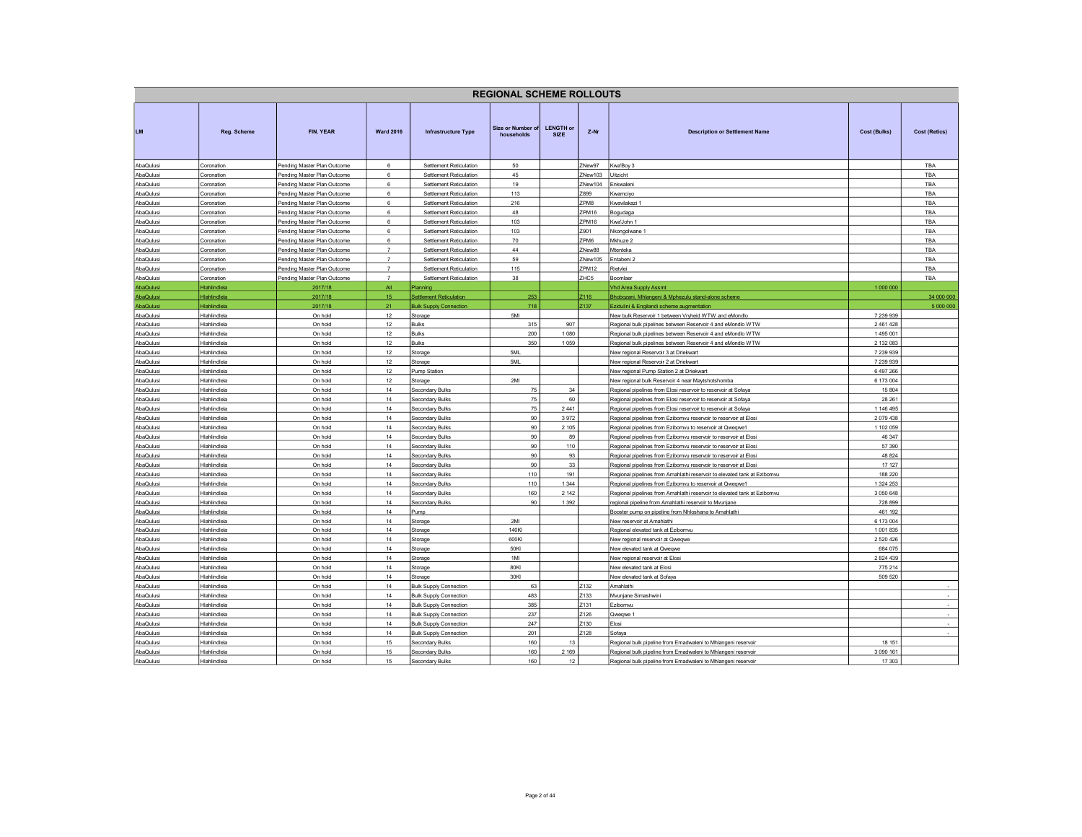|                        |                              |                                                            |                     |                                                    | <b>REGIONAL SCHEME ROLLOUTS</b> |                                 |                   |                                                                                    |                      |                      |
|------------------------|------------------------------|------------------------------------------------------------|---------------------|----------------------------------------------------|---------------------------------|---------------------------------|-------------------|------------------------------------------------------------------------------------|----------------------|----------------------|
| <b>LM</b>              | Reg. Scheme                  | <b>FIN. YEAR</b>                                           | <b>Ward 2016</b>    | Infrastructure Type                                | Size or Number of<br>households | <b>LENGTH or</b><br><b>SIZE</b> | Z-Nr              | <b>Description or Settlement Name</b>                                              | Cost (Bulks)         | <b>Cost (Retics)</b> |
| AbaQulusi              | Coronation                   | Pending Master Plan Outcome                                | 6                   | Settlement Reticulation                            | 50                              |                                 | ZNew97            | Kwa'Boy 3                                                                          |                      | TBA                  |
| AbaQulusi              | Coronation                   | Pending Master Plan Outcome                                | $\,6\,$             | Settlement Reticulation                            | 45                              |                                 | ZNew103           | Uitzicht                                                                           |                      | TBA                  |
| AbaQulusi              | Coronation                   | Pending Master Plan Outcome                                | 6                   | Settlement Reticulation                            | 19                              |                                 | ZNew104           | Enkwaleni                                                                          |                      | TBA                  |
| AbaQulusi              | Coronation                   | Pending Master Plan Outcome                                | $\,6\,$             | Settlement Reticulation                            | 113                             |                                 | Z899              | Kwamciyo                                                                           |                      | TBA                  |
| AbaQulusi              | Coronation                   | Pending Master Plan Outcome                                | 6                   | Settlement Reticulation                            | 216                             |                                 | ZPM <sub>8</sub>  | Kwavilakazi 1                                                                      |                      | TBA                  |
| AbaQulusi              | Coronation                   | Pending Master Plan Outcome                                | 6                   | Settlement Reticulation                            | 48                              |                                 | ZPM16             | Bogudaga                                                                           |                      | TBA                  |
| AbaQulusi              | Coronation                   | Pending Master Plan Outcome                                | 6                   | Settlement Reticulation                            | 103                             |                                 | ZPM16             | Kwa'John 1                                                                         |                      | TBA                  |
| AbaQulusi              | Coronation                   | Pending Master Plan Outcome                                | $\,6\,$             | Settlement Reticulation                            | 103                             |                                 | Z901              | Nkongolwane 1                                                                      |                      | TBA                  |
| AbaQulusi              | Coronation                   | Pending Master Plan Outcome                                | 6<br>$\overline{7}$ | Settlement Reticulation                            | 70<br>44                        |                                 | ZPM6              | Mkhuze 2                                                                           |                      | TBA                  |
| AbaQulusi<br>AbaQulusi | Coronation<br>Coronation     | Pending Master Plan Outcome                                | $\overline{7}$      | Settlement Reticulation<br>Settlement Reticulation | 59                              |                                 | ZNew88<br>ZNew105 | Mtenteka<br>Entabeni 2                                                             |                      | TBA<br>TBA           |
| AbaQulusi              | Coronation                   | Pending Master Plan Outcome<br>Pending Master Plan Outcome | $\overline{7}$      | Settlement Reticulation                            | 115                             |                                 | ZPM <sub>12</sub> | Rietvlei                                                                           |                      | TBA                  |
| AbaQulusi              | Coronation                   | Pending Master Plan Outcome                                | $\overline{7}$      | Settlement Reticulation                            | 38                              |                                 | ZHC5              | Boomlaer                                                                           |                      | TBA                  |
| AbaQulusi              | Hlahlindlela                 | 2017/18                                                    | All                 | <b>Planning</b>                                    |                                 |                                 |                   | <b>Vhd Area Supply Assmt</b>                                                       | 1 000 000            |                      |
| AbaQulusi              | Hlahlindlela                 | 2017/18                                                    | 15                  | <b>Settlement Reticulation</b>                     | 253                             |                                 | Z116              | Bhobozani, Mhlangeni & Mphezulu stand-alone scheme                                 |                      | 34 000 000           |
| AbaQulusi              | Hlahlindlela                 | 2017/18                                                    | 21                  | <b>Bulk Supply Connection</b>                      | 718                             |                                 | Z137              | Ezidulini & Engilandi scheme augmentation                                          |                      | 5 000 000            |
| AbaQulusi              | Hlahlindlela                 | On hold                                                    | 12                  | Storage                                            | 5MI                             |                                 |                   | New bulk Reservoir 1 between Vryheid WTW and eMondlo                               | 7 239 939            |                      |
| AbaQulusi              | Hlahlindlela                 | On hold                                                    | 12                  | <b>Bulks</b>                                       | 315                             | 907                             |                   | Regional bulk pipelines between Reservoir 4 and eMondlo WTW                        | 2 461 428            |                      |
| AbaQulusi              | Hlahlindlela                 | On hold                                                    | 12                  | Bulks                                              | 200                             | 1 0 8 0                         |                   | Regional bulk pipelines between Reservoir 4 and eMondlo WTW                        | 1495 001             |                      |
| AbaQulusi              | Hlahlindlela                 | On hold                                                    | 12                  | <b>Bulks</b>                                       | 350                             | 1059                            |                   | Regional bulk pipelines between Reservoir 4 and eMondlo WTW                        | 2 132 083            |                      |
| AbaQulusi              | Hlahlindlela                 | On hold                                                    | 12                  | Storage                                            | 5ML                             |                                 |                   | New regional Reservoir 3 at Driekwart                                              | 7 239 939            |                      |
| AbaQulusi              | Hlahlindlela                 | On hold                                                    | 12                  | Storage                                            | 5ML                             |                                 |                   | New regional Reservoir 2 at Driekwart                                              | 7 239 939            |                      |
| AbaQulusi              | Hlahlindlela                 | On hold                                                    | 12                  | Pump Station                                       |                                 |                                 |                   | New regional Pump Station 2 at Driekwart                                           | 6 497 266            |                      |
| AbaQulusi              | Hlahlindlela                 | On hold                                                    | 12                  | Storage                                            | 2MI                             |                                 |                   | New regional bulk Reservoir 4 near Maytshotshomba                                  | 6 173 004            |                      |
| AbaQulusi              | Hlahlindlela                 | On hold                                                    | 14                  | Secondary Bulks                                    | 75                              | 34                              |                   | Regional pipelines from Elosi reservoir to reservoir at Sofaya                     | 15 804               |                      |
| AbaQulusi              | Hlahlindlela                 | On hold                                                    | 14                  | Secondary Bulks                                    | 75                              | 60                              |                   | Regional pipelines from Elosi reservoir to reservoir at Sofaya                     | 28 26 1              |                      |
| AbaQulusi              | Hlahlindlela                 | On hold                                                    | 14                  | Secondary Bulks                                    | 75                              | 2441                            |                   | Regional pipelines from Elosi reservoir to reservoir at Sofaya                     | 1 146 495            |                      |
| AbaQulusi              | Hlahlindlela                 | On hold                                                    | 14                  | Secondary Bulks                                    | 90                              | 3972                            |                   | Regional pipelines from Ezibomvu reservoir to reservoir at Elosi                   | 2 079 438            |                      |
| AbaQulusi              | Hlahlindlela                 | On hold                                                    | 14                  | Secondary Bulks                                    | 90                              | 2 1 0 5                         |                   | Regional pipelines from Ezibomvu to reservoir at Qweqwe1                           | 1 102 059            |                      |
| AbaQulusi              | Hlahlindlela                 | On hold                                                    | 14                  | <b>Secondary Bulks</b>                             | 90                              | 89                              |                   | Regional pipelines from Ezibomvu reservoir to reservoir at Elosi                   | 46 347               |                      |
| AbaQulusi              | Hlahlindlela                 | On hold                                                    | 14                  | <b>Secondary Bulks</b>                             | 90                              | 110                             |                   | Regional pipelines from Ezibomvu reservoir to reservoir at Elosi                   | 57 390               |                      |
| AbaQulusi              | Hlahlindlela                 | On hold                                                    | 14                  | Secondary Bulks                                    | 90                              | 93                              |                   | Regional pipelines from Ezibomvu reservoir to reservoir at Elosi                   | 48 824               |                      |
| AbaQulusi              | Hlahlindlela                 | On hold                                                    | 14                  | Secondary Bulks                                    | 90                              | 33                              |                   | Regional pipelines from Ezibomvu reservoir to reservoir at Elosi                   | 17 127               |                      |
| AbaQulusi              | Hlahlindlela                 | On hold                                                    | 14                  | Secondary Bulks                                    | 110                             | 191                             |                   | Regional pipelines from Amahlathi reservoir to elevated tank at Ezibomvu           | 188 220              |                      |
| AbaQulusi              | Hlahlindlela                 | On hold                                                    | 14                  | Secondary Bulks                                    | 110                             | 1 3 4 4                         |                   | Regional pipelines from Ezibomvu to reservoir at Qweqwe1                           | 1 324 253            |                      |
| AbaQulusi              | Hlahlindlela                 | On hold                                                    | 14                  | Secondary Bulks                                    | 160<br>90                       | 2 1 4 2<br>1 3 9 2              |                   | Regional pipelines from Amahlathi reservoir to elevated tank at Ezibomvu           | 3 0 5 0 6 4 8        |                      |
| AbaQulusi              | Hlahlindlela                 | On hold                                                    | 14                  | Secondary Bulks                                    |                                 |                                 |                   | regional pipeline from Amahlathi reservoir to Mvunjane                             | 728 899              |                      |
| AbaQulusi<br>AbaQulusi | Hlahlindlela<br>Hlahlindlela | On hold<br>On hold                                         | 14<br>14            | Pump                                               | 2MI                             |                                 |                   | Booster pump on pipeline from Nhloshana to Amahlathi<br>New reservoir at Amahlathi | 461 192<br>6 173 004 |                      |
| AbaQulusi              | Hlahlindlela                 | On hold                                                    | 14                  | Storage<br>Storage                                 | 140KI                           |                                 |                   | Regional elevated tank at Ezibomvu                                                 | 1 001 835            |                      |
| AbaQulusi              | Hlahlindlela                 | On hold                                                    | 14                  | Storage                                            | 600KI                           |                                 |                   | New regional reservoir at Qweqwe                                                   | 2 5 20 4 26          |                      |
| AbaQulusi              | Hlahlindlela                 | On hold                                                    | 14                  | Storage                                            | 50KI                            |                                 |                   | New elevated tank at Qweqwe                                                        | 684 075              |                      |
| AbaQulusi              | Hlahlindlela                 | On hold                                                    | 14                  | Storage                                            | 1MI                             |                                 |                   | New regional reservoir at Elosi                                                    | 2 8 2 4 4 3 9        |                      |
| AbaQulusi              | Hlahlindlela                 | On hold                                                    | 14                  | Storage                                            | 80KI                            |                                 |                   | New elevated tank at Elosi                                                         | 775 214              |                      |
| AbaQulusi              | Hlahlindlela                 | On hold                                                    | 14                  | Storage                                            | 30KI                            |                                 |                   | New elevated tank at Sofaya                                                        | 509 520              |                      |
| AbaQulusi              | Hlahlindlela                 | On hold                                                    | 14                  | <b>Bulk Supply Connection</b>                      | 63                              |                                 | Z132              | Amahlathi                                                                          |                      |                      |
| AbaQulusi              | Hlahlindlela                 | On hold                                                    | 14                  | <b>Bulk Supply Connection</b>                      | 483                             |                                 | Z133              | Mvunjane Simashwini                                                                |                      |                      |
| AbaQulusi              | Hlahlindlela                 | On hold                                                    | 14                  | <b>Bulk Supply Connection</b>                      | 385                             |                                 | Z131              | Ezibomvu                                                                           |                      | $\sim$               |
| AbaQulusi              | Hlahlindlela                 | On hold                                                    | 14                  | <b>Bulk Supply Connection</b>                      | 237                             |                                 | Z126              | Qweqwe 1                                                                           |                      | $\sim$               |
| AbaQulusi              | Hlahlindlela                 | On hold                                                    | 14                  | <b>Bulk Supply Connection</b>                      | 247                             |                                 | Z130              | Elosi                                                                              |                      | $\sim$               |
| AbaQulusi              | Hlahlindlela                 | On hold                                                    | 14                  | <b>Bulk Supply Connection</b>                      | 201                             |                                 | 2128              | Sofaya                                                                             |                      |                      |
| AbaQulusi              | Hlahlindlela                 | On hold                                                    | 15                  | Secondary Bulks                                    | 160                             | 13                              |                   | Regional bulk pipeline from Emadwaleni to Mhlangeni reservoir                      | 18 151               |                      |
| AbaQulusi              | Hlahlindlela                 | On hold                                                    | 15                  | <b>Secondary Bulks</b>                             | 160                             | 2 1 6 9                         |                   | Regional bulk pipeline from Emadwaleni to Mhlangeni reservoir                      | 3 090 161            |                      |
| AbaQulusi              | Hlahlindlela                 | On hold                                                    | 15                  | Secondary Bulks                                    | 160                             | 12 <sub>12</sub>                |                   | Regional bulk pipeline from Emadwaleni to Mhlangeni reservoir                      | 17 303               |                      |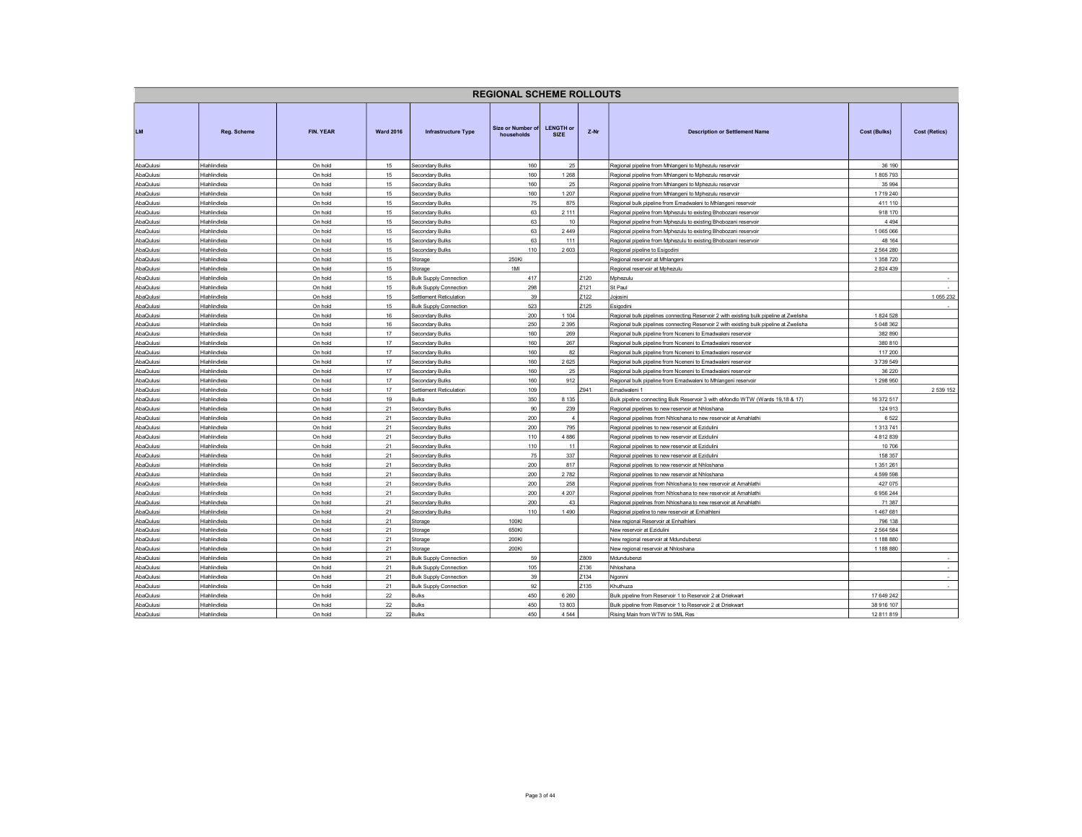|                        |                              |                    |                  |                                    | <b>REGIONAL SCHEME ROLLOUTS</b> |                                 |        |                                                                                                                                    |                        |                          |
|------------------------|------------------------------|--------------------|------------------|------------------------------------|---------------------------------|---------------------------------|--------|------------------------------------------------------------------------------------------------------------------------------------|------------------------|--------------------------|
| <b>LM</b>              | Reg. Scheme                  | FIN. YEAR          | <b>Ward 2016</b> | <b>Infrastructure Type</b>         | Size or Number of<br>households | <b>LENGTH or</b><br><b>SIZE</b> | $Z-Nr$ | <b>Description or Settlement Name</b>                                                                                              | Cost (Bulks)           | <b>Cost (Retics)</b>     |
| AbaQulusi              | Hlahlindlela                 | On hold            | 15               | Secondary Bulks                    | 160                             | 25                              |        | Regional pipeline from Mhlangeni to Mphezulu reservoir                                                                             | 36 190                 |                          |
| AbaQulusi              | Hlahlindlela                 | On hold            | 15               | Secondary Bulks                    | 160                             | 1 2 6 8                         |        | Regional pipeline from Mhlangeni to Mphezulu reservoir                                                                             | 1805793                |                          |
| AbaQulusi              | Hlahlindlela                 | On hold            | 15               | Secondary Bulks                    | 160                             | 25                              |        | Regional pipeline from Mhlangeni to Mphezulu reservoir                                                                             | 35 994                 |                          |
| AbaQulusi              | Hlahlindlela                 | On hold            | 15               | Secondary Bulks                    | 160                             | 1 2 0 7                         |        | Regional pipeline from Mhlangeni to Mphezulu reservoir                                                                             | 1719 240               |                          |
| AbaQulusi              | Hlahlindlela                 | On hold            | 15               | Secondary Bulks                    | 75                              | 875                             |        | Regional bulk pipeline from Emadwaleni to Mhlangeni reservoir                                                                      | 411 110                |                          |
| AbaQulusi              | Hlahlindlela                 | On hold            | 15               | Secondary Bulks                    | 63                              | 2 1 1 1                         |        | Regional pipeline from Mphezulu to existing Bhobozani reservoir                                                                    | 918 170                |                          |
| AbaQulusi              | Hlahlindlela                 | On hold            | 15               | Secondary Bulks                    | 63                              | 10                              |        | Regional pipeline from Mphezulu to existing Bhobozani reservoir                                                                    | 4 4 9 4                |                          |
| AbaQulusi              | Hlahlindlela                 | On hold            | 15               | Secondary Bulks                    | 63                              | 2449                            |        | Regional pipeline from Mphezulu to existing Bhobozani reservoir                                                                    | 1065066                |                          |
| AbaQulusi              | Hlahlindlela                 | On hold            | 15               | Secondary Bulks                    | 63                              | 111                             |        | Regional pipeline from Mphezulu to existing Bhobozani reservoir                                                                    | 48 164                 |                          |
| AbaQulusi              | Hlahlindlela                 | On hold            | 15               | Secondary Bulks                    | 110                             | 2603                            |        | Regional pipeline to Esigodini                                                                                                     | 2 5 6 4 2 8 0          |                          |
| AbaQulusi              | Hlahlindlela                 | On hold            | 15               | Storage                            | 250KI                           |                                 |        | Regional reservoir at Mhlangeni                                                                                                    | 1 358 720              |                          |
| AbaQulusi              | Hlahlindlela                 | On hold            | 15               | Storage                            | 1MI                             |                                 |        | Regional reservoir at Mphezulu                                                                                                     | 2 8 2 4 4 3 9          |                          |
| AbaQulusi              | Hlahlindlela                 | On hold            | 15               | <b>Bulk Supply Connection</b>      | 417                             |                                 | Z120   | Mphezulu                                                                                                                           |                        |                          |
| AbaQulusi              | Hlahlindlela                 | On hold            | 15               | <b>Bulk Supply Connection</b>      | 298                             |                                 | Z121   | St Paul                                                                                                                            |                        |                          |
| AbaQulusi              | Hlahlindlela                 | On hold            | 15               | Settlement Reticulation            | 39                              |                                 | Z122   | Jojosini                                                                                                                           |                        | 1 055 232                |
| AbaQulusi              | Hlahlindlela                 | On hold            | 15               | <b>Bulk Supply Connection</b>      | 523                             |                                 | Z125   | Esigodini                                                                                                                          |                        | $\overline{\phantom{a}}$ |
| AbaQulusi              | Hlahlindlela                 | On hold            | 16               | Secondary Bulks                    | 200                             | 1 1 0 4                         |        | Regional bulk pipelines connecting Reservoir 2 with existing bulk pipeline at Zwelisha                                             | 1824 528               |                          |
| AbaQulusi              | Hlahlindlela                 | On hold            | 16               | Secondary Bulks                    | 250                             | 2 3 9 5                         |        | Regional bulk pipelines connecting Reservoir 2 with existing bulk pipeline at Zwelisha                                             | 5 048 362              |                          |
| AbaQulusi              | Hlahlindlela                 | On hold            | 17               | Secondary Bulks                    | 160                             | 269                             |        | Regional bulk pipeline from Nceneni to Emadwaleni reservoir                                                                        | 382 890                |                          |
| AbaQulusi              | Hlahlindlela                 | On hold            | 17               | Secondary Bulks                    | 160                             | 267                             |        | Regional bulk pipeline from Nceneni to Emadwaleni reservoir                                                                        | 380 810                |                          |
| AbaQulusi              | Hlahlindlela                 | On hold            | 17               | Secondary Bulks                    | 160                             | 82                              |        | Regional bulk pipeline from Nceneni to Emadwaleni reservoir                                                                        | 117 200                |                          |
| AbaQulusi              | Hlahlindlela                 | On hold            | 17               | Secondary Bulks                    | 160                             | 2625                            |        | Regional bulk pipeline from Nceneni to Emadwaleni reservoir                                                                        | 3739549                |                          |
| AbaQulusi              | Hlahlindlela                 | On hold            | 17               | Secondary Bulks                    | 160                             | 25                              |        | Regional bulk pipeline from Nceneni to Emadwaleni reservoir                                                                        | 36 220                 |                          |
| AbaQulusi              | Hlahlindlela                 | On hold            | 17               | Secondary Bulks                    | 160                             | 912                             |        | Regional bulk pipeline from Emadwaleni to Mhlangeni reservoir                                                                      | 1 298 950              |                          |
| AbaQulusi              | Hlahlindlela                 | On hold            | 17               | Settlement Reticulation            | 109                             |                                 | Z941   | Emadwaleni 1                                                                                                                       |                        | 2 539 152                |
| AbaQulusi              | Hlahlindlela                 | On hold            | 19               | Bulks                              | 350                             | 8 1 3 5                         |        | Bulk pipeline connecting Bulk Reservoir 3 with eMondlo WTW (Wards 19,18 & 17)                                                      | 16 372 517             |                          |
| AbaQulusi              | Hlahlindlela                 | On hold            | 21               | Secondary Bulks                    | 90                              | 239<br>$\Delta$                 |        | Regional pipelines to new reservoir at Nhloshana                                                                                   | 124 913                |                          |
| AbaQulusi              | Hlahlindlela                 | On hold            | 21               | Secondary Bulks                    | 200                             |                                 |        | Regional pipelines from Nhloshana to new reservoir at Amahlathi                                                                    | 6522                   |                          |
| AbaQulusi              | Hlahlindlela                 | On hold            | 21               | Secondary Bulks                    | 200                             | 795                             |        | Regional pipelines to new reservoir at Ezidulini                                                                                   | 1 3 1 3 7 4 1          |                          |
| AbaQulusi              | Hlahlindlela                 | On hold            | 21               | <b>Secondary Bulks</b>             | 110                             | 4 8 8 6                         |        | Regional pipelines to new reservoir at Ezidulini                                                                                   | 4 812 839              |                          |
| AbaQulusi              | Hlahlindlela                 | On hold            | 21               | Secondary Bulks                    | 110                             | 11                              |        | Regional pipelines to new reservoir at Ezidulini                                                                                   | 10 706                 |                          |
| AbaQulusi              | Hlahlindlela<br>Hlahlindlela | On hold            | 21<br>21         | Secondary Bulks                    | 75<br>200                       | 337<br>817                      |        | Regional pipelines to new reservoir at Ezidulini                                                                                   | 158 357                |                          |
| AbaQulusi              |                              | On hold            |                  | Secondary Bulks                    |                                 | 2782                            |        | Regional pipelines to new reservoir at Nhloshana                                                                                   | 1 351 261<br>4 599 598 |                          |
| AbaQulusi              | Hlahlindlela<br>Hlahlindlela | On hold            | 21<br>21         | Secondary Bulks                    | 200<br>200                      | 258                             |        | Regional pipelines to new reservoir at Nhloshana                                                                                   | 427 075                |                          |
| AbaQulusi<br>AbaQulusi | Hlahlindlela                 | On hold<br>On hold | 21               | Secondary Bulks<br>Secondary Bulks | 200                             | 4 2 0 7                         |        | Regional pipelines from Nhloshana to new reservoir at Amahlathi<br>Regional pipelines from Nhloshana to new reservoir at Amahlathi | 6956244                |                          |
| AbaQulusi              | Hlahlindlela                 | On hold            | 21               | Secondary Bulks                    | 200                             | 43                              |        | Regional pipelines from Nhloshana to new reservoir at Amahlathi                                                                    | 71 387                 |                          |
| AbaQulusi              | Hlahlindlela                 | On hold            | 21               | <b>Secondary Bulks</b>             | 110                             | 1490                            |        | Regional pipeline to new reservoir at Enhalhleni                                                                                   | 1467681                |                          |
| AbaQulusi              | Hlahlindlela                 | On hold            | 21               | Storage                            | 100KI                           |                                 |        | New regional Reservoir at Enhalhleni                                                                                               | 796 138                |                          |
| AbaQulusi              | Hlahlindlela                 | On hold            | 21               | Storage                            | 650KI                           |                                 |        | New reservoir at Ezidulini                                                                                                         | 2 5 6 4 5 8 4          |                          |
| AbaQulusi              | Hlahlindlela                 | On hold            | 21               | Storage                            | 200KI                           |                                 |        | New regional reservoir at Mdundubenzi                                                                                              | 1 188 880              |                          |
| AbaQulusi              | Hlahlindlela                 | On hold            | 21               | Storage                            | 200KI                           |                                 |        | New regional reservoir at Nhloshana                                                                                                | 1 188 880              |                          |
| AbaQulusi              | Hlahlindlela                 | On hold            | 21               | <b>Bulk Supply Connection</b>      | 59                              |                                 | Z809   | Mdundubenzi                                                                                                                        |                        | $\overline{\phantom{a}}$ |
| AbaQulusi              | Hlahlindlela                 | On hold            | 21               | <b>Bulk Supply Connection</b>      | 105                             |                                 | Z136   | Nhloshana                                                                                                                          |                        |                          |
| AbaQulusi              | Hlahlindlela                 | On hold            | 21               | <b>Bulk Supply Connection</b>      | 39                              |                                 | Z134   | Ngonini                                                                                                                            |                        | $\sim$                   |
| AbaQulusi              | Hlahlindlela                 | On hold            | 21               | <b>Bulk Supply Connection</b>      | 92                              |                                 | 7135   | Khuthuza                                                                                                                           |                        | $\sim$                   |
| AbaQulusi              | Hlahlindlela                 | On hold            | 22               | Bulks                              | 450                             | 6 2 6 0                         |        | Bulk pipeline from Reservoir 1 to Reservoir 2 at Driekwart                                                                         | 17 649 242             |                          |
| AbaQulusi              | Hlahlindlela                 | On hold            | 22               | Bulks                              | 450                             | 13 803                          |        | Bulk pipeline from Reservoir 1 to Reservoir 2 at Driekwart                                                                         | 38 916 107             |                          |
| AbaQulusi              | Hlahlindlela                 | On hold            | 22               | <b>Bulks</b>                       | 450                             | 4 5 4 4                         |        | Rising Main from WTW to 5ML Res                                                                                                    | 12 811 819             |                          |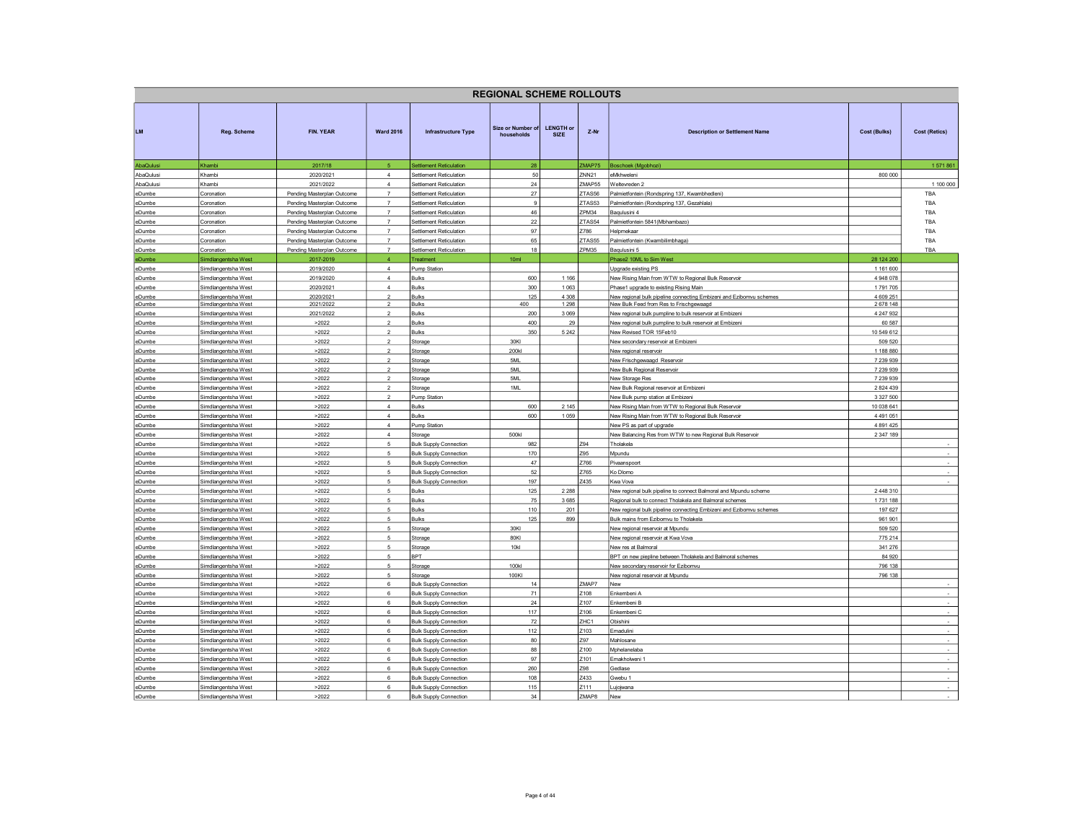|                  |                                            |                                                          |                                  |                                                                | <b>REGIONAL SCHEME ROLLOUTS</b> |                                 |                   |                                                                                                               |                        |                          |
|------------------|--------------------------------------------|----------------------------------------------------------|----------------------------------|----------------------------------------------------------------|---------------------------------|---------------------------------|-------------------|---------------------------------------------------------------------------------------------------------------|------------------------|--------------------------|
| LM.              | Reg. Scheme                                | <b>FIN. YEAR</b>                                         | <b>Ward 2016</b>                 | <b>Infrastructure Type</b>                                     | Size or Number of<br>households | <b>LENGTH or</b><br><b>SIZE</b> | $Z-Nr$            | <b>Description or Settlement Name</b>                                                                         | <b>Cost (Bulks)</b>    | <b>Cost (Retics)</b>     |
| AbaQulusi        | Khambi                                     | 2017/18                                                  | -5.                              | Settlement Reticulation                                        | 28                              |                                 | ZMAP75            | Boschoek (Mgobhozi)                                                                                           |                        | 1 571 861                |
| AbaQulusi        | Khambi                                     | 2020/2021                                                | $\overline{4}$                   | Settlement Reticulation                                        | 50                              |                                 | ZNN <sub>21</sub> | eMkhweleni                                                                                                    | 800 000                |                          |
| AbaQulusi        | Khambi                                     | 2021/2022                                                | $\overline{4}$<br>$\overline{7}$ | Settlement Reticulation                                        | 24                              |                                 | ZMAP55<br>ZTAS56  | Weltevreden 2                                                                                                 |                        | 1 100 000<br>TBA         |
| eDumbe<br>eDumbe | Coronation<br>Coronation                   | Pending Masterplan Outcome<br>Pending Masterplan Outcome | $\overline{7}$                   | Settlement Reticulation<br><b>Settlement Reticulation</b>      | 27<br>$9\,$                     |                                 | ZTAS53            | Palmietfontein (Rondspring 137, Kwambhedleni)<br>Palmietfontein (Rondspring 137, Gezahlala)                   |                        | TBA                      |
| eDumbe           | Coronation                                 | Pending Masterplan Outcome                               | $\overline{7}$                   | Settlement Reticulation                                        | 46                              |                                 | ZPM34             | Baqulusini 4                                                                                                  |                        | TBA                      |
| eDumbe           | Coronation                                 | Pending Masterplan Outcome                               | $\overline{7}$                   | Settlement Reticulation                                        | $22\,$                          |                                 | ZTAS54            | Palmietfontein 5841 (Mbhambazo)                                                                               |                        | TBA                      |
| eDumbe           | Coronation                                 | Pending Masterplan Outcome                               | $\overline{7}$                   | Settlement Reticulation                                        | 97                              |                                 | Z786              | Helpmekaar                                                                                                    |                        | TBA                      |
| eDumbe           | Coronation                                 | Pending Masterplan Outcome                               | $\scriptstyle{7}$                | Settlement Reticulation                                        | 65                              |                                 | ZTAS55            | Palmietfontein (Kwambilimbhaga)                                                                               |                        | TBA                      |
| eDumbe           | Coronation                                 | Pending Masterplan Outcome                               | $\overline{7}$                   | Settlement Reticulation                                        | 18                              |                                 | ZPM35             | Baqulusini 5                                                                                                  |                        | TRA                      |
| eDumbe           | Simdlangentsha West                        | 2017-2019                                                | $\overline{4}$                   | Treatment                                                      | 10 <sub>m</sub>                 |                                 |                   | Phase2 10ML to Sim West                                                                                       | 28 124 200             |                          |
| eDumbe           | Simdlangentsha West                        | 2019/2020                                                | $\overline{4}$                   | <b>Pump Station</b>                                            |                                 |                                 |                   | Upgrade existing PS                                                                                           | 1 161 600              |                          |
| eDumbe           | Simdlangentsha West                        | 2019/2020                                                | $\sqrt{4}$                       | <b>Bulks</b>                                                   | 600                             | 1 1 6 6                         |                   | New Rising Main from WTW to Regional Bulk Reservoir                                                           | 4 948 078              |                          |
| eDumbe<br>eDumbe | Simdlangentsha West<br>Simdlangentsha West | 2020/2021<br>2020/2021                                   | $\overline{4}$<br>$\overline{2}$ | <b>Bulks</b><br>Bulks                                          | 300<br>125                      | 1 0 6 3<br>4 3 0 8              |                   | Phase1 upgrade to existing Rising Main<br>New regional bulk pipeline connecting Embizeni and Ezibomvu schemes | 1791705<br>4 609 251   |                          |
| eDumbe           | Simdlangentsha West                        | 2021/2022                                                | $\overline{2}$                   | Bulks                                                          | 400                             | 1 2 9 8                         |                   | New Bulk Feed from Res to Frischgewaagd                                                                       | 2678148                |                          |
| eDumbe           | Simdlangentsha West                        | 2021/2022                                                | $\overline{2}$                   | <b>Bulks</b>                                                   | 200                             | 3 0 6 9                         |                   | New regional bulk pumpline to bulk reservoir at Embizeni                                                      | 4 247 932              |                          |
| eDumbe           | Simdlangentsha West                        | >2022                                                    | $\overline{2}$                   | <b>Bulks</b>                                                   | 400                             | 29                              |                   | New regional bulk pumpline to bulk reservoir at Embizeni                                                      | 60 587                 |                          |
| eDumbe           | Simdlangentsha West                        | >2022                                                    | $\overline{2}$                   | Bulks                                                          | 350                             | 5 2 4 2                         |                   | New Revised TOR 15Feb10                                                                                       | 10 549 612             |                          |
| eDumbe           | Simdlangentsha West                        | >2022                                                    | $\overline{2}$                   | Storage                                                        | 30KI                            |                                 |                   | New secondary reservoir at Embizeni                                                                           | 509 520                |                          |
| eDumbe           | Simdlangentsha West                        | >2022                                                    | $\mathfrak{p}$                   | Storage                                                        | 200kl                           |                                 |                   | New regional reservoir                                                                                        | 1 188 880              |                          |
| eDumbe           | Simdlangentsha West                        | >2022                                                    | $\overline{2}$                   | Storage                                                        | 5ML                             |                                 |                   | New Frischgewaagd Reservoir                                                                                   | 7 239 939              |                          |
| eDumbe<br>eDumbe | Simdlangentsha West                        | >2022<br>>2022                                           | $\overline{2}$<br>$\mathcal{P}$  | Storage                                                        | 5ML<br>5ML                      |                                 |                   | New Bulk Regional Reservoir                                                                                   | 7 239 939<br>7 239 939 |                          |
| eDumbe           | Simdlangentsha West<br>Simdlangentsha West | >2022                                                    | $\mathfrak{p}$                   | Storage<br>Storage                                             | 1ML                             |                                 |                   | New Storage Res<br>New Bulk Regional reservoir at Embizeni                                                    | 2 8 2 4 4 3 9          |                          |
| eDumbe           | Simdlangentsha West                        | >2022                                                    | $\overline{2}$                   | Pump Station                                                   |                                 |                                 |                   | New Bulk pump station at Embizeni                                                                             | 3 3 2 7 5 0 0          |                          |
| eDumbe           | Simdlangentsha West                        | >2022                                                    | $\overline{4}$                   | Bulks                                                          | 600                             | 2 1 4 5                         |                   | New Rising Main from WTW to Regional Bulk Reservoir                                                           | 10 038 641             |                          |
| eDumbe           | Simdlangentsha West                        | >2022                                                    | $\overline{4}$                   | <b>Bulks</b>                                                   | 600                             | 1059                            |                   | New Rising Main from WTW to Regional Bulk Reservoir                                                           | 4 491 051              |                          |
| eDumbe           | Simdlangentsha West                        | >2022                                                    | $\overline{4}$                   | Pump Station                                                   |                                 |                                 |                   | New PS as part of upgrade                                                                                     | 4 891 425              |                          |
| eDumbe           | Simdlangentsha West                        | >2022                                                    | $\overline{4}$                   | Storage                                                        | 500kl                           |                                 |                   | New Balancing Res from WTW to new Regional Bulk Reservoir                                                     | 2 347 189              |                          |
| eDumbe           | Simdlangentsha West                        | >2022                                                    | $\overline{5}$                   | <b>Bulk Supply Connection</b>                                  | 982                             |                                 | Z94               | Tholakela                                                                                                     |                        |                          |
| eDumbe           | Simdlangentsha West                        | >2022                                                    | -5                               | <b>Bulk Supply Connection</b>                                  | 170                             |                                 | Z95               | Mpundu                                                                                                        |                        | $\sim$                   |
| eDumbe           | Simdlangentsha West                        | >2022                                                    | 5                                | <b>Bulk Supply Connection</b>                                  | 47                              |                                 | Z766              | Pivaanspoort                                                                                                  |                        |                          |
| eDumbe           | Simdlangentsha West                        | >2022<br>>2022                                           | 5<br>$5\overline{5}$             | <b>Bulk Supply Connection</b><br><b>Bulk Supply Connection</b> | 52<br>197                       |                                 | Z765<br>Z435      | Ko Dlomo                                                                                                      |                        | $\sim$                   |
| eDumbe<br>eDumbe | Simdlangentsha West<br>Simdlangentsha West | >2022                                                    | 5                                | <b>Bulks</b>                                                   | 125                             | 2 2 8 8                         |                   | Kwa Vova<br>New regional bulk pipeline to connect Balmoral and Mpundu scheme                                  | 2 448 310              |                          |
| eDumbe           | Simdlangentsha West                        | >2022                                                    | $5\overline{5}$                  | Bulks                                                          | 75                              | 3685                            |                   | Regional bulk to connect Tholakela and Balmoral schemes                                                       | 1731 188               |                          |
| eDumbe           | Simdlangentsha West                        | >2022                                                    | 5                                | Bulks                                                          | 110                             | 201                             |                   | New regional bulk pipeline connecting Embizeni and Ezibomvu schemes                                           | 197 627                |                          |
| eDumbe           | Simdlangentsha West                        | >2022                                                    | 5                                | <b>Bulks</b>                                                   | 125                             | 899                             |                   | Bulk mains from Ezibomvu to Tholakela                                                                         | 961 901                |                          |
| eDumbe           | Simdlangentsha West                        | >2022                                                    | 5                                | Storage                                                        | 30KI                            |                                 |                   | New regional reservoir at Mpundu                                                                              | 509 520                |                          |
| eDumbe           | Simdlangentsha West                        | >2022                                                    | $\,$ 5 $\,$                      | Storage                                                        | 80KI                            |                                 |                   | New regional reservoir at Kwa Vova                                                                            | 775 214                |                          |
| eDumbe           | Simdlangentsha West                        | >2022                                                    | $5 -$                            | Storage                                                        | 10k                             |                                 |                   | New res at Balmoral                                                                                           | 341 276                |                          |
| eDumbe           | Simdlangentsha West                        | >2022                                                    | $\overline{5}$                   | <b>BPT</b>                                                     |                                 |                                 |                   | BPT on new piepline between Tholakela and Balmoral schemes                                                    | 84 920                 |                          |
| eDumbe           | Simdlangentsha West                        | >2022                                                    | 5                                | Storage                                                        | 100kl                           |                                 |                   | New secondary reservoir for Ezibomvu                                                                          | 796 138                |                          |
| eDumbe           | Simdlangentsha West                        | >2022                                                    | 5                                | Storage                                                        | 100KI                           |                                 |                   | New regional reservoir at Mpundu                                                                              | 796 138                |                          |
| eDumbe           | Simdlangentsha West                        | >2022                                                    | $\mathbf{g}$<br>6                | <b>Bulk Supply Connection</b>                                  | 14<br>71                        |                                 | 7MAP7<br>7108     | New                                                                                                           |                        |                          |
| eDumbe<br>eDumbe | Simdlangentsha West<br>Simdlangentsha West | >2022<br>>2022                                           | 6                                | <b>Bulk Supply Connection</b><br><b>Bulk Supply Connection</b> | 24                              |                                 | 2107              | Enkembeni A<br>Enkembeni B                                                                                    |                        | $\overline{\phantom{a}}$ |
| eDumbe           | Simdlangentsha West                        | >2022                                                    | 6                                | <b>Bulk Supply Connection</b>                                  | 117                             |                                 | Z106              | Enkembeni C                                                                                                   |                        | ÷                        |
| eDumbe           | Simdlangentsha West                        | >2022                                                    | 6                                | <b>Bulk Supply Connection</b>                                  | 72                              |                                 | ZHC1              | Obishini                                                                                                      |                        |                          |
| eDumbe           | Simdlangentsha West                        | >2022                                                    | 6                                | <b>Bulk Supply Connection</b>                                  | 112                             |                                 | Z103              | Emadulini                                                                                                     |                        | $\sim$                   |
| eDumbe           | Simdlangentsha West                        | >2022                                                    | $\,6\,$                          | <b>Bulk Supply Connection</b>                                  | 80                              |                                 | Z97               | Mahlosane                                                                                                     |                        | $\sim$                   |
| eDumbe           | Simdlangentsha West                        | >2022                                                    | $6\phantom{.0}$                  | <b>Bulk Supply Connection</b>                                  | 88                              |                                 | Z100              | Mphelanelaba                                                                                                  |                        | $\sim$                   |
| eDumbe           | Simdlangentsha West                        | >2022                                                    | 6                                | <b>Bulk Supply Connection</b>                                  | 97                              |                                 | Z101              | Emakholweni 1                                                                                                 |                        |                          |
| eDumbe           | Simdlangentsha West                        | >2022                                                    | 6                                | <b>Bulk Supply Connection</b>                                  | 260                             |                                 | Z98               | Gedlase                                                                                                       |                        | $\sim$                   |
| eDumbe           | Simdlangentsha West                        | >2022                                                    | $6\phantom{1}$                   | <b>Bulk Supply Connection</b>                                  | 108                             |                                 | Z433              | Gwebu 1                                                                                                       |                        | $\overline{\phantom{a}}$ |
| eDumbe           | Simdlangentsha West                        | >2022                                                    | $\epsilon$                       | <b>Bulk Supply Connection</b>                                  | 115                             |                                 | Z111              | ujojwana                                                                                                      |                        | $\overline{a}$           |
| eDumbe           | Simdlangentsha West                        | >2022                                                    | 6                                | <b>Bulk Supply Connection</b>                                  | 34                              |                                 | ZMAP8             | New                                                                                                           |                        |                          |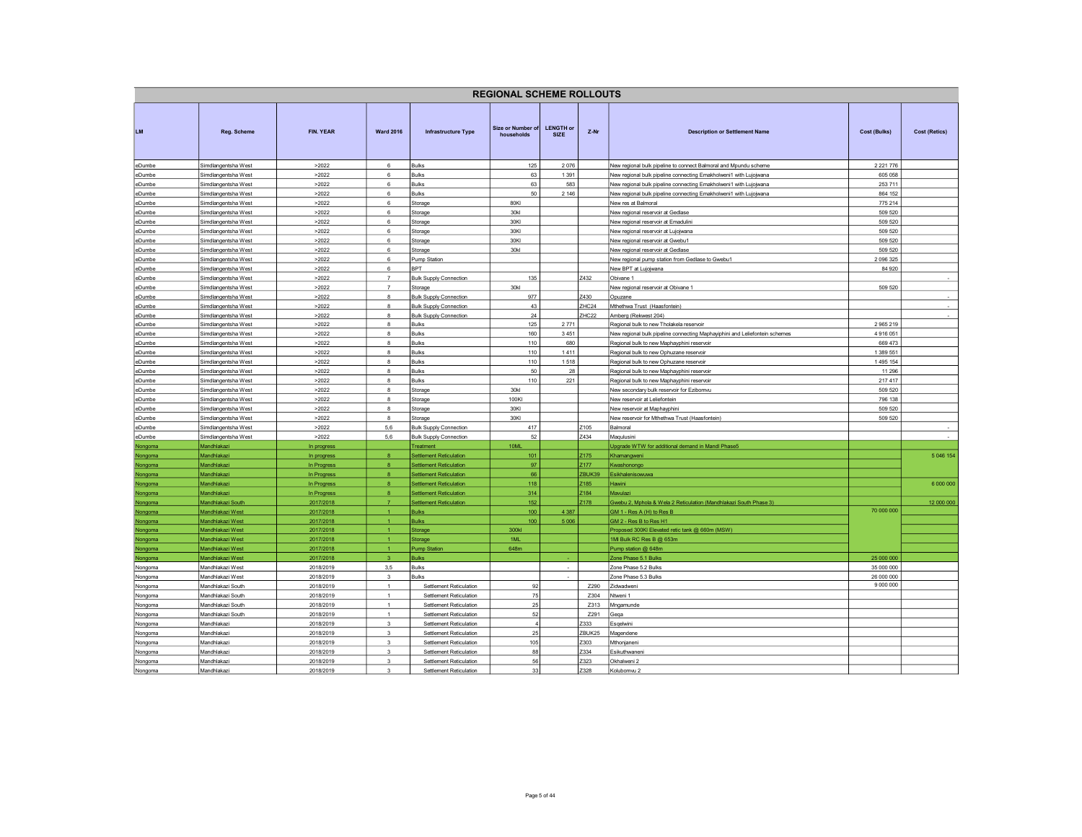|                  |                                            |                |                      |                                          | <b>REGIONAL SCHEME ROLLOUTS</b> |                                 |                   |                                                                             |                          |                      |
|------------------|--------------------------------------------|----------------|----------------------|------------------------------------------|---------------------------------|---------------------------------|-------------------|-----------------------------------------------------------------------------|--------------------------|----------------------|
| <b>LM</b>        | Reg. Scheme                                | FIN. YEAR      | <b>Ward 2016</b>     | <b>Infrastructure Type</b>               | Size or Number of<br>households | <b>LENGTH or</b><br><b>SIZE</b> | $Z-Nr$            | <b>Description or Settlement Name</b>                                       | <b>Cost (Bulks)</b>      | <b>Cost (Retics)</b> |
| eDumbe           | Simdlangentsha West                        | >2022          | 6                    | <b>Bulks</b>                             | 125                             | 2076                            |                   | New regional bulk pipeline to connect Balmoral and Mpundu scheme            | 2 2 2 1 7 7 6            |                      |
| eDumbe           | Simdlangentsha West                        | >2022          | 6                    | <b>Bulks</b>                             | 63                              | 1 3 9 1                         |                   | New regional bulk pipeline connecting Emakholweni1 with Lujojwana           | 605 058                  |                      |
| eDumbe           | Simdlangentsha West                        | >2022          | $\,6\,$              | Bulks                                    | 63                              | 583                             |                   | New regional bulk pipeline connecting Emakholweni1 with Lujojwana           | 253 711                  |                      |
| eDumbe           | Simdlangentsha West                        | >2022          | 6                    | <b>Bulks</b>                             | 50 <sup>1</sup>                 | 2 1 4 6                         |                   | New regional bulk pipeline connecting Emakholweni1 with Lujojwana           | 864 152                  |                      |
| eDumbe           | Simdlangentsha West                        | >2022          | 6                    | Storage                                  | 80KI                            |                                 |                   | New res at Balmoral                                                         | 775 214                  |                      |
| eDumbe           | Simdlangentsha West                        | >2022          | $\,6\,$              | Storage                                  | 30kl                            |                                 |                   | New regional reservoir at Gedlase                                           | 509 520                  |                      |
| eDumbe           | Simdlangentsha West                        | >2022          | $\,6\,$              | Storage                                  | 30KI                            |                                 |                   | New regional reservoir at Emadulini                                         | 509 520                  |                      |
| eDumbe           | Simdlangentsha West                        | >2022          | $6\phantom{a}$       | Storage                                  | 30KI                            |                                 |                   | New regional reservoir at Lujojwana                                         | 509 520                  |                      |
| eDumbe           | Simdlangentsha West                        | >2022          | -6<br>$6\phantom{a}$ | Storage                                  | 30KI                            |                                 |                   | New regional reservoir at Gwebu1                                            | 509 520                  |                      |
| eDumbe           | Simdlangentsha West                        | >2022<br>>2022 |                      | Storage                                  | 30kl                            |                                 |                   | New regional reservoir at Gedlase                                           | 509 520<br>2 0 9 6 3 2 5 |                      |
| eDumbe<br>eDumbe | Simdlangentsha West<br>Simdlangentsha West | >2022          | 6<br>$6\phantom{.0}$ | Pump Station<br><b>BPT</b>               |                                 |                                 |                   | New regional pump station from Gedlase to Gwebu1<br>New BPT at Lujojwana    | 84 920                   |                      |
| eDumbe           | Simdlangentsha West                        | >2022          | $\overline{7}$       |                                          | 135                             |                                 | Z432              | Obivane 1                                                                   |                          |                      |
| eDumbe           | Simdlangentsha West                        | >2022          | $\overline{7}$       | <b>Bulk Supply Connection</b><br>Storage | 30kl                            |                                 |                   | New regional reservoir at Obivane 1                                         | 509 520                  |                      |
| eDumbe           | Simdlangentsha West                        | >2022          | 8                    | <b>Bulk Supply Connection</b>            | 977                             |                                 | Z430              | Opuzane                                                                     |                          | $\sim$               |
| eDumbe           | Simdlangentsha West                        | >2022          | $\bf8$               | <b>Bulk Supply Connection</b>            | 43                              |                                 | ZHC24             | Mthethwa Trust (Haasfontein)                                                |                          | $\sim$               |
| eDumbe           | Simdlangentsha West                        | >2022          | $\mathbf{a}$         | <b>Bulk Supply Connection</b>            | 24                              |                                 | ZHC <sub>22</sub> | Amberg (Rekwest 204)                                                        |                          |                      |
| eDumbe           | Simdlangentsha West                        | >2022          | 8                    | <b>Bulks</b>                             | 125                             | 2771                            |                   | Regional bulk to new Tholakela reservoir                                    | 2 965 219                |                      |
| eDumbe           | Simdlangentsha West                        | >2022          | 8                    | Bulks                                    | 160                             | 3451                            |                   | New regional bulk pipeline connecting Maphayiphini and Leliefontein schemes | 4 916 051                |                      |
| eDumbe           | Simdlangentsha West                        | >2022          | $\mathbf{R}$         | <b>Bulks</b>                             | 110                             | 680                             |                   | Regional bulk to new Maphayphini reservoir                                  | 669 473                  |                      |
| eDumbe           | Simdlangentsha West                        | >2022          | 8                    | Bulks                                    | 110                             | 1411                            |                   | Regional bulk to new Ophuzane reservoir                                     | 1 389 551                |                      |
| eDumbe           | Simdlangentsha West                        | >2022          | 8                    | Bulks                                    | 110                             | 1518                            |                   | Regional bulk to new Ophuzane reservoir                                     | 1495 154                 |                      |
| eDumbe           | Simdlangentsha West                        | >2022          | $\bf8$               | <b>Bulks</b>                             | 50                              | 28                              |                   | Regional bulk to new Maphayphini reservoir                                  | 11 29 6                  |                      |
| eDumbe           | Simdlangentsha West                        | >2022          | $\mathbf{a}$         | Bulks                                    | 110                             | 221                             |                   | Regional bulk to new Maphayphini reservoir                                  | 217 417                  |                      |
| eDumbe           | Simdlangentsha West                        | >2022          | 8                    | Storage                                  | 30 <sub>kl</sub>                |                                 |                   | New secondary bulk reservoir for Ezibomvu                                   | 509 520                  |                      |
| eDumbe           | Simdlangentsha West                        | >2022          | 8                    | Storage                                  | 100KI                           |                                 |                   | New reservoir at Leliefontein                                               | 796 138                  |                      |
| eDumbe           | Simdlangentsha West                        | >2022          | $\boldsymbol{8}$     | Storage                                  | 30KI                            |                                 |                   | New reservoir at Maphayphini                                                | 509 520                  |                      |
| eDumbe           | Simdlangentsha West                        | >2022          | 8                    | Storage                                  | 30KI                            |                                 |                   | New reservoir for Mthethwa Trust (Haasfontein)                              | 509 520                  |                      |
| eDumbe           | Simdlangentsha West                        | >2022          | 5,6                  | <b>Bulk Supply Connection</b>            | 417                             |                                 | Z <sub>105</sub>  | Balmoral                                                                    |                          |                      |
| eDumbe           | Simdlangentsha West                        | >2022          | 5.6                  | <b>Bulk Supply Connection</b>            | 52                              |                                 | Z434              | Magulusini                                                                  |                          |                      |
| Nongoma          | Mandhlakazi                                | In progress    |                      | <b>Treatment</b>                         | 10ML                            |                                 |                   | Jpgrade WTW for additional demand in Mandl Phase5                           |                          |                      |
| Nongoma          | Mandhlakazi                                | In progress    | $\mathbf{a}$         | <b>Settlement Reticulation</b>           | 101                             |                                 | Z175              | Khamangweni                                                                 |                          | 5 046 154            |
| Nongoma          | Mandhlakazi                                | In Progress    | 8                    | <b>Settlement Reticulation</b>           | 97                              |                                 | Z <sub>177</sub>  | Kwashonongo                                                                 |                          |                      |
| Nongoma          | Mandhlakazi                                | In Progress    | $\mathbf{R}$         | <b>Settlement Reticulation</b>           | 66                              |                                 | ZBUK39            | Esikhalenisowuwa                                                            |                          |                      |
| Nongoma          | Mandhlakazi                                | In Progress    | 8                    | <b>Settlement Reticulation</b>           | 118                             |                                 | Z <sub>185</sub>  | <b>Hawini</b>                                                               |                          | 6 000 000            |
| Nongoma          | Mandhlakazi                                | In Progress    | $\bf{8}$             | <b>Settlement Reticulation</b>           | 314                             |                                 | Z <sub>184</sub>  | Mavulaz                                                                     |                          |                      |
| Nongoma          | Mandhlakazi South                          | 2017/2018      | $\overline{7}$       | <b>Settlement Reticulation</b>           | 152                             |                                 | Z178              | Gwebu 2, Mphola & Wela 2 Reticulation (Mandhlakazi South Phase 3)           |                          | 12 000 000           |
| Nongoma          | Mandhlakazi West                           | 2017/2018      | $\overline{1}$       | <b>Bulks</b>                             | 100                             | 4 3 8 7                         |                   | GM 1 - Res A (H) to Res B                                                   | 70 000 000               |                      |
| Nongoma          | Mandhlakazi West                           | 2017/2018      | $\mathbf{1}$         | <b>Bulks</b>                             | 100                             | 5 0 0 6                         |                   | GM 2 - Res B to Res H1                                                      |                          |                      |
| Nongoma          | Mandhlakazi West                           | 2017/2018      | $\blacktriangleleft$ | Storage                                  | 300kl                           |                                 |                   | Proposed 300KI Elevated retic tank @ 660m (MSW)                             |                          |                      |
| Nongoma          | Mandhlakazi West                           | 2017/2018      | 1 <sup>1</sup>       | Storage                                  | 1ML                             |                                 |                   | 1MI Bulk RC Res B @ 653m                                                    |                          |                      |
| Nongoma          | Mandhlakazi West                           | 2017/2018      | $\overline{1}$       | <b>Pump Station</b>                      | 648m                            |                                 |                   | Pump station @ 648m                                                         |                          |                      |
| Nongoma          | Mandhlakazi West                           | 2017/2018      | $\mathbf{3}$         | <b>Bulks</b>                             |                                 |                                 |                   | Zone Phase 5.1 Bulks                                                        | 25 000 000               |                      |
| Nongoma          | Mandhlakazi West                           | 2018/2019      | 3,5                  | Bulks                                    |                                 | $\sim$                          |                   | Zone Phase 5.2 Bulks                                                        | 35 000 000               |                      |
| Nongoma          | Mandhlakazi West                           | 2018/2019      | 3                    | <b>Bulks</b>                             |                                 | ٠                               |                   | Zone Phase 5.3 Bulks                                                        | 26 000 000               |                      |
| Nongoma          | Mandhlakazi South                          | 2018/2019      | 1                    | Settlement Reticulation                  | 92                              |                                 | Z290              | Zidwadweni                                                                  | 9 000 000                |                      |
| Nongoma          | Mandhlakazi South                          | 2018/2019      | $\mathbf{1}$         | Settlement Reticulation                  | 75                              |                                 | Z304              | Ntweni 1                                                                    |                          |                      |
| Nongoma          | Mandhlakazi South                          | 2018/2019      | 1                    | Settlement Reticulation                  | 25                              |                                 | Z313              | Mngamunde                                                                   |                          |                      |
| Nongoma          | Mandhlakazi South                          | 2018/2019      | $\overline{1}$       | Settlement Reticulation                  | 52                              |                                 | Z291              | Geqa                                                                        |                          |                      |
| Nongoma          | Mandhlakazi                                | 2018/2019      | 3                    | Settlement Reticulation                  | $\overline{4}$                  |                                 | Z333              | Esgelwini                                                                   |                          |                      |
| Nongoma          | Mandhlakazi                                | 2018/2019      | $\mathbf{3}$         | Settlement Reticulation                  | $25\,$                          |                                 | ZBUK25            | Magendene                                                                   |                          |                      |
| Nongoma          | Mandhlakazi                                | 2018/2019      | $\mathbf{3}$         | Settlement Reticulation                  | 105                             |                                 | Z303              | Mthonjaneni                                                                 |                          |                      |
| Nongoma          | Mandhlakazi                                | 2018/2019      | 3                    | Settlement Reticulation                  | 88<br>56                        |                                 | Z334              | Esikuthwaneni                                                               |                          |                      |
| Nongoma          | Mandhlakazi                                | 2018/2019      | $\mathbf{3}$         | Settlement Reticulation                  |                                 |                                 | Z323              | Okhalweni 2                                                                 |                          |                      |
| Nongoma          | Mandhlakazi                                | 2018/2019      | 3                    | Settlement Reticulation                  | 33                              |                                 | Z328              | Kolubomvu 2                                                                 |                          |                      |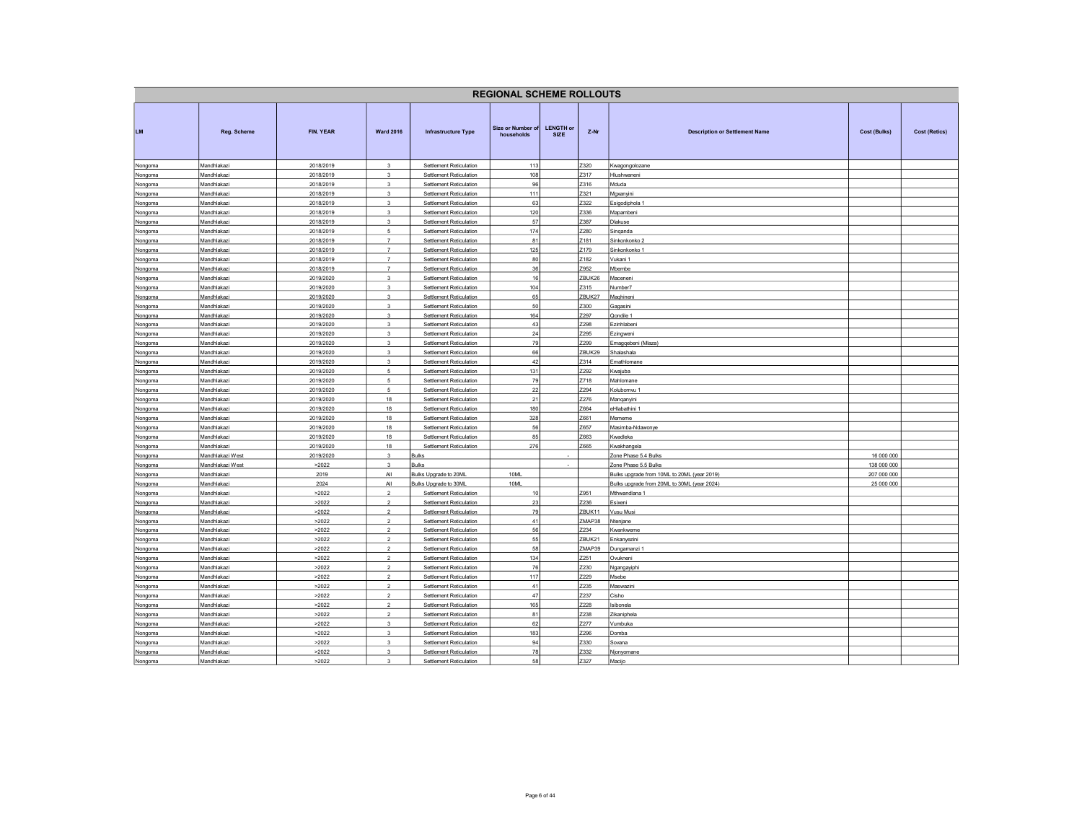|                    |                            |                        |                                  |                                                    | <b>REGIONAL SCHEME ROLLOUTS</b> |                                 |                |                                             |              |                      |
|--------------------|----------------------------|------------------------|----------------------------------|----------------------------------------------------|---------------------------------|---------------------------------|----------------|---------------------------------------------|--------------|----------------------|
| LM                 | Reg. Scheme                | FIN. YEAR              | <b>Ward 2016</b>                 | <b>Infrastructure Type</b>                         | Size or Number of<br>households | <b>LENGTH or</b><br><b>SIZE</b> | Z-Nr           | <b>Description or Settlement Name</b>       | Cost (Bulks) | <b>Cost (Retics)</b> |
| Nongoma            | Mandhlakazi                | 2018/2019              | 3                                | Settlement Reticulation                            | 113                             |                                 | Z320           | Kwagongolozane                              |              |                      |
| Nongoma            | Mandhlakazi                | 2018/2019              | $\mathbf{3}$                     | Settlement Reticulation                            | 108                             |                                 | Z317           | Hlushwaneni                                 |              |                      |
| Nongoma            | Mandhlakazi                | 2018/2019              | $\overline{\mathbf{3}}$          | Settlement Reticulation                            | 96                              |                                 | Z316           | Mduda                                       |              |                      |
| Nongoma            | Mandhlakazi                | 2018/2019              | 3                                | Settlement Reticulation                            | 111                             |                                 | Z321           | Mgxanyini                                   |              |                      |
| Nongoma            | Mandhlakazi                | 2018/2019              | $\mathcal{R}$                    | Settlement Reticulation                            | 63                              |                                 | Z322           | Esigodiphola 1                              |              |                      |
| Nongoma            | Mandhlakazi                | 2018/2019              | $\overline{\mathbf{3}}$          | Settlement Reticulation                            | 120                             |                                 | Z336           | Mapambeni                                   |              |                      |
| Nongoma            | Mandhlakazi                | 2018/2019              | 3                                | Settlement Reticulation                            | 57                              |                                 | Z387           | Dlakuse                                     |              |                      |
| Nongoma            | Mandhlakazi                | 2018/2019              | 5                                | Settlement Reticulation                            | 174                             |                                 | Z280           | Singanda                                    |              |                      |
| Nongoma            | Mandhlakazi                | 2018/2019              | $\overline{7}$<br>$\overline{7}$ | Settlement Reticulation                            | 81                              |                                 | Z181           | Sinkonkonko 2                               |              |                      |
| Nongoma            | Mandhlakazi<br>Mandhlakazi | 2018/2019<br>2018/2019 | $\overline{7}$                   | Settlement Reticulation<br>Settlement Reticulation | 125<br>80                       |                                 | Z179<br>Z182   | Sinkonkonko 1<br>Vukani 1                   |              |                      |
| Nongoma<br>Nongoma | Mandhlakazi                | 2018/2019              | $\overline{7}$                   | Settlement Reticulation                            | 36                              |                                 | Z952           | Mbembe                                      |              |                      |
|                    | Mandhlakazi                | 2019/2020              | 3                                | Settlement Reticulation                            | 16                              |                                 | ZBUK26         | Maceneni                                    |              |                      |
| Nongoma<br>Nongoma | Mandhlakazi                | 2019/2020              | $\overline{\mathbf{3}}$          | Settlement Reticulation                            | 104                             |                                 | Z315           | Number7                                     |              |                      |
| Nongoma            | Mandhlakazi                | 2019/2020              | $\overline{\mathbf{3}}$          | Settlement Reticulation                            | 65                              |                                 | ZBUK27         | Maghineni                                   |              |                      |
| Nongoma            | Mandhlakazi                | 2019/2020              | $\mathbf{3}$                     | Settlement Reticulation                            | 50                              |                                 | Z300           | Gagasini                                    |              |                      |
| Nongoma            | Mandhlakazi                | 2019/2020              | $\mathcal{R}$                    | Settlement Reticulation                            | 164                             |                                 | Z297           | Qondile 1                                   |              |                      |
| Nongoma            | Mandhlakazi                | 2019/2020              | $\overline{\mathbf{3}}$          | Settlement Reticulation                            | 43                              |                                 | Z298           | Ezinhlabeni                                 |              |                      |
| Nongoma            | Mandhlakazi                | 2019/2020              | 3                                | Settlement Reticulation                            | 24                              |                                 | Z295           | Ezingweni                                   |              |                      |
| Nongoma            | Mandhlakazi                | 2019/2020              | $\mathbf 3$                      | Settlement Reticulation                            | 79                              |                                 | Z299           | Emagqebeni (Mlaza)                          |              |                      |
| Nongoma            | Mandhlakazi                | 2019/2020              | 3                                | Settlement Reticulation                            | 66                              |                                 | ZBUK29         | Shalashala                                  |              |                      |
| Nongoma            | Mandhlakazi                | 2019/2020              | $\mathbf 3$                      | Settlement Reticulation                            | 42                              |                                 | Z314           | Emathlomane                                 |              |                      |
| Nongoma            | Mandhlakazi                | 2019/2020              | $\,$ 5 $\,$                      | Settlement Reticulation                            | 131                             |                                 | Z292           | Kwajuba                                     |              |                      |
| Nongoma            | Mandhlakazi                | 2019/2020              | $5\overline{5}$                  | Settlement Reticulation                            | 79                              |                                 | Z718           | Mahlomane                                   |              |                      |
| Nongoma            | Mandhlakazi                | 2019/2020              | 5                                | Settlement Reticulation                            | 22                              |                                 | Z294           | Kolubomvu 1                                 |              |                      |
| Nongoma            | Mandhlakazi                | 2019/2020              | 18                               | Settlement Reticulation                            | 21                              |                                 | Z276           | Manganyini                                  |              |                      |
| Nongoma            | Mandhlakazi                | 2019/2020              | 18                               | Settlement Reticulation                            | 180                             |                                 | Z664           | eHlabathini 1                               |              |                      |
| Nongoma            | Mandhlakazi                | 2019/2020              | 18                               | Settlement Reticulation                            | 328                             |                                 | Z661           | Mememe                                      |              |                      |
| Nongoma            | Mandhlakazi                | 2019/2020              | 18                               | Settlement Reticulation                            | 56                              |                                 | Z657           | Masimba-Ndawonye                            |              |                      |
| Nongoma            | Mandhlakazi                | 2019/2020              | 18                               | Settlement Reticulation                            | 85                              |                                 | Z663           | Kwadleka                                    |              |                      |
| Nongoma            | Mandhlakazi                | 2019/2020              | 18                               | Settlement Reticulation                            | 276                             |                                 | Z665           | Kwakhangela                                 |              |                      |
| Nongoma            | Mandhlakazi West           | 2019/2020              | $\mathbf 3$                      | <b>Bulks</b>                                       |                                 |                                 |                | Zone Phase 5.4 Bulks                        | 16 000 000   |                      |
| Nongoma            | Mandhlakazi West           | >2022                  | $\mathbf{3}$                     | <b>Bulks</b>                                       |                                 | $\overline{\phantom{a}}$        |                | Zone Phase 5.5 Bulks                        | 138 000 000  |                      |
| Nongoma            | Mandhlakazi                | 2019                   | $A\parallel$                     | Bulks Upgrade to 20ML                              | 10ML                            |                                 |                | Bulks upgrade from 10ML to 20ML (year 2019) | 207 000 000  |                      |
| Nongoma            | Mandhlakazi                | 2024                   | All                              | Bulks Upgrade to 30ML                              | 10ML                            |                                 |                | Bulks upgrade from 20ML to 30ML (year 2024) | 25 000 000   |                      |
| Nongoma            | Mandhlakazi                | >2022                  | $\overline{2}$                   | Settlement Reticulation                            | 10                              |                                 | Z951           | Mthwandlana 1                               |              |                      |
| Nongoma            | Mandhlakazi                | >2022                  | $\overline{2}$                   | Settlement Reticulation                            | 23                              |                                 | Z236           | Esixeni                                     |              |                      |
| Nongoma            | Mandhlakazi                | >2022                  | $\overline{2}$                   | Settlement Reticulation                            | 79                              |                                 | ZBUK11         | Vusu Musi                                   |              |                      |
| Nongoma            | Mandhlakazi                | >2022                  | $\overline{2}$                   | <b>Settlement Reticulation</b>                     | 41                              |                                 | ZMAP38<br>Z234 | Ntenjane                                    |              |                      |
| Nongoma            | Mandhlakazi<br>Mandhlakazi | >2022<br>>2022         | $\overline{2}$<br>$\overline{2}$ | Settlement Reticulation<br>Settlement Reticulation | 56<br>55                        |                                 | ZBUK21         | Kwankweme<br>Enkanyezini                    |              |                      |
| Nongoma            |                            | >2022                  | $\sqrt{2}$                       |                                                    | 58                              |                                 | ZMAP39         |                                             |              |                      |
| Nongoma            | Mandhlakazi<br>Mandhlakazi | >2022                  | $\overline{2}$                   | Settlement Reticulation<br>Settlement Reticulation | 134                             |                                 | Z251           | Dungamanzi 1<br>Ovukneni                    |              |                      |
| Nongoma<br>Nongoma | Mandhlakazi                | >2022                  | $\overline{2}$                   | Settlement Reticulation                            | 76                              |                                 | Z230           | Ngangayiphi                                 |              |                      |
| Nongoma            | Mandhlakazi                | >2022                  | $\overline{2}$                   | Settlement Reticulation                            | 117                             |                                 | Z229           | Msebe                                       |              |                      |
| Nongoma            | Mandhlakazi                | >2022                  | $\overline{2}$                   | Settlement Reticulation                            | 41                              |                                 | Z235           | Maswazini                                   |              |                      |
| Nongoma            | Mandhlakazi                | >2022                  | $\overline{2}$                   | Settlement Reticulation                            | 47                              |                                 | Z237           | Cisho                                       |              |                      |
| Nongoma            | Mandhlakazi                | >2022                  | $\overline{2}$                   | Settlement Reticulation                            | 165                             |                                 | Z228           | Isibonela                                   |              |                      |
| Nongoma            | Mandhlakazi                | >2022                  | $\overline{2}$                   | Settlement Reticulation                            | 81                              |                                 | Z238           | Zikaniphela                                 |              |                      |
| Nongoma            | Mandhlakazi                | >2022                  | $\mathbf{3}$                     | Settlement Reticulation                            | 62                              |                                 | Z277           | Vumbuka                                     |              |                      |
| Nongoma            | Mandhlakazi                | >2022                  | $\mathbf 3$                      | Settlement Reticulation                            | 183                             |                                 | Z296           | Domba                                       |              |                      |
| Nongoma            | Mandhlakazi                | >2022                  | 3                                | Settlement Reticulation                            | 94                              |                                 | Z330           | Sovana                                      |              |                      |
| Nongoma            | Mandhlakazi                | >2022                  | $\overline{\mathbf{3}}$          | Settlement Reticulation                            | 78                              |                                 | Z332           | Njonyomane                                  |              |                      |
| Nongoma            | Mandhlakazi                | >2022                  | 3                                | Settlement Reticulation                            | 58                              |                                 | Z327           | Macijo                                      |              |                      |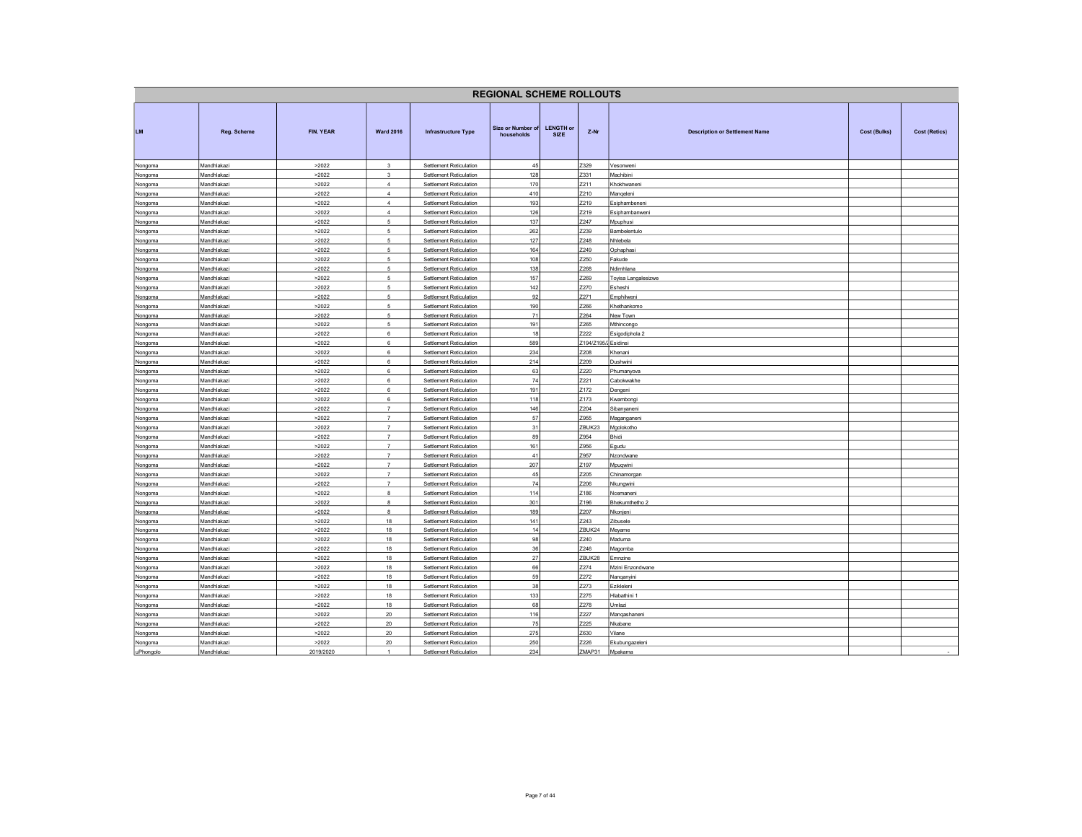|                    |                            |                |                                  |                                                    | <b>REGIONAL SCHEME ROLLOUTS</b> |                                 |                              |                                                              |                      |
|--------------------|----------------------------|----------------|----------------------------------|----------------------------------------------------|---------------------------------|---------------------------------|------------------------------|--------------------------------------------------------------|----------------------|
| <b>LM</b>          | Reg. Scheme                | FIN. YEAR      | <b>Ward 2016</b>                 | <b>Infrastructure Type</b>                         | Size or Number of<br>households | <b>LENGTH or</b><br><b>SIZE</b> | $Z-Nr$                       | <b>Description or Settlement Name</b><br><b>Cost (Bulks)</b> | <b>Cost (Retics)</b> |
| Nongoma            | Mandhlakazi                | >2022          | $\mathbf{3}$                     | Settlement Reticulation                            | 45                              |                                 | Z329                         | Vesonweni                                                    |                      |
| Nongoma            | Mandhlakazi                | >2022          | $\overline{\mathbf{3}}$          | Settlement Reticulation                            | 128                             |                                 | Z331                         | Machibini                                                    |                      |
| Nongoma            | Mandhlakazi                | >2022          | $\overline{4}$                   | Settlement Reticulation                            | 170                             |                                 | Z211                         | Khokhwaneni                                                  |                      |
| Nongoma            | Mandhlakazi                | >2022          | $\overline{4}$                   | Settlement Reticulation                            | 410                             |                                 | Z210                         | Manqeleni                                                    |                      |
| Nongoma            | Mandhlakazi                | >2022          | $\overline{4}$                   | Settlement Reticulation                            | 193                             |                                 | Z219                         | Esiphambeneni                                                |                      |
| Nongoma<br>Nongoma | Mandhlakazi<br>Mandhlakazi | >2022<br>>2022 | $\overline{4}$<br>5              | Settlement Reticulation<br>Settlement Reticulation | 126<br>137                      |                                 | Z219<br>Z247                 | Esiphambanweni<br>Mpuphusi                                   |                      |
| Nongoma            | Mandhlakazi                | >2022          | 5                                | Settlement Reticulation                            | 262                             |                                 | Z239                         | Bambelentulo                                                 |                      |
| Nongoma            | Mandhlakazi                | >2022          | 5                                | Settlement Reticulation                            | 127                             |                                 | Z248                         | Vhlebela                                                     |                      |
| Nongoma            | Mandhlakazi                | >2022          | 5                                | Settlement Reticulation                            | 164                             |                                 | Z249                         | Ophaphasi                                                    |                      |
| Nongoma            | Mandhlakazi                | >2022          | 5                                | Settlement Reticulation                            | 108                             |                                 | Z250                         | Fakude                                                       |                      |
| Nongoma            | Mandhlakazi                | >2022          | 5                                | Settlement Reticulation                            | 138                             |                                 | Z268                         | Ndimhlana                                                    |                      |
| Nongoma            | Mandhlakazi                | >2022          | $\sqrt{2}$                       | Settlement Reticulation                            | 157                             |                                 | Z269                         | Toyisa Langalesizwe                                          |                      |
| Nongoma            | Mandhlakazi                | >2022          | 5                                | Settlement Reticulation                            | 142                             |                                 | Z270                         | Esheshi                                                      |                      |
| Nongoma            | Mandhlakazi                | >2022          | 5                                | Settlement Reticulation                            | 92                              |                                 | Z271                         | Emphilweni                                                   |                      |
| Nongoma            | Mandhlakazi                | >2022          | 5                                | Settlement Reticulation                            | 190                             |                                 | Z266                         | <hethankomo< td=""><td></td></hethankomo<>                   |                      |
| Nongoma            | Mandhlakazi                | >2022          | 5                                | Settlement Reticulation                            | 71                              |                                 | Z264                         | New Town                                                     |                      |
| Nongoma            | Mandhlakazi                | >2022          | 5                                | Settlement Reticulation                            | 191                             |                                 | Z265                         | Mthincongo                                                   |                      |
| Nongoma            | Mandhlakazi                | >2022<br>>2022 | 6<br>6                           | Settlement Reticulation                            | 18<br>589                       |                                 | Z222<br>Z194/Z195/2 Esidinsi | Esigodiphola 2                                               |                      |
| Nongoma            | Mandhlakazi<br>Mandhlakazi | >2022          | 6                                | Settlement Reticulation<br>Settlement Reticulation | 234                             |                                 | Z208                         | Khenani                                                      |                      |
| Nongoma<br>Nongoma | Mandhlakazi                | >2022          | 6                                | Settlement Reticulation                            | 214                             |                                 | Z209                         | Dushwini                                                     |                      |
| Nongoma            | Mandhlakazi                | >2022          | 6                                | Settlement Reticulation                            | 63                              |                                 | Z220                         | Phumanyova                                                   |                      |
| Nongoma            | Mandhlakazi                | >2022          | $6\phantom{a}$                   | Settlement Reticulation                            | 74                              |                                 | Z221                         | Cabokwakhe                                                   |                      |
| Nongoma            | Mandhlakazi                | >2022          | 6                                | Settlement Reticulation                            | 191                             |                                 | Z172                         | Dengeni                                                      |                      |
| Nongoma            | Mandhlakazi                | >2022          | 6                                | Settlement Reticulation                            | 118                             |                                 | Z173                         | (wambongi                                                    |                      |
| Nongoma            | Mandhlakazi                | >2022          | $\overline{7}$                   | Settlement Reticulation                            | 146                             |                                 | Z204                         | Sibanyaneni                                                  |                      |
| Nongoma            | Mandhlakazi                | >2022          | $\overline{7}$                   | Settlement Reticulation                            | 57                              |                                 | Z955                         | Maganganeni                                                  |                      |
| Nongoma            | Mandhlakazi                | >2022          | $\scriptstyle{7}$                | Settlement Reticulation                            | 31                              |                                 | ZBUK23                       | Mgolokotho                                                   |                      |
| Nongoma            | Mandhlakazi                | >2022          | $\overline{7}$                   | Settlement Reticulation                            | 89                              |                                 | Z954                         | Bhidi                                                        |                      |
| Nongoma            | Mandhlakazi                | >2022          | $\overline{7}$                   | Settlement Reticulation                            | 161                             |                                 | Z956                         | Egudu                                                        |                      |
| Nongoma            | Mandhlakazi                | >2022          | $\overline{7}$                   | Settlement Reticulation                            | 41                              |                                 | Z957                         | Nzondwane                                                    |                      |
| Nongoma            | Mandhlakazi                | >2022          | $\overline{7}$                   | Settlement Reticulation                            | 207                             |                                 | Z197                         | Mpuqwini                                                     |                      |
| Nongoma            | Mandhlakazi                | >2022          | $\overline{7}$<br>$\overline{7}$ | Settlement Reticulation                            | 45<br>74                        |                                 | Z205<br>Z206                 | Chinamorgan                                                  |                      |
| Nongoma            | Mandhlakazi<br>Mandhlakazi | >2022<br>>2022 | $\mathbf{a}$                     | Settlement Reticulation<br>Settlement Reticulation | 114                             |                                 | Z186                         | Nkungwini<br>Ncemaneni                                       |                      |
| Nongoma<br>Nongoma | Mandhlakazi                | >2022          | 8                                | Settlement Reticulation                            | 301                             |                                 | Z196                         | Bhekumthetho 2                                               |                      |
| Nongoma            | Mandhlakazi                | >2022          | $\mathbf{a}$                     | Settlement Reticulation                            | 189                             |                                 | Z207                         | Nkonjeni                                                     |                      |
| Nongoma            | Mandhlakazi                | >2022          | 18                               | Settlement Reticulation                            | 141                             |                                 | Z243                         | Zibusele                                                     |                      |
| Nongoma            | Mandhlakazi                | >2022          | 18                               | Settlement Reticulation                            | 14                              |                                 | ZBUK24                       | Meyame                                                       |                      |
| Nongoma            | Mandhlakazi                | >2022          | 18                               | Settlement Reticulation                            | 98                              |                                 | Z240                         | Maduma                                                       |                      |
| Nongoma            | Mandhlakazi                | >2022          | 18                               | Settlement Reticulation                            | 36                              |                                 | Z246                         | Magomba                                                      |                      |
| Nongoma            | Mandhlakazi                | >2022          | 18                               | Settlement Reticulation                            | 27                              |                                 | ZBUK28                       | Emnzine                                                      |                      |
| Nongoma            | Mandhlakazi                | >2022          | 18                               | Settlement Reticulation                            | 66                              |                                 | Z274                         | Mzini Enzondwane                                             |                      |
| Nongoma            | Mandhlakazi                | >2022          | 18                               | Settlement Reticulation                            | 59                              |                                 | Z272                         | Nanqanyini                                                   |                      |
| Nongoma            | Mandhlakazi                | >2022          | 18                               | Settlement Reticulation                            | 38                              |                                 | Z273                         | Ezikleleni                                                   |                      |
| Nongoma            | Mandhlakazi                | >2022          | 18                               | Settlement Reticulation                            | 133                             |                                 | Z275                         | Hlabathini 1                                                 |                      |
| Nongoma            | Mandhlakazi                | >2022          | 18                               | Settlement Reticulation                            | 68<br>116                       |                                 | Z278<br>Z227                 | Umlazi                                                       |                      |
| Nongoma            | Mandhlakazi<br>Mandhlakazi | >2022<br>>2022 | 20<br>20                         | Settlement Reticulation<br>Settlement Reticulation | 75                              |                                 | Z225                         | Mangashaneni<br>Nkabane                                      |                      |
| Nongoma<br>Nongoma | Mandhlakazi                | >2022          | 20                               | Settlement Reticulation                            | 275                             |                                 | Z630                         | Vilane                                                       |                      |
| Nongoma            | Mandhlakazi                | >2022          | 20                               | Settlement Reticulation                            | 250                             |                                 | Z226                         | Ekubungazeleni                                               |                      |
| uPhongolo          | Mandhlakazi                | 2019/2020      | $\overline{1}$                   | Settlement Reticulation                            | 234                             |                                 | ZMAP31                       | Mpakama                                                      |                      |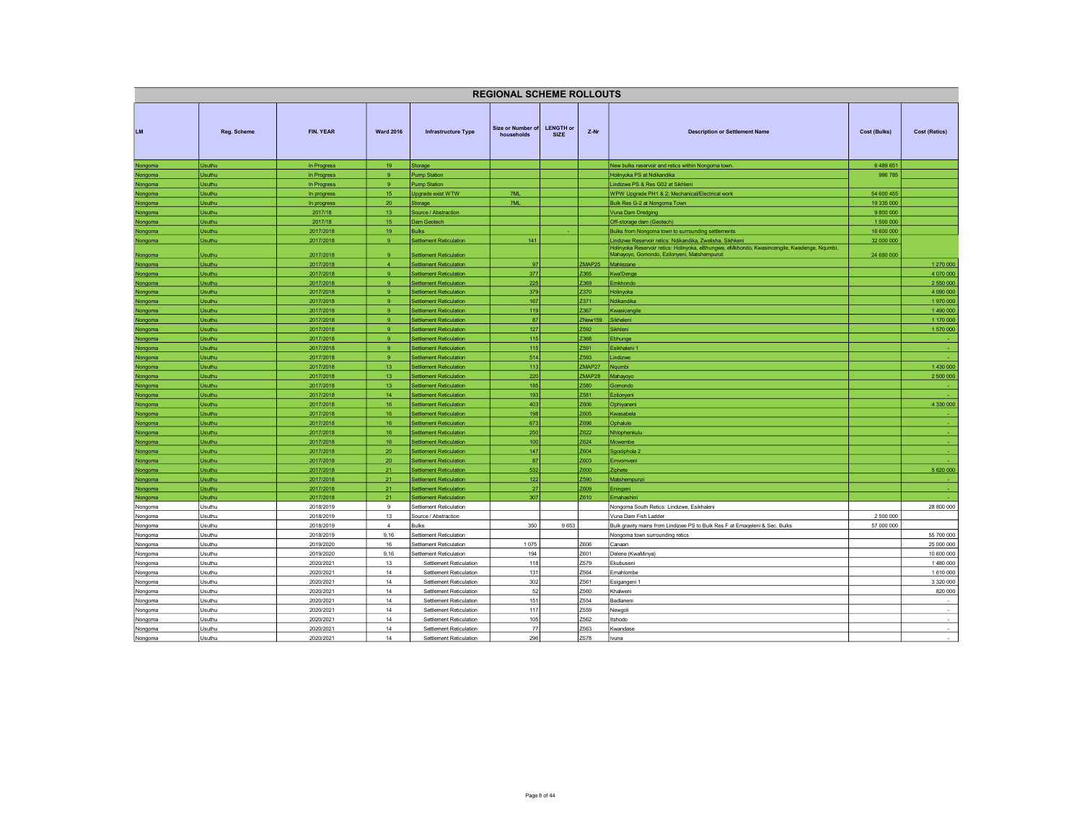| <b>LENGTH or</b><br>Size or Number of<br>FIN. YEAR<br><b>LM</b><br><b>Ward 2016</b><br>Z-Nr<br><b>Cost (Retics)</b><br><b>Reg. Scheme</b><br><b>Infrastructure Type</b><br><b>Description or Settlement Name</b><br><b>Cost (Bulks)</b><br>households<br><b>SIZE</b><br>Usuthu<br>19<br>6489651<br>In Progress<br>Storage<br>New bulks reservoir and retics within Nongoma town.<br>Nongoma<br>9<br>Holinyoka PS at Ndikandika<br>996 785<br>Usuthu<br>In Progress<br><b>Pump Station</b><br>Nongoma<br>Usuthu<br>9<br>Lindizwe PS & Res G02 at Sikhleni<br>In Progress<br><b>Pump Station</b><br>Nongoma<br>Usuthu<br>15 <sub>15</sub><br>7ML<br>WPW Upgrade PH1 & 2; Mechanical/Electrical work<br>54 600 455<br>Upgrade exist WTW<br>Nongoma<br>In progress<br>20 <sub>2</sub><br>Bulk Res G-2 at Nongoma Town<br>19 335 000<br>Usuthu<br>Storage<br>7ML<br>In progress<br>Nongoma<br>2017/18<br>13 <sub>1</sub><br>Vuna Dam Dredging<br>9 800 000<br>Usuthu<br>Source / Abstraction<br>Nongoma<br>15<br>Usuthu<br>2017/18<br>Off-storage dam (Geotech)<br>1 500 000<br>Dam Geotech<br>Nongoma<br>19<br>16 600 000<br>Usuthu<br>2017/2018<br>Bulks<br>Bulks from Nongoma town to surrounding settlements<br>Nongoma<br>9<br>141<br>32 000 000<br>Usuthu<br>2017/2018<br><b>Settlement Reticulation</b><br>Lindizwe Reservoir retics: Ndikandika, Zwelisha, Sikhkeni<br>Nongoma<br>Holinyoka Reservoir retics: Holinyoka, eBhungwe, eMkhondo, Kwasincengile, Kwadenge, Nqumbi,<br>2017/2018<br>24 680 000<br><b>Usuthu</b><br>9<br><b>Settlement Reticulation</b><br>Mahayoyo, Gomondo, Ezilonyeni, Matshempunzi<br>Nongoma<br>ZMAP25<br>2017/2018<br>$\overline{4}$<br><b>Settlement Reticulation</b><br>97<br>Mahlezane<br>1 270 000<br><b>Isuthu</b><br>Nongoma<br>Usuthu<br>2017/2018<br>9<br><b>Settlement Reticulation</b><br>377<br>Z365<br>4 070 000<br><b>Kwa'Denge</b><br>Nongoma<br>225<br>Usuthu<br>2017/2018<br>$\mathbf{Q}$<br><b>Settlement Reticulation</b><br>Z369<br>Emkhondo<br>2 550 000<br>Nongoma<br>Usuthu<br>2017/2018<br>9<br><b>Settlement Reticulation</b><br>379<br>Z370<br>Holinyoka<br>4 090 000<br>Nongoma<br>167<br>Z371<br>1970000<br>2017/2018<br>$\mathbf{Q}$<br><b>Settlement Reticulation</b><br>Ndikandika<br><b>Jsuthu</b><br>Nongoma<br>119<br>Z367<br>2017/2018<br>9<br>1 490 000<br>Usuthu<br><b>Settlement Reticulation</b><br>Kwasicengile<br>Nongoma<br>87<br>1 170 000<br>2017/2018<br>9<br><b>Settlement Reticulation</b><br>ZNew159<br>Sikheleni<br>Usuthu<br>Nongoma<br>9 <sup>°</sup><br>127<br>Z592<br>1 570 000<br>Usuthu<br>2017/2018<br>Sikhleni<br><b>Settlement Reticulation</b><br>Nongoma<br>115<br><b>Jsuthu</b><br>2017/2018<br>9<br><b>Settlement Reticulation</b><br>Z368<br>Ebhunge<br>Nongoma<br>115<br>Z591<br>2017/2018<br>9<br>Usuthu<br><b>Settlement Reticulation</b><br>Esikhaleni 1<br>Nongoma<br>514<br>Z593<br>2017/2018<br>9<br><b>Settlement Reticulation</b><br>Usuthu<br>Lindizwe<br>Nongoma<br>113<br>13<br>ZMAP27<br>1430 000<br><b>Usuthu</b><br>2017/2018<br><b>Settlement Reticulation</b><br>Nqumbi<br>Nongoma<br>220<br>2017/2018<br>13 <sub>1</sub><br><b>Settlement Reticulation</b><br>ZMAP28<br>Mahayoyo<br>2 500 000<br><b>Jsuthu</b><br>Nongoma<br>185<br>Z580<br><b>Jsuthu</b><br>2017/2018<br>13<br><b>Settlement Reticulation</b><br>Nongoma<br>Gomondo<br>Z581<br>Usuthu<br>2017/2018<br>14 <sub>1</sub><br><b>Settlement Reticulation</b><br>193<br>Ezilonyeni<br>Nongoma<br>16<br>403<br>Z606<br>4 330 000<br>Usuthu<br>2017/2018<br><b>Settlement Reticulation</b><br>Ophiyaneni<br>Nongoma<br>16<br>198<br>Usuthu<br>2017/2018<br><b>Settlement Reticulation</b><br>Z605<br>Kwasabela<br>Nongoma<br>2017/2018<br>16<br>673<br>Z696<br><b>Jsuthu</b><br><b>Settlement Reticulation</b><br>Ophalule<br>Nongoma<br>2017/2018<br>16<br><b>Settlement Reticulation</b><br>250<br>Z622<br>Usuthu<br>Nhlophenkulu<br>Nongoma<br>Z624<br>2017/2018<br>16<br>100<br><b>Jsuthu</b><br><b>Settlement Reticulation</b><br>Mcwembe<br>Nongoma<br>147<br><b>Usuthu</b><br>2017/2018<br>20<br><b>Settlement Reticulation</b><br>Z604<br>Sgodiphola 2<br>Nongoma<br>87<br>Z603<br><b>Jsuthu</b><br>2017/2018<br>20<br><b>Settlement Reticulation</b><br>Emvomveni<br>Nongoma<br>532<br>5 620 000<br><b>Usuthu</b><br>2017/2018<br>21<br><b>Settlement Reticulation</b><br>Z600<br>Ziphete<br>Nongoma<br>122<br>Z590<br>Usuthu<br>2017/2018<br>21<br><b>Settlement Reticulation</b><br>Matshempunzi<br>Nongoma<br>21<br>27<br>Z609<br><b>Usuthu</b><br>2017/2018<br><b>Settlement Reticulation</b><br>Eningeni<br>Nongoma<br>i.<br>307<br>21<br>Z610<br><b>Jsuthu</b><br>2017/2018<br><b>Settlement Reticulation</b><br>Emahashini<br>Nongoma<br>28 800 000<br>Usuthu<br>2018/2019<br>9<br>Settlement Reticulation<br>Nongoma South Retics: Lindizwe, Esikhaleni<br>Nongoma<br>2018/2019<br>13<br>Source / Abstraction<br>Vuna Dam Fish Ladder<br>2 500 000<br>Usuthu<br>Nongoma<br>350<br>Usuthu<br>2018/2019<br>$\overline{4}$<br>9653<br>Bulk gravity mains from Lindizwe PS to Bulk Res F at Emageleni & Sec. Bulks<br>57 000 000<br>Nongoma<br><b>Bulks</b><br>2018/2019<br>9,16<br><b>Settlement Reticulation</b><br>55 700 000<br>Nongoma<br>Jsuthu<br>Nongoma town surrounding retics<br>1075<br>25 000 000<br>Usuthu<br>2019/2020<br>16<br>Z606<br>Canaan<br>Settlement Reticulation<br>Nongoma<br>194<br>Z601<br>10 600 000<br>2019/2020<br>9,16<br>Delene (KwaMinya)<br>Usuthu<br>Settlement Reticulation<br>Nongoma<br>13<br>118<br>Z579<br>1 480 000<br>Usuthu<br>2020/2021<br>Ekubuseni<br>Nongoma<br>Settlement Reticulation<br>131<br>Z564<br>14<br>1 610 000<br>Jsuthu<br>2020/2021<br>Settlement Reticulation<br>Emahlombe<br>Nongoma<br>3 3 2 0 0 0 0<br>14<br>302<br>Z561<br>Usuthu<br>2020/2021<br>Settlement Reticulation<br>Nongoma<br>Esigangeni 1<br>52<br>820 000<br>Z560<br>Usuthu<br>2020/2021<br>14<br>Settlement Reticulation<br>Nongoma<br>Khalweni<br>151<br>14<br>Z554<br>Usuthu<br>2020/2021<br>Settlement Reticulation<br>$\sim$<br>Nongoma<br>Badlaneni<br>117<br>Z559<br>Usuthu<br>2020/2021<br>14<br>Settlement Reticulation<br>$\sim$<br>Nongoma<br>Newgoli<br>14<br>105<br>Z562<br>Usuthu<br>2020/2021<br>Settlement Reticulation<br>$\sim$<br>Nongoma<br>Itshodo<br>77<br>Z563<br>Nongoma<br>Usuthu<br>2020/2021<br>14<br>Settlement Reticulation<br>Kwandase<br>$\sim$<br>14<br>296<br>Z578<br>$\sim$<br>2020/2021<br>Settlement Reticulation<br>Nongoma<br>Usuthu<br>Ivuna |  |  | <b>REGIONAL SCHEME ROLLOUTS</b> |  |  |  |
|----------------------------------------------------------------------------------------------------------------------------------------------------------------------------------------------------------------------------------------------------------------------------------------------------------------------------------------------------------------------------------------------------------------------------------------------------------------------------------------------------------------------------------------------------------------------------------------------------------------------------------------------------------------------------------------------------------------------------------------------------------------------------------------------------------------------------------------------------------------------------------------------------------------------------------------------------------------------------------------------------------------------------------------------------------------------------------------------------------------------------------------------------------------------------------------------------------------------------------------------------------------------------------------------------------------------------------------------------------------------------------------------------------------------------------------------------------------------------------------------------------------------------------------------------------------------------------------------------------------------------------------------------------------------------------------------------------------------------------------------------------------------------------------------------------------------------------------------------------------------------------------------------------------------------------------------------------------------------------------------------------------------------------------------------------------------------------------------------------------------------------------------------------------------------------------------------------------------------------------------------------------------------------------------------------------------------------------------------------------------------------------------------------------------------------------------------------------------------------------------------------------------------------------------------------------------------------------------------------------------------------------------------------------------------------------------------------------------------------------------------------------------------------------------------------------------------------------------------------------------------------------------------------------------------------------------------------------------------------------------------------------------------------------------------------------------------------------------------------------------------------------------------------------------------------------------------------------------------------------------------------------------------------------------------------------------------------------------------------------------------------------------------------------------------------------------------------------------------------------------------------------------------------------------------------------------------------------------------------------------------------------------------------------------------------------------------------------------------------------------------------------------------------------------------------------------------------------------------------------------------------------------------------------------------------------------------------------------------------------------------------------------------------------------------------------------------------------------------------------------------------------------------------------------------------------------------------------------------------------------------------------------------------------------------------------------------------------------------------------------------------------------------------------------------------------------------------------------------------------------------------------------------------------------------------------------------------------------------------------------------------------------------------------------------------------------------------------------------------------------------------------------------------------------------------------------------------------------------------------------------------------------------------------------------------------------------------------------------------------------------------------------------------------------------------------------------------------------------------------------------------------------------------------------------------------------------------------------------------------------------------------------------------------------------------------------------------------------------------------------------------------------------------------------------------------------------------------------------------------------------------------------------------------------------------------------------------------------------------------------------------------------------------------------------------------------------------------------------------------------------------------------------------------------------------------------------------------------------------------------------------------------------------------------------------------------------------------------------------------------------------------------------------------------------------------------------------------------------------------------------------------------------------------------------------------------------------------------------------------------------------------------------------------------------------------------------------------------------------------------------------------------------------------------------------------------------------------------------------------------------------|--|--|---------------------------------|--|--|--|
|                                                                                                                                                                                                                                                                                                                                                                                                                                                                                                                                                                                                                                                                                                                                                                                                                                                                                                                                                                                                                                                                                                                                                                                                                                                                                                                                                                                                                                                                                                                                                                                                                                                                                                                                                                                                                                                                                                                                                                                                                                                                                                                                                                                                                                                                                                                                                                                                                                                                                                                                                                                                                                                                                                                                                                                                                                                                                                                                                                                                                                                                                                                                                                                                                                                                                                                                                                                                                                                                                                                                                                                                                                                                                                                                                                                                                                                                                                                                                                                                                                                                                                                                                                                                                                                                                                                                                                                                                                                                                                                                                                                                                                                                                                                                                                                                                                                                                                                                                                                                                                                                                                                                                                                                                                                                                                                                                                                                                                                                                                                                                                                                                                                                                                                                                                                                                                                                                                                                                                                                                                                                                                                                                                                                                                                                                                                                                                                                                                                                                                          |  |  |                                 |  |  |  |
|                                                                                                                                                                                                                                                                                                                                                                                                                                                                                                                                                                                                                                                                                                                                                                                                                                                                                                                                                                                                                                                                                                                                                                                                                                                                                                                                                                                                                                                                                                                                                                                                                                                                                                                                                                                                                                                                                                                                                                                                                                                                                                                                                                                                                                                                                                                                                                                                                                                                                                                                                                                                                                                                                                                                                                                                                                                                                                                                                                                                                                                                                                                                                                                                                                                                                                                                                                                                                                                                                                                                                                                                                                                                                                                                                                                                                                                                                                                                                                                                                                                                                                                                                                                                                                                                                                                                                                                                                                                                                                                                                                                                                                                                                                                                                                                                                                                                                                                                                                                                                                                                                                                                                                                                                                                                                                                                                                                                                                                                                                                                                                                                                                                                                                                                                                                                                                                                                                                                                                                                                                                                                                                                                                                                                                                                                                                                                                                                                                                                                                          |  |  |                                 |  |  |  |
|                                                                                                                                                                                                                                                                                                                                                                                                                                                                                                                                                                                                                                                                                                                                                                                                                                                                                                                                                                                                                                                                                                                                                                                                                                                                                                                                                                                                                                                                                                                                                                                                                                                                                                                                                                                                                                                                                                                                                                                                                                                                                                                                                                                                                                                                                                                                                                                                                                                                                                                                                                                                                                                                                                                                                                                                                                                                                                                                                                                                                                                                                                                                                                                                                                                                                                                                                                                                                                                                                                                                                                                                                                                                                                                                                                                                                                                                                                                                                                                                                                                                                                                                                                                                                                                                                                                                                                                                                                                                                                                                                                                                                                                                                                                                                                                                                                                                                                                                                                                                                                                                                                                                                                                                                                                                                                                                                                                                                                                                                                                                                                                                                                                                                                                                                                                                                                                                                                                                                                                                                                                                                                                                                                                                                                                                                                                                                                                                                                                                                                          |  |  |                                 |  |  |  |
|                                                                                                                                                                                                                                                                                                                                                                                                                                                                                                                                                                                                                                                                                                                                                                                                                                                                                                                                                                                                                                                                                                                                                                                                                                                                                                                                                                                                                                                                                                                                                                                                                                                                                                                                                                                                                                                                                                                                                                                                                                                                                                                                                                                                                                                                                                                                                                                                                                                                                                                                                                                                                                                                                                                                                                                                                                                                                                                                                                                                                                                                                                                                                                                                                                                                                                                                                                                                                                                                                                                                                                                                                                                                                                                                                                                                                                                                                                                                                                                                                                                                                                                                                                                                                                                                                                                                                                                                                                                                                                                                                                                                                                                                                                                                                                                                                                                                                                                                                                                                                                                                                                                                                                                                                                                                                                                                                                                                                                                                                                                                                                                                                                                                                                                                                                                                                                                                                                                                                                                                                                                                                                                                                                                                                                                                                                                                                                                                                                                                                                          |  |  |                                 |  |  |  |
|                                                                                                                                                                                                                                                                                                                                                                                                                                                                                                                                                                                                                                                                                                                                                                                                                                                                                                                                                                                                                                                                                                                                                                                                                                                                                                                                                                                                                                                                                                                                                                                                                                                                                                                                                                                                                                                                                                                                                                                                                                                                                                                                                                                                                                                                                                                                                                                                                                                                                                                                                                                                                                                                                                                                                                                                                                                                                                                                                                                                                                                                                                                                                                                                                                                                                                                                                                                                                                                                                                                                                                                                                                                                                                                                                                                                                                                                                                                                                                                                                                                                                                                                                                                                                                                                                                                                                                                                                                                                                                                                                                                                                                                                                                                                                                                                                                                                                                                                                                                                                                                                                                                                                                                                                                                                                                                                                                                                                                                                                                                                                                                                                                                                                                                                                                                                                                                                                                                                                                                                                                                                                                                                                                                                                                                                                                                                                                                                                                                                                                          |  |  |                                 |  |  |  |
|                                                                                                                                                                                                                                                                                                                                                                                                                                                                                                                                                                                                                                                                                                                                                                                                                                                                                                                                                                                                                                                                                                                                                                                                                                                                                                                                                                                                                                                                                                                                                                                                                                                                                                                                                                                                                                                                                                                                                                                                                                                                                                                                                                                                                                                                                                                                                                                                                                                                                                                                                                                                                                                                                                                                                                                                                                                                                                                                                                                                                                                                                                                                                                                                                                                                                                                                                                                                                                                                                                                                                                                                                                                                                                                                                                                                                                                                                                                                                                                                                                                                                                                                                                                                                                                                                                                                                                                                                                                                                                                                                                                                                                                                                                                                                                                                                                                                                                                                                                                                                                                                                                                                                                                                                                                                                                                                                                                                                                                                                                                                                                                                                                                                                                                                                                                                                                                                                                                                                                                                                                                                                                                                                                                                                                                                                                                                                                                                                                                                                                          |  |  |                                 |  |  |  |
|                                                                                                                                                                                                                                                                                                                                                                                                                                                                                                                                                                                                                                                                                                                                                                                                                                                                                                                                                                                                                                                                                                                                                                                                                                                                                                                                                                                                                                                                                                                                                                                                                                                                                                                                                                                                                                                                                                                                                                                                                                                                                                                                                                                                                                                                                                                                                                                                                                                                                                                                                                                                                                                                                                                                                                                                                                                                                                                                                                                                                                                                                                                                                                                                                                                                                                                                                                                                                                                                                                                                                                                                                                                                                                                                                                                                                                                                                                                                                                                                                                                                                                                                                                                                                                                                                                                                                                                                                                                                                                                                                                                                                                                                                                                                                                                                                                                                                                                                                                                                                                                                                                                                                                                                                                                                                                                                                                                                                                                                                                                                                                                                                                                                                                                                                                                                                                                                                                                                                                                                                                                                                                                                                                                                                                                                                                                                                                                                                                                                                                          |  |  |                                 |  |  |  |
|                                                                                                                                                                                                                                                                                                                                                                                                                                                                                                                                                                                                                                                                                                                                                                                                                                                                                                                                                                                                                                                                                                                                                                                                                                                                                                                                                                                                                                                                                                                                                                                                                                                                                                                                                                                                                                                                                                                                                                                                                                                                                                                                                                                                                                                                                                                                                                                                                                                                                                                                                                                                                                                                                                                                                                                                                                                                                                                                                                                                                                                                                                                                                                                                                                                                                                                                                                                                                                                                                                                                                                                                                                                                                                                                                                                                                                                                                                                                                                                                                                                                                                                                                                                                                                                                                                                                                                                                                                                                                                                                                                                                                                                                                                                                                                                                                                                                                                                                                                                                                                                                                                                                                                                                                                                                                                                                                                                                                                                                                                                                                                                                                                                                                                                                                                                                                                                                                                                                                                                                                                                                                                                                                                                                                                                                                                                                                                                                                                                                                                          |  |  |                                 |  |  |  |
|                                                                                                                                                                                                                                                                                                                                                                                                                                                                                                                                                                                                                                                                                                                                                                                                                                                                                                                                                                                                                                                                                                                                                                                                                                                                                                                                                                                                                                                                                                                                                                                                                                                                                                                                                                                                                                                                                                                                                                                                                                                                                                                                                                                                                                                                                                                                                                                                                                                                                                                                                                                                                                                                                                                                                                                                                                                                                                                                                                                                                                                                                                                                                                                                                                                                                                                                                                                                                                                                                                                                                                                                                                                                                                                                                                                                                                                                                                                                                                                                                                                                                                                                                                                                                                                                                                                                                                                                                                                                                                                                                                                                                                                                                                                                                                                                                                                                                                                                                                                                                                                                                                                                                                                                                                                                                                                                                                                                                                                                                                                                                                                                                                                                                                                                                                                                                                                                                                                                                                                                                                                                                                                                                                                                                                                                                                                                                                                                                                                                                                          |  |  |                                 |  |  |  |
|                                                                                                                                                                                                                                                                                                                                                                                                                                                                                                                                                                                                                                                                                                                                                                                                                                                                                                                                                                                                                                                                                                                                                                                                                                                                                                                                                                                                                                                                                                                                                                                                                                                                                                                                                                                                                                                                                                                                                                                                                                                                                                                                                                                                                                                                                                                                                                                                                                                                                                                                                                                                                                                                                                                                                                                                                                                                                                                                                                                                                                                                                                                                                                                                                                                                                                                                                                                                                                                                                                                                                                                                                                                                                                                                                                                                                                                                                                                                                                                                                                                                                                                                                                                                                                                                                                                                                                                                                                                                                                                                                                                                                                                                                                                                                                                                                                                                                                                                                                                                                                                                                                                                                                                                                                                                                                                                                                                                                                                                                                                                                                                                                                                                                                                                                                                                                                                                                                                                                                                                                                                                                                                                                                                                                                                                                                                                                                                                                                                                                                          |  |  |                                 |  |  |  |
|                                                                                                                                                                                                                                                                                                                                                                                                                                                                                                                                                                                                                                                                                                                                                                                                                                                                                                                                                                                                                                                                                                                                                                                                                                                                                                                                                                                                                                                                                                                                                                                                                                                                                                                                                                                                                                                                                                                                                                                                                                                                                                                                                                                                                                                                                                                                                                                                                                                                                                                                                                                                                                                                                                                                                                                                                                                                                                                                                                                                                                                                                                                                                                                                                                                                                                                                                                                                                                                                                                                                                                                                                                                                                                                                                                                                                                                                                                                                                                                                                                                                                                                                                                                                                                                                                                                                                                                                                                                                                                                                                                                                                                                                                                                                                                                                                                                                                                                                                                                                                                                                                                                                                                                                                                                                                                                                                                                                                                                                                                                                                                                                                                                                                                                                                                                                                                                                                                                                                                                                                                                                                                                                                                                                                                                                                                                                                                                                                                                                                                          |  |  |                                 |  |  |  |
|                                                                                                                                                                                                                                                                                                                                                                                                                                                                                                                                                                                                                                                                                                                                                                                                                                                                                                                                                                                                                                                                                                                                                                                                                                                                                                                                                                                                                                                                                                                                                                                                                                                                                                                                                                                                                                                                                                                                                                                                                                                                                                                                                                                                                                                                                                                                                                                                                                                                                                                                                                                                                                                                                                                                                                                                                                                                                                                                                                                                                                                                                                                                                                                                                                                                                                                                                                                                                                                                                                                                                                                                                                                                                                                                                                                                                                                                                                                                                                                                                                                                                                                                                                                                                                                                                                                                                                                                                                                                                                                                                                                                                                                                                                                                                                                                                                                                                                                                                                                                                                                                                                                                                                                                                                                                                                                                                                                                                                                                                                                                                                                                                                                                                                                                                                                                                                                                                                                                                                                                                                                                                                                                                                                                                                                                                                                                                                                                                                                                                                          |  |  |                                 |  |  |  |
|                                                                                                                                                                                                                                                                                                                                                                                                                                                                                                                                                                                                                                                                                                                                                                                                                                                                                                                                                                                                                                                                                                                                                                                                                                                                                                                                                                                                                                                                                                                                                                                                                                                                                                                                                                                                                                                                                                                                                                                                                                                                                                                                                                                                                                                                                                                                                                                                                                                                                                                                                                                                                                                                                                                                                                                                                                                                                                                                                                                                                                                                                                                                                                                                                                                                                                                                                                                                                                                                                                                                                                                                                                                                                                                                                                                                                                                                                                                                                                                                                                                                                                                                                                                                                                                                                                                                                                                                                                                                                                                                                                                                                                                                                                                                                                                                                                                                                                                                                                                                                                                                                                                                                                                                                                                                                                                                                                                                                                                                                                                                                                                                                                                                                                                                                                                                                                                                                                                                                                                                                                                                                                                                                                                                                                                                                                                                                                                                                                                                                                          |  |  |                                 |  |  |  |
|                                                                                                                                                                                                                                                                                                                                                                                                                                                                                                                                                                                                                                                                                                                                                                                                                                                                                                                                                                                                                                                                                                                                                                                                                                                                                                                                                                                                                                                                                                                                                                                                                                                                                                                                                                                                                                                                                                                                                                                                                                                                                                                                                                                                                                                                                                                                                                                                                                                                                                                                                                                                                                                                                                                                                                                                                                                                                                                                                                                                                                                                                                                                                                                                                                                                                                                                                                                                                                                                                                                                                                                                                                                                                                                                                                                                                                                                                                                                                                                                                                                                                                                                                                                                                                                                                                                                                                                                                                                                                                                                                                                                                                                                                                                                                                                                                                                                                                                                                                                                                                                                                                                                                                                                                                                                                                                                                                                                                                                                                                                                                                                                                                                                                                                                                                                                                                                                                                                                                                                                                                                                                                                                                                                                                                                                                                                                                                                                                                                                                                          |  |  |                                 |  |  |  |
|                                                                                                                                                                                                                                                                                                                                                                                                                                                                                                                                                                                                                                                                                                                                                                                                                                                                                                                                                                                                                                                                                                                                                                                                                                                                                                                                                                                                                                                                                                                                                                                                                                                                                                                                                                                                                                                                                                                                                                                                                                                                                                                                                                                                                                                                                                                                                                                                                                                                                                                                                                                                                                                                                                                                                                                                                                                                                                                                                                                                                                                                                                                                                                                                                                                                                                                                                                                                                                                                                                                                                                                                                                                                                                                                                                                                                                                                                                                                                                                                                                                                                                                                                                                                                                                                                                                                                                                                                                                                                                                                                                                                                                                                                                                                                                                                                                                                                                                                                                                                                                                                                                                                                                                                                                                                                                                                                                                                                                                                                                                                                                                                                                                                                                                                                                                                                                                                                                                                                                                                                                                                                                                                                                                                                                                                                                                                                                                                                                                                                                          |  |  |                                 |  |  |  |
|                                                                                                                                                                                                                                                                                                                                                                                                                                                                                                                                                                                                                                                                                                                                                                                                                                                                                                                                                                                                                                                                                                                                                                                                                                                                                                                                                                                                                                                                                                                                                                                                                                                                                                                                                                                                                                                                                                                                                                                                                                                                                                                                                                                                                                                                                                                                                                                                                                                                                                                                                                                                                                                                                                                                                                                                                                                                                                                                                                                                                                                                                                                                                                                                                                                                                                                                                                                                                                                                                                                                                                                                                                                                                                                                                                                                                                                                                                                                                                                                                                                                                                                                                                                                                                                                                                                                                                                                                                                                                                                                                                                                                                                                                                                                                                                                                                                                                                                                                                                                                                                                                                                                                                                                                                                                                                                                                                                                                                                                                                                                                                                                                                                                                                                                                                                                                                                                                                                                                                                                                                                                                                                                                                                                                                                                                                                                                                                                                                                                                                          |  |  |                                 |  |  |  |
|                                                                                                                                                                                                                                                                                                                                                                                                                                                                                                                                                                                                                                                                                                                                                                                                                                                                                                                                                                                                                                                                                                                                                                                                                                                                                                                                                                                                                                                                                                                                                                                                                                                                                                                                                                                                                                                                                                                                                                                                                                                                                                                                                                                                                                                                                                                                                                                                                                                                                                                                                                                                                                                                                                                                                                                                                                                                                                                                                                                                                                                                                                                                                                                                                                                                                                                                                                                                                                                                                                                                                                                                                                                                                                                                                                                                                                                                                                                                                                                                                                                                                                                                                                                                                                                                                                                                                                                                                                                                                                                                                                                                                                                                                                                                                                                                                                                                                                                                                                                                                                                                                                                                                                                                                                                                                                                                                                                                                                                                                                                                                                                                                                                                                                                                                                                                                                                                                                                                                                                                                                                                                                                                                                                                                                                                                                                                                                                                                                                                                                          |  |  |                                 |  |  |  |
|                                                                                                                                                                                                                                                                                                                                                                                                                                                                                                                                                                                                                                                                                                                                                                                                                                                                                                                                                                                                                                                                                                                                                                                                                                                                                                                                                                                                                                                                                                                                                                                                                                                                                                                                                                                                                                                                                                                                                                                                                                                                                                                                                                                                                                                                                                                                                                                                                                                                                                                                                                                                                                                                                                                                                                                                                                                                                                                                                                                                                                                                                                                                                                                                                                                                                                                                                                                                                                                                                                                                                                                                                                                                                                                                                                                                                                                                                                                                                                                                                                                                                                                                                                                                                                                                                                                                                                                                                                                                                                                                                                                                                                                                                                                                                                                                                                                                                                                                                                                                                                                                                                                                                                                                                                                                                                                                                                                                                                                                                                                                                                                                                                                                                                                                                                                                                                                                                                                                                                                                                                                                                                                                                                                                                                                                                                                                                                                                                                                                                                          |  |  |                                 |  |  |  |
|                                                                                                                                                                                                                                                                                                                                                                                                                                                                                                                                                                                                                                                                                                                                                                                                                                                                                                                                                                                                                                                                                                                                                                                                                                                                                                                                                                                                                                                                                                                                                                                                                                                                                                                                                                                                                                                                                                                                                                                                                                                                                                                                                                                                                                                                                                                                                                                                                                                                                                                                                                                                                                                                                                                                                                                                                                                                                                                                                                                                                                                                                                                                                                                                                                                                                                                                                                                                                                                                                                                                                                                                                                                                                                                                                                                                                                                                                                                                                                                                                                                                                                                                                                                                                                                                                                                                                                                                                                                                                                                                                                                                                                                                                                                                                                                                                                                                                                                                                                                                                                                                                                                                                                                                                                                                                                                                                                                                                                                                                                                                                                                                                                                                                                                                                                                                                                                                                                                                                                                                                                                                                                                                                                                                                                                                                                                                                                                                                                                                                                          |  |  |                                 |  |  |  |
|                                                                                                                                                                                                                                                                                                                                                                                                                                                                                                                                                                                                                                                                                                                                                                                                                                                                                                                                                                                                                                                                                                                                                                                                                                                                                                                                                                                                                                                                                                                                                                                                                                                                                                                                                                                                                                                                                                                                                                                                                                                                                                                                                                                                                                                                                                                                                                                                                                                                                                                                                                                                                                                                                                                                                                                                                                                                                                                                                                                                                                                                                                                                                                                                                                                                                                                                                                                                                                                                                                                                                                                                                                                                                                                                                                                                                                                                                                                                                                                                                                                                                                                                                                                                                                                                                                                                                                                                                                                                                                                                                                                                                                                                                                                                                                                                                                                                                                                                                                                                                                                                                                                                                                                                                                                                                                                                                                                                                                                                                                                                                                                                                                                                                                                                                                                                                                                                                                                                                                                                                                                                                                                                                                                                                                                                                                                                                                                                                                                                                                          |  |  |                                 |  |  |  |
|                                                                                                                                                                                                                                                                                                                                                                                                                                                                                                                                                                                                                                                                                                                                                                                                                                                                                                                                                                                                                                                                                                                                                                                                                                                                                                                                                                                                                                                                                                                                                                                                                                                                                                                                                                                                                                                                                                                                                                                                                                                                                                                                                                                                                                                                                                                                                                                                                                                                                                                                                                                                                                                                                                                                                                                                                                                                                                                                                                                                                                                                                                                                                                                                                                                                                                                                                                                                                                                                                                                                                                                                                                                                                                                                                                                                                                                                                                                                                                                                                                                                                                                                                                                                                                                                                                                                                                                                                                                                                                                                                                                                                                                                                                                                                                                                                                                                                                                                                                                                                                                                                                                                                                                                                                                                                                                                                                                                                                                                                                                                                                                                                                                                                                                                                                                                                                                                                                                                                                                                                                                                                                                                                                                                                                                                                                                                                                                                                                                                                                          |  |  |                                 |  |  |  |
|                                                                                                                                                                                                                                                                                                                                                                                                                                                                                                                                                                                                                                                                                                                                                                                                                                                                                                                                                                                                                                                                                                                                                                                                                                                                                                                                                                                                                                                                                                                                                                                                                                                                                                                                                                                                                                                                                                                                                                                                                                                                                                                                                                                                                                                                                                                                                                                                                                                                                                                                                                                                                                                                                                                                                                                                                                                                                                                                                                                                                                                                                                                                                                                                                                                                                                                                                                                                                                                                                                                                                                                                                                                                                                                                                                                                                                                                                                                                                                                                                                                                                                                                                                                                                                                                                                                                                                                                                                                                                                                                                                                                                                                                                                                                                                                                                                                                                                                                                                                                                                                                                                                                                                                                                                                                                                                                                                                                                                                                                                                                                                                                                                                                                                                                                                                                                                                                                                                                                                                                                                                                                                                                                                                                                                                                                                                                                                                                                                                                                                          |  |  |                                 |  |  |  |
|                                                                                                                                                                                                                                                                                                                                                                                                                                                                                                                                                                                                                                                                                                                                                                                                                                                                                                                                                                                                                                                                                                                                                                                                                                                                                                                                                                                                                                                                                                                                                                                                                                                                                                                                                                                                                                                                                                                                                                                                                                                                                                                                                                                                                                                                                                                                                                                                                                                                                                                                                                                                                                                                                                                                                                                                                                                                                                                                                                                                                                                                                                                                                                                                                                                                                                                                                                                                                                                                                                                                                                                                                                                                                                                                                                                                                                                                                                                                                                                                                                                                                                                                                                                                                                                                                                                                                                                                                                                                                                                                                                                                                                                                                                                                                                                                                                                                                                                                                                                                                                                                                                                                                                                                                                                                                                                                                                                                                                                                                                                                                                                                                                                                                                                                                                                                                                                                                                                                                                                                                                                                                                                                                                                                                                                                                                                                                                                                                                                                                                          |  |  |                                 |  |  |  |
|                                                                                                                                                                                                                                                                                                                                                                                                                                                                                                                                                                                                                                                                                                                                                                                                                                                                                                                                                                                                                                                                                                                                                                                                                                                                                                                                                                                                                                                                                                                                                                                                                                                                                                                                                                                                                                                                                                                                                                                                                                                                                                                                                                                                                                                                                                                                                                                                                                                                                                                                                                                                                                                                                                                                                                                                                                                                                                                                                                                                                                                                                                                                                                                                                                                                                                                                                                                                                                                                                                                                                                                                                                                                                                                                                                                                                                                                                                                                                                                                                                                                                                                                                                                                                                                                                                                                                                                                                                                                                                                                                                                                                                                                                                                                                                                                                                                                                                                                                                                                                                                                                                                                                                                                                                                                                                                                                                                                                                                                                                                                                                                                                                                                                                                                                                                                                                                                                                                                                                                                                                                                                                                                                                                                                                                                                                                                                                                                                                                                                                          |  |  |                                 |  |  |  |
|                                                                                                                                                                                                                                                                                                                                                                                                                                                                                                                                                                                                                                                                                                                                                                                                                                                                                                                                                                                                                                                                                                                                                                                                                                                                                                                                                                                                                                                                                                                                                                                                                                                                                                                                                                                                                                                                                                                                                                                                                                                                                                                                                                                                                                                                                                                                                                                                                                                                                                                                                                                                                                                                                                                                                                                                                                                                                                                                                                                                                                                                                                                                                                                                                                                                                                                                                                                                                                                                                                                                                                                                                                                                                                                                                                                                                                                                                                                                                                                                                                                                                                                                                                                                                                                                                                                                                                                                                                                                                                                                                                                                                                                                                                                                                                                                                                                                                                                                                                                                                                                                                                                                                                                                                                                                                                                                                                                                                                                                                                                                                                                                                                                                                                                                                                                                                                                                                                                                                                                                                                                                                                                                                                                                                                                                                                                                                                                                                                                                                                          |  |  |                                 |  |  |  |
|                                                                                                                                                                                                                                                                                                                                                                                                                                                                                                                                                                                                                                                                                                                                                                                                                                                                                                                                                                                                                                                                                                                                                                                                                                                                                                                                                                                                                                                                                                                                                                                                                                                                                                                                                                                                                                                                                                                                                                                                                                                                                                                                                                                                                                                                                                                                                                                                                                                                                                                                                                                                                                                                                                                                                                                                                                                                                                                                                                                                                                                                                                                                                                                                                                                                                                                                                                                                                                                                                                                                                                                                                                                                                                                                                                                                                                                                                                                                                                                                                                                                                                                                                                                                                                                                                                                                                                                                                                                                                                                                                                                                                                                                                                                                                                                                                                                                                                                                                                                                                                                                                                                                                                                                                                                                                                                                                                                                                                                                                                                                                                                                                                                                                                                                                                                                                                                                                                                                                                                                                                                                                                                                                                                                                                                                                                                                                                                                                                                                                                          |  |  |                                 |  |  |  |
|                                                                                                                                                                                                                                                                                                                                                                                                                                                                                                                                                                                                                                                                                                                                                                                                                                                                                                                                                                                                                                                                                                                                                                                                                                                                                                                                                                                                                                                                                                                                                                                                                                                                                                                                                                                                                                                                                                                                                                                                                                                                                                                                                                                                                                                                                                                                                                                                                                                                                                                                                                                                                                                                                                                                                                                                                                                                                                                                                                                                                                                                                                                                                                                                                                                                                                                                                                                                                                                                                                                                                                                                                                                                                                                                                                                                                                                                                                                                                                                                                                                                                                                                                                                                                                                                                                                                                                                                                                                                                                                                                                                                                                                                                                                                                                                                                                                                                                                                                                                                                                                                                                                                                                                                                                                                                                                                                                                                                                                                                                                                                                                                                                                                                                                                                                                                                                                                                                                                                                                                                                                                                                                                                                                                                                                                                                                                                                                                                                                                                                          |  |  |                                 |  |  |  |
|                                                                                                                                                                                                                                                                                                                                                                                                                                                                                                                                                                                                                                                                                                                                                                                                                                                                                                                                                                                                                                                                                                                                                                                                                                                                                                                                                                                                                                                                                                                                                                                                                                                                                                                                                                                                                                                                                                                                                                                                                                                                                                                                                                                                                                                                                                                                                                                                                                                                                                                                                                                                                                                                                                                                                                                                                                                                                                                                                                                                                                                                                                                                                                                                                                                                                                                                                                                                                                                                                                                                                                                                                                                                                                                                                                                                                                                                                                                                                                                                                                                                                                                                                                                                                                                                                                                                                                                                                                                                                                                                                                                                                                                                                                                                                                                                                                                                                                                                                                                                                                                                                                                                                                                                                                                                                                                                                                                                                                                                                                                                                                                                                                                                                                                                                                                                                                                                                                                                                                                                                                                                                                                                                                                                                                                                                                                                                                                                                                                                                                          |  |  |                                 |  |  |  |
|                                                                                                                                                                                                                                                                                                                                                                                                                                                                                                                                                                                                                                                                                                                                                                                                                                                                                                                                                                                                                                                                                                                                                                                                                                                                                                                                                                                                                                                                                                                                                                                                                                                                                                                                                                                                                                                                                                                                                                                                                                                                                                                                                                                                                                                                                                                                                                                                                                                                                                                                                                                                                                                                                                                                                                                                                                                                                                                                                                                                                                                                                                                                                                                                                                                                                                                                                                                                                                                                                                                                                                                                                                                                                                                                                                                                                                                                                                                                                                                                                                                                                                                                                                                                                                                                                                                                                                                                                                                                                                                                                                                                                                                                                                                                                                                                                                                                                                                                                                                                                                                                                                                                                                                                                                                                                                                                                                                                                                                                                                                                                                                                                                                                                                                                                                                                                                                                                                                                                                                                                                                                                                                                                                                                                                                                                                                                                                                                                                                                                                          |  |  |                                 |  |  |  |
|                                                                                                                                                                                                                                                                                                                                                                                                                                                                                                                                                                                                                                                                                                                                                                                                                                                                                                                                                                                                                                                                                                                                                                                                                                                                                                                                                                                                                                                                                                                                                                                                                                                                                                                                                                                                                                                                                                                                                                                                                                                                                                                                                                                                                                                                                                                                                                                                                                                                                                                                                                                                                                                                                                                                                                                                                                                                                                                                                                                                                                                                                                                                                                                                                                                                                                                                                                                                                                                                                                                                                                                                                                                                                                                                                                                                                                                                                                                                                                                                                                                                                                                                                                                                                                                                                                                                                                                                                                                                                                                                                                                                                                                                                                                                                                                                                                                                                                                                                                                                                                                                                                                                                                                                                                                                                                                                                                                                                                                                                                                                                                                                                                                                                                                                                                                                                                                                                                                                                                                                                                                                                                                                                                                                                                                                                                                                                                                                                                                                                                          |  |  |                                 |  |  |  |
|                                                                                                                                                                                                                                                                                                                                                                                                                                                                                                                                                                                                                                                                                                                                                                                                                                                                                                                                                                                                                                                                                                                                                                                                                                                                                                                                                                                                                                                                                                                                                                                                                                                                                                                                                                                                                                                                                                                                                                                                                                                                                                                                                                                                                                                                                                                                                                                                                                                                                                                                                                                                                                                                                                                                                                                                                                                                                                                                                                                                                                                                                                                                                                                                                                                                                                                                                                                                                                                                                                                                                                                                                                                                                                                                                                                                                                                                                                                                                                                                                                                                                                                                                                                                                                                                                                                                                                                                                                                                                                                                                                                                                                                                                                                                                                                                                                                                                                                                                                                                                                                                                                                                                                                                                                                                                                                                                                                                                                                                                                                                                                                                                                                                                                                                                                                                                                                                                                                                                                                                                                                                                                                                                                                                                                                                                                                                                                                                                                                                                                          |  |  |                                 |  |  |  |
|                                                                                                                                                                                                                                                                                                                                                                                                                                                                                                                                                                                                                                                                                                                                                                                                                                                                                                                                                                                                                                                                                                                                                                                                                                                                                                                                                                                                                                                                                                                                                                                                                                                                                                                                                                                                                                                                                                                                                                                                                                                                                                                                                                                                                                                                                                                                                                                                                                                                                                                                                                                                                                                                                                                                                                                                                                                                                                                                                                                                                                                                                                                                                                                                                                                                                                                                                                                                                                                                                                                                                                                                                                                                                                                                                                                                                                                                                                                                                                                                                                                                                                                                                                                                                                                                                                                                                                                                                                                                                                                                                                                                                                                                                                                                                                                                                                                                                                                                                                                                                                                                                                                                                                                                                                                                                                                                                                                                                                                                                                                                                                                                                                                                                                                                                                                                                                                                                                                                                                                                                                                                                                                                                                                                                                                                                                                                                                                                                                                                                                          |  |  |                                 |  |  |  |
|                                                                                                                                                                                                                                                                                                                                                                                                                                                                                                                                                                                                                                                                                                                                                                                                                                                                                                                                                                                                                                                                                                                                                                                                                                                                                                                                                                                                                                                                                                                                                                                                                                                                                                                                                                                                                                                                                                                                                                                                                                                                                                                                                                                                                                                                                                                                                                                                                                                                                                                                                                                                                                                                                                                                                                                                                                                                                                                                                                                                                                                                                                                                                                                                                                                                                                                                                                                                                                                                                                                                                                                                                                                                                                                                                                                                                                                                                                                                                                                                                                                                                                                                                                                                                                                                                                                                                                                                                                                                                                                                                                                                                                                                                                                                                                                                                                                                                                                                                                                                                                                                                                                                                                                                                                                                                                                                                                                                                                                                                                                                                                                                                                                                                                                                                                                                                                                                                                                                                                                                                                                                                                                                                                                                                                                                                                                                                                                                                                                                                                          |  |  |                                 |  |  |  |
|                                                                                                                                                                                                                                                                                                                                                                                                                                                                                                                                                                                                                                                                                                                                                                                                                                                                                                                                                                                                                                                                                                                                                                                                                                                                                                                                                                                                                                                                                                                                                                                                                                                                                                                                                                                                                                                                                                                                                                                                                                                                                                                                                                                                                                                                                                                                                                                                                                                                                                                                                                                                                                                                                                                                                                                                                                                                                                                                                                                                                                                                                                                                                                                                                                                                                                                                                                                                                                                                                                                                                                                                                                                                                                                                                                                                                                                                                                                                                                                                                                                                                                                                                                                                                                                                                                                                                                                                                                                                                                                                                                                                                                                                                                                                                                                                                                                                                                                                                                                                                                                                                                                                                                                                                                                                                                                                                                                                                                                                                                                                                                                                                                                                                                                                                                                                                                                                                                                                                                                                                                                                                                                                                                                                                                                                                                                                                                                                                                                                                                          |  |  |                                 |  |  |  |
|                                                                                                                                                                                                                                                                                                                                                                                                                                                                                                                                                                                                                                                                                                                                                                                                                                                                                                                                                                                                                                                                                                                                                                                                                                                                                                                                                                                                                                                                                                                                                                                                                                                                                                                                                                                                                                                                                                                                                                                                                                                                                                                                                                                                                                                                                                                                                                                                                                                                                                                                                                                                                                                                                                                                                                                                                                                                                                                                                                                                                                                                                                                                                                                                                                                                                                                                                                                                                                                                                                                                                                                                                                                                                                                                                                                                                                                                                                                                                                                                                                                                                                                                                                                                                                                                                                                                                                                                                                                                                                                                                                                                                                                                                                                                                                                                                                                                                                                                                                                                                                                                                                                                                                                                                                                                                                                                                                                                                                                                                                                                                                                                                                                                                                                                                                                                                                                                                                                                                                                                                                                                                                                                                                                                                                                                                                                                                                                                                                                                                                          |  |  |                                 |  |  |  |
|                                                                                                                                                                                                                                                                                                                                                                                                                                                                                                                                                                                                                                                                                                                                                                                                                                                                                                                                                                                                                                                                                                                                                                                                                                                                                                                                                                                                                                                                                                                                                                                                                                                                                                                                                                                                                                                                                                                                                                                                                                                                                                                                                                                                                                                                                                                                                                                                                                                                                                                                                                                                                                                                                                                                                                                                                                                                                                                                                                                                                                                                                                                                                                                                                                                                                                                                                                                                                                                                                                                                                                                                                                                                                                                                                                                                                                                                                                                                                                                                                                                                                                                                                                                                                                                                                                                                                                                                                                                                                                                                                                                                                                                                                                                                                                                                                                                                                                                                                                                                                                                                                                                                                                                                                                                                                                                                                                                                                                                                                                                                                                                                                                                                                                                                                                                                                                                                                                                                                                                                                                                                                                                                                                                                                                                                                                                                                                                                                                                                                                          |  |  |                                 |  |  |  |
|                                                                                                                                                                                                                                                                                                                                                                                                                                                                                                                                                                                                                                                                                                                                                                                                                                                                                                                                                                                                                                                                                                                                                                                                                                                                                                                                                                                                                                                                                                                                                                                                                                                                                                                                                                                                                                                                                                                                                                                                                                                                                                                                                                                                                                                                                                                                                                                                                                                                                                                                                                                                                                                                                                                                                                                                                                                                                                                                                                                                                                                                                                                                                                                                                                                                                                                                                                                                                                                                                                                                                                                                                                                                                                                                                                                                                                                                                                                                                                                                                                                                                                                                                                                                                                                                                                                                                                                                                                                                                                                                                                                                                                                                                                                                                                                                                                                                                                                                                                                                                                                                                                                                                                                                                                                                                                                                                                                                                                                                                                                                                                                                                                                                                                                                                                                                                                                                                                                                                                                                                                                                                                                                                                                                                                                                                                                                                                                                                                                                                                          |  |  |                                 |  |  |  |
|                                                                                                                                                                                                                                                                                                                                                                                                                                                                                                                                                                                                                                                                                                                                                                                                                                                                                                                                                                                                                                                                                                                                                                                                                                                                                                                                                                                                                                                                                                                                                                                                                                                                                                                                                                                                                                                                                                                                                                                                                                                                                                                                                                                                                                                                                                                                                                                                                                                                                                                                                                                                                                                                                                                                                                                                                                                                                                                                                                                                                                                                                                                                                                                                                                                                                                                                                                                                                                                                                                                                                                                                                                                                                                                                                                                                                                                                                                                                                                                                                                                                                                                                                                                                                                                                                                                                                                                                                                                                                                                                                                                                                                                                                                                                                                                                                                                                                                                                                                                                                                                                                                                                                                                                                                                                                                                                                                                                                                                                                                                                                                                                                                                                                                                                                                                                                                                                                                                                                                                                                                                                                                                                                                                                                                                                                                                                                                                                                                                                                                          |  |  |                                 |  |  |  |
|                                                                                                                                                                                                                                                                                                                                                                                                                                                                                                                                                                                                                                                                                                                                                                                                                                                                                                                                                                                                                                                                                                                                                                                                                                                                                                                                                                                                                                                                                                                                                                                                                                                                                                                                                                                                                                                                                                                                                                                                                                                                                                                                                                                                                                                                                                                                                                                                                                                                                                                                                                                                                                                                                                                                                                                                                                                                                                                                                                                                                                                                                                                                                                                                                                                                                                                                                                                                                                                                                                                                                                                                                                                                                                                                                                                                                                                                                                                                                                                                                                                                                                                                                                                                                                                                                                                                                                                                                                                                                                                                                                                                                                                                                                                                                                                                                                                                                                                                                                                                                                                                                                                                                                                                                                                                                                                                                                                                                                                                                                                                                                                                                                                                                                                                                                                                                                                                                                                                                                                                                                                                                                                                                                                                                                                                                                                                                                                                                                                                                                          |  |  |                                 |  |  |  |
|                                                                                                                                                                                                                                                                                                                                                                                                                                                                                                                                                                                                                                                                                                                                                                                                                                                                                                                                                                                                                                                                                                                                                                                                                                                                                                                                                                                                                                                                                                                                                                                                                                                                                                                                                                                                                                                                                                                                                                                                                                                                                                                                                                                                                                                                                                                                                                                                                                                                                                                                                                                                                                                                                                                                                                                                                                                                                                                                                                                                                                                                                                                                                                                                                                                                                                                                                                                                                                                                                                                                                                                                                                                                                                                                                                                                                                                                                                                                                                                                                                                                                                                                                                                                                                                                                                                                                                                                                                                                                                                                                                                                                                                                                                                                                                                                                                                                                                                                                                                                                                                                                                                                                                                                                                                                                                                                                                                                                                                                                                                                                                                                                                                                                                                                                                                                                                                                                                                                                                                                                                                                                                                                                                                                                                                                                                                                                                                                                                                                                                          |  |  |                                 |  |  |  |
|                                                                                                                                                                                                                                                                                                                                                                                                                                                                                                                                                                                                                                                                                                                                                                                                                                                                                                                                                                                                                                                                                                                                                                                                                                                                                                                                                                                                                                                                                                                                                                                                                                                                                                                                                                                                                                                                                                                                                                                                                                                                                                                                                                                                                                                                                                                                                                                                                                                                                                                                                                                                                                                                                                                                                                                                                                                                                                                                                                                                                                                                                                                                                                                                                                                                                                                                                                                                                                                                                                                                                                                                                                                                                                                                                                                                                                                                                                                                                                                                                                                                                                                                                                                                                                                                                                                                                                                                                                                                                                                                                                                                                                                                                                                                                                                                                                                                                                                                                                                                                                                                                                                                                                                                                                                                                                                                                                                                                                                                                                                                                                                                                                                                                                                                                                                                                                                                                                                                                                                                                                                                                                                                                                                                                                                                                                                                                                                                                                                                                                          |  |  |                                 |  |  |  |
|                                                                                                                                                                                                                                                                                                                                                                                                                                                                                                                                                                                                                                                                                                                                                                                                                                                                                                                                                                                                                                                                                                                                                                                                                                                                                                                                                                                                                                                                                                                                                                                                                                                                                                                                                                                                                                                                                                                                                                                                                                                                                                                                                                                                                                                                                                                                                                                                                                                                                                                                                                                                                                                                                                                                                                                                                                                                                                                                                                                                                                                                                                                                                                                                                                                                                                                                                                                                                                                                                                                                                                                                                                                                                                                                                                                                                                                                                                                                                                                                                                                                                                                                                                                                                                                                                                                                                                                                                                                                                                                                                                                                                                                                                                                                                                                                                                                                                                                                                                                                                                                                                                                                                                                                                                                                                                                                                                                                                                                                                                                                                                                                                                                                                                                                                                                                                                                                                                                                                                                                                                                                                                                                                                                                                                                                                                                                                                                                                                                                                                          |  |  |                                 |  |  |  |
|                                                                                                                                                                                                                                                                                                                                                                                                                                                                                                                                                                                                                                                                                                                                                                                                                                                                                                                                                                                                                                                                                                                                                                                                                                                                                                                                                                                                                                                                                                                                                                                                                                                                                                                                                                                                                                                                                                                                                                                                                                                                                                                                                                                                                                                                                                                                                                                                                                                                                                                                                                                                                                                                                                                                                                                                                                                                                                                                                                                                                                                                                                                                                                                                                                                                                                                                                                                                                                                                                                                                                                                                                                                                                                                                                                                                                                                                                                                                                                                                                                                                                                                                                                                                                                                                                                                                                                                                                                                                                                                                                                                                                                                                                                                                                                                                                                                                                                                                                                                                                                                                                                                                                                                                                                                                                                                                                                                                                                                                                                                                                                                                                                                                                                                                                                                                                                                                                                                                                                                                                                                                                                                                                                                                                                                                                                                                                                                                                                                                                                          |  |  |                                 |  |  |  |
|                                                                                                                                                                                                                                                                                                                                                                                                                                                                                                                                                                                                                                                                                                                                                                                                                                                                                                                                                                                                                                                                                                                                                                                                                                                                                                                                                                                                                                                                                                                                                                                                                                                                                                                                                                                                                                                                                                                                                                                                                                                                                                                                                                                                                                                                                                                                                                                                                                                                                                                                                                                                                                                                                                                                                                                                                                                                                                                                                                                                                                                                                                                                                                                                                                                                                                                                                                                                                                                                                                                                                                                                                                                                                                                                                                                                                                                                                                                                                                                                                                                                                                                                                                                                                                                                                                                                                                                                                                                                                                                                                                                                                                                                                                                                                                                                                                                                                                                                                                                                                                                                                                                                                                                                                                                                                                                                                                                                                                                                                                                                                                                                                                                                                                                                                                                                                                                                                                                                                                                                                                                                                                                                                                                                                                                                                                                                                                                                                                                                                                          |  |  |                                 |  |  |  |
|                                                                                                                                                                                                                                                                                                                                                                                                                                                                                                                                                                                                                                                                                                                                                                                                                                                                                                                                                                                                                                                                                                                                                                                                                                                                                                                                                                                                                                                                                                                                                                                                                                                                                                                                                                                                                                                                                                                                                                                                                                                                                                                                                                                                                                                                                                                                                                                                                                                                                                                                                                                                                                                                                                                                                                                                                                                                                                                                                                                                                                                                                                                                                                                                                                                                                                                                                                                                                                                                                                                                                                                                                                                                                                                                                                                                                                                                                                                                                                                                                                                                                                                                                                                                                                                                                                                                                                                                                                                                                                                                                                                                                                                                                                                                                                                                                                                                                                                                                                                                                                                                                                                                                                                                                                                                                                                                                                                                                                                                                                                                                                                                                                                                                                                                                                                                                                                                                                                                                                                                                                                                                                                                                                                                                                                                                                                                                                                                                                                                                                          |  |  |                                 |  |  |  |
|                                                                                                                                                                                                                                                                                                                                                                                                                                                                                                                                                                                                                                                                                                                                                                                                                                                                                                                                                                                                                                                                                                                                                                                                                                                                                                                                                                                                                                                                                                                                                                                                                                                                                                                                                                                                                                                                                                                                                                                                                                                                                                                                                                                                                                                                                                                                                                                                                                                                                                                                                                                                                                                                                                                                                                                                                                                                                                                                                                                                                                                                                                                                                                                                                                                                                                                                                                                                                                                                                                                                                                                                                                                                                                                                                                                                                                                                                                                                                                                                                                                                                                                                                                                                                                                                                                                                                                                                                                                                                                                                                                                                                                                                                                                                                                                                                                                                                                                                                                                                                                                                                                                                                                                                                                                                                                                                                                                                                                                                                                                                                                                                                                                                                                                                                                                                                                                                                                                                                                                                                                                                                                                                                                                                                                                                                                                                                                                                                                                                                                          |  |  |                                 |  |  |  |
|                                                                                                                                                                                                                                                                                                                                                                                                                                                                                                                                                                                                                                                                                                                                                                                                                                                                                                                                                                                                                                                                                                                                                                                                                                                                                                                                                                                                                                                                                                                                                                                                                                                                                                                                                                                                                                                                                                                                                                                                                                                                                                                                                                                                                                                                                                                                                                                                                                                                                                                                                                                                                                                                                                                                                                                                                                                                                                                                                                                                                                                                                                                                                                                                                                                                                                                                                                                                                                                                                                                                                                                                                                                                                                                                                                                                                                                                                                                                                                                                                                                                                                                                                                                                                                                                                                                                                                                                                                                                                                                                                                                                                                                                                                                                                                                                                                                                                                                                                                                                                                                                                                                                                                                                                                                                                                                                                                                                                                                                                                                                                                                                                                                                                                                                                                                                                                                                                                                                                                                                                                                                                                                                                                                                                                                                                                                                                                                                                                                                                                          |  |  |                                 |  |  |  |
|                                                                                                                                                                                                                                                                                                                                                                                                                                                                                                                                                                                                                                                                                                                                                                                                                                                                                                                                                                                                                                                                                                                                                                                                                                                                                                                                                                                                                                                                                                                                                                                                                                                                                                                                                                                                                                                                                                                                                                                                                                                                                                                                                                                                                                                                                                                                                                                                                                                                                                                                                                                                                                                                                                                                                                                                                                                                                                                                                                                                                                                                                                                                                                                                                                                                                                                                                                                                                                                                                                                                                                                                                                                                                                                                                                                                                                                                                                                                                                                                                                                                                                                                                                                                                                                                                                                                                                                                                                                                                                                                                                                                                                                                                                                                                                                                                                                                                                                                                                                                                                                                                                                                                                                                                                                                                                                                                                                                                                                                                                                                                                                                                                                                                                                                                                                                                                                                                                                                                                                                                                                                                                                                                                                                                                                                                                                                                                                                                                                                                                          |  |  |                                 |  |  |  |
|                                                                                                                                                                                                                                                                                                                                                                                                                                                                                                                                                                                                                                                                                                                                                                                                                                                                                                                                                                                                                                                                                                                                                                                                                                                                                                                                                                                                                                                                                                                                                                                                                                                                                                                                                                                                                                                                                                                                                                                                                                                                                                                                                                                                                                                                                                                                                                                                                                                                                                                                                                                                                                                                                                                                                                                                                                                                                                                                                                                                                                                                                                                                                                                                                                                                                                                                                                                                                                                                                                                                                                                                                                                                                                                                                                                                                                                                                                                                                                                                                                                                                                                                                                                                                                                                                                                                                                                                                                                                                                                                                                                                                                                                                                                                                                                                                                                                                                                                                                                                                                                                                                                                                                                                                                                                                                                                                                                                                                                                                                                                                                                                                                                                                                                                                                                                                                                                                                                                                                                                                                                                                                                                                                                                                                                                                                                                                                                                                                                                                                          |  |  |                                 |  |  |  |
|                                                                                                                                                                                                                                                                                                                                                                                                                                                                                                                                                                                                                                                                                                                                                                                                                                                                                                                                                                                                                                                                                                                                                                                                                                                                                                                                                                                                                                                                                                                                                                                                                                                                                                                                                                                                                                                                                                                                                                                                                                                                                                                                                                                                                                                                                                                                                                                                                                                                                                                                                                                                                                                                                                                                                                                                                                                                                                                                                                                                                                                                                                                                                                                                                                                                                                                                                                                                                                                                                                                                                                                                                                                                                                                                                                                                                                                                                                                                                                                                                                                                                                                                                                                                                                                                                                                                                                                                                                                                                                                                                                                                                                                                                                                                                                                                                                                                                                                                                                                                                                                                                                                                                                                                                                                                                                                                                                                                                                                                                                                                                                                                                                                                                                                                                                                                                                                                                                                                                                                                                                                                                                                                                                                                                                                                                                                                                                                                                                                                                                          |  |  |                                 |  |  |  |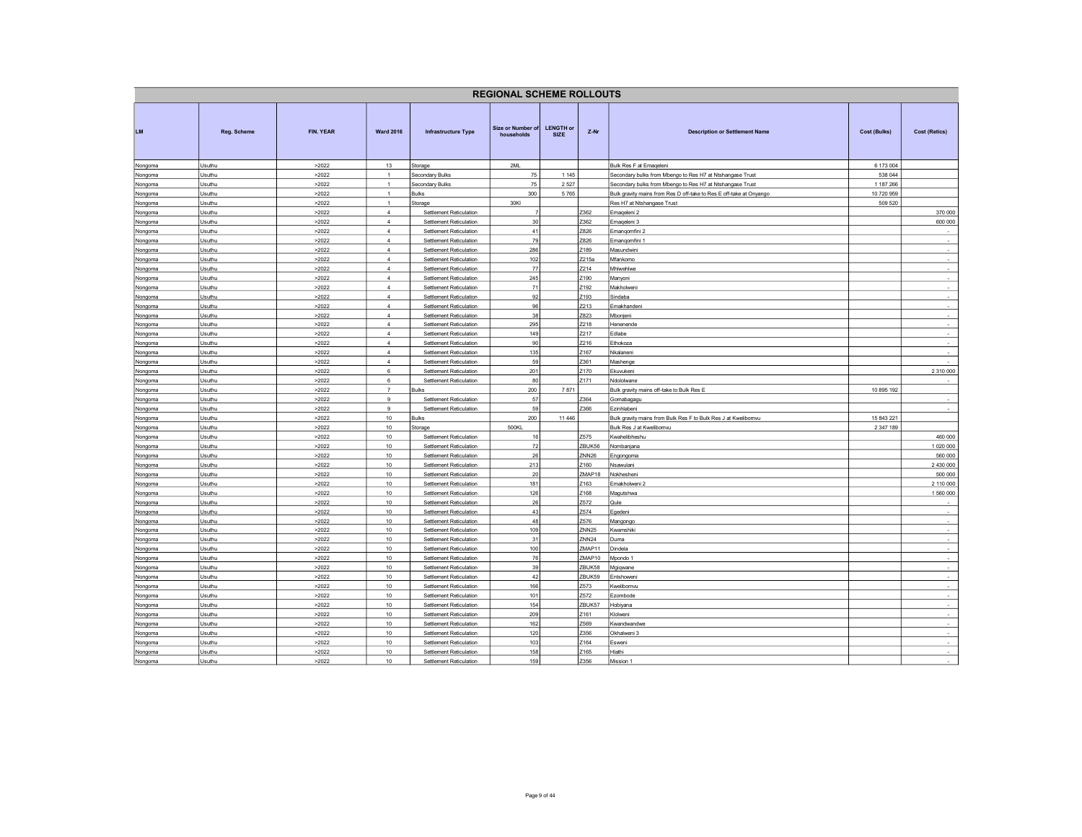|                    |                  |                |                            |                                                    | <b>REGIONAL SCHEME ROLLOUTS</b> |                                 |                   |                                                                     |              |                          |
|--------------------|------------------|----------------|----------------------------|----------------------------------------------------|---------------------------------|---------------------------------|-------------------|---------------------------------------------------------------------|--------------|--------------------------|
| LM                 | Reg. Scheme      | FIN. YEAR      | <b>Ward 2016</b>           | Infrastructure Type                                | Size or Number of<br>households | <b>LENGTH or</b><br><b>SIZE</b> | Z-Nr              | <b>Description or Settlement Name</b>                               | Cost (Bulks) | <b>Cost (Retics)</b>     |
| Nongoma            | Usuthu           | >2022          | 13                         | Storage                                            | 2ML                             |                                 |                   | Bulk Res F at Emageleni                                             | 6 173 004    |                          |
| Nongoma            | Usuthu           | >2022          | 1                          | Secondary Bulks                                    | $75\,$                          | 1 1 4 5                         |                   | Secondary bulks from Mbengo to Res H7 at Ntshangase Trust           | 538 044      |                          |
| Nongoma            | Usuthu           | >2022          | $\mathbf{1}$               | Secondary Bulks                                    | 75                              | 2527                            |                   | Secondary bulks from Mbengo to Res H7 at Ntshangase Trust           | 1 187 266    |                          |
| Nongoma            | Usuthu           | >2022          | $\mathbf{1}$               | Bulks                                              | 300                             | 5765                            |                   | Bulk gravity mains from Res D off-take to Res E off-take at Onyango | 10 720 959   |                          |
| Nongoma            | Usuthu           | >2022          | $\mathbf{1}$               | Storage                                            | 30KI                            |                                 |                   | Res H7 at Ntshangase Trust                                          | 509 520      |                          |
| Nongoma            | Usuthu           | >2022          | $\overline{4}$             | Settlement Reticulation                            | 30                              |                                 | Z362              | Emageleni 2                                                         |              | 370 000                  |
| Nongoma            | Usuthu<br>Usuthu | >2022<br>>2022 | $\overline{4}$<br>$\Delta$ | Settlement Reticulation                            | 41                              |                                 | Z362<br>Z826      | Emaqeleni 3                                                         |              | 600 000                  |
| Nongoma            | Usuthu           | >2022          | $\overline{4}$             | Settlement Reticulation<br>Settlement Reticulation | 79                              |                                 | Z826              | Emanqomfini 2<br>Emanqomfini 1                                      |              | $\sim$                   |
| Nongoma<br>Nongoma | Usuthu           | >2022          | $\overline{4}$             | Settlement Reticulation                            | 286                             |                                 | Z189              | Masundwini                                                          |              | $\overline{\phantom{a}}$ |
| Nongoma            | Usuthu           | >2022          | $\overline{4}$             | Settlement Reticulation                            | 102                             |                                 | Z215a             | Mfankomo                                                            |              | $\sim$                   |
| Nongoma            | Usuthu           | >2022          | $\overline{4}$             | Settlement Reticulation                            | 77                              |                                 | Z214              | Mhlwehlwe                                                           |              | $\sim$                   |
| Nongoma            | Usuthu           | >2022          | $\overline{4}$             | <b>Settlement Reticulation</b>                     | 245                             |                                 | Z190              | <b>Manyoni</b>                                                      |              | $\sim$                   |
| Nongoma            | Usuthu           | >2022          | $\overline{4}$             | Settlement Reticulation                            | 71                              |                                 | Z192              | Makholweni                                                          |              | $\sim$                   |
| Nongoma            | Usuthu           | >2022          | $\overline{4}$             | Settlement Reticulation                            | 92                              |                                 | Z193              | Sindaba                                                             |              | $\sim$                   |
| Nongoma            | Usuthu           | >2022          | $\overline{4}$             | Settlement Reticulation                            | 96                              |                                 | Z213              | Emakhandeni                                                         |              | $\overline{\phantom{a}}$ |
| Nongoma            | Usuthu           | >2022          | $\overline{4}$             | Settlement Reticulation                            | 38                              |                                 | Z823              | Mbonjeni                                                            |              | $\sim$                   |
| Nongoma            | Usuthu           | >2022          | $\overline{4}$             | Settlement Reticulation                            | 295                             |                                 | Z218              | Henenende                                                           |              |                          |
| Nongoma            | Usuthu           | >2022          | $\overline{4}$             | Settlement Reticulation                            | 149                             |                                 | Z217              | Edlabe                                                              |              | $\sim$                   |
| Nongoma            | Usuthu           | >2022          | $\overline{a}$             | Settlement Reticulation                            | 90                              |                                 | Z216              | Ethokoza                                                            |              | $\sim$                   |
| Nongoma            | Usuthu           | >2022          | $\overline{4}$             | Settlement Reticulation                            | 135                             |                                 | Z167              | Nkalaneni                                                           |              | $\overline{\phantom{a}}$ |
| Nongoma            | Usuthu           | >2022          | $\overline{4}$             | Settlement Reticulation                            | 59                              |                                 | Z361              | Mashenge                                                            |              |                          |
| Nongoma            | Usuthu           | >2022          | 6                          | Settlement Reticulation                            | 201                             |                                 | Z170              | Ekuvukeni                                                           |              | 2 3 10 000               |
| Nongoma            | Usuthu           | >2022          | 6                          | Settlement Reticulation                            | 80                              |                                 | Z171              | Ndololwane                                                          |              | $\sim$                   |
| Nongoma            | Usuthu           | >2022          | $\overline{7}$             | <b>Bulks</b>                                       | 200                             | 7871                            |                   | Bulk gravity mains off-take to Bulk Res E                           | 10 895 192   |                          |
| Nongoma            | Usuthu           | >2022          | 9                          | Settlement Reticulation                            | 57                              |                                 | Z364              | Gomabagagu                                                          |              |                          |
| Nongoma            | Usuthu           | >2022          | $\overline{9}$             | Settlement Reticulation                            | 59                              |                                 | Z366              | Fzinhlabeni                                                         |              | $\sim$                   |
| Nongoma            | Usuthu           | >2022          | 10                         | <b>Bulks</b>                                       | 200                             | 11 446                          |                   | Bulk gravity mains from Bulk Res F to Bulk Res J at Kwelibomvu      | 15 843 221   |                          |
| Nongoma            | Usuthu           | >2022          | 10                         | Storage                                            | 500KL                           |                                 |                   | Bulk Res J at Kwelibomvu                                            | 2 347 189    |                          |
| Nongoma            | Usuthu           | >2022          | 10                         | Settlement Reticulation                            | 16                              |                                 | Z575              | <b>Kwahelibheshu</b>                                                |              | 460 000                  |
| Nongoma            | Usuthu           | >2022          | 10                         | Settlement Reticulation                            | 72                              |                                 | ZBUK56            | Nombanjana                                                          |              | 1 0 20 0 00              |
| Nongoma            | Usuthu           | >2022          | 10                         | Settlement Reticulation                            | 26                              |                                 | ZNN <sub>26</sub> | Engongoma                                                           |              | 560 000                  |
| Nongoma            | Usuthu           | >2022          | 10                         | Settlement Reticulation                            | 213                             |                                 | Z160              | Nsawulani                                                           |              | 2 430 000                |
| Nongoma            | Usuthu           | >2022          | 10                         | Settlement Reticulation                            | 20                              |                                 | ZMAP18            | Nokhesheni                                                          |              | 500 000                  |
| Nongoma            | Usuthu           | >2022          | 10                         | Settlement Reticulation                            | 181                             |                                 | Z163              | Emakholweni 2                                                       |              | 2 110 000                |
| Nongoma            | Usuthu           | >2022          | 10<br>10                   | Settlement Reticulation                            | 126<br>26                       |                                 | Z168<br>Z572      | Magutshwa                                                           |              | 1 560 000<br>÷           |
| Nongoma            | Usuthu           | >2022          |                            | Settlement Reticulation                            | 43                              |                                 | Z574              | Qule                                                                |              |                          |
| Nongoma<br>Nongoma | Usuthu<br>Usuthu | >2022<br>>2022 | 10<br>10                   | Settlement Reticulation<br>Settlement Reticulation | 48                              |                                 | Z576              | Egedeni<br>Mangongo                                                 |              | $\sim$                   |
| Nongoma            | Usuthu           | >2022          | 10                         | Settlement Reticulation                            | 109                             |                                 | ZNN <sub>25</sub> | <wamshiki< td=""><td></td><td></td></wamshiki<>                     |              |                          |
| Nongoma            | Usuthu           | >2022          | 10                         | Settlement Reticulation                            | 31                              |                                 | <b>ZNN24</b>      | Duma                                                                |              | $\sim$                   |
| Nongoma            | Usuthu           | >2022          | 10                         | Settlement Reticulation                            | 100                             |                                 | ZMAP11            | Dindela                                                             |              | $\cdot$                  |
| Nongoma            | Usuthu           | >2022          | 10                         | Settlement Reticulation                            | 76                              |                                 | ZMAP10            | Mpondo 1                                                            |              | $\cdot$                  |
| Nongoma            | Usuthu           | >2022          | 10                         | Settlement Reticulation                            | 39                              |                                 | ZBUK58            | Mgiqwane                                                            |              | $\sim$                   |
| Nongoma            | Usuthu           | >2022          | 10                         | Settlement Reticulation                            | 42                              |                                 | ZBUK59            | Entshoweni                                                          |              | $\overline{\phantom{a}}$ |
| Nongoma            | Usuthu           | >2022          | 10                         | Settlement Reticulation                            | 166                             |                                 | Z573              | Kwelibomvu                                                          |              | $\sim$                   |
| Nongoma            | Usuthu           | >2022          | 10                         | Settlement Reticulation                            | 101                             |                                 | Z572              | Ezombode                                                            |              |                          |
| Nongoma            | Usuthu           | >2022          | 10                         | Settlement Reticulation                            | 154                             |                                 | ZBUK57            | Hobiyana                                                            |              | $\sim$                   |
| Nongoma            | Usuthu           | >2022          | 10                         | Settlement Reticulation                            | 209                             |                                 | Z161              | Klolweni                                                            |              | $\sim$                   |
| Nongoma            | Usuthu           | >2022          | 10                         | Settlement Reticulation                            | 162                             |                                 | Z569              | Kwandwandwe                                                         |              | $\overline{\phantom{a}}$ |
| Nongoma            | Usuthu           | >2022          | 10                         | Settlement Reticulation                            | 120                             |                                 | Z356              | Okhalweni 3                                                         |              | $\sim$                   |
| Nongoma            | Usuthu           | >2022          | 10                         | Settlement Reticulation                            | 103                             |                                 | Z164              | Esweni                                                              |              | $\sim$                   |
| Nongoma            | Usuthu           | >2022          | 10                         | Settlement Reticulation                            | 158                             |                                 | Z165              | Hlathi                                                              |              | $\sim$                   |
| Nongoma            | Usuthu           | >2022          | 10                         | Settlement Reticulation                            | 159                             |                                 | Z356              | Mission 1                                                           |              | $\sim$                   |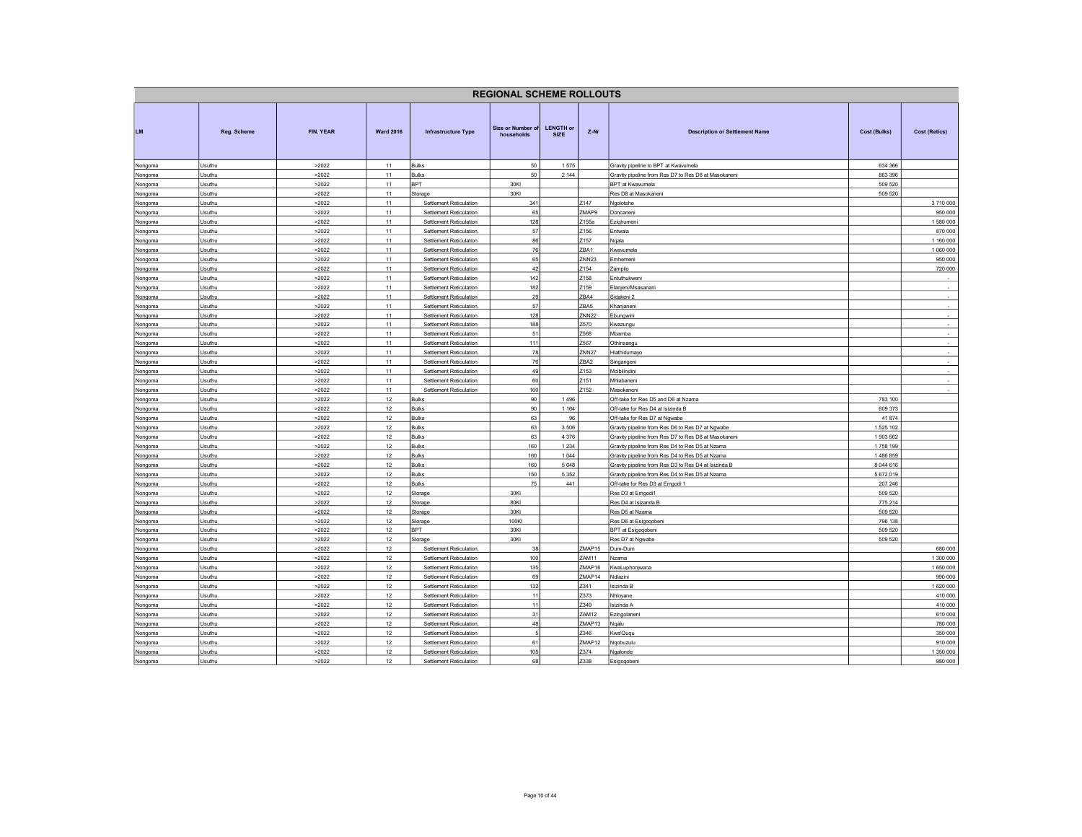|                    |                  |                |                  |                                                    | <b>REGIONAL SCHEME ROLLOUTS</b> |                                 |                        |                                                                                 |                    |                        |
|--------------------|------------------|----------------|------------------|----------------------------------------------------|---------------------------------|---------------------------------|------------------------|---------------------------------------------------------------------------------|--------------------|------------------------|
| LM                 | Reg. Scheme      | FIN. YEAR      | <b>Ward 2016</b> | <b>Infrastructure Type</b>                         | Size or Number of<br>households | <b>LENGTH or</b><br><b>SIZE</b> | Z-Nr                   | <b>Description or Settlement Name</b>                                           | Cost (Bulks)       | <b>Cost (Retics)</b>   |
| Nongoma            | Usuthu           | >2022          | 11               | <b>Bulks</b>                                       | 50                              | 1575                            |                        | Gravity pipeline to BPT at Kwavumela                                            | 634 366            |                        |
| Nongoma            | Usuthu           | >2022          | 11               | <b>Bulks</b>                                       | $50\,$                          | 2 1 4 4                         |                        | Gravity pipeline from Res D7 to Res D8 at Masokaneni                            | 863 396            |                        |
| Nongoma            | Usuthu           | >2022          | 11               | <b>BPT</b>                                         | 30KI                            |                                 |                        | BPT at Kwavumela                                                                | 509 520            |                        |
| Nongoma            | Usuthu           | >2022          | 11               | Storage                                            | 30KI                            |                                 |                        | Res D8 at Masokaneni                                                            | 509 520            |                        |
| Nongoma            | Usuthu           | >2022          | 11               | Settlement Reticulation                            | 341                             |                                 | Z147                   | Ngolotshe                                                                       |                    | 3710000                |
| Nongoma            | Usuthu           | >2022          | 11               | Settlement Reticulation                            | 65<br>128                       |                                 | ZMAP9<br>Z155a         | Doncaneni                                                                       |                    | 950 000                |
| Nongoma            | Usuthu<br>Usuthu | >2022<br>>2022 | 11<br>11         | Settlement Reticulation<br>Settlement Reticulation | 57                              |                                 | Z156                   | Eziqhumeni<br>Entwala                                                           |                    | 1 580 000<br>870 000   |
| Nongoma            |                  |                | 11               |                                                    | 86                              |                                 | Z157                   |                                                                                 |                    |                        |
| Nongoma            | Usuthu<br>Usuthu | >2022<br>>2022 | 11               | Settlement Reticulation<br>Settlement Reticulation | 76                              |                                 | ZBA1                   | Nqala<br><wavumela< td=""><td></td><td>1 160 000<br/>1 060 000</td></wavumela<> |                    | 1 160 000<br>1 060 000 |
| Nongoma<br>Nongoma | Usuthu           | >2022          | 11               | Settlement Reticulation                            | 65                              |                                 | ZNN <sub>23</sub>      | Emhemeni                                                                        |                    | 950 000                |
| Nongoma            | Usuthu           | >2022          | 11               | Settlement Reticulation                            | 42                              |                                 | Z154                   | Zampilo                                                                         |                    | 720 000                |
| Nongoma            | Usuthu           | >2022          | 11               | <b>Settlement Reticulation</b>                     | 142                             |                                 | Z158                   | Entuthukwen                                                                     |                    |                        |
| Nongoma            | Usuthu           | >2022          | 11               | Settlement Reticulation                            | 182                             |                                 | Z159                   | Elanjeni/Msasanani                                                              |                    | $\sim$                 |
| Nongoma            | Usuthu           | >2022          | 11               | Settlement Reticulation                            | 29                              |                                 | ZBA4                   | Sidakeni 2                                                                      |                    | $\sim$                 |
| Nongoma            | Usuthu           | >2022          | 11               | Settlement Reticulation                            | 57                              |                                 | ZBA5                   | Khanjaneni                                                                      |                    | $\sim$                 |
| Nongoma            | Usuthu           | >2022          | 11               | Settlement Reticulation                            | 128                             |                                 | <b>ZNN22</b>           | Ebungwini                                                                       |                    | $\sim$                 |
| Nongoma            | Usuthu           | >2022          | 11               | Settlement Reticulation                            | 188                             |                                 | Z570                   | wazungu                                                                         |                    | ÷,                     |
| Nongoma            | Usuthu           | >2022          | 11               | Settlement Reticulation                            | 51                              |                                 | Z568                   | Mbamba                                                                          |                    | $\sim$                 |
| Nongoma            | Usuthu           | >2022          | 11               | Settlement Reticulation                            | 111                             |                                 | Z567                   | Othinsangu                                                                      |                    | $\sim$                 |
| Nongoma            | Usuthu           | >2022          | 11               | Settlement Reticulation                            | 78                              |                                 | ZNN <sub>27</sub>      | Hlathidumavo                                                                    |                    | $\sim$                 |
| Nongoma            | Usuthu           | >2022          | 11               | Settlement Reticulation                            | 76                              |                                 | ZBA2                   | Singangeni                                                                      |                    | $\sim$                 |
| Nongoma            | Usuthu           | >2022          | 11               | Settlement Reticulation                            | 49                              |                                 | Z153                   | Mcibilindini                                                                    |                    |                        |
| Nongoma            | Usuthu           | >2022          | 11               | Settlement Reticulation                            | 60                              |                                 | Z151                   | Mhlabaneni                                                                      |                    | $\sim$                 |
| Nongoma            | Usuthu           | >2022          | 11               | Settlement Reticulation                            | 160                             |                                 | Z152                   | Masokaneni                                                                      |                    | $\sim$                 |
| Nongoma            | Usuthu           | >2022          | 12               | <b>Bulks</b>                                       | 90                              | 1496                            |                        | Off-take for Res D5 and D6 at Nzama                                             | 783 100            |                        |
| Nongoma            | Usuthu           | >2022          | 12               | <b>Bulks</b>                                       | 90                              | 1 1 6 4                         |                        | Off-take for Res D4 at Isizinda B                                               | 609 373            |                        |
| Nongoma            | Usuthu           | >2022          | 12               | <b>Bulks</b>                                       | 63                              | 96                              |                        | Off-take for Res D7 at Ngwabe                                                   | 41 874             |                        |
| Nongoma            | Usuthu           | >2022          | 12               | Bulks                                              | 63                              | 3506                            |                        | Gravity pipeline from Res D6 to Res D7 at Ngwabe                                | 1525 102           |                        |
| Nongoma            | Usuthu           | >2022          | 12               | <b>Bulks</b>                                       | 63                              | 4 3 7 6                         |                        | Gravity pipeline from Res D7 to Res D8 at Masokaneni                            | 1903 562           |                        |
| Nongoma            | Usuthu           | >2022          | 12               | <b>Bulks</b>                                       | 160                             | 1 2 3 4                         |                        | Gravity pipeline from Res D4 to Res D5 at Nzama                                 | 1758 199           |                        |
| Nongoma            | Usuthu           | >2022          | 12               | <b>Bulks</b>                                       | 160                             | 1 0 4 4                         |                        | Gravity pipeline from Res D4 to Res D5 at Nzama                                 | 1486859            |                        |
| Nongoma            | Usuthu           | >2022          | 12               | <b>Bulks</b>                                       | 160                             | 5648                            |                        | Gravity pipeline from Res D3 to Res D4 at Isizinda B                            | 8 044 616          |                        |
| Nongoma            | Usuthu           | >2022          | 12               | <b>Bulks</b>                                       | 150                             | 5 3 5 2                         |                        | Gravity pipeline from Res D4 to Res D5 at Nzama                                 | 5 672 019          |                        |
| Nongoma            | Usuthu           | >2022          | 12               | <b>Bulks</b>                                       | 75                              | 441                             |                        | Off-take for Res D3 at Emgodi 1                                                 | 207 246            |                        |
| Nongoma            | Usuthu           | >2022          | 12               | Storage                                            | 30KI                            |                                 |                        | Res D3 at Emgodi1                                                               | 509 520            |                        |
| Nongoma            | Usuthu           | >2022          | 12               | Storage                                            | 80KI                            |                                 |                        | Res D4 at Isizanda B                                                            | 775 214            |                        |
| Nongoma            | Usuthu           | >2022          | 12               | Storage                                            | 30KI                            |                                 |                        | Res D5 at Nzama                                                                 | 509 520            |                        |
| Nongoma            | Usuthu           | >2022          | 12               | Storage                                            | 100KI                           |                                 |                        | Res D6 at Esigoqobeni                                                           | 796 138            |                        |
| Nongoma            | Usuthu<br>Usuthu | >2022<br>>2022 | 12<br>12         | BPT                                                | 30KI<br>30KI                    |                                 |                        | <b>BPT</b> at Esigoqobeni                                                       | 509 520<br>509 520 |                        |
| Nongoma            |                  |                |                  | Storage                                            |                                 |                                 |                        | Res D7 at Ngwabe                                                                |                    |                        |
| Nongoma            | Usuthu           | >2022          | 12               | Settlement Reticulation                            | 38<br>100                       |                                 | ZMAP15                 | Dum-Dum                                                                         |                    | 680 000                |
| Nongoma            | Usuthu<br>Usuthu | >2022<br>>2022 | 12<br>12         | Settlement Reticulation<br>Settlement Reticulation | 135                             |                                 | <b>ZAM11</b><br>ZMAP16 | Nzama<br>KwaLuphonjwana                                                         |                    | 1 300 000<br>1 650 000 |
| Nongoma<br>Nongoma | Usuthu           | >2022          | 12               | Settlement Reticulation                            | 69                              |                                 | ZMAP14                 | Ndlazini                                                                        |                    | 990 000                |
| Nongoma            | Usuthu           | >2022          | 12               | Settlement Reticulation                            | 132                             |                                 | Z341                   | Isizinda B                                                                      |                    | 1 620 000              |
| Nongoma            | Usuthu           | >2022          | 12               | Settlement Reticulation                            | 11                              |                                 | Z373                   | Nhloyane                                                                        |                    | 410 000                |
| Nongoma            | Usuthu           | >2022          | 12               | Settlement Reticulation                            | 11                              |                                 | Z349                   | Isizinda A                                                                      |                    | 410 000                |
| Nongoma            | Usuthu           | >2022          | 12               | Settlement Reticulation                            | 31                              |                                 | ZAM12                  | Ezingolaneni                                                                    |                    | 610 000                |
| Nongoma            | Usuthu           | >2022          | 12               | Settlement Reticulation                            | 48                              |                                 | ZMAP13                 | Nqalu                                                                           |                    | 780 000                |
| Nongoma            | Usuthu           | >2022          | 12               | Settlement Reticulation                            | 5                               |                                 | Z346                   | wa'Ququ                                                                         |                    | 350 000                |
| Nongoma            | Usuthu           | >2022          | 12               | Settlement Reticulation                            | 61                              |                                 | ZMAP <sub>12</sub>     | Ngobuzulu                                                                       |                    | 910 000                |
| Nongoma            | Usuthu           | >2022          | 12               | Settlement Reticulation                            | 105                             |                                 | Z374                   | Ngalonde                                                                        |                    | 1 350 000              |
| Nongoma            | Usuthu           | >2022          | 12               | Settlement Reticulation                            | 68                              |                                 | Z338                   | Esigoqobeni                                                                     |                    | 980 000                |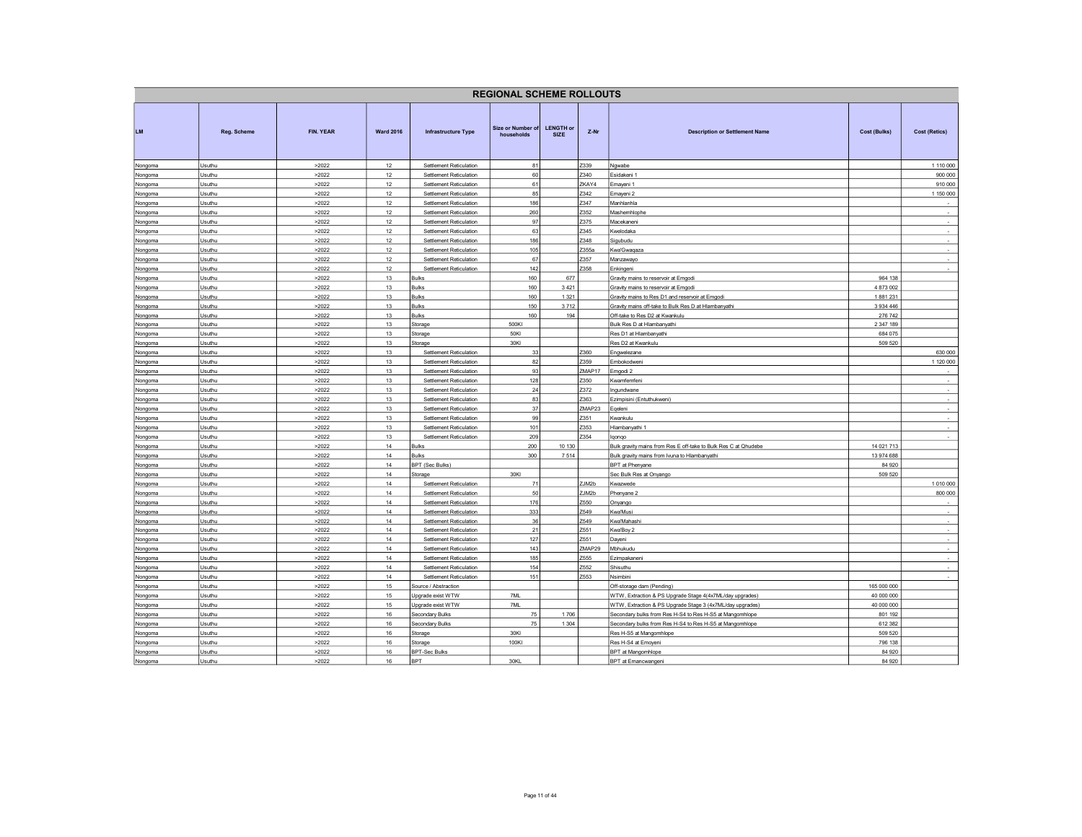|         |             |           |                  |                                    | <b>REGIONAL SCHEME ROLLOUTS</b> |                                 |        |                                                                 |               |                          |
|---------|-------------|-----------|------------------|------------------------------------|---------------------------------|---------------------------------|--------|-----------------------------------------------------------------|---------------|--------------------------|
| LM      | Reg. Scheme | FIN. YEAR | <b>Ward 2016</b> | Infrastructure Type                | Size or Number of<br>households | <b>LENGTH or</b><br><b>SIZE</b> | Z-Nr   | <b>Description or Settlement Name</b>                           | Cost (Bulks)  | <b>Cost (Retics)</b>     |
| Nongoma | Usuthu      | >2022     | 12               | Settlement Reticulation            | 81                              |                                 | Z339   | Ngwabe                                                          |               | 1 110 000                |
| Nongoma | Usuthu      | >2022     | 12               | Settlement Reticulation            | 60                              |                                 | Z340   | Esidakeni 1                                                     |               | 900 000                  |
| Nongoma | Usuthu      | >2022     | 12               | Settlement Reticulation            | 61                              |                                 | ZKAY4  | Emayeni 1                                                       |               | 910 000                  |
| Nongoma | Usuthu      | >2022     | 12               | Settlement Reticulation            | 85                              |                                 | Z342   | Emayeni 2                                                       |               | 1 150 000                |
| Nongoma | Usuthu      | >2022     | 12               | Settlement Reticulation            | 186                             |                                 | Z347   | Manhlanhla                                                      |               |                          |
| Nongoma | Usuthu      | >2022     | 12               | Settlement Reticulation            | 260                             |                                 | Z352   | Mashemhlophe                                                    |               | $\sim$                   |
| Nongoma | Usuthu      | >2022     | 12               | Settlement Reticulation            | 97                              |                                 | Z375   | Macekaneni                                                      |               | $\sim$                   |
| Nongoma | Usuthu      | >2022     | $12\,$           | Settlement Reticulation            | 63                              |                                 | Z345   | Kwelodaka                                                       |               | $\cdot$                  |
| Nongoma | Usuthu      | >2022     | 12               | Settlement Reticulation            | 186                             |                                 | Z348   | Sigubudu                                                        |               | $\overline{\phantom{a}}$ |
| Nongoma | Usuthu      | >2022     | 12               | Settlement Reticulation            | 105                             |                                 | Z355a  | Kwa'Gwaqaza                                                     |               | $\sim$                   |
| Nongoma | Usuthu      | >2022     | 12               | Settlement Reticulation            | 67                              |                                 | Z357   | Manzawayo                                                       |               | $\sim$                   |
| Nongoma | Usuthu      | >2022     | 12               | Settlement Reticulation            | 142                             |                                 | Z358   | Enkingeni                                                       |               | $\sim$                   |
| Nongoma | Usuthu      | >2022     | 13               | <b>Bulks</b>                       | 160                             | 677                             |        | Gravity mains to reservoir at Emgodi                            | 964 138       |                          |
| Nongoma | Usuthu      | >2022     | 13               | <b>Bulks</b>                       | 160                             | 3 4 2 1                         |        | Gravity mains to reservoir at Emgodi                            | 4 873 002     |                          |
| Nongoma | Usuthu      | >2022     | 13               | <b>Bulks</b>                       | 160                             | 1 3 2 1                         |        | Gravity mains to Res D1 and reservoir at Emgodi                 | 1881231       |                          |
| Nongoma | Usuthu      | >2022     | 13               | <b>Bulks</b>                       | 150                             | 3712                            |        | Gravity mains off-take to Bulk Res D at Hlambanyathi            | 3 9 3 4 4 4 6 |                          |
| Nongoma | Usuthu      | >2022     | 13               | <b>Bulks</b>                       | 160                             | 194                             |        | Off-take to Res D2 at Kwankulu                                  | 276 742       |                          |
| Nongoma | Usuthu      | >2022     | 13               | Storage                            | 500KI                           |                                 |        | Bulk Res D at Hlambanyathi                                      | 2 347 189     |                          |
| Nongoma | Usuthu      | >2022     | 13               | Storage                            | 50KI                            |                                 |        | Res D1 at Hlambanyathi                                          | 684 075       |                          |
| Nongoma | Usuthu      | >2022     | $13$             | Storage                            | 30KI                            |                                 |        | Res D2 at Kwankulu                                              | 509 520       |                          |
| Nongoma | Usuthu      | >2022     | 13               | Settlement Reticulation            | 33                              |                                 | Z360   | Engwelezane                                                     |               | 630 000                  |
| Nongoma | Usuthu      | >2022     | 13               | Settlement Reticulation            | 82                              |                                 | Z359   | Embokodweni                                                     |               | 1 120 000                |
| Nongoma | Usuthu      | >2022     | 13               | Settlement Reticulation            | 93                              |                                 | ZMAP17 | Emgodi 2                                                        |               |                          |
| Nongoma | Usuthu      | >2022     | 13               | Settlement Reticulation            | 128                             |                                 | Z350   | Kwamfemfeni                                                     |               | $\overline{\phantom{a}}$ |
| Nongoma | Usuthu      | >2022     | 13               | Settlement Reticulation            | 24                              |                                 | Z372   | ngundwane                                                       |               | $\sim$                   |
| Nongoma | Usuthu      | >2022     | 13               | Settlement Reticulation            | 83                              |                                 | Z363   | Ezimpisini (Entuthukweni)                                       |               | $\overline{\phantom{a}}$ |
| Nongoma | Usuthu      | >2022     | 13               | Settlement Reticulation            | 37                              |                                 | ZMAP23 | Eqeleni                                                         |               | $\mathbf{r}$             |
| Nongoma | Usuthu      | >2022     | 13               | Settlement Reticulation            | 99                              |                                 | Z351   | <b>Kwankulu</b>                                                 |               | $\sim$                   |
| Nongoma | Usuthu      | >2022     | 13               | Settlement Reticulation            | 101                             |                                 | Z353   | Hlambanyathi 1                                                  |               | $\sim$                   |
| Nongoma | Usuthu      | >2022     | 13               | Settlement Reticulation            | 209                             |                                 | Z354   | lgongo                                                          |               |                          |
| Nongoma | Usuthu      | >2022     | 14               | <b>Bulks</b>                       | 200                             | 10 130                          |        | Bulk gravity mains from Res E off-take to Bulk Res C at Qhudebe | 14 021 713    |                          |
| Nongoma | Usuthu      | >2022     | 14               | <b>Bulks</b>                       | 300                             | 7514                            |        | Bulk gravity mains from Ivuna to Hlambanyathi                   | 13 974 688    |                          |
| Nongoma | Usuthu      | >2022     | 14               | <b>SPT (Sec Bulks)</b>             |                                 |                                 |        | BPT at Phenyane                                                 | 84 920        |                          |
| Nongoma | Usuthu      | >2022     | 14               | Storage                            | 30KI                            |                                 |        | Sec Bulk Res at Onyango                                         | 509 520       |                          |
| Nongoma | Usuthu      | >2022     | 14               | Settlement Reticulation            | 71                              |                                 | ZJM2b  | Kwazwede                                                        |               | 1010000                  |
| Nongoma | Usuthu      | >2022     | 14               | Settlement Reticulation            | 50                              |                                 | ZJM2b  | Phenyane 2                                                      |               | 800 000                  |
| Nongoma | Usuthu      | >2022     | 14               | Settlement Reticulation            | 176                             |                                 | Z550   | Onyango                                                         |               | $\sim$                   |
| Nongoma | Usuthu      | >2022     | 14               | Settlement Reticulation            | 333                             |                                 | Z549   | Kwa'Musi                                                        |               |                          |
| Nongoma | Usuthu      | >2022     | 14               | Settlement Reticulation            | 36                              |                                 | Z549   | Kwa'Mahashi                                                     |               | $\sim$                   |
| Nongoma | Usuthu      | >2022     | 14               | Settlement Reticulation            | 21                              |                                 | Z551   | Kwa'Boy 2                                                       |               | $\overline{\phantom{a}}$ |
| Nongoma | Usuthu      | >2022     | 14               | Settlement Reticulation            | 127                             |                                 | Z551   | Dayeni                                                          |               | $\sim$                   |
| Nongoma | Usuthu      | >2022     | 14               | Settlement Reticulation            | 143                             |                                 | ZMAP2  | Mbhukudu                                                        |               |                          |
| Nongoma | Usuthu      | >2022     | 14               | Settlement Reticulation            | 185                             |                                 | Z555   | Ezimpakaneni                                                    |               | $\sim$                   |
| Nongoma | Usuthu      | >2022     | 14               | Settlement Reticulation            | 154                             |                                 | Z552   | Shisuthu                                                        |               | $\mathbf{r}$             |
| Nongoma | Usuthu      | >2022     | 14               | Settlement Reticulation            | 151                             |                                 | Z553   | Nsimbini                                                        |               | $\sim$                   |
| Nongoma | Usuthu      | >2022     | 15               | Source / Abstraction               |                                 |                                 |        | Off-storage dam (Pending)                                       | 165 000 000   |                          |
| Nongoma | Usuthu      | >2022     | 15               | Jpgrade exist WTW                  | 7ML                             |                                 |        | WTW, Extraction & PS Upgrade Stage 4(4x7ML/day upgrades)        | 40 000 000    |                          |
| Nongoma | Usuthu      | >2022     | 15               | Upgrade exist WTW                  | 7ML                             |                                 |        | WTW, Extraction & PS Upgrade Stage 3 (4x7ML/day upgrades)       | 40 000 000    |                          |
| Nongoma | Usuthu      | >2022     | 16               | Secondary Bulks                    | 75                              | 1706                            |        | Secondary bulks from Res H-S4 to Res H-S5 at Mangomhlope        | 801 192       |                          |
| Nongoma | Usuthu      | >2022     | 16               | Secondary Bulks                    | 75                              | 1 3 0 4                         |        | Secondary bulks from Res H-S4 to Res H-S5 at Mangomhlope        | 612 382       |                          |
| Nongoma | Usuthu      | >2022     | 16               | Storage                            | 30KI                            |                                 |        | Res H-S5 at Mangomhlope                                         | 509 520       |                          |
| Nongoma | Usuthu      | >2022     | 16               | Storage                            | 100KI                           |                                 |        | Res H-S4 at Emoyeni                                             | 796 138       |                          |
| Nongoma | Usuthu      | >2022     | 16               | <b>BPT-Sec Bulks</b><br><b>RPT</b> |                                 |                                 |        | BPT at Mangomhlope                                              | 84 9 20       |                          |
| Nongoma | Usuthu      | >2022     | 16               |                                    | 30KL                            |                                 |        | BPT at Emancwangeni                                             | 84 920        |                          |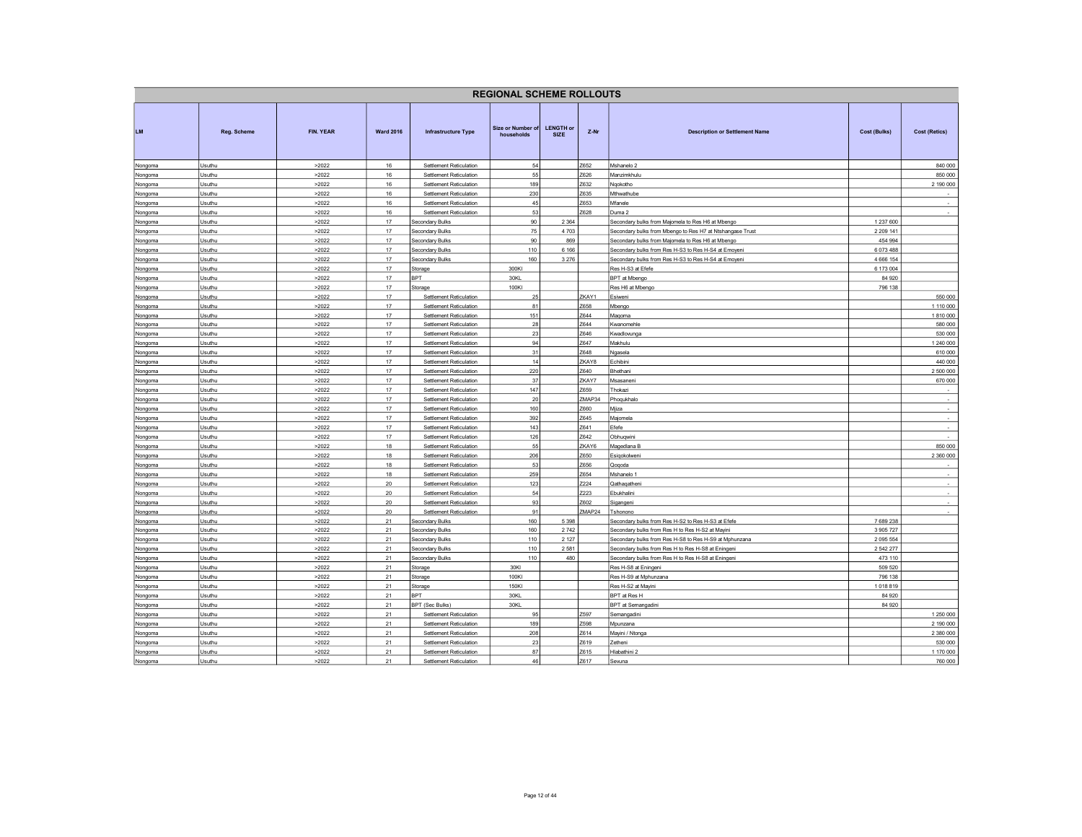|                    |                    |                |                  |                                                    | <b>REGIONAL SCHEME ROLLOUTS</b> |                                 |                |                                                                |               |                      |
|--------------------|--------------------|----------------|------------------|----------------------------------------------------|---------------------------------|---------------------------------|----------------|----------------------------------------------------------------|---------------|----------------------|
| LM                 | <b>Reg. Scheme</b> | FIN. YEAR      | <b>Ward 2016</b> | Infrastructure Type                                | Size or Number of<br>households | <b>LENGTH or</b><br><b>SIZE</b> | Z-Nr           | <b>Description or Settlement Name</b>                          | Cost (Bulks)  | <b>Cost (Retics)</b> |
| Nongoma            | Usuthu             | >2022          | 16               | Settlement Reticulation                            | 54                              |                                 | Z652           | Mshanelo 2                                                     |               | 840 000              |
| Nongoma            | Usuthu             | >2022          | 16               | Settlement Reticulation                            | 55                              |                                 | Z626           | Manzimkhulu                                                    |               | 850 000              |
| Nongoma            | Usuthu             | >2022          | 16               | Settlement Reticulation                            | 189                             |                                 | Z632           | Ngokotho                                                       |               | 2 190 000            |
| Nongoma            | Usuthu             | >2022          | 16               | Settlement Reticulation                            | 230                             |                                 | Z635           | Mthwathube                                                     |               |                      |
| Nongoma            | Usuthu             | >2022          | 16               | Settlement Reticulation                            | 45                              |                                 | Z653           | Mfanele                                                        |               | $\sim$               |
| Nongoma            | Usuthu             | >2022          | 16               | Settlement Reticulation                            | 53                              |                                 | Z628           | Duma 2                                                         |               | $\sim$               |
| Nongoma            | Usuthu             | >2022          | 17               | Secondary Bulks                                    | 90                              | 2 3 6 4                         |                | Secondary bulks from Majomela to Res H6 at Mbengo              | 1 237 600     |                      |
| Nongoma            | Usuthu             | >2022          | $17$             | Secondary Bulks                                    | $75\,$                          | 4703                            |                | Secondary bulks from Mbengo to Res H7 at Ntshangase Trust      | 2 209 141     |                      |
| Nongoma            | Usuthu             | >2022          | 17               | <b>Secondary Bulks</b>                             | 90                              | 869                             |                | Secondary bulks from Majomela to Res H6 at Mbengo              | 454 994       |                      |
| Nongoma            | Usuthu             | >2022          | 17               | Secondary Bulks                                    | 110                             | 6 1 6 6                         |                | Secondary bulks from Res H-S3 to Res H-S4 at Emoyeni           | 6073488       |                      |
| Nongoma            | Usuthu             | >2022          | 17               | Secondary Bulks                                    | 160                             | 3 2 7 6                         |                | Secondary bulks from Res H-S3 to Res H-S4 at Emoyeni           | 4 6 6 1 5 4   |                      |
| Nongoma            | Usuthu             | >2022          | 17               | Storage                                            | 300KI                           |                                 |                | Res H-S3 at Efefe                                              | 6 173 004     |                      |
| Nongoma            | Usuthu             | >2022          | 17               | <b>SPT</b>                                         | 30KL                            |                                 |                | BPT at Mbengo                                                  | 84 920        |                      |
| Nongoma            | Usuthu             | >2022          | 17               | Storage                                            | 100KI                           |                                 |                | Res H6 at Mbengo                                               | 796 138       |                      |
| Nongoma            | Usuthu             | >2022          | 17               | Settlement Reticulation                            | 25                              |                                 | ZKAY1<br>Z658  | Esiweni                                                        |               | 550 000              |
| Nongoma            | Usuthu             | >2022          | 17               | Settlement Reticulation                            | 81                              |                                 |                | Mbengo                                                         |               | 1 110 000            |
| Nongoma            | Usuthu             | >2022          | 17               | Settlement Reticulation                            | 151                             |                                 | Z644           | Maqoma                                                         |               | 1810000              |
| Nongoma            | Usuthu             | >2022          | 17               | Settlement Reticulation                            | 28                              |                                 | Z644           | Kwanomehle                                                     |               | 580 000              |
| Nongoma            | Usuthu             | >2022          | 17               | Settlement Reticulation                            | 23                              |                                 | Z646           | Kwadlovunga                                                    |               | 530 000              |
| Nongoma            | Usuthu<br>Usuthu   | >2022          | 17<br>17         | Settlement Reticulation<br>Settlement Reticulation | 94<br>31                        |                                 | Z647<br>Z648   | Makhulu                                                        |               | 1 240 000            |
| Nongoma            |                    | >2022          | 17               |                                                    | 14                              |                                 |                | Ngasela                                                        |               | 610 000              |
| Nongoma            | Usuthu             | >2022          |                  | Settlement Reticulation                            |                                 |                                 | ZKAY8          | Echibini                                                       |               | 440 000              |
| Nongoma            | Usuthu             | >2022          | 17               | Settlement Reticulation                            | 220                             |                                 | Z640           | Bhethani                                                       |               | 2 500 000            |
| Nongoma            | Usuthu             | >2022          | 17<br>17         | Settlement Reticulation                            | 37<br>147                       |                                 | ZKAY7<br>Z659  | Msasaneni                                                      |               | 670 000              |
| Nongoma            | Usuthu             | >2022          |                  | Settlement Reticulation                            |                                 |                                 |                | Thokazi                                                        |               | $\sim$               |
| Nongoma            | Usuthu             | >2022          | 17<br>17         | Settlement Reticulation                            | 20<br>160                       |                                 | ZMAP34<br>Z660 | Phoqukhalo                                                     |               | $\sim$<br>$\sim$     |
| Nongoma            | Usuthu<br>Usuthu   | >2022<br>>2022 | 17               | Settlement Reticulation<br>Settlement Reticulation | 392                             |                                 | Z645           | Mjiza<br>Maiomela                                              |               | $\sim$               |
| Nongoma            | Usuthu             | >2022          | 17               | Settlement Reticulation                            | 143                             |                                 | Z641           | Efefe                                                          |               | $\sim$               |
| Nongoma            |                    |                | 17               |                                                    |                                 |                                 |                |                                                                |               |                      |
| Nongoma            | Usuthu             | >2022          |                  | Settlement Reticulation                            | 126<br>55                       |                                 | Z642<br>ZKAY6  | Obhuqwini                                                      |               |                      |
| Nongoma            | Usuthu             | >2022          | 18<br>18         | Settlement Reticulation                            | 206                             |                                 | Z650           | Magedlana B                                                    |               | 850 000<br>2 360 000 |
| Nongoma            | Usuthu<br>Usuthu   | >2022<br>>2022 | 18               | Settlement Reticulation<br>Settlement Reticulation | 53                              |                                 | Z656           | Esiqokolwen                                                    |               |                      |
| Nongoma            |                    |                | 18               |                                                    |                                 |                                 | Z654           | Qoqoda                                                         |               |                      |
| Nongoma            | Usuthu<br>Usuthu   | >2022          | 20               | Settlement Reticulation<br>Settlement Reticulation | 259                             |                                 | <b>Z224</b>    | Mshanelo 1                                                     |               | $\sim$               |
| Nongoma            | Usuthu             | >2022<br>>2022 | 20               | Settlement Reticulation                            | 123<br>54                       |                                 | <b>Z223</b>    | Qathaqatheni<br>Ebukhalini                                     |               | $\sim$               |
| Nongoma            | Usuthu             | >2022          | $20\,$           | Settlement Reticulation                            | 93                              |                                 | Z602           |                                                                |               | $\sim$               |
| Nongoma            |                    |                | 20               | Settlement Reticulation                            | 91                              |                                 | ZMAP24         | Sigangeni                                                      |               |                      |
| Nongoma            | Usuthu<br>Usuthu   | >2022<br>>2022 | 21               | Secondary Bulks                                    | 160                             | 5 3 9 8                         |                | Tshonono<br>Secondary bulks from Res H-S2 to Res H-S3 at Efefe | 7689238       |                      |
| Nongoma<br>Nongoma | Usuthu             | >2022          | 21               | Secondary Bulks                                    | 160                             | 2742                            |                | Secondary bulks from Res H to Res H-S2 at Mayini               | 3 905 727     |                      |
| Nongoma            | Usuthu             | >2022          | 21               | Secondary Bulks                                    | 110                             | 2 1 2 7                         |                | Secondary bulks from Res H-S8 to Res H-S9 at Mphunzana         | 2 0 9 5 5 5 4 |                      |
| Nongoma            | Jsuthu             | >2022          | 21               | Secondary Bulks                                    | 110                             | 2581                            |                | Secondary bulks from Res H to Res H-S8 at Eningeni             | 2 542 277     |                      |
| Nongoma            | Usuthu             | >2022          | 21               | Secondary Bulks                                    | 110                             | 480                             |                | Secondary bulks from Res H to Res H-S8 at Eningeni             | 473 110       |                      |
| Nongoma            | Usuthu             | >2022          | 21               | Storage                                            | 30KI                            |                                 |                | Res H-S8 at Eningeni                                           | 509 520       |                      |
| Nongoma            | Usuthu             | >2022          | 21               | Storage                                            | 100KI                           |                                 |                | Res H-S9 at Mphunzana                                          | 796 138       |                      |
| Nongoma            | Usuthu             | >2022          | 21               | Storage                                            | 150KI                           |                                 |                | Res H-S2 at Mayini                                             | 1018819       |                      |
| Nongoma            | Usuthu             | >2022          | 21               | BPT                                                | 30KL                            |                                 |                | BPT at Res H                                                   | 84 920        |                      |
| Nongoma            | Usuthu             | >2022          | 21               | <b>SPT (Sec Bulks)</b>                             | 30KL                            |                                 |                | BPT at Semangadini                                             | 84 9 20       |                      |
| Nongoma            | Usuthu             | >2022          | 21               | Settlement Reticulation                            | 95                              |                                 | Z597           | Semangadini                                                    |               | 1 250 000            |
| Nongoma            | Usuthu             | >2022          | 21               | Settlement Reticulation                            | 189                             |                                 | Z598           | Mpunzana                                                       |               | 2 190 000            |
| Nongoma            | Usuthu             | >2022          | 21               | Settlement Reticulation                            | 208                             |                                 | Z614           | Mayini / Ntonga                                                |               | 2 380 000            |
| Nongoma            | Usuthu             | >2022          | 21               | Settlement Reticulation                            | 23                              |                                 | Z619           | Zetheni                                                        |               | 530 000              |
| Nongoma            | Usuthu             | >2022          | 21               | Settlement Reticulation                            | 87                              |                                 | Z615           | Hlabathini 2                                                   |               | 1 170 000            |
| Nongoma            | Usuthu             | >2022          | 21               | Settlement Reticulation                            | 46                              |                                 | Z617           | Sevuna                                                         |               | 760 000              |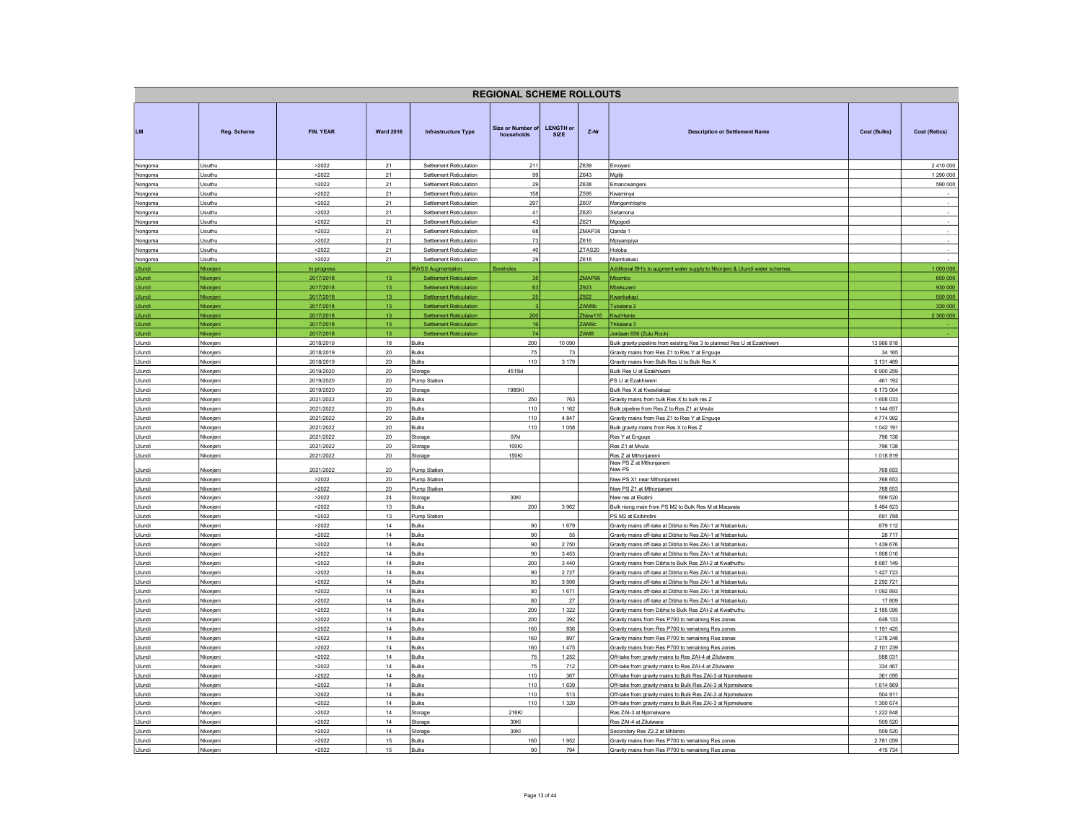| <b>REGIONAL SCHEME ROLLOUTS</b> |                      |                        |                       |                                                                  |                                 |                                                                                    |                   |                                                                                                                            |                            |                    |  |
|---------------------------------|----------------------|------------------------|-----------------------|------------------------------------------------------------------|---------------------------------|------------------------------------------------------------------------------------|-------------------|----------------------------------------------------------------------------------------------------------------------------|----------------------------|--------------------|--|
| <b>LM</b>                       | Reg. Scheme          | FIN. YEAR              | <b>Ward 2016</b>      | <b>Infrastructure Type</b>                                       | Size or Number of<br>households | <b>LENGTH or</b><br>$Z-Nr$<br><b>Description or Settlement Name</b><br><b>SIZE</b> |                   | Cost (Bulks)                                                                                                               | <b>Cost (Retics)</b>       |                    |  |
| Nongoma                         | Usuthu               | >2022                  | 21                    | Settlement Reticulation                                          | 211                             |                                                                                    | Z639              | Emoyeni                                                                                                                    |                            | 2 4 10 000         |  |
| Nongoma                         | Jsuthu               | >2022                  | 21                    | Settlement Reticulation                                          | 99                              |                                                                                    | Z643              | Mgiliji                                                                                                                    |                            | 1 290 000          |  |
| Nongoma<br>Nongoma              | Isuthu<br>Jsuthu     | >2022<br>>2022         | 21<br>21              | Settlement Reticulation<br>Settlement Reticulation               | 29<br>158                       |                                                                                    | 7638<br>Z595      | Emancwangeni<br>Kwaminya                                                                                                   |                            | 590 000            |  |
| Nongoma                         | Jsuthu               | >2022                  | 21                    | Settlement Reticulation                                          | 297                             |                                                                                    | Z607              | Mangomhlophe                                                                                                               |                            | $\sim$             |  |
| Nongoma                         | Jsuthu               | >2022                  | 21                    | Settlement Reticulation                                          | 41                              |                                                                                    | Z620              | Sefamona                                                                                                                   |                            | $\sim$             |  |
| Nongoma                         | Usuthu               | >2022                  | 21                    | Settlement Reticulation                                          | 43                              |                                                                                    | Z621              | Mgogodi                                                                                                                    |                            | $\sim$             |  |
| Nongoma                         | Usuthu               | >2022                  | 21                    | Settlement Reticulation                                          | 68                              |                                                                                    | ZMAP36            | Qanda 1                                                                                                                    |                            | $\sim$             |  |
| Nongoma<br>Nongoma              | Jsuthu<br>Jsuthu     | >2022<br>>2022         | 21<br>21              | Settlement Reticulation<br>Settlement Reticulation               | 73<br>40                        |                                                                                    | Z616<br>ZTAS20    | Mpiyampiya<br>Holoba                                                                                                       |                            | $\cdot$            |  |
| Nongoma                         | Usuthu               | >2022                  | 21                    | Settlement Reticulation                                          | 29                              |                                                                                    | 7618              | Ntambakas                                                                                                                  |                            |                    |  |
| Ulundi                          | Nkonjeni             | In progress            |                       | <b>RWSS Augmentation</b>                                         | Boreholes                       |                                                                                    |                   | Additional BH's to augment water supply to Nkonjeni & Ulundi water schemes                                                 |                            | 1 000 000          |  |
| Ulundi                          | Nkonjeni             | 2017/2018              | 13                    | <b>Settlement Reticulation</b>                                   | 35                              |                                                                                    | ZMAP96            | Mbombo                                                                                                                     |                            | 650 000            |  |
| Ulundi                          | Nkonjeni             | 2017/2018              | 13                    | <b>Settlement Reticulation</b>                                   | 63                              |                                                                                    | Z923              | Mbekuzeni                                                                                                                  |                            | 930 000            |  |
| Ulundi<br>Ulundi                | Nkonjeni<br>Nkonjeni | 2017/2018<br>2017/2018 | 13<br>13              | <b>Settlement Reticulation</b><br><b>Settlement Reticulation</b> | 25                              |                                                                                    | Z922<br>ZAM9b     | Kwankakazi<br>Tukelana <sub>2</sub>                                                                                        |                            | 550 000<br>330 000 |  |
| Ulundi                          | Nkonjeni             | 2017/2018              | 13                    | <b>Settlement Reticulation</b>                                   | 200                             |                                                                                    | ZNew115           | Kwa'Henie                                                                                                                  |                            | 2 300 000          |  |
| <b>Ulundi</b>                   | Nkonjeni             | 2017/2018              | 13                    | <b>Settlement Reticulation</b>                                   | 16                              |                                                                                    | ZAM <sub>90</sub> | Thkelana 3                                                                                                                 |                            |                    |  |
| Ulundi                          | Nkonieni             | 2017/2018              | 13                    | <b>Settlement Reticulation</b>                                   | 74                              |                                                                                    | <b>RMA7</b>       | Jordaan 656 (Zulu Rock)                                                                                                    |                            |                    |  |
| Ulundi<br>Ulundi                | Nkonjeni<br>Nkonjeni | 2018/2019<br>2018/2019 | 18<br>$20\,$          | <b>Bulks</b><br><b>Bulks</b>                                     | 200<br>75                       | 10 090<br>73                                                                       |                   | Bulk gravity pipeline from existing Res 3 to planned Res U at Ezakhiweni<br>Gravity mains from Res Z1 to Res Y at Enguqe   | 13 966 818<br>34 165       |                    |  |
| Ulundi                          | Nkonieni             | 2018/2019              | 20                    | <b>Bulks</b>                                                     | 110                             | 3 1 7 9                                                                            |                   | Gravity mains from Bulk Res U to Bulk Res X                                                                                | 3 131 469                  |                    |  |
| Ulundi                          | Nkonjeni             | 2019/2020              | 20                    | Storage                                                          | 4515kl                          |                                                                                    |                   | Bulk Res U at Ezakhiweni                                                                                                   | 6 900 259                  |                    |  |
| Ulundi                          | Nkonjeni             | 2019/2020              | $20\,$                | Pump Station                                                     |                                 |                                                                                    |                   | PS U at Ezakhiweni                                                                                                         | 461 192                    |                    |  |
| Ulundi                          | Nkonjeni             | 2019/2020              | 20                    | Storage                                                          | 1985KI                          |                                                                                    |                   | Bulk Res X at Kwavilakazi                                                                                                  | 6 173 004                  |                    |  |
| Ulundi<br>Ulundi                | Nkonjeni<br>Nkonjeni | 2021/2022<br>2021/2022 | 20<br>$20\,$          | <b>Bulks</b><br>Bulks                                            | 250<br>110                      | 763<br>1 1 6 2                                                                     |                   | Gravity mains from bulk Res X to bulk res Z<br>Bulk pipeline from Res Z to Res Z1 at Mvula                                 | 1 608 033<br>1 144 657     |                    |  |
| Ulundi                          | Nkonjeni             | 2021/2022              | 20                    | <b>Bulks</b>                                                     | 110                             | 4 8 4 7                                                                            |                   | Gravity mains from Res Z1 to Res Y at Enguge                                                                               | 4 774 992                  |                    |  |
| Ulundi                          | Nkonjeni             | 2021/2022              | 20 <sup>°</sup>       | Bulks                                                            | 110                             | 1058                                                                               |                   | Bulk gravity mains from Res X to Res Z                                                                                     | 1 042 191                  |                    |  |
| Ulundi                          | Nkonjeni             | 2021/2022              | 20                    | Storage                                                          | 97kl                            |                                                                                    |                   | Res Y at Enguge                                                                                                            | 796 138                    |                    |  |
| Ulundi<br>Ulundi                | Nkonjeni<br>Nkonjeni | 2021/2022<br>2021/2022 | $20\,$<br>$20\,$      | Storage<br>Storage                                               | 100KI<br>150KI                  |                                                                                    |                   | Res Z1 at Mvula<br>Res Z at Mthonjaneni                                                                                    | 796 138<br>1018819         |                    |  |
|                                 |                      |                        |                       |                                                                  |                                 |                                                                                    |                   | New PS Z at Mthonjaneni                                                                                                    |                            |                    |  |
| Ulundi                          | Nkonjeni             | 2021/2022<br>>2022     | 20                    | Pump Station                                                     |                                 |                                                                                    |                   | New PS                                                                                                                     | 768 653                    |                    |  |
| Ulundi<br>Ulundi                | Nkonjeni<br>Nkonjeni | >2022                  | $20\degree$<br>$20\,$ | <b>Pump Station</b><br><b>Pump Station</b>                       |                                 |                                                                                    |                   | New PS X1 near Mthonjaneni<br>New PS Z1 at Mthonjaneni                                                                     | 768 653<br>768 653         |                    |  |
| Ulundi                          | Nkonjeni             | >2022                  | 24                    | Storage                                                          | 30KI                            |                                                                                    |                   | New res at Ekatini                                                                                                         | 509 520                    |                    |  |
| Ulundi                          | Nkonjeni             | >2022                  | 13                    | Bulks                                                            | 200                             | 3962                                                                               |                   | Bulk rising main from PS M2 to Bulk Res M at Maqwata                                                                       | 5484823                    |                    |  |
| Ulundi                          | Nkonjeni             | >2022                  | 13                    | <b>Pump Station</b>                                              |                                 |                                                                                    |                   | PS M2 at Esibindini                                                                                                        | 691 788                    |                    |  |
| Ulundi<br>Ulundi                | Nkonjeni             | >2022<br>>2022         | 14<br>14              | <b>Bulks</b>                                                     | 90<br>90                        | 1679<br>55                                                                         |                   | Gravity mains off-take at Dibha to Res ZAI-1 at Ntabankulu                                                                 | 879 112<br>28 717          |                    |  |
| Ulundi                          | Nkonjeni<br>Nkonjeni | >2022                  | 14                    | <b>Bulks</b><br><b>Bulks</b>                                     | 90                              | 2750                                                                               |                   | Gravity mains off-take at Dibha to Res ZAI-1 at Ntabankulu<br>Gravity mains off-take at Dibha to Res ZAI-1 at Ntabankulu   | 1439676                    |                    |  |
| Ulundi                          | Nkonjeni             | >2022                  | 14                    | Bulks                                                            | 90                              | 3453                                                                               |                   | Gravity mains off-take at Dibha to Res ZAI-1 at Ntabankulu                                                                 | 1808 016                   |                    |  |
| Ulundi                          | Nkonjeni             | >2022                  | 14                    | <b>Bulks</b>                                                     | 200                             | 3 4 4 0                                                                            |                   | Gravity mains from Dibha to Bulk Res ZAI-2 at Kwathuthu                                                                    | 5 687 149                  |                    |  |
| Ulundi                          | Nkonjeni             | >2022                  | 14                    | <b>Bulks</b>                                                     | 90                              | 2727                                                                               |                   | Gravity mains off-take at Dibha to Res ZAI-1 at Ntabankulu                                                                 | 1 427 723                  |                    |  |
| Ulundi<br>Ulundi                | Nkonjeni<br>Nkonjeni | >2022<br>>2022         | 14<br>14              | <b>Bulks</b><br><b>Bulks</b>                                     | 80<br>80                        | 3506<br>1671                                                                       |                   | Gravity mains off-take at Dibha to Res ZAI-1 at Ntabankulu<br>Gravity mains off-take at Dibha to Res ZAI-1 at Ntabankulu   | 2 2 9 2 7 2 1<br>1 092 893 |                    |  |
| Ulundi                          | Nkonjeni             | >2022                  | 14                    | <b>Bulks</b>                                                     | 80                              | $27\,$                                                                             |                   | Gravity mains off-take at Dibha to Res ZAI-1 at Ntabankulu                                                                 | 17 809                     |                    |  |
| Ulundi                          | Nkonjeni             | >2022                  | 14                    | <b>Bulks</b>                                                     | 200                             | 1 3 2 2                                                                            |                   | Gravity mains from Dibha to Bulk Res ZAI-2 at Kwathuthu                                                                    | 2 185 095                  |                    |  |
| Ulundi                          | Nkonjeni             | >2022                  | 14                    | <b>Bulks</b>                                                     | 200                             | 392                                                                                |                   | Gravity mains from Res P700 to remaining Res zones                                                                         | 648 133                    |                    |  |
| Ulundi<br>Ulundi                | Nkonjeni<br>Nkonjeni | >2022<br>>2022         | 14<br>14              | Bulks<br><b>Bulks</b>                                            | 160<br>160                      | 836<br>897                                                                         |                   | Gravity mains from Res P700 to remaining Res zones<br>Gravity mains from Res P700 to remaining Res zones                   | 1 191 425<br>1 278 248     |                    |  |
| Ulundi                          | Nkonieni             | >2022                  | 14                    | <b>Bulks</b>                                                     | 160                             | 1475                                                                               |                   | Gravity mains from Res P700 to remaining Res zones                                                                         | 2 101 239                  |                    |  |
| Ulundi                          | Nkonjeni             | >2022                  | 14                    | <b>Bulks</b>                                                     | 75                              | 1 2 5 2                                                                            |                   | Off-take from gravity mains to Res ZAI-4 at Zilulwane                                                                      | 588 031                    |                    |  |
| Ulundi                          | Nkonjeni             | >2022                  | 14                    | <b>Bulks</b>                                                     | 75                              | 712                                                                                |                   | Off-take from gravity mains to Res ZAI-4 at Zilulwane                                                                      | 334 467                    |                    |  |
| Ulundi                          | Nkonjeni             | >2022                  | 14                    | Bulks                                                            | 110                             | 367                                                                                |                   | Off-take from gravity mains to Bulk Res ZAI-3 at Njomelwane                                                                | 361 095<br>1614869         |                    |  |
| Ulundi<br>Ulundi                | Nkonjeni<br>Nkonjeni | >2022<br>>2022         | 14<br>14              | Bulks<br><b>Bulks</b>                                            | 110<br>110                      | 1639<br>513                                                                        |                   | Off-take from gravity mains to Bulk Res ZAI-3 at Njomelwane<br>Off-take from gravity mains to Bulk Res ZAI-3 at Niomelwane |                            |                    |  |
| Ulundi                          | Nkonjeni             | >2022                  | 14                    | Bulks                                                            | 110                             | 1 3 2 0                                                                            |                   | Off-take from gravity mains to Bulk Res ZAI-3 at Njomelwane                                                                |                            |                    |  |
| Ulundi                          | Nkonjeni             | >2022                  | 14                    | Storage                                                          | 216KI                           |                                                                                    |                   | Res ZAI-3 at Niomelwane                                                                                                    |                            |                    |  |
| Ulundi                          | Nkonjeni             | >2022                  | 14                    | Storage                                                          | 30KI                            |                                                                                    |                   | Res ZAI-4 at Zilulwane                                                                                                     |                            |                    |  |
| Ulundi<br>Ulundi                | Vkonjeni<br>Nkonjeni | >2022<br>>2022         | 14<br>15              | Storage<br><b>Bulks</b>                                          | 30KI<br>160                     | 1952                                                                               |                   | Secondary Res Z2.2 at Mhlanini<br>Gravity mains from Res P700 to remaining Res zones                                       | 509 520<br>2 781 059       |                    |  |
| Ulundi                          | Nkonjeni             | >2022                  | 15                    | <b>Bulks</b>                                                     | 90                              | 794                                                                                |                   | Gravity mains from Res P700 to remaining Res zones                                                                         | 415 734                    |                    |  |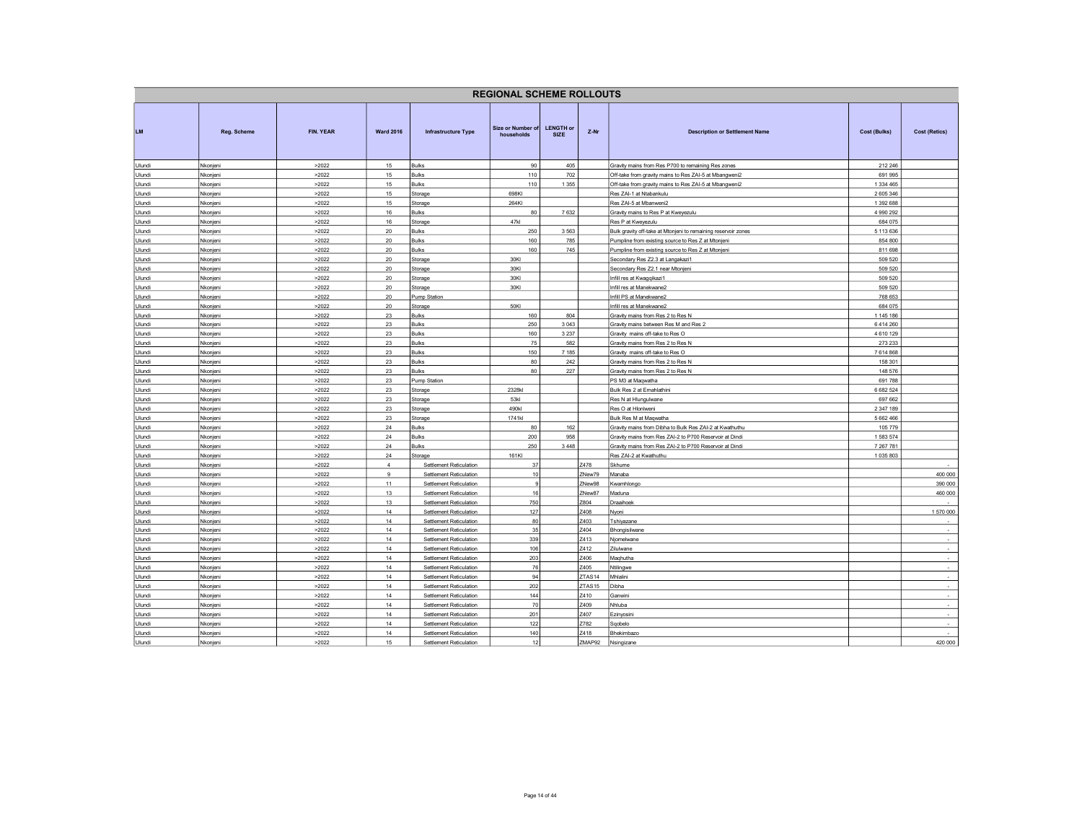| <b>REGIONAL SCHEME ROLLOUTS</b> |                      |                |                  |                                                    |                                 |                                 |                            |                                                                          |                        |                          |  |
|---------------------------------|----------------------|----------------|------------------|----------------------------------------------------|---------------------------------|---------------------------------|----------------------------|--------------------------------------------------------------------------|------------------------|--------------------------|--|
| LM.                             | Reg. Scheme          | FIN. YEAR      | <b>Ward 2016</b> | <b>Infrastructure Type</b>                         | Size or Number of<br>households | <b>LENGTH or</b><br><b>SIZE</b> | $Z-Nr$                     | <b>Description or Settlement Name</b>                                    | Cost (Bulks)           | <b>Cost (Retics)</b>     |  |
| Ulundi                          | Nkonjeni             | >2022          | 15               | Bulks                                              | 90                              | 405                             |                            | Gravity mains from Res P700 to remaining Res zones                       | 212 246                |                          |  |
| Ulundi                          | Nkonjeni             | >2022          | 15               | <b>Bulks</b>                                       | 110                             | 702                             |                            | Off-take from gravity mains to Res ZAI-5 at Mbangweni2                   | 691 995                |                          |  |
| Ulundi                          | Nkonjeni             | >2022          | 15               | Bulks                                              | 110                             | 1 3 5 5                         |                            | Off-take from gravity mains to Res ZAI-5 at Mbangweni2                   | 1 3 3 4 4 6 5          |                          |  |
| Ulundi                          | Nkonjeni             | >2022          | 15               | Storage                                            | 698KI                           |                                 |                            | Res ZAI-1 at Ntabankulu                                                  | 2 605 346              |                          |  |
| Ulundi<br>Ulundi                | Nkonjeni<br>Nkonjeni | >2022<br>>2022 | 15<br>16         | Storage<br>Bulks                                   | 264KI<br>80                     | 7632                            |                            | Res ZAI-5 at Mbanweni2<br>Gravity mains to Res P at Kweyezulu            | 1 392 688<br>4 990 292 |                          |  |
| Ulundi                          | Nkonjeni             | >2022          | 16               | Storage                                            | 47kl                            |                                 |                            | Res P at Kweyezulu                                                       | 684 075                |                          |  |
| Ulundi                          | Nkonjeni             | >2022          | 20               | Bulks                                              | 250                             | 3563                            |                            | Bulk gravity off-take at Mtonjeni to remaining reservoir zones           | 5 113 636              |                          |  |
| Ulundi                          | Nkonjeni             | >2022          | 20               | Bulks                                              | 160                             | 785                             |                            | Pumpline from existing source to Res Z at Mtonjeni                       | 854 800                |                          |  |
| Ulundi                          | Nkonjen              | >2022          | 20               | <b>Bulks</b>                                       | 160                             | 745                             |                            | Pumpline from existing source to Res Z at Mtonjeni                       | 811 698                |                          |  |
| Ulundi                          | Nkonjeni             | >2022          | 20               | Storage                                            | 30KI                            |                                 |                            | Secondary Res Z2.3 at Langakazi1                                         | 509 520                |                          |  |
| Ulundi                          | Nkonjeni             | >2022          | 20               | Storage                                            | 30KI                            |                                 |                            | Secondary Res Z2.1 near Mtonjeni                                         | 509 520                |                          |  |
| Ulundi                          | Nkonjeni             | >2022          | 20               | Storage                                            | 30KI                            |                                 |                            | Infill res at Kwagqikazi1                                                | 509 520                |                          |  |
| Ulundi                          | Nkonjen              | >2022          | 20               | Storage                                            | 30KI                            |                                 |                            | Infill res at Manekwane2                                                 | 509 520                |                          |  |
| Ulundi                          | Nkonjeni             | >2022          | 20               | Pump Station                                       |                                 |                                 |                            | Infill PS at Manekwane2                                                  | 768 653                |                          |  |
| Ulundi                          | Nkonjeni             | >2022          | 20               | Storage                                            | 50KI                            |                                 |                            | Infill res at Manekwane2                                                 | 684 075                |                          |  |
| Ulundi                          | Nkonjeni             | >2022          | 23               | Bulks                                              | 160                             | 804                             |                            | Gravity mains from Res 2 to Res N                                        | 1 145 186              |                          |  |
| Ulundi<br>Ulundi                | Nkonjeni<br>Nkonjeni | >2022<br>>2022 | 23<br>23         | Bulks<br>Bulks                                     | 250<br>160                      | 3043<br>3 2 3 7                 |                            | Gravity mains between Res M and Res 2<br>Gravity mains off-take to Res O | 6 414 260<br>4 610 129 |                          |  |
| Ulundi                          | Nkonjeni             | >2022          | 23               | <b>Bulks</b>                                       | 75                              | 582                             |                            | Gravity mains from Res 2 to Res N                                        | 273 233                |                          |  |
| Ulundi                          | Nkonjeni             | >2022          | 23               | <b>Bulks</b>                                       | 150                             | 7 185                           |                            | Gravity mains off-take to Res O                                          | 7614868                |                          |  |
| Ulundi                          | Nkonjeni             | >2022          | 23               | Bulks                                              | 80                              | 242                             |                            | Gravity mains from Res 2 to Res N                                        | 158 301                |                          |  |
| Ulundi                          | Nkonjeni             | >2022          | 23               | Bulks                                              | 80                              | 227                             |                            | Gravity mains from Res 2 to Res N                                        | 148 576                |                          |  |
| Ulundi                          | Nkonjeni             | >2022          | 23               | Pump Station                                       |                                 |                                 |                            | PS M3 at Magwatha                                                        | 691 788                |                          |  |
| Ulundi                          | Nkonjeni             | >2022          | 23               | Storage                                            | 2328kl                          |                                 |                            | Bulk Res 2 at Emahlathini                                                | 6 682 524              |                          |  |
| Ulundi                          | Nkonjen              | >2022          | 23               | Storage                                            | 53kl                            |                                 |                            | Res N at Hlungulwane                                                     | 697 662                |                          |  |
| Ulundi                          | Nkonjeni             | >2022          | 23               | Storage                                            | 490kl                           |                                 |                            | Res O at Hlonlweni                                                       | 2 347 189              |                          |  |
| Ulundi                          | Nkonjeni             | >2022          | 23               | Storage                                            | 1741kl                          |                                 |                            | Bulk Res M at Maqwatha                                                   | 5 662 466              |                          |  |
| Ulundi                          | Nkonjeni             | >2022          | 24               | Bulks                                              | 80                              | 162                             |                            | Gravity mains from Dibha to Bulk Res ZAI-2 at Kwathuthu                  | 105 779                |                          |  |
| Ulundi                          | Nkonjen              | >2022          | 24               | <b>Bulks</b>                                       | 200                             | 958                             |                            | Gravity mains from Res ZAI-2 to P700 Reservoir at Dindi                  | 1583574                |                          |  |
| Ulundi                          | Nkonjeni             | >2022          | 24               | Bulks                                              | 250<br>161KI                    | 3 4 4 8                         |                            | Gravity mains from Res ZAI-2 to P700 Reservoir at Dindi                  | 7 267 781              |                          |  |
| Ulundi<br>Ulundi                | Nkonjeni<br>Nkonjeni | >2022<br>>2022 | 24<br>4          | Storage<br>Settlement Reticulation                 | 37                              |                                 | Z478                       | Res ZAI-2 at Kwathuthu<br>Skhume                                         | 1035803                | $\sim$                   |  |
| Ulundi                          | Nkonjen              | >2022          | 9                | Settlement Reticulation                            | 10                              |                                 | ZNew79                     | Manaba                                                                   |                        | 400 000                  |  |
| Ulundi                          | Nkonjeni             | >2022          | 11               | Settlement Reticulation                            | 9                               |                                 | ZNew98                     | Kwamhlongo                                                               |                        | 390 000                  |  |
| Ulundi                          | Nkonjeni             | >2022          | 13               | Settlement Reticulation                            | 16                              |                                 | ZNew87                     | Maduna                                                                   |                        | 460 000                  |  |
| Ulundi                          | Nkonjeni             | >2022          | 13               | Settlement Reticulation                            | 750                             |                                 | Z804                       | Draaihoek                                                                |                        |                          |  |
| Ulundi                          | Nkonjen              | >2022          | 14               | Settlement Reticulation                            | 127                             |                                 | Z408                       | Nyoni                                                                    |                        | 1570000                  |  |
| Ulundi                          | Nkonjeni             | >2022          | 14               | Settlement Reticulation                            | 80                              |                                 | Z403                       | Tshiyazane                                                               |                        |                          |  |
| Ulundi                          | Nkonjeni             | >2022          | 14               | Settlement Reticulation                            | 35                              |                                 | Z404                       | Bhongisilwane                                                            |                        | $\sim$                   |  |
| Ulundi                          | Nkonjeni             | >2022          | 14               | Settlement Reticulation                            | 339                             |                                 | Z413                       | Njomelwane                                                               |                        | $\sim$                   |  |
| Ulundi                          | Nkonjen              | >2022          | 14               | Settlement Reticulation                            | 106                             |                                 | Z412                       | Zilulwane                                                                |                        | $\overline{\phantom{a}}$ |  |
| Ulundi                          | Nkonjeni             | >2022          | 14               | Settlement Reticulation                            | 203                             |                                 | Z406                       | Maghutha                                                                 |                        | $\sim$                   |  |
| Ulundi                          | Nkonjeni<br>Nkonjeni | >2022<br>>2022 | 14<br>14         | Settlement Reticulation<br>Settlement Reticulation | 76<br>94                        |                                 | Z405<br>ZTAS <sub>14</sub> | Ntilingwe<br>Mhlalini                                                    |                        | $\sim$                   |  |
| Ulundi<br>Ulundi                | Nkonjeni             | >2022          | 14               | Settlement Reticulation                            | 202                             |                                 |                            |                                                                          |                        | $\sim$<br>$\sim$         |  |
| Ulundi                          | Nkonjeni             | >2022          | 14               | Settlement Reticulation                            | 144                             |                                 | Z410                       | ZTAS15<br>Dibha                                                          |                        | $\sim$                   |  |
| Ulundi                          | Nkonjeni             | >2022          | 14               | Settlement Reticulation                            | 70                              |                                 | Ganwini<br>Z409<br>Nhluba  |                                                                          | $\sim$                 |                          |  |
| Ulundi                          | Nkonjeni             | >2022          | 14               | Settlement Reticulation                            | 201                             |                                 | Z407<br>Ezinyosini         |                                                                          | $\sim$                 |                          |  |
| Ulundi                          | Nkonjeni             | >2022          | 14               | <b>Settlement Reticulation</b>                     | 122                             |                                 | Z782<br>Sqobelo            |                                                                          | $\sim$                 |                          |  |
| Ulundi                          | Nkonjeni             | >2022          | 14               | Settlement Reticulation                            | 140                             |                                 | Z418                       | Bhekimbazo                                                               |                        | $\sim$                   |  |
| Ulundi                          | Nkonjeni             | >2022          | 15               | Settlement Reticulation                            | 12                              |                                 | ZMAP92                     | Nsingizane                                                               |                        | 420 000                  |  |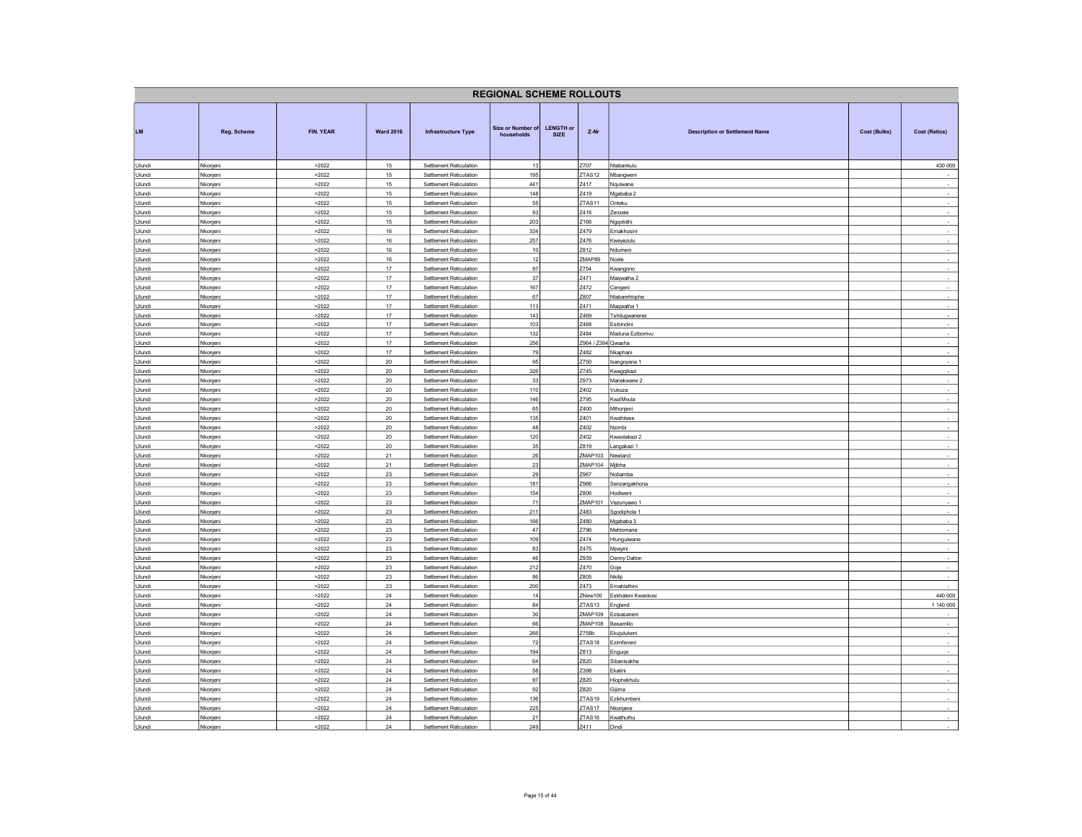| <b>REGIONAL SCHEME ROLLOUTS</b> |                      |                  |                   |                                                           |                                 |                                 |                                          |                                       |              |                                    |  |
|---------------------------------|----------------------|------------------|-------------------|-----------------------------------------------------------|---------------------------------|---------------------------------|------------------------------------------|---------------------------------------|--------------|------------------------------------|--|
| <b>LM</b>                       | Reg. Scheme          | <b>FIN. YEAR</b> | <b>Ward 2016</b>  | <b>Infrastructure Type</b>                                | Size or Number of<br>households | <b>LENGTH or</b><br><b>SIZE</b> | Z-Nr                                     | <b>Description or Settlement Name</b> | Cost (Bulks) | <b>Cost (Retics)</b>               |  |
| Ulundi                          | Nkonjeni             | >2022            | 15                | Settlement Reticulation                                   | 13                              |                                 | Z707                                     | Ntabankulu                            |              | 430 000                            |  |
| Ulundi<br>Ulundi                | Nkonjeni<br>Nkonjeni | >2022<br>>2022   | 15<br>15          | Settlement Reticulation<br>Settlement Reticulation        | 195<br>441                      |                                 | ZTAS <sub>12</sub><br>Z417               | Mbangweni                             |              |                                    |  |
| Ulundi                          | Nkonjeni             | >2022            | 15                | Settlement Reticulation                                   | 148                             |                                 | Z419                                     | Nqulwane<br>Mgababa 2                 |              | $\overline{\phantom{a}}$<br>$\sim$ |  |
| Ulundi                          | Nkonjeni             | >2022            | 15                | Settlement Reticulation                                   | 55                              |                                 | ZTAS <sub>11</sub>                       | Onteku                                |              | $\sim$                             |  |
| Ulundi                          | Nkonjeni             | >2022            | 15                | Settlement Reticulation                                   | 93                              |                                 | Z416                                     | Zenzele                               |              | $\sim$                             |  |
| Ulundi                          | Nkonjeni             | >2022            | 15                | Settlement Reticulation                                   | 203                             |                                 | Z166                                     | Ngqolothi                             |              |                                    |  |
| Ulundi<br>Ulundi                | Nkonjeni<br>Nkonjeni | >2022<br>>2022   | 16<br>16          | Settlement Reticulation<br>Settlement Reticulation        | 334<br>257                      |                                 | Z479<br>Z476                             | Emakhosini<br>Kweyezulu               |              | $\sim$<br>$\overline{\phantom{a}}$ |  |
| Ulundi                          | Nkonjeni             | >2022            | 16                | Settlement Reticulation                                   | 10                              |                                 | Z812                                     | Ndumeni                               |              | $\sim$                             |  |
| Ulundi                          | Nkonjeni             | >2022            | $16\,$            | Settlement Reticulation                                   | 12                              |                                 | ZMAP89                                   | Ncele                                 |              | $\mathcal{L}_{\mathcal{A}}$        |  |
| Ulundi                          | Nkonjeni             | >2022            | 17                | Settlement Reticulation                                   | 97                              |                                 | Z754                                     | Kwangono                              |              | $\sim$                             |  |
| Ulundi<br>Ulundi                | Nkonjeni<br>Nkonjeni | >2022<br>>2022   | 17<br>17          | Settlement Reticulation<br><b>Settlement Reticulation</b> | 37<br>167                       |                                 | Z471<br>Z472                             | Maqwatha 2<br>Cengeni                 |              |                                    |  |
| Ulundi                          | Nkonjeni             | >2022            | 17                | Settlement Reticulation                                   | 67                              |                                 | Z807                                     | Ntabamhlophe                          |              | $\sim$                             |  |
| Ulundi                          | Nkonjeni             | >2022            | 17                | Settlement Reticulation                                   | 113                             |                                 | Z471                                     | Maqwatha 1                            |              | $\overline{\phantom{a}}$           |  |
| Ulundi                          | Nkonjeni             | >2022            | 17                | Settlement Reticulation                                   | 143                             |                                 | Z469                                     | Tshilugwanenei                        |              | $\sim$                             |  |
| Ulundi                          | Nkonjeni             | >2022            | 17                | Settlement Reticulation                                   | 103                             |                                 | Z468                                     | Esibindini                            |              | $\sim$                             |  |
| Ulundi<br>Ulundi                | Nkonjeni<br>Nkonjeni | >2022<br>>2022   | 17<br>17          | Settlement Reticulation<br>Settlement Reticulation        | 132<br>256                      |                                 | Z484<br>Z964 / Z394 Qwasha               | Maduna Ezibomvu                       |              |                                    |  |
| Ulundi                          | Nkonjeni             | >2022            | 17                | Settlement Reticulation                                   | 79                              |                                 | Z482                                     | Nkaphani                              |              | $\sim$                             |  |
| Ulundi                          | Nkonjeni             | >2022            | 20                | Settlement Reticulation                                   | 95                              |                                 | Z750                                     | Isangoyana 1                          |              | $\sim$                             |  |
| Ulundi                          | Nkonjeni             | >2022            | 20                | Settlement Reticulation                                   | 326                             |                                 | Z745                                     | Kwagqikazi                            |              | $\sim$                             |  |
| Ulundi                          | Nkonjeni             | >2022            | 20                | Settlement Reticulation                                   | 33                              |                                 | Z973                                     | Manekwane 2                           |              | ÷<br>$\overline{\phantom{a}}$      |  |
| Ulundi<br>Ulundi                | Nkonjeni<br>Nkonjeni | >2022<br>>2022   | $20\,$<br>20      | Settlement Reticulation<br>Settlement Reticulation        | $110$<br>146                    |                                 | Z402<br>Z795                             | Vukuza<br>Kwa'Mvula                   |              | $\sim$                             |  |
| Ulundi                          | Nkonjeni             | >2022            | $20\,$            | Settlement Reticulation                                   | 65                              |                                 | Z400                                     | Mthonjeni                             |              |                                    |  |
| Ulundi                          | Nkonjeni             | >2022            | 20                | Settlement Reticulation                                   | 135                             |                                 | Z401                                     | Kwafolese                             |              | $\sim$                             |  |
| Ulundi                          | Nkonjeni             | >2022            | 20                | Settlement Reticulation                                   | 48                              |                                 | Z402                                     | Nzimbi                                |              | $\sim$                             |  |
| Ulundi<br>Ulundi                | Nkonjeni<br>Nkonjeni | >2022<br>>2022   | 20<br>$20\,$      | Settlement Reticulation<br>Settlement Reticulation        | 120<br>35                       |                                 | Z402<br>Z819                             | Kwavilakazi 2<br>Langakazi 1          |              |                                    |  |
| Ulundi                          | Nkonjeni             | >2022            | 21                | Settlement Reticulation                                   | 26                              |                                 | ZMAP103                                  | Newland                               |              | $\cdot$                            |  |
| Ulundi                          | Nkonjeni             | >2022            | 21                | Settlement Reticulation                                   | 23                              |                                 | <b>ZMAP104</b>                           | Mjibha                                |              |                                    |  |
| Ulundi                          | Nkonjeni             | >2022            | 23                | Settlement Reticulation                                   | 29                              |                                 | Z967                                     | Nobamba                               |              | $\sim$                             |  |
| Ulundi                          | Nkonjeni             | >2022            | 23                | Settlement Reticulation                                   | 181                             |                                 | Z966                                     | Senzangakhona                         |              | $\sim$                             |  |
| Ulundi<br>Ulundi                | Nkonjeni<br>Nkonjeni | >2022<br>>2022   | 23<br>$23\,$      | Settlement Reticulation<br>Settlement Reticulation        | 154<br>71                       |                                 | Z806<br>ZMAP101                          | Hodlweni<br>Vezunyawo 1               |              | $\overline{\phantom{a}}$           |  |
| Ulundi                          | Nkonjeni             | >2022            | 23                | Settlement Reticulation                                   | 211                             |                                 | Z483                                     | Sgodiphola 1                          |              |                                    |  |
| Ulundi                          | Nkonjeni             | >2022            | 23                | Settlement Reticulation                                   | 166                             |                                 | Z480                                     | Mgababa 3                             |              | $\sim$                             |  |
| Ulundi                          | Nkonjeni             | >2022            | 23                | Settlement Reticulation                                   | 47                              |                                 | Z796                                     | Mehlomane                             |              | $\sim$                             |  |
| Ulundi                          | Nkonjeni             | >2022            | 23                | Settlement Reticulation                                   | 109                             |                                 | Z474                                     | Hlungulwane                           |              | $\sim$                             |  |
| Ulundi<br>Ulundi                | Nkonjeni<br>Nkonjeni | >2022<br>>2022   | 23<br>23          | Settlement Reticulation<br>Settlement Reticulation        | 83<br>46                        |                                 | Z475<br>Z939                             | Mpayini<br>Denny Dalton               |              | $\sim$                             |  |
| Ulundi                          | Nkonjeni             | >2022            | 23                | Settlement Reticulation                                   | 212                             |                                 | Z470                                     | Goje                                  |              | $\sim$                             |  |
| Ulundi                          | Nkonjeni             | >2022            | 23                | Settlement Reticulation                                   | 86                              |                                 | Z805                                     | Nkiliji                               |              | $\sim$                             |  |
| Ulundi                          | Nkonjeni             | >2022            | 23                | Settlement Reticulation                                   | 200                             |                                 | Z473                                     | Emahlathini                           |              | $\sim$                             |  |
| Ulundi<br>Ulundi                | Nkonjeni<br>Nkonjeni | >2022<br>>2022   | 24<br>24          | Settlement Reticulation<br>Settlement Reticulation        | 14<br>84                        |                                 | ZNew100<br>ZTAS13                        | Eskhaleni Kwankosi                    |              | 440 000<br>1 140 000               |  |
| Ulundi                          | Nkonjeni             | >2022            | 24                | Settlement Reticulation                                   | 30                              |                                 | ZMAP109                                  | England<br>Ezisasaneni                |              |                                    |  |
| Ulundi                          | Nkonjeni             | >2022            | $\bf 24$          | Settlement Reticulation                                   | 66                              |                                 | ZMAP108                                  | Basamlilo                             |              | $\sim$                             |  |
| Ulundi                          | Nkonjeni             | >2022            | 24                | Settlement Reticulation                                   | 266                             |                                 | Z758b                                    | Ekujulukeni                           |              | $\sim$                             |  |
| Ulundi                          | Nkonjeni             | >2022            | $24\,$            | Settlement Reticulation                                   | 72                              |                                 | ZTAS <sub>18</sub>                       | Ezimfeneni                            |              | $\sim$                             |  |
| Ulundi<br>Ulundi                | Nkonjeni<br>Nkonjeni | >2022<br>>2022   | 24<br>24          | Settlement Reticulation<br>Settlement Reticulation        | 194<br>64                       |                                 | Z813<br>Z820                             | Enguqe<br>Sibanisakhe                 |              | $\overline{a}$<br>$\sim$           |  |
| Ulundi                          | Nkonjeni             | >2022            | $24\,$            | Settlement Reticulation                                   | 58                              |                                 | 7398                                     | Ekatini                               |              | $\sim$                             |  |
| Ulundi                          | Nkonjeni             | >2022            | 24                | Settlement Reticulation                                   | 97                              |                                 | Z820                                     | Hlophekhulu                           |              |                                    |  |
| Ulundi                          | Nkonjeni             | >2022            | $\bf 24$          | Settlement Reticulation                                   | 92                              |                                 | Z820                                     | Gijima                                |              | $\sim$                             |  |
| Ulundi                          | Nkonjeni             | >2022            | $24\,$            | Settlement Reticulation                                   | 136                             |                                 | ZTAS19                                   | Ezikhumbeni                           |              | $\sim$                             |  |
| Ulundi<br>Ulundi                | Nkonjen<br>Nkonjeni  | >2022<br>>2022   | 24<br>$\sqrt{24}$ | Settlement Reticulation<br>Settlement Reticulation        | 225<br>21                       |                                 | ZTAS <sub>17</sub><br>ZTAS <sub>16</sub> | Nkonjane<br>Kwathuthu                 |              | $\overline{\phantom{a}}$           |  |
| Ulundi                          | Nkonieni             | >2022            | 24                | Settlement Reticulation                                   | 249                             |                                 | Z411                                     | Dindi                                 |              |                                    |  |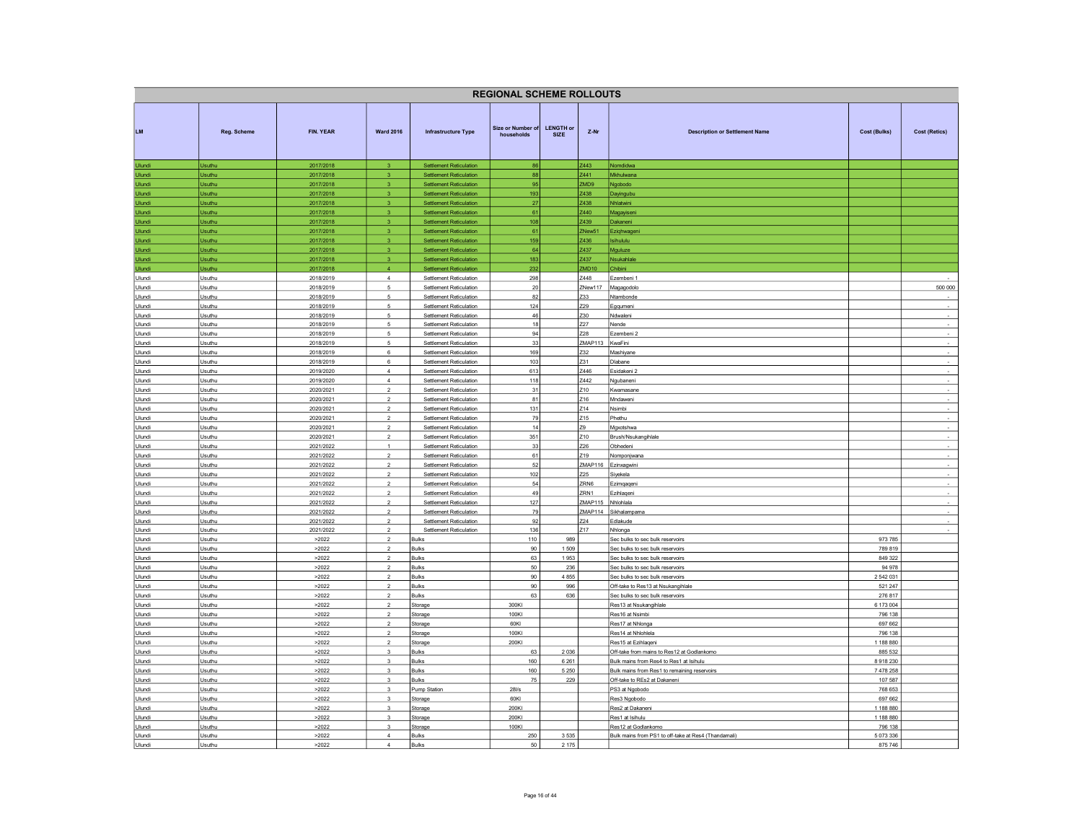| <b>REGIONAL SCHEME ROLLOUTS</b> |                                |                        |                                         |                                                                  |                                 |                                                                                  |                                 |                                                                      |                      |                                                      |  |
|---------------------------------|--------------------------------|------------------------|-----------------------------------------|------------------------------------------------------------------|---------------------------------|----------------------------------------------------------------------------------|---------------------------------|----------------------------------------------------------------------|----------------------|------------------------------------------------------|--|
| <b>LM</b>                       | Reg. Scheme                    | FIN. YEAR              | <b>Ward 2016</b>                        | <b>Infrastructure Type</b>                                       | Size or Number of<br>households | <b>LENGTH or</b><br>Z-Nr<br><b>Description or Settlement Name</b><br><b>SIZE</b> |                                 | Cost (Bulks)                                                         | <b>Cost (Retics)</b> |                                                      |  |
| Ulundi                          | <b>Jsuthu</b>                  | 2017/2018              |                                         | <b>Settlement Reticulation</b>                                   | 86                              |                                                                                  | Z443                            | Nomdidwa                                                             |                      |                                                      |  |
| Ulundi                          | <b>Jsuthu</b><br>Jsuthu        | 2017/2018              | 3<br>$\mathbf{3}$                       | <b>Settlement Reticulation</b>                                   | 88<br>95                        |                                                                                  | Z441<br><b>POMS</b>             | Mkhulwana                                                            |                      |                                                      |  |
| Ulundi<br>Ulundi                | Jsuthu                         | 2017/2018<br>2017/2018 | 3                                       | <b>Settlement Reticulation</b><br><b>Settlement Reticulation</b> | 193                             |                                                                                  | Z438                            | Ngobodo<br>Dayingubu                                                 |                      |                                                      |  |
| Ulundi                          | Usuthu                         | 2017/2018              | $\overline{\mathbf{3}}$                 | <b>Settlement Reticulation</b>                                   | 27                              |                                                                                  | Z438                            | Nhlatwini                                                            |                      |                                                      |  |
| Ulundi                          | Usuthu                         | 2017/2018              | $\overline{3}$                          | <b>Settlement Reticulation</b>                                   | 61                              |                                                                                  | Z440                            | Magayiseni                                                           |                      |                                                      |  |
| Ulundi                          | Usuthu                         | 2017/2018              | $\mathbf{3}$                            | <b>Settlement Reticulation</b>                                   | 108                             |                                                                                  | Z439                            | Dakaneni                                                             |                      |                                                      |  |
| Ulundi                          | Usuthu                         | 2017/2018              | $\mathbf{R}$                            | <b>Settlement Reticulation</b>                                   | 61                              |                                                                                  | ZNew51                          | Eziqhwagen                                                           |                      |                                                      |  |
| Ulundi<br>Ulundi                | <b>Jsuthu</b><br><b>Jsuthu</b> | 2017/2018<br>2017/2018 | $\overline{3}$<br>$\mathbf{3}$          | <b>Settlement Reticulation</b><br><b>Settlement Reticulation</b> | 159<br>64                       |                                                                                  | Z436<br>Z437                    | <b>Isihululu</b><br>Mauluze                                          |                      |                                                      |  |
| Ulundi                          | <b>Jsuthu</b>                  | 2017/2018              | 3                                       | <b>Settlement Reticulation</b>                                   | 183                             |                                                                                  | Z437                            | Nsukahlale                                                           |                      |                                                      |  |
| Ulundi                          | Jsuthu                         | 2017/2018              | $\overline{4}$                          | <b>Settlement Reticulation</b>                                   | 232                             |                                                                                  | ZMD10                           | Chibini                                                              |                      |                                                      |  |
| Ulundi                          | Usuthu                         | 2018/2019              | $\overline{4}$                          | Settlement Reticulation                                          | 298                             |                                                                                  | Z448                            | Ezembeni 1                                                           |                      |                                                      |  |
| Ulundi                          | Usuthu                         | 2018/2019              | $5\phantom{.0}$                         | Settlement Reticulation                                          | 20                              |                                                                                  | ZNew117                         | Magagodolo                                                           |                      | 500 000                                              |  |
| Ulundi                          | Usuthu                         | 2018/2019              | $\overline{5}$                          | Settlement Reticulation                                          | 82                              |                                                                                  | Z33                             | Ntambonde                                                            |                      |                                                      |  |
| Ulundi                          | Usuthu                         | 2018/2019              | $\overline{5}$                          | Settlement Reticulation                                          | 124                             |                                                                                  | Z29                             | Egqumeni                                                             |                      | $\sim$                                               |  |
| Ulundi<br>Ulundi                | Jsuthu<br>Jsuthu               | 2018/2019<br>2018/2019 | 5<br>5                                  | Settlement Reticulation<br>Settlement Reticulation               | 46<br>18                        |                                                                                  | Z30<br>Z27                      | Ndwaleni<br>Nende                                                    |                      | $\overline{\phantom{a}}$<br>$\overline{\phantom{a}}$ |  |
| Ulundi                          | Jsuthu                         | 2018/2019              | 5                                       | Settlement Reticulation                                          | 94                              |                                                                                  | Z28                             | Ezembeni 2                                                           |                      | $\overline{\phantom{a}}$                             |  |
| Ulundi                          | Jsuthu                         | 2018/2019              | 5                                       | Settlement Reticulation                                          | 33                              |                                                                                  | ZMAP113                         | KwaFini                                                              |                      | $\cdot$                                              |  |
| Ulundi                          | Jsuthu                         | 2018/2019              | 6                                       | Settlement Reticulation                                          | 169                             |                                                                                  | 732                             | Mashiyane                                                            |                      | $\sim$                                               |  |
| Ulundi                          | Jsuthu                         | 2018/2019              | 6                                       | Settlement Reticulation                                          | 103                             |                                                                                  | Z31                             | Dlabane                                                              |                      | $\sim$                                               |  |
| Ulundi                          | Usuthu                         | 2019/2020              | $\overline{4}$                          | Settlement Reticulation                                          | 613                             |                                                                                  | Z446                            | Esidakeni 2                                                          |                      | $\sim$                                               |  |
| Ulundi<br>Ulundi                | Usuthu<br>Usuthu               | 2019/2020<br>2020/2021 | $\overline{4}$<br>$\overline{2}$        | Settlement Reticulation<br>Settlement Reticulation               | 118<br>31                       |                                                                                  | Z442<br>710                     | Ngubaneni<br>Kwamasane                                               |                      | $\sim$<br>$\sim$                                     |  |
| Ulundi                          | Jsuthu                         | 2020/2021              | $\overline{2}$                          | Settlement Reticulation                                          | 81                              |                                                                                  | Z16                             | Mndaweni                                                             |                      |                                                      |  |
| Ulundi                          | Jsuthu                         | 2020/2021              | $\overline{2}$                          | Settlement Reticulation                                          | $131$                           |                                                                                  | Z14                             | Nsimbi                                                               |                      | ×,                                                   |  |
| Ulundi                          | Jsuthu                         | 2020/2021              | $\overline{\phantom{a}}$                | Settlement Reticulation                                          | 79                              |                                                                                  | Z <sub>15</sub>                 | Phethu                                                               |                      | ÷                                                    |  |
| Ulundi                          | Usuthu                         | 2020/2021              | $\sqrt{2}$                              | Settlement Reticulation                                          | 14                              |                                                                                  | <b>Z9</b>                       | Mgxotshwa                                                            |                      | $\sim$                                               |  |
| Ulundi                          | Usuthu                         | 2020/2021              | $\overline{2}$                          | Settlement Reticulation                                          | 351                             |                                                                                  | Z10                             | Brush/Nsukangihlale                                                  |                      |                                                      |  |
| Ulundi<br>Ulundi                | Usuthu<br>Usuthu               | 2021/2022<br>2021/2022 | $\overline{1}$<br>$\overline{2}$        | <b>Settlement Reticulation</b><br>Settlement Reticulation        | 33<br>61                        |                                                                                  | Z26<br>Z19                      | Obhedeni<br>Nomponjwana                                              |                      | $\sim$<br>$\sim$                                     |  |
| Ulundi                          | Usuthu                         | 2021/2022              | $\overline{2}$                          | Settlement Reticulation                                          | 52                              |                                                                                  | ZMAP116                         | Ezinxagwini                                                          |                      | $\sim$                                               |  |
| Ulundi                          | Jsuthu                         | 2021/2022              | $\mathcal{L}$                           | <b>Settlement Reticulation</b>                                   | 102                             |                                                                                  | Z25                             | Siyekela                                                             |                      |                                                      |  |
| Ulundi                          | Jsuthu                         | 2021/2022              | $\overline{2}$                          | Settlement Reticulation                                          | 54                              |                                                                                  | ZRN6                            | Ezimqaqeni                                                           |                      | $\sim$                                               |  |
| Ulundi                          | Jsuthu                         | 2021/2022              | $\overline{2}$                          | Settlement Reticulation                                          | 49                              |                                                                                  | ZRN1                            | Ezihlageni                                                           |                      | ÷,                                                   |  |
| Ulundi<br>Ulundi                | Jsuthu<br>Jsuthu               | 2021/2022<br>2021/2022 | $\overline{2}$<br>$\overline{2}$        | Settlement Reticulation<br>Settlement Reticulation               | 127<br>79                       |                                                                                  | ZMAP115<br>ZMAP114              | Nhlohlala<br>Sikhalampama                                            |                      | $\sim$                                               |  |
| Ulundi                          | Jsuthu                         | 2021/2022              | $\overline{2}$                          | Settlement Reticulation                                          | 92                              |                                                                                  | Z24                             | Edlakude                                                             |                      | $\sim$                                               |  |
| Ulundi                          | Jsuthu                         | 2021/2022              | $\overline{2}$                          | Settlement Reticulation                                          | 136                             |                                                                                  | Z17                             | Nhlonga                                                              |                      | $\sim$                                               |  |
| Ulundi                          | Usuthu                         | >2022                  | $\overline{2}$                          | Bulks                                                            | 110                             | 989                                                                              |                                 | Sec bulks to sec bulk reservoirs                                     | 973 785              |                                                      |  |
| Ulundi                          | Jsuthu                         | >2022                  | $\overline{2}$                          | Bulks                                                            | 90                              | 1509                                                                             |                                 | Sec bulks to sec bulk reservoirs                                     | 789 819              |                                                      |  |
| Ulundi                          | Jsuthu                         | >2022                  | $\mathcal{P}$<br>$\sqrt{2}$             | <b>Bulks</b><br><b>Bulks</b>                                     | 63<br>50                        | 1953<br>236                                                                      |                                 | Sec bulks to sec bulk reservoirs                                     | 849 322<br>94 978    |                                                      |  |
| Ulundi<br>Ulundi                | Jsuthu<br>Usuthu               | >2022<br>>2022         | $\sqrt{2}$                              | Bulks                                                            | 90                              | 4855                                                                             |                                 | Sec bulks to sec bulk reservoirs<br>Sec bulks to sec bulk reservoirs | 2 542 031            |                                                      |  |
| Ulundi                          | Jsuthu                         | >2022                  | $\overline{2}$                          | Bulks                                                            | 90                              | 996                                                                              |                                 | Off-take to Res13 at Nsukangihlale                                   | 521 247              |                                                      |  |
| Ulundi                          | Jsuthu                         | >2022                  | $\overline{2}$                          | Bulks                                                            | 63                              | 636                                                                              |                                 | Sec bulks to sec bulk reservoirs                                     | 276 817              |                                                      |  |
| Ulundi                          | Usuthu                         | >2022                  | $\sqrt{2}$                              | Storage                                                          | 300KI                           |                                                                                  |                                 | Res13 at Nsukangihlale                                               | 6 173 004            |                                                      |  |
| Ulundi                          | Usuthu                         | >2022                  | $\overline{2}$                          | Storage                                                          | 100KI                           |                                                                                  |                                 | Res16 at Nsimbi                                                      | 796 138              |                                                      |  |
| Ulundi                          | Usuthu                         | >2022                  | $\overline{2}$<br>$\mathcal{P}$         | Storage                                                          | 60KI                            |                                                                                  |                                 | Res17 at Nhlonga                                                     | 697 662              |                                                      |  |
| Ulundi<br>Ulundi                | Usuthu<br>Usuthu               | >2022<br>>2022         | $\mathcal{P}$                           | Storage<br>Storage                                               | 100KI<br>200KI                  |                                                                                  |                                 | Res14 at Nhiohlela<br>Res15 at Ezihlageni                            | 796 138<br>1 188 880 |                                                      |  |
| Ulundi                          | Jsuthu                         | >2022                  | $_{\rm 3}$                              | <b>Bulks</b>                                                     | 63                              | 2 0 3 6                                                                          |                                 | Off-take from mains to Res12 at Godlankomo                           | 885 532              |                                                      |  |
| Ulundi                          | Jsuthu                         | >2022                  | $\mathsf 3$                             | <b>Bulks</b>                                                     | 160                             | 6 2 6 1                                                                          |                                 | Bulk mains from Res4 to Res1 at Isihulu                              | 8918230              |                                                      |  |
| Ulundi                          | Isuthu                         | >2022                  | $\mathbf{3}$                            | <b>Bulks</b>                                                     | 160                             | 5 2 5 0                                                                          |                                 | Bulk mains from Res1 to remaining reservoirs                         | 7478258              |                                                      |  |
| Ulundi                          | Jsuthu                         | >2022                  | $\mathbf{3}$                            | Bulks                                                            | 75                              | 229                                                                              |                                 | Off-take to REs2 at Dakaneni                                         | 107 587              |                                                      |  |
| Ulundi                          | Usuthu                         | >2022                  | $_{\rm 3}$                              | <b>Pump Station</b>                                              | $28$ l/s                        |                                                                                  | PS3 at Ngobodo                  |                                                                      | 768 653              |                                                      |  |
| Ulundi<br><b>Ulundi</b>         | Jsuthu<br>Usuthu               | >2022<br>>2022         | $\overline{\mathbf{3}}$<br>$\mathbf{3}$ | Storage<br>Storage                                               | 60KI<br>200KI                   |                                                                                  | Res3 Ngobodo<br>Res2 at Dakanen |                                                                      | 697 662<br>1 188 880 |                                                      |  |
| Ulundi                          | Jsuthu                         | >2022                  | $\mathbf{3}$                            | Storage                                                          | 200KI                           |                                                                                  | Res1 at Isihulu                 |                                                                      | 1 188 880            |                                                      |  |
| Ulundi                          | Jsuthu                         | >2022                  | $\mathbf{3}$                            | Storage                                                          | 100KI                           |                                                                                  | Res12 at Godlankomo             |                                                                      | 796 138              |                                                      |  |
| Ulundi                          | Jsuthu                         | >2022                  | $\overline{4}$                          | <b>Bulks</b>                                                     | 250                             | 3535                                                                             |                                 | Bulk mains from PS1 to off-take at Res4 (Thandamali)                 | 5 073 336            |                                                      |  |
| Ulundi                          | Jsuthu                         | >2022                  | $\overline{4}$                          | <b>Bulks</b>                                                     | 50                              | 2 175                                                                            |                                 |                                                                      | 875 746              |                                                      |  |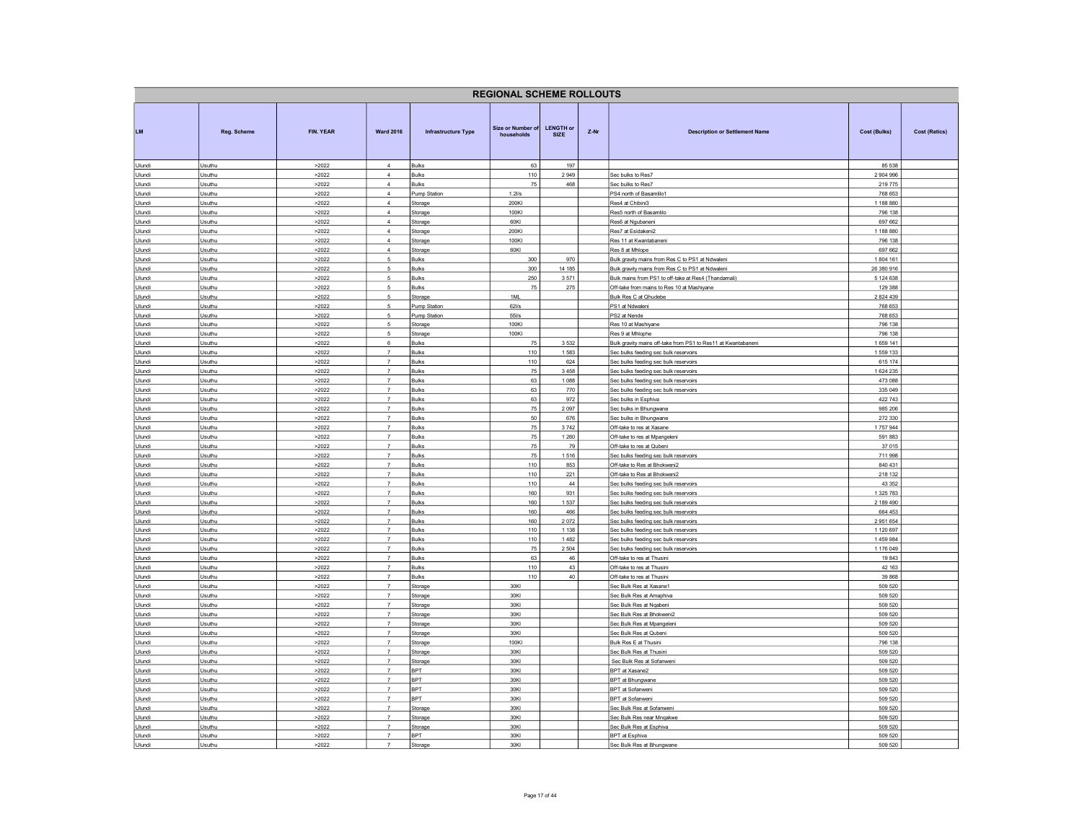|                  | <b>REGIONAL SCHEME ROLLOUTS</b> |                |                                        |                                |                                        |                                 |                                                      |                                                                                |                          |                      |  |
|------------------|---------------------------------|----------------|----------------------------------------|--------------------------------|----------------------------------------|---------------------------------|------------------------------------------------------|--------------------------------------------------------------------------------|--------------------------|----------------------|--|
| <b>LM</b>        | Reg. Scheme                     | FIN. YEAR      | <b>Ward 2016</b>                       | <b>Infrastructure Type</b>     | <b>Size or Number of</b><br>households | <b>LENGTH or</b><br><b>SIZE</b> | Z-Nr                                                 | <b>Description or Settlement Name</b>                                          | <b>Cost (Bulks)</b>      | <b>Cost (Retics)</b> |  |
| Ulundi           | Usuthu                          | >2022          | $\overline{4}$                         | <b>Bulks</b>                   | 63                                     | 197                             |                                                      |                                                                                | 85 538                   |                      |  |
| Ulundi<br>Ulundi | Jsuthu<br>Jsuthu                | >2022<br>>2022 | $\overline{4}$<br>$\overline{4}$       | <b>Bulks</b><br>Bulks          | 110<br>75                              | 2949<br>468                     |                                                      | Sec bulks to Res7<br>Sec bulks to Res7                                         | 2 904 996<br>219 775     |                      |  |
| Ulundi           | Jsuthu                          | >2022          | $\overline{4}$                         | Pump Station                   | 1.2Vs                                  |                                 |                                                      | PS4 north of Basamlilo1                                                        | 768 653                  |                      |  |
| Ulundi           | Usuthu                          | >2022          | $\overline{4}$                         | Storage                        | 200KI                                  |                                 |                                                      | Res4 at Chibini3                                                               | 1 188 880                |                      |  |
| Ulundi           | Jsuthu                          | >2022          | $\overline{4}$                         | Storage                        | 100KI                                  |                                 |                                                      | Res5 north of Basamlilo                                                        | 796 138                  |                      |  |
| Ulundi           | Usuthu                          | >2022          | $\overline{A}$                         | Storage                        | 60KI                                   |                                 |                                                      | Res6 at Ngubanen                                                               | 697 662                  |                      |  |
| Ulundi<br>Ulundi | Jsuthu<br>Jsuthu                | >2022<br>>2022 | $\overline{4}$<br>$\overline{4}$       | Storage<br>Storage             | 200KI<br>100KI                         |                                 |                                                      | Res7 at Esidakeni2<br>Res 11 at Kwantabaneni                                   | 1 188 880<br>796 138     |                      |  |
| Ulundi           | Jsuthu                          | >2022          | $\overline{4}$                         | Storage                        | 60KI                                   |                                 |                                                      | Res 8 at Mhlope                                                                | 697 662                  |                      |  |
| Ulundi           | Jsuthu                          | >2022          | 5                                      | <b>Bulks</b>                   | 300                                    | 970                             |                                                      | Bulk gravity mains from Res C to PS1 at Ndwaleni                               | 1804 161                 |                      |  |
| Ulundi           | Usuthu                          | >2022          | $\sqrt{5}$                             | <b>Bulks</b>                   | 300                                    | 14 185                          |                                                      | Bulk gravity mains from Res C to PS1 at Ndwaleni                               | 26 380 916               |                      |  |
| Ulundi           | Jsuthu                          | >2022          | $5\phantom{.0}$                        | <b>Bulks</b>                   | 250                                    | 3571                            |                                                      | Bulk mains from PS1 to off-take at Res4 (Thandamali)                           | 5 124 638                |                      |  |
| Ulundi           | Usuthu<br>Usuthu                | >2022          | 5<br>$\overline{5}$                    | <b>Bulks</b>                   | 75<br>1MI                              | 275                             |                                                      | Off-take from mains to Res 10 at Mashiyane<br>Bulk Res C at Ohudebe            | 129 388<br>2 8 2 4 4 3 9 |                      |  |
| Ulundi<br>Ulundi | Usuthu                          | >2022<br>>2022 | $\overline{5}$                         | Storage<br><b>Pump Station</b> | $62$ I/s                               |                                 |                                                      | PS1 at Ndwalen                                                                 | 768 653                  |                      |  |
| Ulundi           | Jsuthu                          | >2022          | 5                                      | Pump Station                   | $55$ I/s                               |                                 |                                                      | PS2 at Nende                                                                   | 768 653                  |                      |  |
| Ulundi           | Jsuthu                          | >2022          | 5                                      | Storage                        | 100KI                                  |                                 |                                                      | Res 10 at Mashiyane                                                            | 796 138                  |                      |  |
| Ulundi           | Jsuthu                          | >2022          | $\overline{5}$                         | Storage                        | 100KI                                  |                                 |                                                      | Res 9 at Mhlophe                                                               | 796 138                  |                      |  |
| Ulundi           | Jsuthu                          | >2022          | 6                                      | <b>Bulks</b>                   | 75                                     | 3532                            |                                                      | Bulk gravity mains off-take from PS1 to Res11 at Kwantabaneni                  | 1659 141                 |                      |  |
| Ulundi<br>Ulundi | Jsuthu<br>Jsuthu                | >2022<br>>2022 | $\overline{7}$<br>$\overline{7}$       | <b>Bulks</b><br><b>Bulks</b>   | 110<br>110                             | 1583<br>624                     |                                                      | Sec bulks feeding sec bulk reservoirs<br>Sec bulks feeding sec bulk reservoirs | 1559 133<br>615 174      |                      |  |
| Ulundi           | Usuthu                          | >2022          | $\overline{7}$                         | <b>Bulks</b>                   | 75                                     | 3458                            |                                                      | Sec bulks feeding sec bulk reservoirs                                          | 1 624 235                |                      |  |
| Ulundi           | Usuthu                          | >2022          | $\overline{7}$                         | <b>Bulks</b>                   | 63                                     | 1 0 8 8                         |                                                      | Sec bulks feeding sec bulk reservoirs                                          | 473 088                  |                      |  |
| Ulundi           | Usuthu                          | >2022          | $\overline{7}$                         | <b>Bulks</b>                   | 63                                     | 770                             |                                                      | Sec bulks feeding sec bulk reservoirs                                          | 335 049                  |                      |  |
| Ulundi           | Jsuthu                          | >2022          | $\overline{7}$                         | <b>Bulks</b>                   | 63                                     | 972                             |                                                      | Sec bulks in Esphiva                                                           | 422 743                  |                      |  |
| Ulundi<br>Ulundi | Jsuthu<br>Jsuthu                | >2022<br>>2022 | $\scriptstyle{7}$<br>$\scriptstyle{7}$ | <b>Bulks</b><br><b>Bulks</b>   | $75\,$<br>50                           | 2097<br>676                     |                                                      | Sec bulks in Bhungwane                                                         | 985 206<br>272 330       |                      |  |
| Ulundi           | Jsuthu                          | >2022          | $\overline{7}$                         | <b>Bulks</b>                   | 75                                     | 3742                            |                                                      | Sec bulks in Bhungwane<br>Off-take to res at Xasane                            | 1757944                  |                      |  |
| Ulundi           | Usuthu                          | >2022          | $\overline{7}$                         | <b>Bulks</b>                   | 75                                     | 1 2 6 0                         |                                                      | Off-take to res at Mpangeleni                                                  | 591 883                  |                      |  |
| Ulundi           | Usuthu                          | >2022          | $\overline{7}$                         | <b>Bulks</b>                   | 75                                     | 79                              |                                                      | Off-take to res at Qubeni                                                      | 37 015                   |                      |  |
| Ulundi           | Usuthu                          | >2022          | $\overline{7}$                         | <b>Bulks</b>                   | 75                                     | 1516                            |                                                      | Sec bulks feeding sec bulk reservoirs                                          | 711 998                  |                      |  |
| Ulundi           | Usuthu                          | >2022          | $\overline{7}$<br>$\overline{7}$       | <b>Bulks</b>                   | 110                                    | 853                             |                                                      | Off-take to Res at Bhokweni2                                                   | 840 431                  |                      |  |
| Ulundi<br>Ulundi | Jsuthu<br>Jsuthu                | >2022<br>>2022 | $\overline{7}$                         | <b>Bulks</b><br><b>Bulks</b>   | 110<br>$110$                           | 221<br>44                       |                                                      | Off-take to Res at Bhokweni2<br>Sec bulks feeding sec bulk reservoirs          | 218 132<br>43 3 5 2      |                      |  |
| Ulundi           | Jsuthu                          | >2022          | $\scriptstyle{7}$                      | <b>Bulks</b>                   | 160                                    | 931                             |                                                      | Sec bulks feeding sec bulk reservoirs                                          | 1 325 783                |                      |  |
| Ulundi           | Jsuthu                          | >2022          | $\scriptstyle{7}$                      | Bulks                          | 160                                    | 1537                            |                                                      | Sec bulks feeding sec bulk reservoirs                                          | 2 189 490                |                      |  |
| Ulundi           | Jsuthu                          | >2022          | $\overline{7}$                         | <b>Bulks</b>                   | 160                                    | 466                             |                                                      | Sec bulks feeding sec bulk reservoirs                                          | 664 453                  |                      |  |
| Ulundi           | <b>Jsuthu</b>                   | >2022          | $\overline{7}$                         | <b>Bulks</b>                   | 160                                    | 2072                            |                                                      | Sec bulks feeding sec bulk reservoirs                                          | 2 951 654                |                      |  |
| Ulundi<br>Ulundi | Usuthu<br>Usuthu                | >2022<br>>2022 | $\overline{7}$<br>$\overline{7}$       | Bulks<br>Bulks                 | 110<br>110                             | 1 1 3 8<br>1482                 |                                                      | Sec bulks feeding sec bulk reservoirs<br>Sec bulks feeding sec bulk reservoirs | 1 120 697<br>1459984     |                      |  |
| Ulundi           | Jsuthu                          | >2022          | $\overline{7}$                         | <b>Bulks</b>                   | 75                                     | 2504                            |                                                      | Sec bulks feeding sec bulk reservoirs                                          | 1 176 049                |                      |  |
| Ulundi           | Jsuthu                          | >2022          | $\overline{7}$                         | <b>Bulks</b>                   | 63                                     | 46                              |                                                      | Off-take to res at Thusini                                                     | 19 843                   |                      |  |
| Ulundi           | Jsuthu                          | >2022          | $\overline{7}$                         | <b>Bulks</b>                   | 110                                    | 43                              |                                                      | Off-take to res at Thusini                                                     | 42 163                   |                      |  |
| Ulundi           | Usuthu                          | >2022          | $\scriptstyle{7}$                      | <b>Bulks</b>                   | 110                                    | 40                              |                                                      | Off-take to res at Thusini                                                     | 39 868                   |                      |  |
| Ulundi           | Jsuthu                          | >2022          | $\scriptstyle{7}$                      | Storage                        | 30KI                                   |                                 |                                                      | Sec Bulk Res at Xasane1                                                        | 509 520                  |                      |  |
| Ulundi<br>Ulundi | Jsuthu<br>Jsuthu                | >2022<br>>2022 | $\overline{7}$<br>$\overline{7}$       | Storage<br>Storage             | 30KI<br>30KI                           |                                 |                                                      | Sec Bulk Res at Amaphiva<br>Sec Bulk Res at Nqabeni                            | 509 520<br>509 520       |                      |  |
| Ulundi           | Usuthu                          | >2022          | $\scriptstyle{7}$                      | Storage                        | 30KI                                   |                                 |                                                      | Sec Bulk Res at Bhokweni2                                                      | 509 520                  |                      |  |
| Ulundi           | Usuthu                          | >2022          | $\overline{7}$                         | Storage                        | 30KI                                   |                                 |                                                      | Sec Bulk Res at Mpangeleni                                                     | 509 520                  |                      |  |
| Ulundi           | Jsuthu                          | >2022          | $\overline{7}$                         | Storage                        | 30KI                                   |                                 |                                                      | Sec Bulk Res at Quben                                                          | 509 520                  |                      |  |
| Ulundi           | Jsuthu                          | >2022          | $\overline{7}$                         | Storage                        | 100KI                                  |                                 |                                                      | Bulk Res E at Thusini                                                          | 796 138                  |                      |  |
| Ulundi           | Jsuthu                          | >2022          | $\overline{7}$<br>$\overline{7}$       | Storage                        | 30KI                                   |                                 |                                                      | Sec Bulk Res at Thusini                                                        | 509 520                  |                      |  |
| Ulundi<br>Ulundi | Jsuthu<br>Isuthu                | >2022<br>>2022 | $\overline{7}$                         | Storage<br>BPT                 | 30KI<br>30KI                           |                                 |                                                      | Sec Bulk Res at Sofanweni                                                      | 509 520<br>509 520       |                      |  |
| Ulundi           | Jsuthu                          | >2022          | $\overline{7}$                         | <b>BPT</b>                     | 30KI                                   |                                 |                                                      | BPT at Xasane2<br>BPT at Bhungwane                                             |                          |                      |  |
| Ulundi           | Usuthu                          | >2022          | $\overline{7}$                         | BPT                            | 30KI                                   |                                 |                                                      | <b>BPT</b> at Sofanweni                                                        |                          |                      |  |
| Ulundi           | <b>Jsuthu</b>                   | >2022          | $\overline{7}$                         | BPT                            | 30KI                                   |                                 | 509 520<br>BPT at Sofanweni                          |                                                                                | 509 520                  |                      |  |
| <b>Ulundi</b>    | Usuthu                          | >2022          | $\overline{7}$                         | Storage                        | 30KI                                   |                                 | Sec Bulk Res at Sofanweni                            |                                                                                | 509 520                  |                      |  |
| Ulundi<br>Ulundi | Jsuthu<br>Jsuthu                | >2022          | $\overline{7}$<br>$\overline{7}$       | Storage                        | 30KI<br>30KI                           |                                 | Sec Bulk Res near Mngakwe<br>Sec Bulk Res at Esphiva |                                                                                | 509 520<br>509 520       |                      |  |
| Ulundi           | Jsuthu                          | >2022<br>>2022 | $\overline{7}$                         | Storage<br>BPT                 | 30KI                                   |                                 |                                                      | <b>BPT</b> at Esphiva                                                          | 509 520                  |                      |  |
| Ulundi           | Jsuthu                          | >2022          | $\overline{7}$                         | Storage                        | 30KI                                   |                                 |                                                      | Sec Bulk Res at Bhungwane                                                      | 509 520                  |                      |  |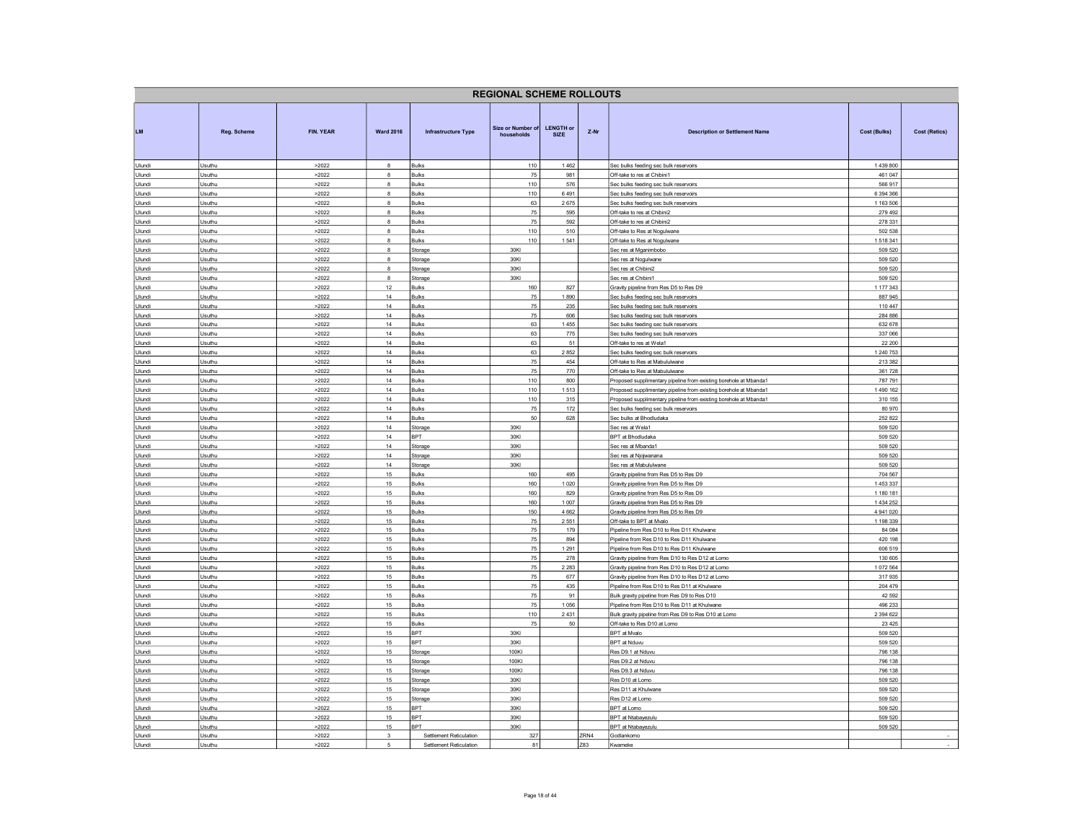|                  | <b>REGIONAL SCHEME ROLLOUTS</b> |                  |                         |                            |                                 |                                                                                    |      |                                                                                               |                      |  |  |
|------------------|---------------------------------|------------------|-------------------------|----------------------------|---------------------------------|------------------------------------------------------------------------------------|------|-----------------------------------------------------------------------------------------------|----------------------|--|--|
| <b>LM</b>        | <b>Rea. Scheme</b>              | <b>FIN. YEAR</b> | <b>Ward 2016</b>        | <b>Infrastructure Type</b> | Size or Number of<br>households | <b>LENGTH or</b><br>$Z-Nr$<br><b>Description or Settlement Name</b><br><b>SIZE</b> |      | <b>Cost (Bulks)</b>                                                                           | Cost (Retics)        |  |  |
| Ulundi           | Usuthu                          | >2022            | $\mathbf{a}$            | <b>Bulks</b>               | 110                             | 1462                                                                               |      | Sec bulks feeding sec bulk reservoirs                                                         | 1439800              |  |  |
| Ulundi           | Usuthu                          | >2022            | 8                       | <b>Bulks</b>               | 75                              | 981                                                                                |      | Off-take to res at Chibini1                                                                   | 461 047              |  |  |
| Ulundi<br>Ulundi | Usuthu<br>Usuthu                | >2022<br>>2022   | 8<br>8                  | <b>Bulks</b><br>Bulks      | 110<br>110                      | 576<br>6491                                                                        |      | Sec bulks feeding sec bulk reservoirs<br>Sec bulks feeding sec bulk reservoirs                | 566 917<br>6 394 366 |  |  |
| Ulundi           | Usuthu                          | >2022            | $\overline{\mathbf{8}}$ | Bulks                      | 63                              | 2675                                                                               |      | Sec bulks feeding sec bulk reservoirs                                                         | 1 163 506            |  |  |
| Ulundi           | Usuthu                          | >2022            | $\bf8$                  | Bulks                      | 75                              | 595                                                                                |      | Off-take to res at Chibini2                                                                   | 279 492              |  |  |
| Ulundi           | Usuthu                          | >2022            | $\mathbf{a}$            | <b>Bulks</b>               | 75                              | 592                                                                                |      | Off-take to res at Chibini2                                                                   | 278 331              |  |  |
| Ulundi           | Usuthu                          | >2022            | $\mathbf{R}$            | Bulks                      | 110                             | 510                                                                                |      | Off-take to Res at Nogulwane                                                                  | 502 538              |  |  |
| Ulundi           | Usuthu                          | >2022            | 8                       | <b>Bulks</b>               | 110                             | 1541                                                                               |      | Off-take to Res at Nogulwane                                                                  | 1518341              |  |  |
| Ulundi           | Usuthu                          | >2022            | $\mathbf{a}$            | Storage                    | 30KI                            |                                                                                    |      | Sec res at Mganimbobo                                                                         | 509 520              |  |  |
| Ulundi           | Usuthu                          | >2022            | 8<br>8                  | Storage                    | 30KI<br>30KI                    |                                                                                    |      | Sec res at Nogulwane                                                                          | 509 520<br>509 520   |  |  |
| Ulundi           | Usuthu                          | >2022            | 8                       | Storage                    |                                 |                                                                                    |      | Sec res at Chibini2<br>Sec res at Chibini1                                                    | 509 520              |  |  |
| Ulundi<br>Ulundi | Usuthu<br>Usuthu                | >2022<br>>2022   | 12                      | Storage<br>Bulks           | 30KI<br>160                     | 827                                                                                |      | Gravity pipeline from Res D5 to Res D9                                                        | 1 177 343            |  |  |
| Ulundi           | Usuthu                          | >2022            | 14                      | <b>Bulks</b>               | 75                              | 1890                                                                               |      | Sec bulks feeding sec bulk reservoirs                                                         | 887 945              |  |  |
| Ulundi           | Usuthu                          | >2022            | 14                      | <b>Bulks</b>               | 75                              | 235                                                                                |      | Sec bulks feeding sec bulk reservoirs                                                         | 110 447              |  |  |
| Ulundi           | Usuthu                          | >2022            | 14                      | <b>Bulks</b>               | 75                              | 606                                                                                |      | Sec bulks feeding sec bulk reservoirs                                                         | 284 886              |  |  |
| Ulundi           | Usuthu                          | >2022            | 14                      | Bulks                      | 63                              | 1455                                                                               |      | Sec bulks feeding sec bulk reservoirs                                                         | 632 678              |  |  |
| Ulundi           | Usuthu                          | >2022            | 14                      | <b>Bulks</b>               | 63                              | 775                                                                                |      | Sec bulks feeding sec bulk reservoirs                                                         | 337 066              |  |  |
| Ulundi           | Usuthu                          | >2022            | 14                      | <b>Bulks</b>               | 63                              | 51                                                                                 |      | Off-take to res at Wela1                                                                      | 22 200               |  |  |
| Ulundi           | Usuthu                          | >2022            | 14                      | Bulks                      | 63                              | 2852                                                                               |      | Sec bulks feeding sec bulk reservoirs                                                         | 1 240 753            |  |  |
| Ulundi<br>Ulundi | Usuthu<br>Usuthu                | >2022<br>>2022   | 14<br>14                | Bulks<br>Bulks             | 75<br>75                        | 454<br>770                                                                         |      | Off-take to Res at Mabululwane<br>Off-take to Res at Mabululwane                              | 213 382<br>361728    |  |  |
| Ulundi           | Usuthu                          | >2022            | 14                      | Bulks                      | 110                             | 800                                                                                |      | Proposed supplimentary pipeline from existing borehole at Mbanda1                             | 787 791              |  |  |
| Ulundi           | Usuthu                          | >2022            | 14                      | <b>Bulks</b>               | 110                             | 1513                                                                               |      | Proposed supplimentary pipeline from existing borehole at Mbanda1                             | 1 490 162            |  |  |
| Ulundi           | Usuthu                          | >2022            | 14                      | <b>Bulks</b>               | 110                             | 315                                                                                |      | Proposed supplimentary pipeline from existing borehole at Mbanda1                             | 310 155              |  |  |
| Ulundi           | Usuthu                          | >2022            | 14                      | Bulks                      | $75\,$                          | 172                                                                                |      | Sec bulks feeding sec bulk reservoirs                                                         | 80 970               |  |  |
| Ulundi           | Usuthu                          | >2022            | 14                      | Bulks                      | 50                              | 628                                                                                |      | Sec bulks at Bhodludaka                                                                       | 252 822              |  |  |
| Ulundi           | Usuthu                          | >2022            | 14                      | Storage                    | 30KI                            |                                                                                    |      | Sec res at Wela1                                                                              | 509 520              |  |  |
| Ulundi           | Usuthu                          | >2022            | 14                      | BPT                        | 30KI                            |                                                                                    |      | <b>BPT</b> at Bhodludaka                                                                      | 509 520              |  |  |
| Ulundi<br>Ulundi | Usuthu<br>Usuthu                | >2022<br>>2022   | 14<br>14                | Storage<br>Storage         | 30KI<br>30KI                    |                                                                                    |      | Sec res at Mbanda1<br>Sec res at Njojwanana                                                   | 509 520<br>509 520   |  |  |
| Ulundi           | Usuthu                          | >2022            | 14                      | Storage                    | 30KI                            |                                                                                    |      | Sec res at Mabululwane                                                                        | 509 520              |  |  |
| Ulundi           | Usuthu                          | >2022            | 15                      | Bulks                      | 160                             | 495                                                                                |      | Gravity pipeline from Res D5 to Res D9                                                        | 704 567              |  |  |
| Ulundi           | Usuthu                          | >2022            | 15                      | <b>Bulks</b>               | 160                             | 1 0 2 0                                                                            |      | Gravity pipeline from Res D5 to Res D9                                                        | 1453337              |  |  |
| Ulundi           | Usuthu                          | >2022            | 15                      | Bulks                      | 160                             | 829                                                                                |      | Gravity pipeline from Res D5 to Res D9                                                        | 1 180 181            |  |  |
| Ulundi           | Usuthu                          | >2022            | 15                      | <b>Bulks</b>               | 160                             | 1 0 0 7                                                                            |      | Gravity pipeline from Res D5 to Res D9                                                        | 1 434 252            |  |  |
| Ulundi           | Usuthu                          | >2022            | 15                      | <b>Bulks</b>               | 150                             | 4 6 6 2                                                                            |      | Gravity pipeline from Res D5 to Res D9                                                        | 4 941 020            |  |  |
| Ulundi           | Usuthu                          | >2022            | 15                      | Bulks                      | 75                              | 2551                                                                               |      | Off-take to BPT at Mvalo                                                                      | 1 198 339            |  |  |
| Ulundi           | Usuthu                          | >2022            | 15                      | <b>Bulks</b>               | 75                              | 179                                                                                |      | Pipeline from Res D10 to Res D11 Khulwane                                                     | 84 084               |  |  |
| Ulundi<br>Ulundi | Usuthu<br>Usuthu                | >2022<br>>2022   | 15<br>15                | <b>Bulks</b>               | 75<br>75                        | 894<br>1 2 9 1                                                                     |      | Pipeline from Res D10 to Res D11 Khulwane                                                     | 420 198<br>606 519   |  |  |
| Ulundi           | Usuthu                          | >2022            | 15                      | Bulks<br><b>Bulks</b>      | 75                              | 278                                                                                |      | Pipeline from Res D10 to Res D11 Khulwane<br>Gravity pipeline from Res D10 to Res D12 at Lomo | 130 605              |  |  |
| Ulundi           | Usuthu                          | >2022            | 15                      | Bulks                      | 75                              | 2 2 8 3                                                                            |      | Gravity pipeline from Res D10 to Res D12 at Lomo                                              | 1072 564             |  |  |
| Ulundi           | Usuthu                          | >2022            | 15                      | Bulks                      | 75                              | 677                                                                                |      | Gravity pipeline from Res D10 to Res D12 at Lomo                                              | 317935               |  |  |
| Ulundi           | Usuthu                          | >2022            | 15                      | Bulks                      | 75                              | 435                                                                                |      | Pipeline from Res D10 to Res D11 at Khulwane                                                  | 204 479              |  |  |
| Ulundi           | Usuthu                          | >2022            | 15                      | <b>Bulks</b>               | 75                              | 91                                                                                 |      | Bulk gravity pipeline from Res D9 to Res D10                                                  | 42 5 92              |  |  |
| Ulundi           | Usuthu                          | >2022            | 15                      | <b>Bulks</b>               | 75                              | 1056                                                                               |      | Pipeline from Res D10 to Res D11 at Khulwane                                                  | 496 233              |  |  |
| Ulundi           | Usuthu                          | >2022            | 15                      | <b>Bulks</b>               | 110                             | 2431                                                                               |      | Bulk gravity pipeline from Res D9 to Res D10 at Lomo                                          | 2 3 9 4 6 2 2        |  |  |
| Ulundi           | Usuthu                          | >2022            | 15<br>15                | <b>Bulks</b><br><b>BPT</b> | 75<br>30KI                      | 50                                                                                 |      | Off-take to Res D10 at Lomo<br><b>BPT</b> at Mvalo                                            | 23 4 25              |  |  |
| Ulundi           | Usuthu<br>Usuthu                | >2022<br>>2022   | 15                      | <b>RPT</b>                 | 30KI                            |                                                                                    |      | BPT at Nduvu                                                                                  | 509 520<br>509 520   |  |  |
| Ulundi<br>Ulundi | Usuthu                          | >2022            | 15                      | Storage                    | 100KI                           |                                                                                    |      | Res D9.1 at Nduvu                                                                             | 796 138              |  |  |
| Ulundi           | Usuthu                          | >2022            | 15                      | Storage                    | 100KI                           |                                                                                    |      | Res D9.2 at Nduvu                                                                             | 796 138              |  |  |
| Ulundi           | Usuthu                          | >2022            | 15                      | Storage                    | 100KI                           |                                                                                    |      | Res D9.3 at Nduvu                                                                             | 796 138              |  |  |
| Ulundi           | Usuthu                          | >2022            | 15                      | Storage                    | 30KI                            |                                                                                    |      | Res D10 at Lomo                                                                               | 509 520              |  |  |
| Ulundi           | Usuthu                          | >2022            | 15                      | Storage                    | 30KI                            | Res D11 at Khulwane                                                                |      | 509 520                                                                                       |                      |  |  |
| Ulundi           | Usuthu                          | >2022            | 15                      | Storage                    | 30KI                            | Res D12 at Lomo                                                                    |      | 509 520                                                                                       |                      |  |  |
| Ulundi           | Usuthu                          | >2022            | 15                      | BPT                        | 30KI                            | BPT at Lomo                                                                        |      | 509 520                                                                                       |                      |  |  |
| Ulundi           | Usuthu                          | >2022            | 15                      | <b>BPT</b><br>RPT          | 30KI<br>30KI                    |                                                                                    |      | <b>BPT</b> at Ntabavezulu                                                                     | 509 520              |  |  |
| Ulundi<br>Ulundi | Usuthu<br>Usuthu                | >2022<br>>2022   | 15<br>3                 | Settlement Reticulation    | 327                             |                                                                                    | ZRN4 | BPT at Ntabayezulu<br>Godlankomo                                                              | 509 520              |  |  |
| Ulundi           | Jsuthu                          | >2022            | 5                       | Settlement Reticulation    | 81                              |                                                                                    | 783  | Kwameke                                                                                       |                      |  |  |
|                  |                                 |                  |                         |                            |                                 |                                                                                    |      |                                                                                               |                      |  |  |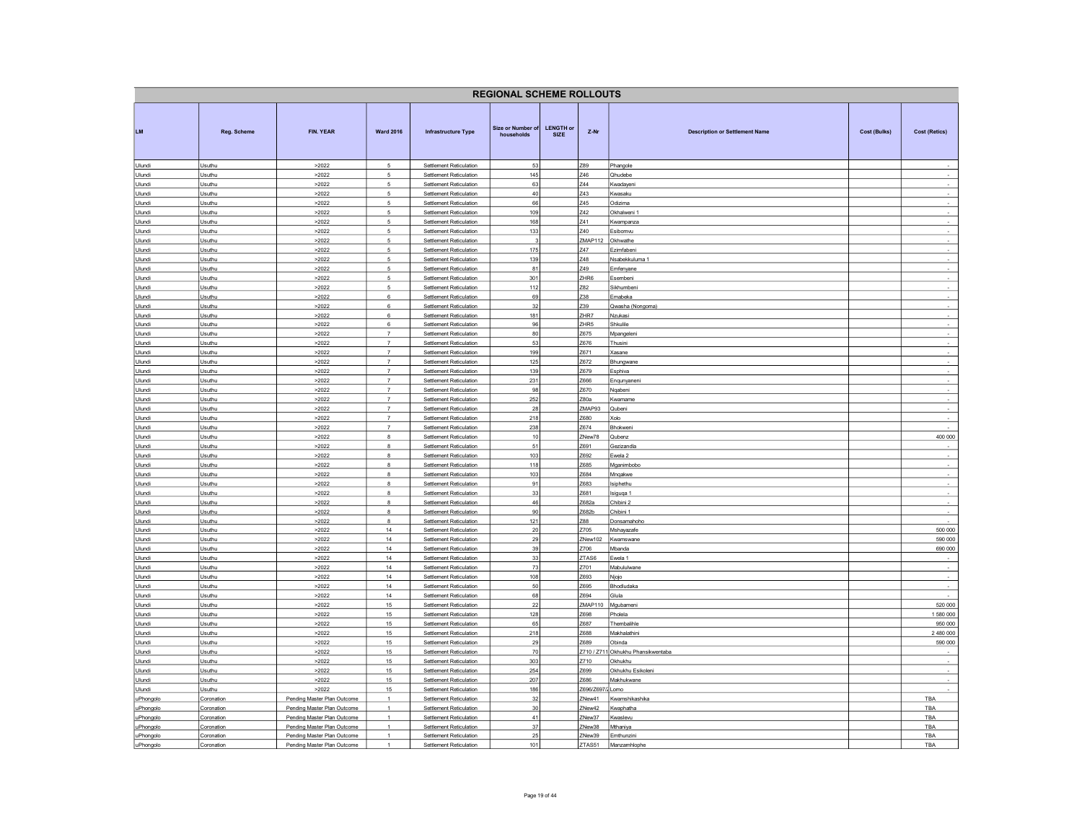| <b>REGIONAL SCHEME ROLLOUTS</b> |                          |                                                            |                                     |                                                           |                                        |                                 |                  |                                              |                     |                          |
|---------------------------------|--------------------------|------------------------------------------------------------|-------------------------------------|-----------------------------------------------------------|----------------------------------------|---------------------------------|------------------|----------------------------------------------|---------------------|--------------------------|
| <b>LM</b>                       | Reg. Scheme              | <b>FIN. YEAR</b>                                           | <b>Ward 2016</b>                    | <b>Infrastructure Type</b>                                | <b>Size or Number of</b><br>households | <b>LENGTH or</b><br><b>SIZE</b> | Z-Nr             | <b>Description or Settlement Name</b>        | <b>Cost (Bulks)</b> | <b>Cost (Retics)</b>     |
| Ulundi                          | Usuthu                   | >2022                                                      | 5                                   | <b>Settlement Reticulation</b>                            | 53                                     |                                 | Z89<br>746       | Phangole                                     |                     |                          |
| Ulundi<br>Ulundi                | Usuthu<br>Usuthu         | >2022<br>>2022                                             | $5\phantom{.0}$<br>$\sqrt{5}$       | Settlement Reticulation<br>Settlement Reticulation        | 145<br>63                              |                                 | Z44              | Qhudebe<br>Kwadayeni                         |                     |                          |
| Ulundi                          | Usuthu                   | >2022                                                      | $5\phantom{.0}$                     | Settlement Reticulation                                   | 40                                     |                                 | Z43              | Kwasaku                                      |                     | $\overline{\phantom{a}}$ |
| Ulundi                          | Usuthu                   | >2022                                                      | $\overline{5}$                      | Settlement Reticulation                                   | 66                                     |                                 | Z45              | Odizima                                      |                     |                          |
| Ulundi                          | Usuthu                   | >2022                                                      | $\sqrt{5}$                          | Settlement Reticulation                                   | 109                                    |                                 | 742              | Okhalweni 1                                  |                     | $\sim$                   |
| Ulundi                          | Usuthu                   | >2022                                                      | $\sqrt{5}$                          | Settlement Reticulation                                   | 168                                    |                                 | 741              | Kwampanza                                    |                     |                          |
| Ulundi<br>Ulundi                | Usuthu<br>Usuthu         | >2022<br>>2022                                             | $\sqrt{5}$<br>5                     | Settlement Reticulation<br>Settlement Reticulation        | 133<br>3                               |                                 | Z40<br>ZMAP112   | Esibomvu<br>Okhwathe                         |                     |                          |
| Ulundi                          | Usuthu                   | >2022                                                      | $\overline{5}$                      | Settlement Reticulation                                   | 175                                    |                                 | Z47              | Ezimfabeni                                   |                     | $\sim$                   |
| Ulundi                          | Usuthu                   | >2022                                                      | 5                                   | Settlement Reticulation                                   | 139                                    |                                 | Z48              | Nsabekkuluma 1                               |                     | $\sim$                   |
| Ulundi                          | Usuthu                   | >2022                                                      | 5                                   | Settlement Reticulation                                   | 81                                     |                                 | Z49              | Emfenyane                                    |                     | $\overline{\phantom{a}}$ |
| Ulundi                          | Usuthu                   | >2022                                                      | 5                                   | Settlement Reticulation                                   | 301                                    |                                 | ZHR6             | Esembeni                                     |                     | $\sim$                   |
| Ulundi<br>Ulundi                | Usuthu<br>Usuthu         | >2022<br>>2022                                             | $\,$ 5 $\,$<br>6                    | Settlement Reticulation<br>Settlement Reticulation        | 112<br>69                              |                                 | Z82<br>Z38       | Sikhumbeni<br>Emabeka                        |                     | $\sim$<br>$\sim$         |
| Ulundi                          | Usuthu                   | >2022                                                      | $6\overline{6}$                     | Settlement Reticulation                                   | 32                                     |                                 | Z39              | Qwasha (Nongoma)                             |                     | $\overline{a}$           |
| Ulundi                          | Usuthu                   | >2022                                                      | 6                                   | <b>Settlement Reticulation</b>                            | 181                                    |                                 | ZHR7             | Nzukasi                                      |                     | $\sim$                   |
| Ulundi                          | Usuthu                   | >2022                                                      | 6                                   | Settlement Reticulation                                   | 96                                     |                                 | ZHR5             | Shkulile                                     |                     | $\sim$                   |
| Ulundi                          | Usuthu                   | >2022                                                      | $\overline{7}$                      | Settlement Reticulation                                   | 80                                     |                                 | Z675             | Mpangelen                                    |                     | ÷                        |
| Ulundi<br>Ulundi                | Usuthu<br>Usuthu         | >2022<br>>2022                                             | $\overline{7}$<br>$\scriptstyle{7}$ | Settlement Reticulation<br>Settlement Reticulation        | 53<br>199                              |                                 | Z676<br>Z671     | Thusini<br>Xasane                            |                     | $\sim$<br>$\sim$         |
| Ulundi                          | Usuthu                   | >2022                                                      | $\overline{7}$                      | <b>Settlement Reticulation</b>                            | 125                                    |                                 | Z672             | Bhungwane                                    |                     | $\sim$                   |
| Ulundi                          | Usuthu                   | >2022                                                      | $\scriptstyle{7}$                   | Settlement Reticulation                                   | 139                                    |                                 | Z679             | Esphiva                                      |                     | $\sim$                   |
| Ulundi                          | Usuthu                   | >2022                                                      | $\overline{7}$                      | Settlement Reticulation                                   | 231                                    |                                 | Z666             | Enqunyanen                                   |                     | $\cdot$                  |
| Ulundi                          | Usuthu                   | >2022                                                      | $\overline{7}$                      | Settlement Reticulation                                   | 98                                     |                                 | Z670             | Ngabeni                                      |                     | $\sim$                   |
| Ulundi                          | Usuthu                   | >2022                                                      | $\overline{7}$<br>$\overline{7}$    | Settlement Reticulation                                   | 252                                    |                                 | Z80a             | Kwamame                                      |                     |                          |
| Ulundi<br>Ulundi                | Usuthu<br>Usuthu         | >2022<br>>2022                                             | $\overline{7}$                      | Settlement Reticulation<br>Settlement Reticulation        | 28<br>218                              |                                 | ZMAP93<br>Z680   | Qubeni<br>Xolo                               |                     | ÷                        |
| Ulundi                          | Usuthu                   | >2022                                                      | $\overline{7}$                      | Settlement Reticulation                                   | 238                                    |                                 | Z674             | Bhokweni                                     |                     | $\sim$                   |
| Ulundi                          | Usuthu                   | >2022                                                      | 8                                   | Settlement Reticulation                                   | 10                                     |                                 | ZNew78           | Qubenz                                       |                     | 400 000                  |
| Ulundi                          | Usuthu                   | >2022                                                      | 8                                   | <b>Settlement Reticulation</b>                            | 51                                     |                                 | Z691             | Gezizandla                                   |                     |                          |
| Ulundi<br>Ulundi                | Usuthu<br>Usuthu         | >2022                                                      | $^{\rm 8}$<br>$\bf8$                | Settlement Reticulation<br>Settlement Reticulation        | 103<br>118                             |                                 | Z692<br>Z685     | Ewela 2                                      |                     | $\sim$                   |
| Ulundi                          | Usuthu                   | >2022<br>>2022                                             | $\mathbf{R}$                        | <b>Settlement Reticulation</b>                            | 103                                    |                                 | Z684             | Mganimbobo<br>Mnqakwe                        |                     | $\sim$                   |
| Ulundi                          | Usuthu                   | >2022                                                      | 8                                   | Settlement Reticulation                                   | 91                                     |                                 | Z683             | <b>Isiphethu</b>                             |                     |                          |
| Ulundi                          | Usuthu                   | >2022                                                      | 8                                   | Settlement Reticulation                                   | 33                                     |                                 | Z681             | Isiguqa 1                                    |                     | $\sim$                   |
| Ulundi                          | Usuthu                   | >2022                                                      | 8                                   | Settlement Reticulation                                   | 46                                     |                                 | Z682a            | Chibini 2                                    |                     |                          |
| Ulundi                          | Usuthu                   | >2022                                                      | 8                                   | Settlement Reticulation                                   | 90                                     |                                 | Z682b            | Chibini 1                                    |                     | $\sim$                   |
| Ulundi<br>Ulundi                | Usuthu<br>Usuthu         | >2022<br>>2022                                             | $\overline{\mathbf{8}}$<br>14       | Settlement Reticulation<br>Settlement Reticulation        | $121$<br>20                            |                                 | Z88<br>Z705      | Donsamahoho<br>Mshayazafe                    |                     | 500 000                  |
| Ulundi                          | Usuthu                   | >2022                                                      | $14\,$                              | Settlement Reticulation                                   | 29                                     |                                 | ZNew102          | Kwamswane                                    |                     | 590 000                  |
| Ulundi                          | Usuthu                   | >2022                                                      | 14                                  | Settlement Reticulation                                   | 39                                     |                                 | Z706             | Mbanda                                       |                     | 690 000                  |
| Ulundi                          | Usuthu                   | >2022                                                      | 14                                  | Settlement Reticulation                                   | 33                                     |                                 | ZTAS6            | Ewela 1                                      |                     |                          |
| Ulundi                          | Usuthu                   | >2022                                                      | 14                                  | Settlement Reticulation                                   | 73                                     |                                 | Z701             | Mabululwane                                  |                     |                          |
| Ulundi<br>Ulundi                | Usuthu<br>Usuthu         | >2022<br>>2022                                             | 14<br>14                            | Settlement Reticulation<br>Settlement Reticulation        | 108<br>50                              |                                 | Z693<br>Z695     | Njojo<br>Bhodludaka                          |                     | $\overline{\phantom{a}}$ |
| Ulundi                          | Usuthu                   | >2022                                                      | 14                                  | Settlement Reticulation                                   | 68                                     |                                 | 7694             | Glula                                        |                     |                          |
| Ulundi                          | Usuthu                   | >2022                                                      | 15                                  | Settlement Reticulation                                   | 22                                     |                                 | <b>ZMAP110</b>   | Mgubameni                                    |                     | 520 000                  |
| Ulundi                          | Usuthu                   | >2022                                                      | 15                                  | Settlement Reticulation                                   | 128                                    |                                 | Z698             | Pholela                                      |                     | 1 580 000                |
| Ulundi                          | Usuthu                   | >2022                                                      | 15                                  | Settlement Reticulation                                   | 65                                     |                                 | Z687             | Thembalihle                                  |                     | 950 000                  |
| Ulundi                          | Usuthu                   | >2022                                                      | 15<br>15                            | Settlement Reticulation                                   | 218                                    |                                 | Z688<br>7689     | Makhalathini                                 |                     | 2 480 000                |
| Ulundi<br>Ulundi                | Usuthu<br>Usuthu         | >2022<br>>2022                                             | 15                                  | Settlement Reticulation<br><b>Settlement Reticulation</b> | 29<br>70                               |                                 |                  | Obinda<br>Z710 / Z711 Okhukhu Phansikwentaba |                     | 590 000                  |
| Ulundi                          | Usuthu                   | >2022                                                      | 15                                  | Settlement Reticulation                                   | 303                                    |                                 | Z710             | Okhukhu                                      |                     |                          |
| Ulundi                          | Usuthu                   | >2022                                                      | 15                                  | Settlement Reticulation                                   | 254                                    |                                 | Z699             | Okhukhu Esikolen                             |                     |                          |
| Ulundi                          | Usuthu                   | >2022                                                      | 15                                  | Settlement Reticulation                                   | 207                                    |                                 | Z686             | Makhukwane                                   |                     |                          |
| Ulundi                          | Usuthu                   | >2022                                                      | 15                                  | Settlement Reticulation                                   | 186                                    |                                 | Z696/Z697/2 Lomo |                                              |                     |                          |
| uPhongolo<br>uPhongolo          | Coronation<br>Coronation | Pending Master Plan Outcome<br>Pending Master Plan Outcome | $\mathbf{1}$<br>$\overline{1}$      | Settlement Reticulation<br>Settlement Reticulation        | 32<br>30                               |                                 | ZNew41<br>ZNew42 | Kwamshikashika<br>Kwaphatha                  |                     | TBA<br>TBA               |
| uPhongolo                       | Coronation               | Pending Master Plan Outcome                                | $\overline{1}$                      | Settlement Reticulation                                   | 41                                     |                                 | ZNew37           | Kwaslevu                                     |                     | TBA                      |
| uPhongolo                       | Coronation               | Pending Master Plan Outcome                                | $\overline{1}$                      | Settlement Reticulation                                   | 37                                     |                                 | ZNew38           | Mthaniva                                     |                     | TBA                      |
| uPhongolo                       | Coronation               | Pending Master Plan Outcome                                | $\overline{1}$                      | Settlement Reticulation                                   | 25                                     |                                 | ZNew39           | Emthunzini                                   |                     | TBA                      |
| uPhongolo                       | Coronation               | Pending Master Plan Outcome                                |                                     | Settlement Reticulation                                   | 101                                    |                                 | ZTAS51           | Manzamhlophe                                 |                     | TBA                      |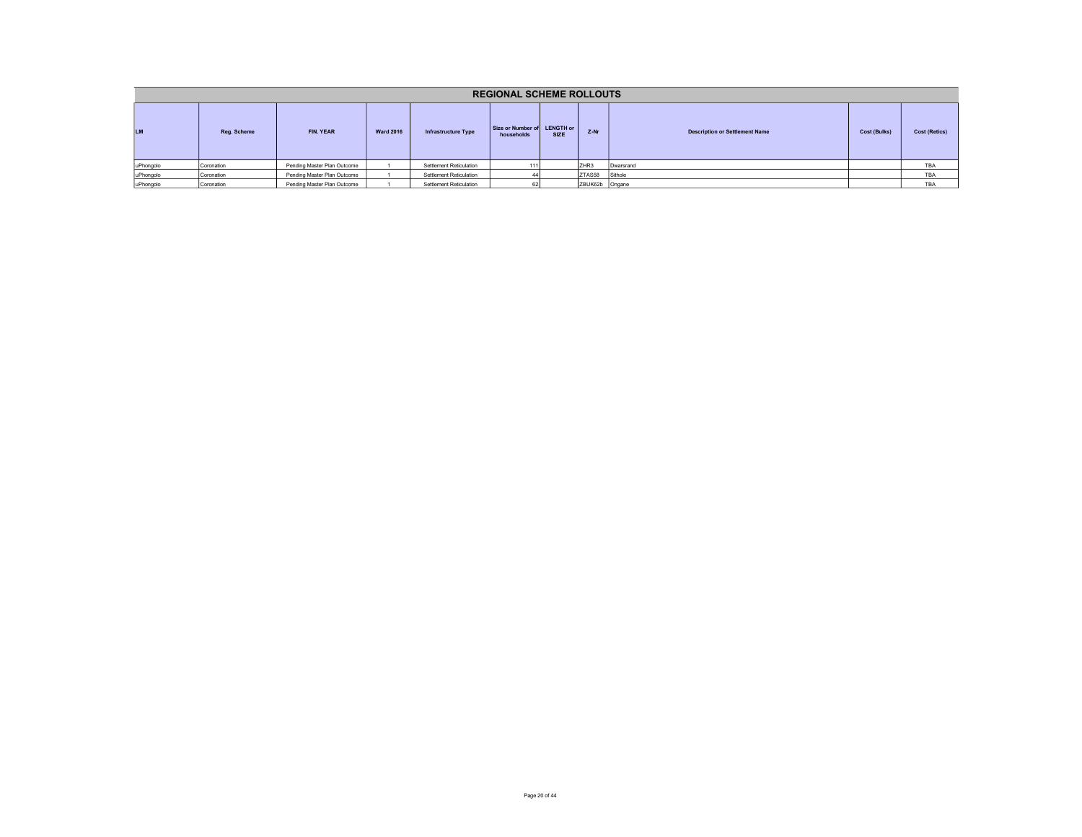| <b>REGIONAL SCHEME ROLLOUTS</b> |             |                             |                  |                            |                                           |             |                |                                       |                     |                      |  |  |
|---------------------------------|-------------|-----------------------------|------------------|----------------------------|-------------------------------------------|-------------|----------------|---------------------------------------|---------------------|----------------------|--|--|
| <b>LM</b>                       | Reg. Scheme | FIN. YEAR                   | <b>Ward 2016</b> | <b>Infrastructure Type</b> | Size or Number of LENGTH or<br>households | <b>SIZE</b> | Z-Nr           | <b>Description or Settlement Name</b> | <b>Cost (Bulks)</b> | <b>Cost (Retics)</b> |  |  |
| uPhongolo                       | Coronation  | Pending Master Plan Outcome |                  | Settlement Reticulation    | 1111                                      |             | ZHR3           | Dwarsrand                             |                     | TBA                  |  |  |
| uPhongolo                       | Coronation  | Pending Master Plan Outcome |                  | Settlement Reticulation    |                                           |             | ZTAS58 Sithole |                                       |                     | <b>TBA</b>           |  |  |
| uPhongolo                       | Coronation  | Pending Master Plan Outcome |                  | Settlement Reticulation    |                                           |             | ZBUK62b Ongane |                                       |                     | TBA                  |  |  |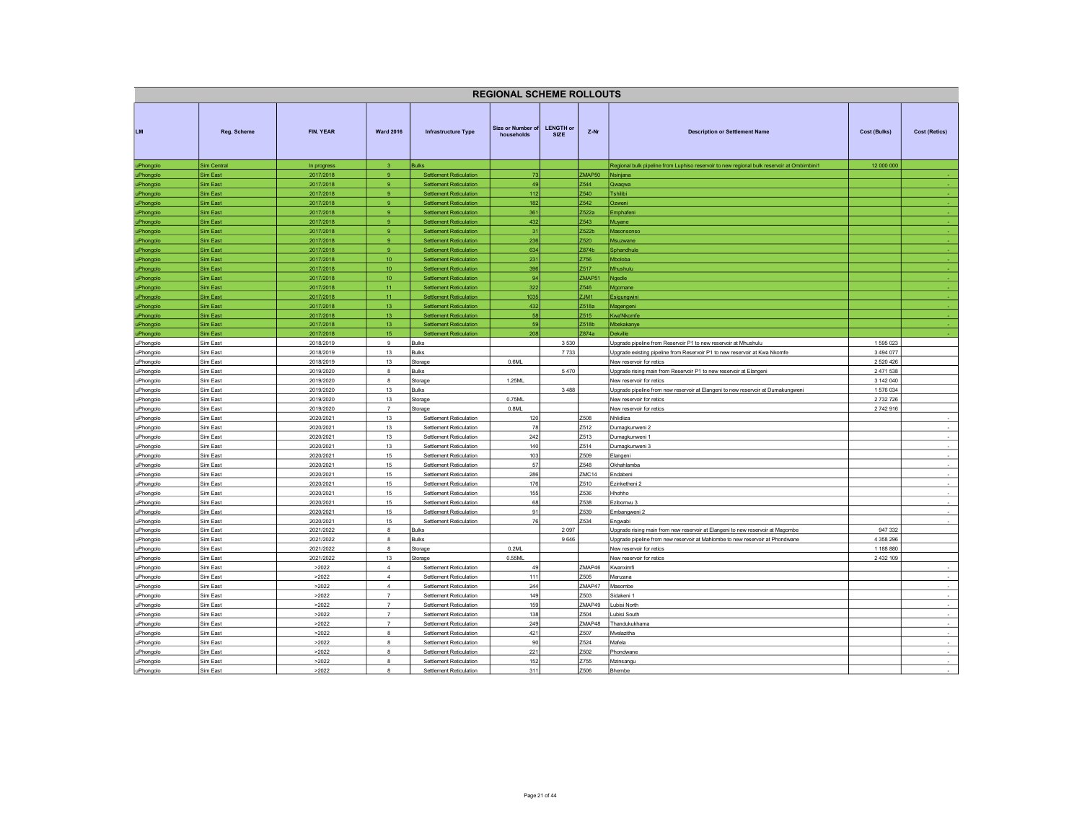| <b>REGIONAL SCHEME ROLLOUTS</b> |                      |                        |                                  |                                                                  |                                 |                                 |                                                 |                                                                                            |               |                      |
|---------------------------------|----------------------|------------------------|----------------------------------|------------------------------------------------------------------|---------------------------------|---------------------------------|-------------------------------------------------|--------------------------------------------------------------------------------------------|---------------|----------------------|
| <b>LM</b>                       | Reg. Scheme          | FIN. YEAR              | <b>Ward 2016</b>                 | <b>Infrastructure Type</b>                                       | Size or Number of<br>households | <b>LENGTH or</b><br><b>SIZE</b> | $Z-Nr$<br><b>Description or Settlement Name</b> |                                                                                            | Cost (Bulks)  | <b>Cost (Retics)</b> |
| uPhongolo                       | Sim Central          | In progress            | $\mathbf{3}$                     | <b>Bulks</b>                                                     |                                 |                                 |                                                 | Regional bulk pipeline from Luphiso reservoir to new regional bulk reservoir at Ombimbini1 | 12 000 000    |                      |
| uPhongolo                       | <b>Sim East</b>      | 2017/2018              | 9                                | <b>Settlement Reticulation</b>                                   | 73                              |                                 | ZMAP50                                          | Nsinjana                                                                                   |               |                      |
| uPhongolo                       | Sim East             | 2017/2018              | $\mathbf{Q}$                     | <b>Settlement Reticulation</b>                                   | 49                              |                                 | Z544                                            | Qwaqwa                                                                                     |               |                      |
| uPhongolo                       | Sim East             | 2017/2018              | 9                                | <b>Settlement Reticulation</b>                                   | $112$                           |                                 | Z540                                            | Tshilibi                                                                                   |               |                      |
| uPhongolo                       | Sim East             | 2017/2018              | $\mathbf{Q}$                     | <b>Settlement Reticulation</b>                                   | 182                             |                                 | Z542                                            | Ozweni                                                                                     |               |                      |
| <b>JPhongolo</b>                | Sim East             | 2017/2018              | 9                                | <b>Settlement Reticulation</b>                                   | 361                             |                                 | Z522a                                           | Emphafeni                                                                                  |               |                      |
| uPhongolo                       | Sim East             | 2017/2018              | 9 <sup>°</sup>                   | <b>Settlement Reticulation</b>                                   | 432                             |                                 | Z543                                            | Muyane                                                                                     |               |                      |
| uPhongolo                       | Sim East             | 2017/2018              | $\mathbf{Q}$                     | <b>Settlement Reticulation</b>                                   | 31                              |                                 | Z522b                                           | Masonsonso                                                                                 |               |                      |
| uPhongolo                       | Sim East             | 2017/2018              | 9 <sup>°</sup><br>9              | <b>Settlement Reticulation</b>                                   | 236                             |                                 | Z520<br>Z874b                                   | Msuzwane                                                                                   |               |                      |
| <b>JPhongolo</b>                | Sim East<br>Sim East | 2017/2018<br>2017/2018 | 10 <sub>1</sub>                  | <b>Settlement Reticulation</b><br><b>Settlement Reticulation</b> | 634<br>231                      |                                 | Z756                                            | Sphandhule<br>Mboloba                                                                      |               |                      |
| <b>JPhongolo</b><br>uPhongolo   | Sim East             | 2017/2018              | 10 <sup>°</sup>                  | <b>Settlement Reticulation</b>                                   | 396                             |                                 | Z517                                            | Mhushulu                                                                                   |               |                      |
| uPhongolo                       | Sim East             | 2017/2018              | 10                               | <b>Settlement Reticulation</b>                                   | 94                              |                                 | ZMAP5                                           | Ngedle                                                                                     |               |                      |
| uPhongolo                       | Sim East             | 2017/2018              | 11                               | <b>Settlement Reticulation</b>                                   | 322                             |                                 | Z546                                            | Mgomane                                                                                    |               |                      |
| uPhongolo                       | Sim East             | 2017/2018              | 11                               | <b>Settlement Reticulation</b>                                   | 1035                            |                                 | ZJM1                                            | Esigungwini                                                                                |               |                      |
| uPhongolo                       | Sim East             | 2017/2018              | 13                               | <b>Settlement Reticulation</b>                                   | 432                             |                                 | Z518a                                           | Magengeni                                                                                  |               |                      |
| uPhongolo                       | Sim East             | 2017/2018              | 13                               | <b>Settlement Reticulation</b>                                   | 58                              |                                 | Z515                                            | Kwa'Nkomfe                                                                                 |               |                      |
| uPhongolo                       | Sim East             | 2017/2018              | 13                               | <b>Settlement Reticulation</b>                                   | 59                              |                                 | Z518b                                           | Mbekakanye                                                                                 |               |                      |
| uPhongolo                       | Sim East             | 2017/2018              | 15                               | Settlement Reticulation                                          | 208                             |                                 | Z874a                                           | Dekville                                                                                   |               |                      |
| uPhongolo                       | Sim East             | 2018/2019              | $_{9}$                           | <b>Bulks</b>                                                     |                                 | 3 5 3 0                         |                                                 | Upgrade pipeline from Reservoir P1 to new reservoir at Mhushulu                            | 1595023       |                      |
| uPhongolo                       | Sim East             | 2018/2019              | 13                               | <b>Bulks</b>                                                     |                                 | 7733                            |                                                 | Upgrade existing pipeline from Reservoir P1 to new reservoir at Kwa Nkomfe                 | 3 4 9 4 0 7 7 |                      |
| uPhongolo                       | Sim East             | 2018/2019              | 13                               | Storage                                                          | 0.6ML                           |                                 |                                                 | New reservoir for retics                                                                   | 2 5 2 0 4 2 6 |                      |
| <b>JPhongolo</b>                | Sim East             | 2019/2020              | 8                                | <b>Bulks</b>                                                     |                                 | 5 4 7 0                         |                                                 | Upgrade rising main from Reservoir P1 to new reservoir at Elangeni                         | 2471538       |                      |
| uPhongolo                       | Sim East             | 2019/2020              | 8                                | Storage                                                          | 1.25ML                          |                                 |                                                 | New reservoir for retics                                                                   | 3 142 040     |                      |
| uPhongolo                       | Sim East             | 2019/2020              | 13                               | Bulks                                                            |                                 | 3 4 8 8                         |                                                 | Upgrade pipeline from new reservoir at Elangeni to new reservoir at Dumakungweni           | 1576034       |                      |
| uPhongolo                       | Sim East             | 2019/2020              | 13                               | Storage                                                          | 0.75ML                          |                                 |                                                 | New reservoir for retics                                                                   | 2 732 726     |                      |
| uPhongolo                       | Sim East             | 2019/2020              | $\overline{7}$                   | Storage                                                          | 0.8ML                           |                                 |                                                 | New reservoir for retics                                                                   | 2742916       |                      |
| uPhongolo                       | Sim East             | 2020/2021              | 13                               | Settlement Reticulation                                          | 120                             |                                 | Z508                                            | Nhlidliza                                                                                  |               |                      |
| uPhongolo                       | Sim East             | 2020/2021              | 13                               | Settlement Reticulation                                          | 78                              |                                 | Z512                                            | Dumagkunweni 2                                                                             |               | $\sim$               |
| uPhongolo                       | Sim East<br>Sim East | 2020/2021              | 13<br>13                         | Settlement Reticulation<br>Settlement Reticulation               | 242                             |                                 | Z513<br>Z514                                    | Dumagkunweni 1                                                                             |               | $\sim$               |
| uPhongolo                       | Sim East             | 2020/2021<br>2020/2021 | 15                               | Settlement Reticulation                                          | 140<br>103                      |                                 | Z509                                            | Dumagkunweni 3<br>Elangeni                                                                 |               |                      |
| uPhongolo<br>uPhongolo          | Sim East             | 2020/2021              | 15                               | Settlement Reticulation                                          | 57                              |                                 | Z548                                            | Okhahlamba                                                                                 |               | $\sim$               |
| uPhongolo                       | Sim East             | 2020/2021              | 15                               | Settlement Reticulation                                          | 286                             |                                 | ZMC <sub>14</sub>                               | Endabeni                                                                                   |               | $\sim$               |
| uPhongolo                       | Sim East             | 2020/2021              | 15                               | Settlement Reticulation                                          | 176                             |                                 | Z510                                            | Ezinketheni 2                                                                              |               |                      |
| uPhongolo                       | Sim East             | 2020/2021              | 15                               | Settlement Reticulation                                          | 155                             |                                 | Z536                                            | Hhohho                                                                                     |               | $\cdot$              |
| uPhongolo                       | Sim East             | 2020/2021              | 15                               | Settlement Reticulation                                          | 68                              |                                 | Z538                                            | Ezibomvu 3                                                                                 |               | $\sim$               |
| uPhongolo                       | Sim East             | 2020/2021              | 15                               | Settlement Reticulation                                          | 91                              |                                 | Z539                                            | Embangweni 2                                                                               |               | $\sim$               |
| uPhongolo                       | Sim East             | 2020/2021              | 15                               | Settlement Reticulation                                          | 76                              |                                 | Z534                                            | Engwabi                                                                                    |               |                      |
| uPhongolo                       | Sim East             | 2021/2022              | 8                                | Bulks                                                            |                                 | 2 0 9 7                         |                                                 | Upgrade rising main from new reservoir at Elangeni to new reservoir at Magombe             | 947 332       |                      |
| uPhongolo                       | Sim East             | 2021/2022              | 8                                | <b>Bulks</b>                                                     |                                 | 9 6 4 6                         |                                                 | Upgrade pipeline from new reservoir at Mahlombe to new reservoir at Phondwane              | 4 358 296     |                      |
| uPhongolo                       | Sim East             | 2021/2022              | $\mathbf{a}$                     | Storage                                                          | 0.2ML                           |                                 |                                                 | New reservoir for retics                                                                   | 1 188 880     |                      |
| uPhongolo                       | Sim East             | 2021/2022              | 13                               | Storage                                                          | 0.55ML                          |                                 |                                                 | New reservoir for retics                                                                   | 2 4 3 2 1 0 9 |                      |
| <b>JPhongolo</b>                | Sim East             | >2022                  | $\overline{4}$                   | Settlement Reticulation                                          | 49                              |                                 | ZMAP46                                          | Kwanximfi                                                                                  |               | $\sim$               |
| uPhongolo                       | Sim East             | >2022                  | $\overline{4}$                   | Settlement Reticulation                                          | 111                             |                                 | Z505                                            | Manzana                                                                                    |               | $\sim$               |
| uPhongolo                       | Sim East             | >2022                  | $\overline{4}$                   | Settlement Reticulation                                          | 244                             |                                 | ZMAP47                                          | Masombe                                                                                    |               | $\sim$               |
| uPhongolo                       | Sim East             | >2022                  | $\overline{7}$                   | Settlement Reticulation                                          | 149                             |                                 | 2503                                            | Sidakeni 1                                                                                 |               |                      |
| uPhongolo                       | Sim East             | >2022                  | $\overline{7}$<br>$\overline{7}$ | Settlement Reticulation                                          | 159                             |                                 | ZMAP49<br>Z504                                  | Lubisi North                                                                               |               | $\sim$               |
| uPhongolo                       | Sim East<br>Sim East | >2022                  | $\overline{7}$                   | Settlement Reticulation<br>Settlement Reticulation               | 138<br>249                      |                                 | ZMAP48                                          | ubisi South<br>Thandukukhama                                                               |               | $\sim$<br>$\sim$     |
| uPhongolo                       | Sim East             | >2022                  | 8                                | Settlement Reticulation                                          | 421                             |                                 | Z507                                            | Mvelazitha                                                                                 |               | $\sim$               |
| uPhongolo<br><b>Phongolo</b>    | Sim East             | >2022<br>>2022         | $\mathbf{a}$                     | Settlement Reticulation                                          | 90                              |                                 | Z524                                            | Mafela                                                                                     |               |                      |
| uPhongolo                       | Sim East             | >2022                  | $\mathbf{a}$                     | Settlement Reticulation                                          | 221                             | 2502<br>Phondwane               |                                                 |                                                                                            | $\sim$        |                      |
| uPhongolo                       | Sim East             | >2022                  | 8                                | Settlement Reticulation                                          | 152                             |                                 | Z755                                            | Mzinsangu                                                                                  |               | $\sim$               |
| uPhongolo                       | Sim East             | >2022                  | 8                                | Settlement Reticulation                                          | 311                             |                                 | Z506                                            | Bhembe                                                                                     |               |                      |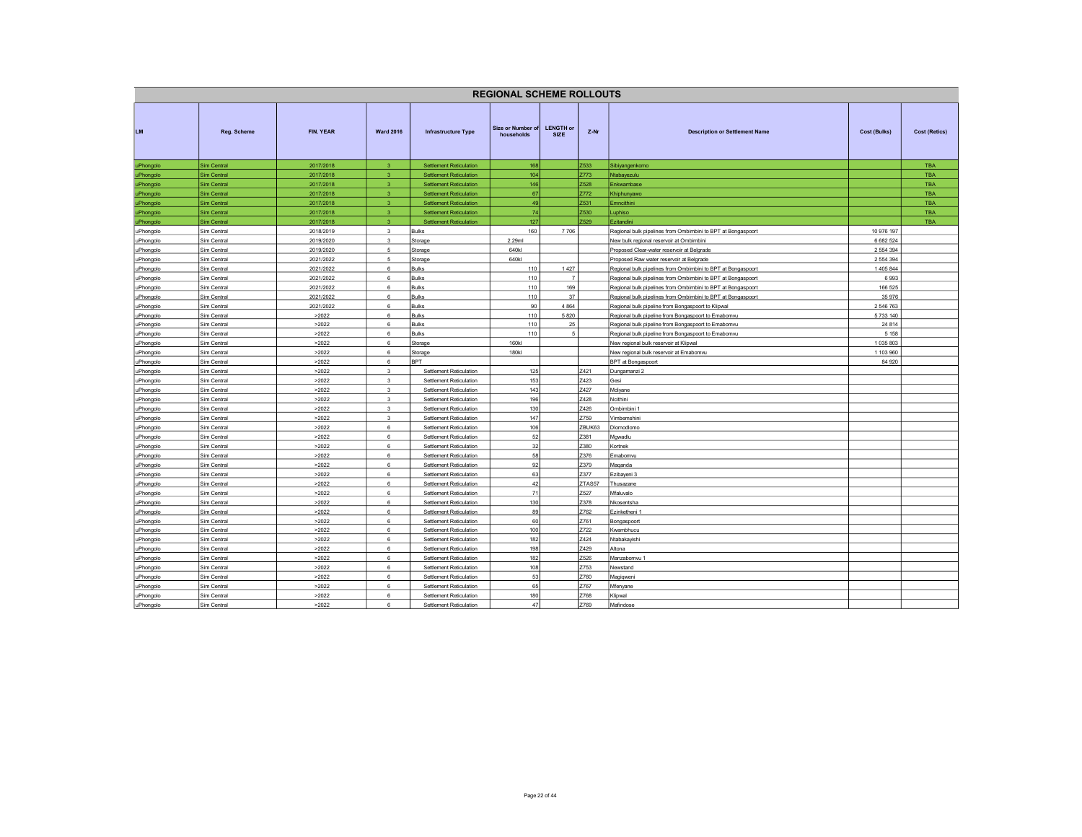| <b>REGIONAL SCHEME ROLLOUTS</b> |                            |                        |                         |                                |                                 |                                 |        |                                                                                                                              |                     |                      |  |  |
|---------------------------------|----------------------------|------------------------|-------------------------|--------------------------------|---------------------------------|---------------------------------|--------|------------------------------------------------------------------------------------------------------------------------------|---------------------|----------------------|--|--|
| <b>LM</b>                       | Reg. Scheme                | FIN. YEAR              | <b>Ward 2016</b>        | Infrastructure Type            | Size or Number of<br>households | <b>LENGTH or</b><br><b>SIZE</b> | $Z-Nr$ | <b>Description or Settlement Name</b>                                                                                        | <b>Cost (Bulks)</b> | <b>Cost (Retics)</b> |  |  |
| uPhongolo                       | Sim Central                | 2017/2018              | $\overline{3}$          | <b>Settlement Reticulation</b> | 168                             |                                 | Z533   | Sibiyangenkomo                                                                                                               |                     | <b>TBA</b>           |  |  |
| uPhongolo                       | Sim Central                | 2017/2018              | $\overline{3}$          | <b>Settlement Reticulation</b> | 104                             |                                 | Z773   | Ntabayezulu                                                                                                                  |                     | <b>TBA</b>           |  |  |
| uPhongolo                       | Sim Central                | 2017/2018              | 3.                      | <b>Settlement Reticulation</b> | 146                             |                                 | Z528   | Enkwambase                                                                                                                   |                     | <b>TBA</b>           |  |  |
| uPhongolo                       | Sim Central                | 2017/2018              | $\mathbf{3}$            | <b>Settlement Reticulation</b> | 67                              |                                 | Z772   | Khiphunyawo                                                                                                                  |                     | <b>TBA</b>           |  |  |
| uPhongolo                       | Sim Central                | 2017/2018              | $\overline{3}$          | <b>Settlement Reticulation</b> | 49                              |                                 | Z531   | Emncithini                                                                                                                   |                     | TBA                  |  |  |
| uPhongolo                       | Sim Central                | 2017/2018              | 3                       | <b>Settlement Reticulation</b> | 74                              |                                 | Z530   | Luphiso                                                                                                                      |                     | <b>TBA</b>           |  |  |
| uPhongolo                       | Sim Central                | 2017/2018              | $\mathbf{3}$            | <b>Settlement Reticulation</b> | 127                             |                                 | Z529   | <b>Ezitandini</b>                                                                                                            |                     | <b>TBA</b>           |  |  |
| uPhongolo                       | Sim Central                | 2018/2019              | $\mathbf{3}$            | <b>Bulks</b>                   | 160                             | 7706                            |        | Regional bulk pipelines from Ombimbini to BPT at Bongaspoort                                                                 | 10 976 197          |                      |  |  |
| uPhongolo                       | Sim Central                | 2019/2020              | 3                       | Storage                        | 2.29ml                          |                                 |        | New bulk regional reservoir at Ombimbini                                                                                     | 6 682 524           |                      |  |  |
| uPhongolo                       | Sim Central                | 2019/2020              | $\,$ 5 $\,$             | Storage                        | 640kl                           |                                 |        | Proposed Clear-water reservoir at Belgrade                                                                                   | 2 554 394           |                      |  |  |
| uPhongolo                       | Sim Central                | 2021/2022              | $5\overline{5}$         | Storage                        | 640kl                           | 1427                            |        | Proposed Raw water reservoir at Belgrade                                                                                     | 2 5 5 4 3 9 4       |                      |  |  |
| uPhongolo                       | Sim Central                | 2021/2022              | 6<br>6                  | Bulks                          | 110                             |                                 |        | Regional bulk pipelines from Ombimbini to BPT at Bongaspoort                                                                 | 1 405 844           |                      |  |  |
| uPhongolo                       | Sim Central                | 2021/2022              | 6                       | <b>Bulks</b>                   | 110                             | 169                             |        | Regional bulk pipelines from Ombimbini to BPT at Bongaspoort                                                                 | 6993<br>166 525     |                      |  |  |
| uPhongolo                       | Sim Central<br>Sim Central | 2021/2022<br>2021/2022 | 6                       | <b>Bulks</b><br>Bulks          | 110<br>110                      | 37                              |        | Regional bulk pipelines from Ombimbini to BPT at Bongaspoort<br>Regional bulk pipelines from Ombimbini to BPT at Bongaspoort | 35 976              |                      |  |  |
| uPhongolo<br>uPhongolo          | Sim Central                | 2021/2022              | 6                       | <b>Bulks</b>                   | 90                              | 4 8 6 4                         |        | Regional bulk pipeline from Bongaspoort to Klipwal                                                                           | 2 546 763           |                      |  |  |
| uPhongolo                       | Sim Central                | >2022                  | $6\phantom{a}$          | <b>Bulks</b>                   | 110                             | 5 8 20                          |        | Regional bulk pipeline from Bongaspoort to Emabomvu                                                                          | 5 733 140           |                      |  |  |
| uPhongolo                       | Sim Central                | >2022                  | 6                       | <b>Bulks</b>                   | 110                             | 25                              |        | Regional bulk pipeline from Bongaspoort to Emabomvu                                                                          | 24 8 14             |                      |  |  |
| uPhongolo                       | Sim Central                | >2022                  | 6                       | <b>Bulks</b>                   | 110                             | 5                               |        | Regional bulk pipeline from Bongaspoort to Emabomvu                                                                          | 5 1 5 8             |                      |  |  |
| uPhongolo                       | Sim Central                | >2022                  | $\,6\,$                 | Storage                        | 160kl                           |                                 |        | New regional bulk reservoir at Klipwal                                                                                       | 1035803             |                      |  |  |
| uPhongolo                       | Sim Central                | >2022                  | 6                       | Storage                        | <b>180kl</b>                    |                                 |        | New regional bulk reservoir at Emabomvu                                                                                      | 1 103 960           |                      |  |  |
| uPhongolo                       | Sim Central                | >2022                  | 6                       | <b>BPT</b>                     |                                 |                                 |        | <b>BPT</b> at Bongaspoort                                                                                                    | 84 920              |                      |  |  |
| uPhongolo                       | Sim Central                | >2022                  | $\overline{\mathbf{3}}$ | Settlement Reticulation        | 125                             |                                 | Z421   | Dungamanzi 2                                                                                                                 |                     |                      |  |  |
| uPhongolo                       | Sim Central                | >2022                  | $\overline{\mathbf{3}}$ | Settlement Reticulation        | 153                             |                                 | Z423   | Gesi                                                                                                                         |                     |                      |  |  |
| uPhongolo                       | Sim Central                | >2022                  | $\overline{\mathbf{3}}$ | Settlement Reticulation        | 143                             |                                 | Z427   | Mdiyane                                                                                                                      |                     |                      |  |  |
| uPhongolo                       | Sim Central                | >2022                  | $\overline{\mathbf{3}}$ | Settlement Reticulation        | 196                             |                                 | Z428   | Ncithini                                                                                                                     |                     |                      |  |  |
| uPhongolo                       | Sim Central                | >2022                  | $\overline{\mathbf{3}}$ | Settlement Reticulation        | 130                             |                                 | Z426   | Ombimbini 1                                                                                                                  |                     |                      |  |  |
| uPhongolo                       | Sim Central                | >2022                  | $\mathbf 3$             | Settlement Reticulation        | 147                             |                                 | Z759   | Vimbemshini                                                                                                                  |                     |                      |  |  |
| uPhongolo                       | Sim Central                | >2022                  | 6                       | Settlement Reticulation        | 106                             |                                 | ZBUK63 | Dlomodlomo                                                                                                                   |                     |                      |  |  |
| uPhongolo                       | Sim Central                | >2022                  | 6                       | Settlement Reticulation        | 52                              |                                 | Z381   | Mgwadlu                                                                                                                      |                     |                      |  |  |
| uPhongolo                       | Sim Central                | >2022                  | 6                       | Settlement Reticulation        | 32                              |                                 | Z380   | Kortnek                                                                                                                      |                     |                      |  |  |
| uPhongolo                       | Sim Central                | >2022                  | 6                       | Settlement Reticulation        | 58                              |                                 | Z376   | Emabomvu                                                                                                                     |                     |                      |  |  |
| uPhongolo                       | Sim Central                | >2022                  | 6                       | Settlement Reticulation        | 92                              |                                 | Z379   | Maqanda                                                                                                                      |                     |                      |  |  |
| uPhongolo                       | Sim Central                | >2022                  | 6                       | Settlement Reticulation        | 63                              |                                 | Z377   | Ezibayeni 3                                                                                                                  |                     |                      |  |  |
| uPhongolo                       | Sim Central                | >2022                  | 6                       | Settlement Reticulation        | 42                              |                                 | ZTAS57 | Thusazane                                                                                                                    |                     |                      |  |  |
| uPhongolo                       | Sim Central                | >2022                  | 6                       | Settlement Reticulation        | 71                              |                                 | Z527   | Mfaluvalo                                                                                                                    |                     |                      |  |  |
| uPhongolo                       | Sim Central                | >2022                  | 6                       | Settlement Reticulation        | 130                             |                                 | Z378   | Nkosentsha                                                                                                                   |                     |                      |  |  |
| uPhongolo                       | Sim Central                | >2022                  | 6                       | Settlement Reticulation        | 89                              |                                 | Z762   | Ezinketheni 1                                                                                                                |                     |                      |  |  |
| uPhongolo                       | Sim Central                | >2022                  | 6                       | Settlement Reticulation        | 60                              |                                 | Z761   | Bongaspoort                                                                                                                  |                     |                      |  |  |
| uPhongolo                       | Sim Central                | >2022                  | 6                       | Settlement Reticulation        | 100                             |                                 | Z722   | Kwambhucu                                                                                                                    |                     |                      |  |  |
| uPhongolo                       | Sim Central                | >2022                  | 6                       | Settlement Reticulation        | 182                             |                                 | Z424   | Ntabakavishi                                                                                                                 |                     |                      |  |  |
| uPhongolo                       | Sim Central                | >2022                  | 6                       | Settlement Reticulation        | 198                             |                                 | Z429   | Altona                                                                                                                       |                     |                      |  |  |
| uPhongolo                       | Sim Central                | >2022                  | 6                       | Settlement Reticulation        | 182                             |                                 | Z526   | Manzabomvu 1                                                                                                                 |                     |                      |  |  |
| uPhongolo                       | Sim Central                | >2022                  | 6                       | Settlement Reticulation        | 108                             |                                 | Z753   | Newstand                                                                                                                     |                     |                      |  |  |
| uPhongolo                       | Sim Central                | >2022                  | 6                       | Settlement Reticulation        | 53                              |                                 | Z760   | Magiqweni                                                                                                                    |                     |                      |  |  |
| uPhongolo                       | Sim Central                | >2022                  | 6                       | Settlement Reticulation        | 65                              |                                 | Z767   | Mfenyane                                                                                                                     |                     |                      |  |  |
| uPhongolo                       | Sim Central                | >2022                  | 6                       | Settlement Reticulation        | 180                             |                                 | 2768   | <lipwal< td=""><td></td><td></td></lipwal<>                                                                                  |                     |                      |  |  |
| uPhongolo                       | Sim Central                | >2022                  | $\mathbf{g}$            | Settlement Reticulation        | 47                              |                                 | Z769   | Mafindose                                                                                                                    |                     |                      |  |  |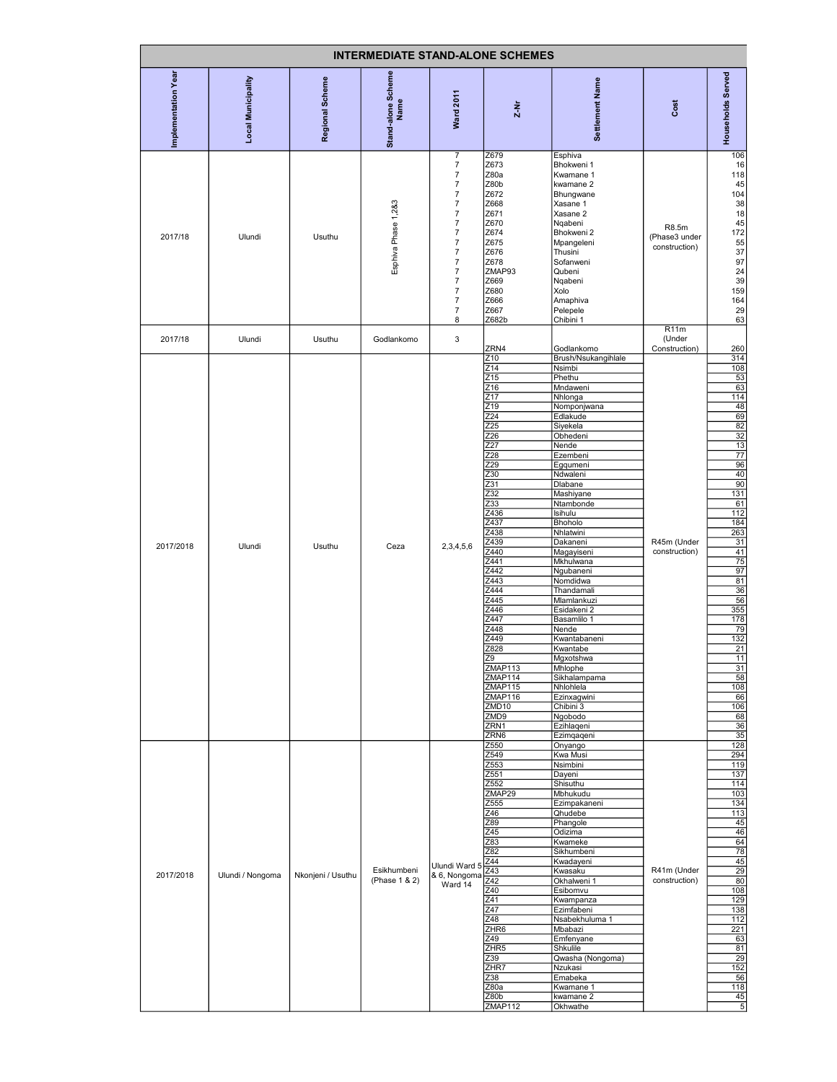| <b>INTERMEDIATE STAND-ALONE SCHEMES</b> |                    |                   |                              |                                                                                                                                                                                                                                                                                                                                                           |                                                                                                                                                                                                                                                                                                                                                             |                                                                                                                                                                                                                                                                                                                                                                                                                                                                                                                                |                                         |                                                                                                                                                                                                                                                                                                 |  |  |
|-----------------------------------------|--------------------|-------------------|------------------------------|-----------------------------------------------------------------------------------------------------------------------------------------------------------------------------------------------------------------------------------------------------------------------------------------------------------------------------------------------------------|-------------------------------------------------------------------------------------------------------------------------------------------------------------------------------------------------------------------------------------------------------------------------------------------------------------------------------------------------------------|--------------------------------------------------------------------------------------------------------------------------------------------------------------------------------------------------------------------------------------------------------------------------------------------------------------------------------------------------------------------------------------------------------------------------------------------------------------------------------------------------------------------------------|-----------------------------------------|-------------------------------------------------------------------------------------------------------------------------------------------------------------------------------------------------------------------------------------------------------------------------------------------------|--|--|
| Implementation Year                     | Local Municipality | Regional Scheme   | Stand-alone Scheme<br>Name   | <b>Ward 2011</b>                                                                                                                                                                                                                                                                                                                                          | $2 - Nr$                                                                                                                                                                                                                                                                                                                                                    | Settlement Name                                                                                                                                                                                                                                                                                                                                                                                                                                                                                                                | Cost                                    | Households Served                                                                                                                                                                                                                                                                               |  |  |
| 2017/18                                 | Ulundi             | Usuthu            | Esphiva Phase 1,2&3          | $\overline{7}$<br>$\boldsymbol{7}$<br>$\boldsymbol{7}$<br>$\overline{7}$<br>$\overline{7}$<br>$\overline{7}$<br>$\boldsymbol{7}$<br>$\boldsymbol{7}$<br>$\boldsymbol{7}$<br>$\boldsymbol{7}$<br>$\overline{7}$<br>$\overline{\mathcal{I}}$<br>$\boldsymbol{7}$<br>$\boldsymbol{7}$<br>$\overline{\mathcal{I}}$<br>$\boldsymbol{7}$<br>$\overline{7}$<br>8 | Z679<br>Z673<br>Z80a<br>Z80b<br>Z672<br>Z668<br>Z671<br>Z670<br>Z674<br>Z675<br>Z676<br>Z678<br>ZMAP93<br>Z669<br>Z680<br>Z666<br>Z667<br>Z682b                                                                                                                                                                                                             | Esphiva<br>Bhokweni 1<br>Kwamane 1<br>kwamane 2<br>Bhungwane<br>Xasane 1<br>Xasane 2<br>Nqabeni<br>Bhokweni 2<br>Mpangeleni<br>Thusini<br>Sofanweni<br>Qubeni<br>Nqabeni<br>Xolo<br>Amaphiva<br>Pelepele<br>Chibini 1                                                                                                                                                                                                                                                                                                          | R8.5m<br>(Phase3 under<br>construction) | 106<br>16<br>118<br>45<br>104<br>38<br>18<br>45<br>172<br>55<br>37<br>97<br>24<br>39<br>159<br>164<br>29<br>63                                                                                                                                                                                  |  |  |
| 2017/18                                 | Ulundi             | Usuthu            | Godlankomo                   | $\mathsf 3$                                                                                                                                                                                                                                                                                                                                               | ZRN4                                                                                                                                                                                                                                                                                                                                                        | Godlankomo                                                                                                                                                                                                                                                                                                                                                                                                                                                                                                                     | R11m<br>(Under<br>Construction)         | 260                                                                                                                                                                                                                                                                                             |  |  |
| 2017/2018                               | Ulundi             | Usuthu            | Ceza                         | 2,3,4,5,6                                                                                                                                                                                                                                                                                                                                                 | Z10<br>Z14<br>Z <sub>15</sub><br>Z16<br>Z17<br>Z19<br>Z24<br>Z25<br>Z26<br>Z27<br>Z28<br>Z29<br>Z30<br>Z31<br>Z <sub>32</sub><br>Z33<br>Z436<br>Z437<br>Z438<br>Z439<br>Z440<br>Z441<br>Z442<br>Z443<br>Z444<br>Z445<br>Z446<br>Z447<br>Z448<br>Z449<br>Z828<br>79<br>ZMAP113<br>ZMAP114<br>ZMAP115<br>ZMAP116<br>ZMD10<br>ZMD9<br>ZRN <sub>1</sub><br>ZRN6 | Brush/Nsukangihlale<br>Nsimbi<br>Phethu<br>Mndaweni<br>Nhlonga<br>Nomponjwana<br>Edlakude<br>Siyekela<br>Obhedeni<br>Nende<br>Ezembeni<br>Egqumeni<br>Ndwaleni<br>Dlabane<br>Mashiyane<br>Ntambonde<br>Isihulu<br>Bhoholo<br>Nhlatwini<br>Dakaneni<br>Magayiseni<br>Mkhulwana<br>Ngubaneni<br>Nomdidwa<br>Thandamali<br>Mlamlankuzi<br>Esidakeni 2<br>Basamlilo 1<br>Nende<br>Kwantabaneni<br>Kwantabe<br>Mgxotshwa<br>Mhlophe<br>Sikhalampama<br>Nhlohlela<br>Ezinxagwini<br>Chibini 3<br>Ngobodo<br>Ezihlaqeni<br>Ezimqaqeni | R45m (Under<br>construction)            | 314<br>108<br>53<br>63<br>114<br>48<br>69<br>82<br>32<br>13<br>$\overline{77}$<br>96<br>40<br>90<br>131<br>61<br>112<br>184<br>263<br>31<br>41<br>75<br>97<br>81<br>36<br>56<br>355<br>178<br>79<br>132<br>21<br>11<br>$\overline{31}$<br>58<br>108<br>66<br>106<br>68<br>36<br>$\overline{35}$ |  |  |
| 2017/2018                               | Ulundi / Nongoma   | Nkonjeni / Usuthu | Esikhumbeni<br>(Phase 1 & 2) | Ulundi Ward 5<br>& 6, Nongoma<br>Ward 14                                                                                                                                                                                                                                                                                                                  | Z550<br>Z549<br>Z553<br>Z551<br>Z552<br>ZMAP29<br>Z555<br>Z46<br>Z89<br>Z45<br>Z83<br>Z82<br>Z44<br>Z43<br>Z <sub>42</sub><br>Z40<br>Z <sub>41</sub><br>Z47<br>Z48<br>ZHR <sub>6</sub><br>Z49<br>ZHR <sub>5</sub><br>Z39<br>ZHR7<br>Z38<br>Z80a<br>Z80b<br>ZMAP112                                                                                          | Onyango<br>Kwa Musi<br>Nsimbini<br>Dayeni<br>Shisuthu<br>Mbhukudu<br>Ezimpakaneni<br>Qhudebe<br>Phangole<br>Odizima<br>Kwameke<br>Sikhumbeni<br>Kwadayeni<br>Kwasaku<br>Okhalweni 1<br>Esibomvu<br>Kwampanza<br>Ezimfabeni<br>Nsabekhuluma 1<br>Mbabazi<br>Emfenyane<br>Shkulile<br>Qwasha (Nongoma)<br>Nzukasi<br>Emabeka<br>Kwamane 1<br>kwamane 2<br>Okhwathe                                                                                                                                                               | R41m (Under<br>construction)            | 128<br>294<br>119<br>137<br>114<br>103<br>134<br>113<br>45<br>$\overline{46}$<br>64<br>78<br>45<br>$\overline{29}$<br>80<br>108<br>129<br>138<br>112<br>221<br>63<br>81<br>$\frac{29}{152}$<br>56<br>118<br>45<br>$\overline{5}$                                                                |  |  |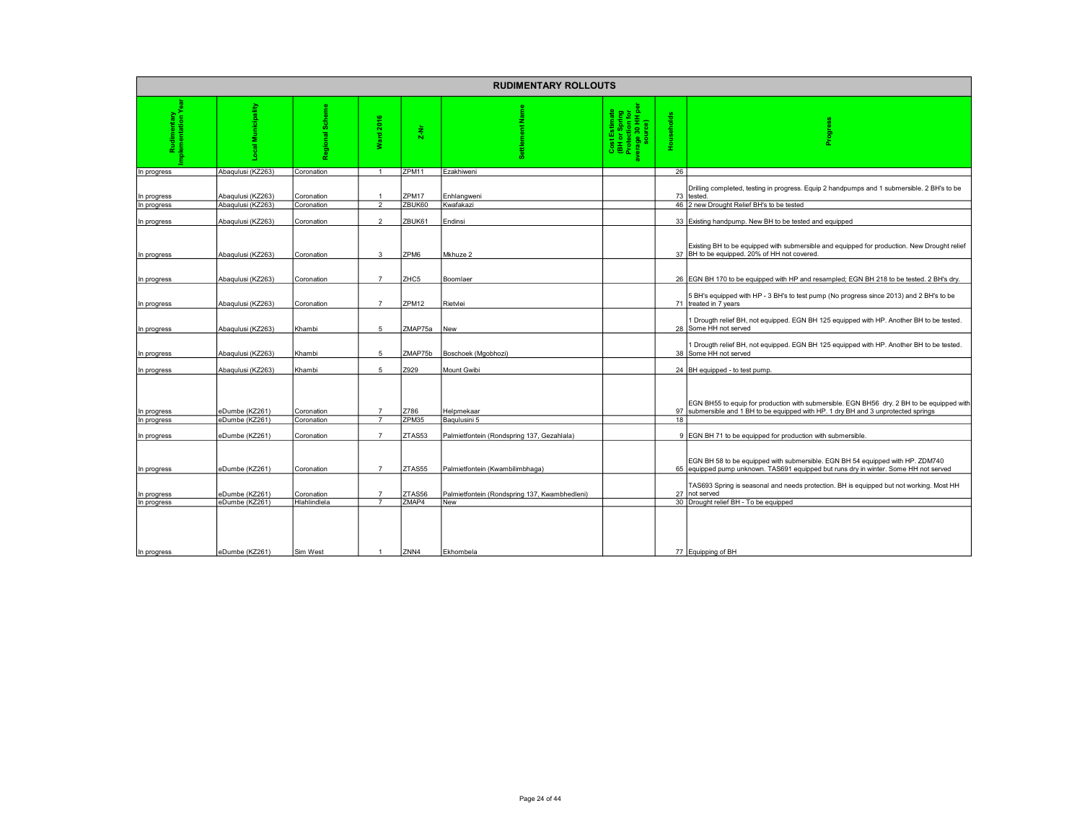| <b>RUDIMENTARY ROLLOUTS</b> |                                        |                          |                                  |                  |                                                                               |                                                                      |            |                                                                                                                                                                                                                                      |  |  |  |  |
|-----------------------------|----------------------------------------|--------------------------|----------------------------------|------------------|-------------------------------------------------------------------------------|----------------------------------------------------------------------|------------|--------------------------------------------------------------------------------------------------------------------------------------------------------------------------------------------------------------------------------------|--|--|--|--|
| imentary<br>ntation Y       | Municipality                           | ၜ<br>ъ<br>Ñ              | 2016<br>Ward                     | $2-Nr$           | z                                                                             | Cost Estimate<br>(BH or Spring<br>Protection for<br>Protege 30 HH pe | Households | i<br>Bo                                                                                                                                                                                                                              |  |  |  |  |
| In progress                 | Abaqulusi (KZ263)                      | Coronation               | $\overline{1}$                   | ZPM11            | Ezakhiweni                                                                    |                                                                      | 26         |                                                                                                                                                                                                                                      |  |  |  |  |
| In progress<br>In progress  | Abaqulusi (KZ263)<br>Abaqulusi (KZ263) | Coronation<br>Coronation | $\overline{1}$<br>$\overline{2}$ | ZPM17<br>ZBUK60  | Enhlangweni<br>Kwafakazi                                                      |                                                                      | 73         | Drilling completed, testing in progress. Equip 2 handpumps and 1 submersible. 2 BH's to be<br>tested.<br>46 2 new Drought Relief BH's to be tested                                                                                   |  |  |  |  |
| In progress                 | Abaqulusi (KZ263)                      | Coronation               | $\mathfrak{p}$                   | ZBUK61           | Endinsi                                                                       |                                                                      |            | 33 Existing handpump. New BH to be tested and equipped                                                                                                                                                                               |  |  |  |  |
| In progress                 | Abaqulusi (KZ263)                      | Coronation               | 3                                | ZPM6             | Mkhuze 2                                                                      |                                                                      |            | Existing BH to be equipped with submersible and equipped for production. New Drought relief<br>37 BH to be equipped. 20% of HH not covered.                                                                                          |  |  |  |  |
| In progress                 | Abaqulusi (KZ263)                      | Coronation               | $\overline{7}$                   | ZHC <sub>5</sub> | Boomlaer                                                                      |                                                                      |            | 26   EGN BH 170 to be equipped with HP and resampled; EGN BH 218 to be tested. 2 BH's dry.                                                                                                                                           |  |  |  |  |
| In progress                 | Abaqulusi (KZ263)                      | Coronation               | $\overline{7}$                   | ZPM12            | Rietvlei                                                                      |                                                                      |            | 5 BH's equipped with HP - 3 BH's to test pump (No progress since 2013) and 2 BH's to be<br>71 treated in 7 years                                                                                                                     |  |  |  |  |
| In progress                 | Abaqulusi (KZ263)                      | Khambi                   | 5                                | ZMAP75a          | <b>New</b>                                                                    |                                                                      |            | Drougth relief BH, not equipped. EGN BH 125 equipped with HP. Another BH to be tested.<br>28 Some HH not served                                                                                                                      |  |  |  |  |
| In progress                 | Abaqulusi (KZ263)                      | Khambi                   | 5                                | ZMAP75b          | Boschoek (Mgobhozi)                                                           |                                                                      |            | Drougth relief BH, not equipped. EGN BH 125 equipped with HP. Another BH to be tested.<br>38 Some HH not served                                                                                                                      |  |  |  |  |
| In progress                 | Abaqulusi (KZ263)                      | Khambi                   | 5                                | Z929             | Mount Gwibi                                                                   |                                                                      |            | 24 BH equipped - to test pump.                                                                                                                                                                                                       |  |  |  |  |
| In progress<br>In progress  | eDumbe (KZ261)<br>eDumbe (KZ261)       | Coronation<br>Coronation | $\overline{7}$<br>$\overline{7}$ | Z786<br>ZPM35    | Helpmekaar<br>Bagulusini 5                                                    |                                                                      | 18         | EGN BH55 to equip for production with submersible. EGN BH56 dry. 2 BH to be equipped with<br>97 submersible and 1 BH to be equipped with HP. 1 dry BH and 3 unprotected springs                                                      |  |  |  |  |
|                             |                                        |                          |                                  |                  |                                                                               |                                                                      |            |                                                                                                                                                                                                                                      |  |  |  |  |
| In progress<br>In progress  | eDumbe (KZ261)<br>eDumbe (KZ261)       | Coronation<br>Coronation | $\overline{7}$<br>$\overline{7}$ | ZTAS53<br>ZTAS55 | Palmietfontein (Rondspring 137, Gezahlala)<br>Palmietfontein (Kwambilimbhaga) |                                                                      |            | 9 EGN BH 71 to be equipped for production with submersible.<br>EGN BH 58 to be equipped with submersible. EGN BH 54 equipped with HP. ZDM740<br>65 equipped pump unknown. TAS691 equipped but runs dry in winter. Some HH not served |  |  |  |  |
| In progress                 | eDumbe (KZ261)                         | Coronation               | $\overline{7}$                   | ZTAS56           | Palmietfontein (Rondspring 137, Kwambhedleni)                                 |                                                                      | 27         | TAS693 Spring is seasonal and needs protection. BH is equipped but not working. Most HH<br>not served                                                                                                                                |  |  |  |  |
| In progress                 | eDumbe (KZ261)                         | Hlahlindlela             |                                  | ZMAP4            | New                                                                           |                                                                      |            | 30 Drought relief BH - To be equipped                                                                                                                                                                                                |  |  |  |  |
| In progress                 | eDumbe (KZ261)                         | Sim West                 | $\overline{1}$                   | ZNN4             | Ekhombela                                                                     |                                                                      |            | 77 Equipping of BH                                                                                                                                                                                                                   |  |  |  |  |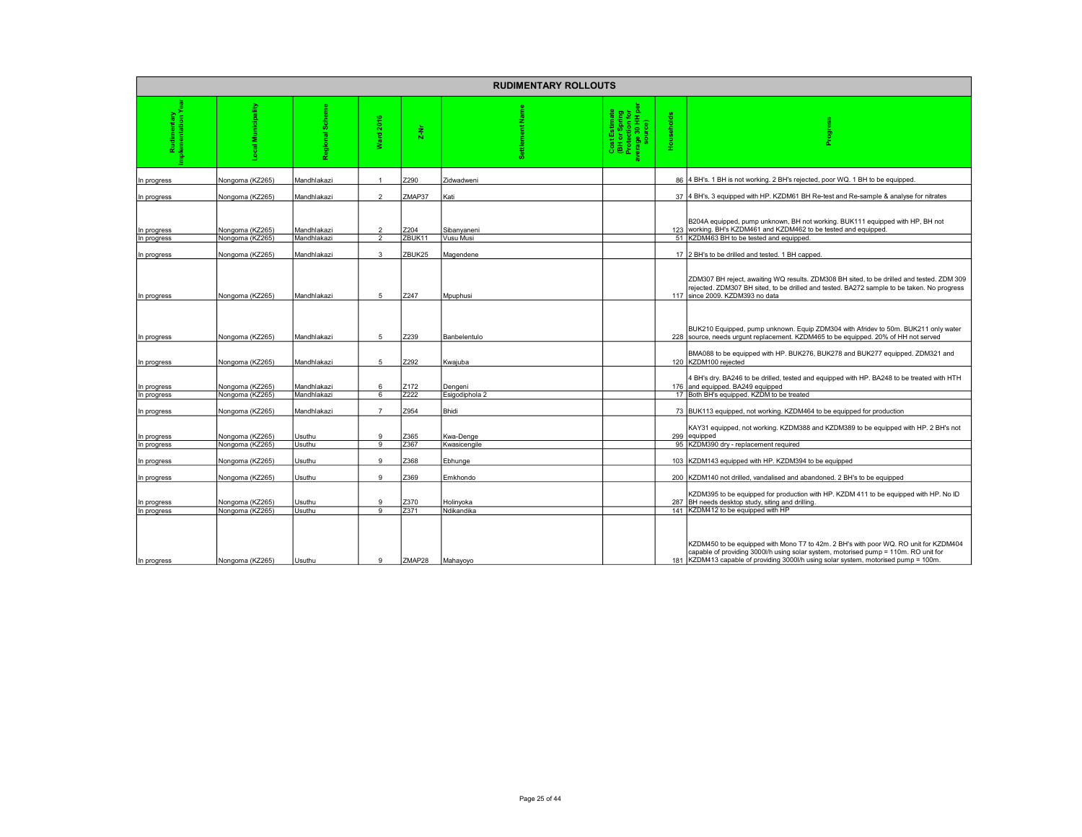|                                |                                    |                            |                                  |                | <b>RUDIMENTARY ROLLOUTS</b> |                                                                                 |            |                                                                                                                                                                                                                                                                    |
|--------------------------------|------------------------------------|----------------------------|----------------------------------|----------------|-----------------------------|---------------------------------------------------------------------------------|------------|--------------------------------------------------------------------------------------------------------------------------------------------------------------------------------------------------------------------------------------------------------------------|
| udimentary<br>mentation Y<br>α |                                    |                            | ard 2016<br>÷                    | $2-Nr$         |                             | Cost Estimate<br>(BH or Spring<br>Protection for<br>/erage 30 HH per<br>source) | Households |                                                                                                                                                                                                                                                                    |
| In progress                    | Nongoma (KZ265)                    | Mandhlakazi                |                                  | Z290           | Zidwadweni                  |                                                                                 |            | 86 4 BH's. 1 BH is not working. 2 BH's rejected, poor WQ. 1 BH to be equipped.                                                                                                                                                                                     |
| In progress                    | Nongoma (KZ265)                    | Mandhlakazi                | $\mathfrak{p}$                   | ZMAP37         | Kati                        |                                                                                 |            | 37 4 BH's, 3 equipped with HP. KZDM61 BH Re-test and Re-sample & analyse for nitrates                                                                                                                                                                              |
| In progress<br>In progress     | Nongoma (KZ265)<br>Nongoma (KZ265) | Mandhlakazi<br>Mandhlakazi | $\mathfrak{p}$<br>$\mathfrak{p}$ | Z204<br>ZBUK11 | Sibanyaneni<br>Vusu Musi    |                                                                                 |            | B204A equipped, pump unknown, BH not working. BUK111 equipped with HP, BH not<br>123 working. BH's KZDM461 and KZDM462 to be tested and equipped.<br>51 KZDM463 BH to be tested and equipped.                                                                      |
| In progress                    | Nongoma (KZ265)                    | Mandhlakazi                | 3                                | ZBUK25         | Magendene                   |                                                                                 |            | 17 2 BH's to be drilled and tested. 1 BH capped.                                                                                                                                                                                                                   |
| In progress                    | Nongoma (KZ265)                    | Mandhlakazi                | 5                                | Z247           | Mpuphusi                    |                                                                                 |            | ZDM307 BH reject, awaiting WQ results. ZDM308 BH sited, to be drilled and tested. ZDM 309<br>rejected. ZDM307 BH sited, to be drilled and tested. BA272 sample to be taken. No progress<br>117 since 2009, KZDM393 no data                                         |
| In progress                    | Nongoma (KZ265)                    | Mandhlakazi                | 5                                | Z239           | Banbelentulo                |                                                                                 |            | BUK210 Equipped, pump unknown. Equip ZDM304 with Afridev to 50m. BUK211 only water<br>228 source, needs urgunt replacement. KZDM465 to be equipped. 20% of HH not served                                                                                           |
| In progress                    | Nongoma (KZ265)                    | Mandhlakazi                | 5                                | Z292           | Kwajuba                     |                                                                                 |            | BMA088 to be equipped with HP. BUK276, BUK278 and BUK277 equipped. ZDM321 and<br>120 KZDM100 rejected                                                                                                                                                              |
| In progress                    | Nongoma (KZ265)<br>Nongoma (KZ265) | Mandhlakazi<br>Mandhlakazi | 6                                | Z172<br>Z222   | Dengeni<br>Esigodiphola 2   |                                                                                 |            | 4 BH's dry. BA246 to be drilled, tested and equipped with HP. BA248 to be treated with HTH<br>176 and equipped. BA249 equipped<br>17 Both BH's equipped. KZDM to be treated                                                                                        |
| In progress<br>In progress     | Nongoma (KZ265)                    | Mandhlakazi                | 6<br>$\overline{7}$              | Z954           | Bhidi                       |                                                                                 |            | 73 BUK113 equipped, not working. KZDM464 to be equipped for production                                                                                                                                                                                             |
| In progress                    | Nongoma (KZ265)                    | Usuthu                     | 9<br>$\overline{9}$              | Z365           | Kwa-Denge                   |                                                                                 | 299        | KAY31 equipped, not working. KZDM388 and KZDM389 to be equipped with HP. 2 BH's not<br>equipped<br>95 KZDM390 dry - replacement required                                                                                                                           |
| In progress<br>In progress     | Nongoma (KZ265)<br>Nongoma (KZ265) | Usuthu<br>Usuthu           | $\mathsf{Q}$                     | Z367<br>Z368   | Kwasicengile<br>Ebhunge     |                                                                                 | 103        | KZDM143 equipped with HP. KZDM394 to be equipped                                                                                                                                                                                                                   |
| In progress                    | Nongoma (KZ265)                    | Usuthu                     | 9                                | Z369           | Emkhondo                    |                                                                                 |            | 200 KZDM140 not drilled, vandalised and abandoned. 2 BH's to be equipped                                                                                                                                                                                           |
| In progress                    | Nongoma (KZ265)                    | Usuthu                     | 9<br>9                           | Z370<br>Z371   | Holinyoka<br>Ndikandika     |                                                                                 |            | KZDM395 to be equipped for production with HP. KZDM 411 to be equipped with HP. No ID<br>287 BH needs desktop study, siting and drilling.<br>141 KZDM412 to be equipped with HP                                                                                    |
| In progress<br>In progress     | Nongoma (KZ265)<br>Nongoma (KZ265) | Usuthu<br>Usuthu           | 9                                | ZMAP28         | Mahayoyo                    |                                                                                 |            | KZDM450 to be equipped with Mono T7 to 42m. 2 BH's with poor WQ. RO unit for KZDM404<br>capable of providing 3000l/h using solar system, motorised pump = 110m. RO unit for<br>181 KZDM413 capable of providing 3000l/h using solar system, motorised pump = 100m. |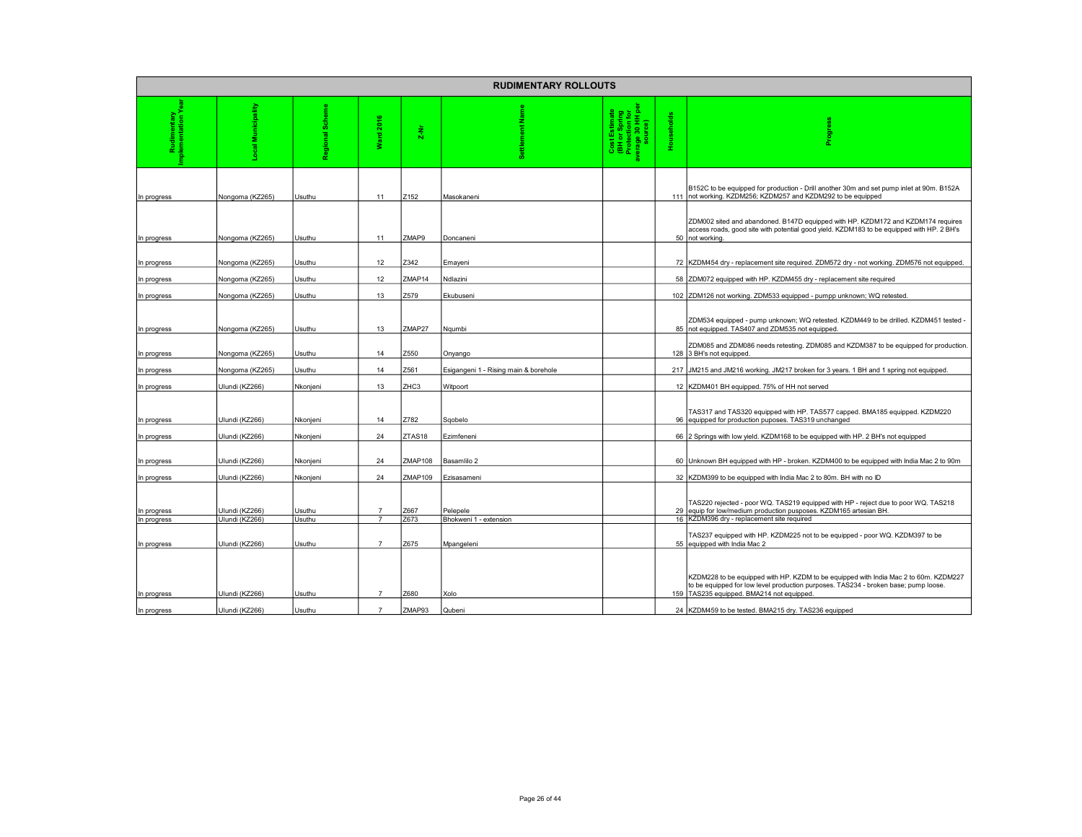|             |                 |             |                       |         | <b>RUDIMENTARY ROLLOUTS</b>           |                                                                    |            |                                                                                                                                                                                                                          |
|-------------|-----------------|-------------|-----------------------|---------|---------------------------------------|--------------------------------------------------------------------|------------|--------------------------------------------------------------------------------------------------------------------------------------------------------------------------------------------------------------------------|
|             | Municipality    | 3<br>ၜ<br>ō | 2016<br>erg<br>G<br>₹ | $2-Nr$  |                                       | Cost Estimate<br>(BH or Spring<br>Protection for<br>Prage 30 HH pe | Households |                                                                                                                                                                                                                          |
| In progress | Nongoma (KZ265) | Usuthu      | 11                    | Z152    | Masokaneni                            |                                                                    |            | B152C to be equipped for production - Drill another 30m and set pump inlet at 90m. B152A<br>111 not working. KZDM256; KZDM257 and KZDM292 to be equipped                                                                 |
| In progress | Nongoma (KZ265) | Usuthu      | 11                    | ZMAP9   | Doncaneni                             |                                                                    | 50         | ZDM002 sited and abandoned. B147D equipped with HP. KZDM172 and KZDM174 requires<br>access roads, good site with potential good yield. KZDM183 to be equipped with HP. 2 BH's<br>not working.                            |
| In progress | Nongoma (KZ265) | Usuthu      | 12                    | Z342    | Emayeni                               |                                                                    | 72         | KZDM454 dry - replacement site required. ZDM572 dry - not working. ZDM576 not equipped.                                                                                                                                  |
| In progress | Nongoma (KZ265) | Usuthu      | 12                    | ZMAP14  | Ndlazini                              |                                                                    |            | 58 ZDM072 equipped with HP. KZDM455 dry - replacement site required                                                                                                                                                      |
| In progress | Nongoma (KZ265) | Usuthu      | 13                    | Z579    | Ekubuseni                             |                                                                    |            | 102 ZDM126 not working. ZDM533 equipped - pumpp unknown; WQ retested.                                                                                                                                                    |
| In progress | Nongoma (KZ265) | Usuthu      | 13                    | ZMAP27  | Naumbi                                |                                                                    |            | ZDM534 equipped - pump unknown; WQ retested. KZDM449 to be drilled. KZDM451 tested -<br>85 not equipped. TAS407 and ZDM535 not equipped.                                                                                 |
| In progress | Nongoma (KZ265) | Usuthu      | 14                    | Z550    | Onyango                               |                                                                    |            | ZDM085 and ZDM086 needs retesting. ZDM085 and KZDM387 to be equipped for production.<br>128 3 BH's not equipped.                                                                                                         |
| In progress | Nongoma (KZ265) | Usuthu      | 14                    | Z561    | Esigangeni 1 - Rising main & borehole |                                                                    | 217        | JM215 and JM216 working. JM217 broken for 3 years. 1 BH and 1 spring not equipped.                                                                                                                                       |
| In progress | Ulundi (KZ266)  | Nkonjeni    | 13                    | ZHC3    | Witpoort                              |                                                                    |            | 12 KZDM401 BH equipped. 75% of HH not served                                                                                                                                                                             |
| In progress | Ulundi (KZ266)  | Nkonjeni    | 14                    | Z782    | Sqobelo                               |                                                                    |            | TAS317 and TAS320 equipped with HP. TAS577 capped. BMA185 equipped. KZDM220<br>96 equipped for production puposes. TAS319 unchanged                                                                                      |
| In progress | Ulundi (KZ266)  | Nkonjeni    | 24                    | ZTAS18  | Ezimfeneni                            |                                                                    |            | 66 2 Springs with low yield. KZDM168 to be equipped with HP. 2 BH's not equipped                                                                                                                                         |
| In progress | Ulundi (KZ266)  | Nkonjeni    | 24                    | ZMAP108 | Basamlilo 2                           |                                                                    |            | 60 Unknown BH equipped with HP - broken. KZDM400 to be equipped with India Mac 2 to 90m                                                                                                                                  |
| In progress | Ulundi (KZ266)  | Nkonjeni    | 24                    | ZMAP109 | Ezisasameni                           |                                                                    |            | 32 KZDM399 to be equipped with India Mac 2 to 80m. BH with no ID                                                                                                                                                         |
| In progress | Ulundi (KZ266)  | Usuthu      | $\overline{7}$        | Z667    | Pelepele                              |                                                                    | 29         | TAS220 rejected - poor WQ. TAS219 equipped with HP - reject due to poor WQ. TAS218<br>equip for low/medium production pusposes. KZDM165 artesian BH.                                                                     |
| In progress | Ulundi (KZ266)  | Usuthu      | $\overline{7}$        | Z673    | Bhokweni 1 - extension                |                                                                    | 16         | KZDM396 dry - replacement site required                                                                                                                                                                                  |
| In progress | Ulundi (KZ266)  | Usuthu      | $\overline{7}$        | Z675    | Mpangeleni                            |                                                                    | 55         | TAS237 equipped with HP. KZDM225 not to be equipped - poor WQ. KZDM397 to be<br>equipped with India Mac 2                                                                                                                |
| In progress | Ulundi (KZ266)  | Usuthu      |                       | Z680    | Xolo                                  |                                                                    |            | KZDM228 to be equipped with HP. KZDM to be equipped with India Mac 2 to 60m. KZDM227<br>to be equipped for low level production purposes. TAS234 - broken base; pump loose.<br>159 TAS235 equipped. BMA214 not equipped. |
| In progress | Ulundi (KZ266)  | Usuthu      | $\overline{7}$        | ZMAP93  | Qubeni                                |                                                                    |            | 24 KZDM459 to be tested. BMA215 dry. TAS236 equipped                                                                                                                                                                     |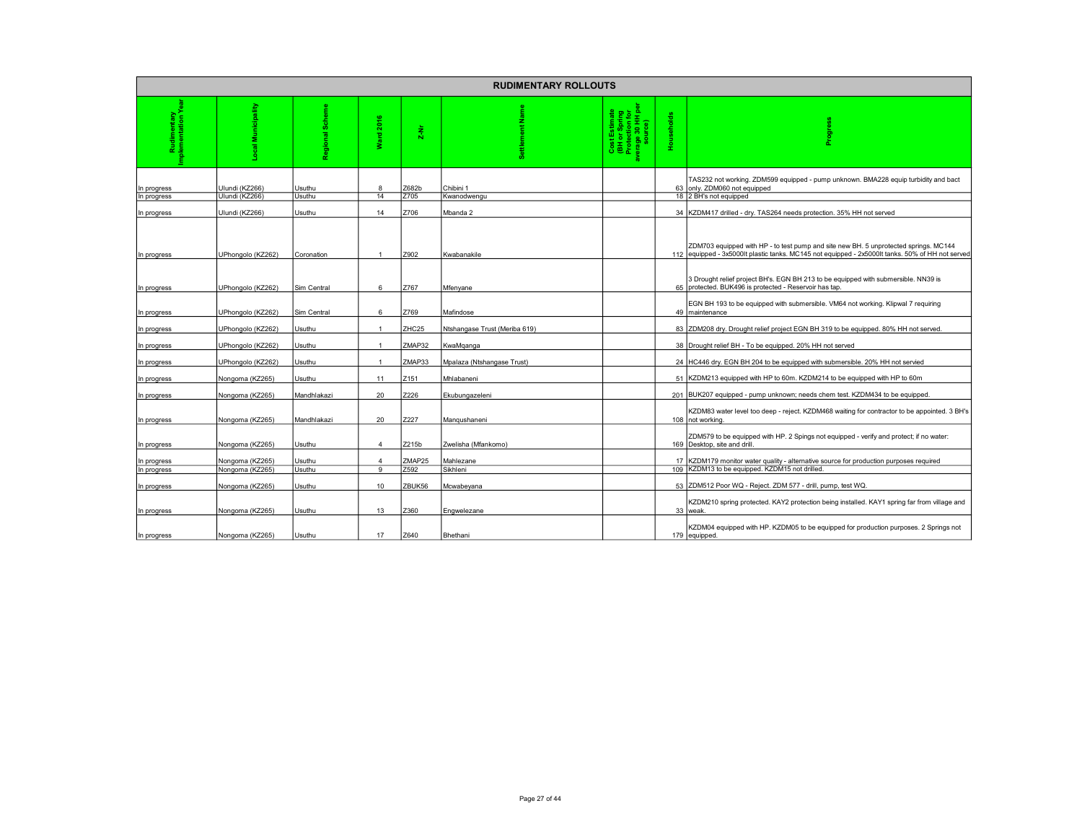|                            |                                    |             |                                  |                | <b>RUDIMENTARY ROLLOUTS</b>   |                                                                                 |            |                                                                                                                                                                                          |
|----------------------------|------------------------------------|-------------|----------------------------------|----------------|-------------------------------|---------------------------------------------------------------------------------|------------|------------------------------------------------------------------------------------------------------------------------------------------------------------------------------------------|
|                            | cipality                           | 8           | ٠<br>à<br>gue<br>ž               | $2-Nr$         |                               | Cost Estimate<br>(BH or Spring<br>Protection for<br>verage 30 HH per<br>source) | Households | 읇                                                                                                                                                                                        |
| In progress                | Ulundi (KZ266)                     | Usuthu      | 8                                | Z682b          | Chibini 1                     |                                                                                 |            | TAS232 not working. ZDM599 equipped - pump unknown. BMA228 equip turbidity and bact<br>63 only. ZDM060 not equipped                                                                      |
| In progress                | Ulundi (KZ266)                     | Usuthu      | 14                               | Z705           | Kwanodwengu                   |                                                                                 |            | 18 2 BH's not equipped                                                                                                                                                                   |
| In progress                | Ulundi (KZ266)                     | Usuthu      | 14                               | Z706           | Mbanda 2                      |                                                                                 |            | 34 KZDM417 drilled - dry. TAS264 needs protection. 35% HH not served                                                                                                                     |
| In progress                | UPhongolo (KZ262)                  | Coronation  |                                  | Z902           | Kwabanakile                   |                                                                                 |            | ZDM703 equipped with HP - to test pump and site new BH. 5 unprotected springs. MC144<br>112 equipped - 3x5000lt plastic tanks. MC145 not equipped - 2x5000lt tanks. 50% of HH not served |
| In progress                | JPhongolo (KZ262)                  | Sim Central | 6                                | Z767           | Mfenyane                      |                                                                                 |            | 3 Drought relief project BH's. EGN BH 213 to be equipped with submersible. NN39 is<br>65 protected, BUK496 is protected - Reservoir has tap.                                             |
| In progress                | JPhongolo (KZ262)                  | Sim Central | 6                                | Z769           | Mafindose                     |                                                                                 |            | EGN BH 193 to be equipped with submersible. VM64 not working. Klipwal 7 requiring<br>49 maintenance                                                                                      |
| In progress                | JPhongolo (KZ262)                  | Usuthu      | $\overline{1}$                   | ZHC25          | Ntshangase Trust (Meriba 619) |                                                                                 |            | 83 ZDM208 dry. Drought relief project EGN BH 319 to be equipped. 80% HH not served.                                                                                                      |
| In progress                | UPhongolo (KZ262)                  | Usuthu      | $\overline{1}$                   | ZMAP32         | KwaMqanga                     |                                                                                 |            | 38 Drought relief BH - To be equipped. 20% HH not served                                                                                                                                 |
| In progress                | UPhongolo (KZ262)                  | Usuthu      |                                  | ZMAP33         | Mpalaza (Ntshangase Trust)    |                                                                                 |            | 24 HC446 dry. EGN BH 204 to be equipped with submersible. 20% HH not servied                                                                                                             |
| In progress                | Nongoma (KZ265)                    | Usuthu      | 11                               | Z151           | Mhlabaneni                    |                                                                                 | 51         | KZDM213 equipped with HP to 60m. KZDM214 to be equipped with HP to 60m                                                                                                                   |
| In progress                | Nongoma (KZ265)                    | Mandhlakazi | 20                               | Z226           | Ekubungazeleni                |                                                                                 |            | 201 BUK207 equipped - pump unknown; needs chem test. KZDM434 to be equipped.                                                                                                             |
| In progress                | Nongoma (KZ265)                    | Mandhlakazi | 20                               | Z227           | Mangushaneni                  |                                                                                 |            | KZDM83 water level too deep - reject. KZDM468 waiting for contractor to be appointed. 3 BH's<br>108 not working.                                                                         |
| In progress                | Nongoma (KZ265)                    | Usuthu      | $\mathbf{A}$                     | Z215b          | Zwelisha (Mfankomo)           |                                                                                 |            | ZDM579 to be equipped with HP. 2 Spings not equipped - verify and protect; if no water:<br>169 Desktop, site and drill.                                                                  |
|                            |                                    | Usuthu      |                                  |                | Mahlezane                     |                                                                                 |            |                                                                                                                                                                                          |
| In progress<br>In progress | Nongoma (KZ265)<br>Nongoma (KZ265) | Usuthu      | $\overline{a}$<br>$\overline{9}$ | ZMAP25<br>Z592 | Sikhleni                      |                                                                                 | 17<br>109  | KZDM179 monitor water quality - alternative source for production purposes required<br>KZDM13 to be equipped. KZDM15 not drilled.                                                        |
| In progress                | Nongoma (KZ265)                    | Usuthu      | 10                               | ZBUK56         | Mcwabeyana                    |                                                                                 | 53         | ZDM512 Poor WQ - Reject. ZDM 577 - drill, pump, test WQ                                                                                                                                  |
| In progress                | Nongoma (KZ265)                    | Usuthu      | 13                               | Z360           | Engwelezane                   |                                                                                 |            | KZDM210 spring protected. KAY2 protection being installed. KAY1 spring far from village and<br>33 weak.                                                                                  |
| In progress                | Nongoma (KZ265)                    | Usuthu      | 17                               | Z640           | Bhethani                      |                                                                                 |            | KZDM04 equipped with HP. KZDM05 to be equipped for production purposes. 2 Springs not<br>179 equipped.                                                                                   |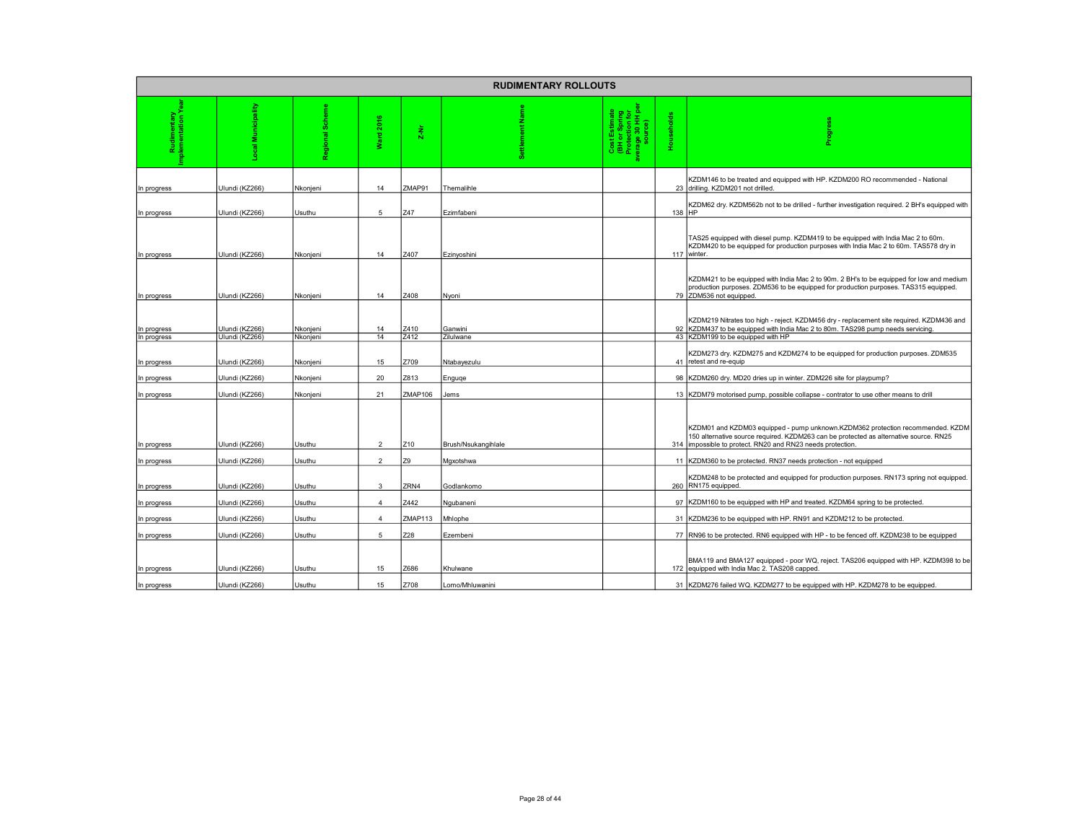|                            |                                  |                      |                  |                | <b>RUDIMENTARY ROLLOUTS</b> |                                                                               |            |                                                                                                                                                                                                                                   |
|----------------------------|----------------------------------|----------------------|------------------|----------------|-----------------------------|-------------------------------------------------------------------------------|------------|-----------------------------------------------------------------------------------------------------------------------------------------------------------------------------------------------------------------------------------|
|                            | Į                                | 3<br>ಕ               | 2016<br>gue<br>₹ | $\frac{1}{2}$  | z                           | Cost Estimate<br>(BH or Spring<br>Protection for<br>Prage 30 HH pe<br>source) | Households | ogre;                                                                                                                                                                                                                             |
| In progress                | Ulundi (KZ266)                   | Nkonjeni             | 14               | ZMAP91         | Themalihle                  |                                                                               |            | KZDM146 to be treated and equipped with HP. KZDM200 RO recommended - National<br>23 drilling. KZDM201 not drilled.                                                                                                                |
| In progress                | Ulundi (KZ266)                   | Usuthu               | 5                | Z47            | Ezimfabeni                  |                                                                               | 138 HP     | KZDM62 dry. KZDM562b not to be drilled - further investigation required. 2 BH's equipped with                                                                                                                                     |
| In progress                | Ulundi (KZ266)                   | Nkonjeni             | 14               | Z407           | Ezinyoshini                 |                                                                               |            | TAS25 equipped with diesel pump. KZDM419 to be equipped with India Mac 2 to 60m.<br>KZDM420 to be equipped for production purposes with India Mac 2 to 60m. TAS578 dry in<br>117 winter.                                          |
| In progress                | Ulundi (KZ266)                   | Nkonjeni             | 14               | Z408           | Nyoni                       |                                                                               |            | KZDM421 to be equipped with India Mac 2 to 90m. 2 BH's to be equipped for low and medium<br>production purposes. ZDM536 to be equipped for production purposes. TAS315 equipped.<br>79 ZDM536 not equipped.                       |
| In progress<br>In progress | Ulundi (KZ266)<br>Ulundi (KZ266) | Nkonjeni<br>Nkonjeni | 14<br>14         | Z410<br>Z412   | Ganwini<br>Zilulwane        |                                                                               | 92<br>43   | KZDM219 Nitrates too high - reject. KZDM456 dry - replacement site required. KZDM436 and<br>KZDM437 to be equipped with India Mac 2 to 80m. TAS298 pump needs servicing.<br>KZDM199 to be equipped with HP                        |
| In progress                | Ulundi (KZ266)                   | Nkonjeni             | 15               | Z709           | Ntabayezulu                 |                                                                               | 41         | KZDM273 dry. KZDM275 and KZDM274 to be equipped for production purposes. ZDM535<br>retest and re-equip                                                                                                                            |
| In progress                | Ulundi (KZ266)                   | Nkonjeni             | 20               | Z813           | Enguge                      |                                                                               | 98         | KZDM260 dry. MD20 dries up in winter. ZDM226 site for playpump?                                                                                                                                                                   |
| In progress                | Ulundi (KZ266)                   | Nkonjeni             | 21               | ZMAP106        | Jems                        |                                                                               |            | 13 KZDM79 motorised pump, possible collapse - contrator to use other means to drill                                                                                                                                               |
| In progress                | Ulundi (KZ266)                   | Usuthu               | $\overline{2}$   | Z10            | Brush/Nsukangihlale         |                                                                               | 314        | KZDM01 and KZDM03 equipped - pump unknown.KZDM362 protection recommended. KZDM<br>150 alternative source required. KZDM263 can be protected as alternative source. RN25<br>impossible to protect. RN20 and RN23 needs protection. |
| In progress                | Ulundi (KZ266)                   | Usuthu               | $\overline{2}$   | Z <sub>9</sub> | Mgxotshwa                   |                                                                               | 11         | KZDM360 to be protected. RN37 needs protection - not equipped                                                                                                                                                                     |
| In progress                | Ulundi (KZ266)                   | Usuthu               | 3                | ZRN4           | Godlankomo                  |                                                                               |            | XZDM248 to be protected and equipped for production purposes. RN173 spring not equipped.<br>260 RN175 equipped.                                                                                                                   |
| In progress                | Ulundi (KZ266)                   | Usuthu               | $\Delta$         | Z442           | Ngubaneni                   |                                                                               | 97         | KZDM160 to be equipped with HP and treated. KZDM64 spring to be protected.                                                                                                                                                        |
| In progress                | Ulundi (KZ266)                   | Usuthu               | 4                | ZMAP113        | Mhlophe                     |                                                                               |            | 31 KZDM236 to be equipped with HP. RN91 and KZDM212 to be protected.                                                                                                                                                              |
| In progress                | Ulundi (KZ266)                   | Usuthu               | 5                | Z28            | Ezembeni                    |                                                                               |            | 77 RN96 to be protected. RN6 equipped with HP - to be fenced off. KZDM238 to be equipped                                                                                                                                          |
| In progress                | Ulundi (KZ266)                   | Usuthu               | 15               | Z686           | Khulwane                    |                                                                               |            | BMA119 and BMA127 equipped - poor WQ, reject. TAS206 equipped with HP. KZDM398 to be<br>172 equipped with India Mac 2. TAS208 capped.                                                                                             |
| In progress                | Ulundi (KZ266)                   | Usuthu               | 15               | Z708           | Lomo/Mhluwanini             |                                                                               |            | 31 KZDM276 failed WQ. KZDM277 to be equipped with HP. KZDM278 to be equipped.                                                                                                                                                     |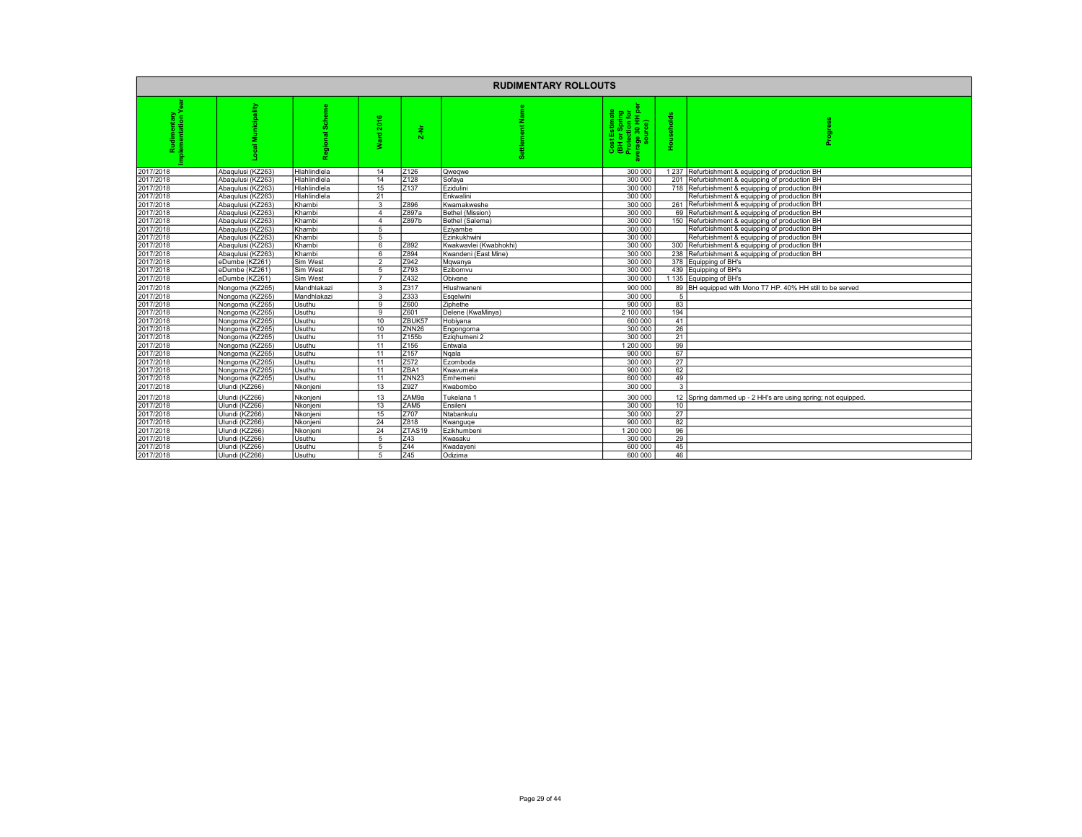|           |                   |              |                                         |                    | <b>RUDIMENTARY ROLLOUTS</b> |                                                                                |                       |                                                              |
|-----------|-------------------|--------------|-----------------------------------------|--------------------|-----------------------------|--------------------------------------------------------------------------------|-----------------------|--------------------------------------------------------------|
|           | pality            |              | <b>SO</b><br>$\mathbf{a}$<br>g.e.<br>₹. | z<br>Ń             |                             | Cost Estimate<br>(BH or Spring<br>Protection for<br>/erage 30 HH pe<br>source) | eholds<br><b>Hous</b> | န္မ                                                          |
| 2017/2018 | Abaqulusi (KZ263) | Hlahlindlela | 14                                      | Z126               | Qweqwe                      | 300 000                                                                        |                       | 1 237 Refurbishment & equipping of production BH             |
| 2017/2018 | Abaqulusi (KZ263) | Hlahlindlela | 14                                      | Z128               | Sofaya                      | 300 000                                                                        | 201                   | Refurbishment & equipping of production BH                   |
| 2017/2018 | Abaqulusi (KZ263) | Hlahlindlela | 15                                      | Z137               | Ezidulini                   | 300 000                                                                        | 718                   | Refurbishment & equipping of production BH                   |
| 2017/2018 | Abaqulusi (KZ263) | Hlahlindlela | 21                                      |                    | Enkwalini                   | 300 000                                                                        |                       | Refurbishment & equipping of production BH                   |
| 2017/2018 | Abaqulusi (KZ263) | Khambi       | 3                                       | Z896               | Kwamakweshe                 | 300 000                                                                        |                       | 261 Refurbishment & equipping of production BH               |
| 2017/2018 | Abagulusi (KZ263) | Khambi       | $\Delta$                                | Z897a              | Bethel (Mission)            | 300 000                                                                        | 69                    | Refurbishment & equipping of production BH                   |
| 2017/2018 | Abaqulusi (KZ263) | Khambi       | $\overline{4}$                          | Z897b              | Bethel (Salema)             | 300 000                                                                        | 150                   | Refurbishment & equipping of production BH                   |
| 2017/2018 | Abaqulusi (KZ263) | Khambi       | 5                                       |                    | Eziyambe                    | 300 000                                                                        |                       | Refurbishment & equipping of production BH                   |
| 2017/2018 | Abaqulusi (KZ263) | Khambi       | 5                                       |                    | Ezinkukhwini                | 300 000                                                                        |                       | Refurbishment & equipping of production BH                   |
| 2017/2018 | Abaqulusi (KZ263) | Khambi       | 6                                       | Z892               | Kwakwavlei (Kwabhokhi)      | 300 000                                                                        |                       | 300 Refurbishment & equipping of production BH               |
| 2017/2018 | Abagulusi (KZ263) | Khambi       | 6                                       | Z894               | Kwandeni (East Mine)        | 300 000                                                                        | 238                   | Refurbishment & equipping of production BH                   |
| 2017/2018 | eDumbe (KZ261)    | Sim West     | $\mathfrak{p}$                          | Z942               | Mqwanya                     | 300 000                                                                        | 378                   | Equipping of BH's                                            |
| 2017/2018 | eDumbe (KZ261)    | Sim West     | 5                                       | Z793               | Ezibomvu                    | 300 000                                                                        |                       | 439 Equipping of BH's                                        |
| 2017/2018 | eDumbe (KZ261)    | Sim West     | $\overline{7}$                          | Z432               | Obivane                     | 300 000                                                                        |                       | 1135 Equipping of BH's                                       |
| 2017/2018 | Nongoma (KZ265)   | Mandhlakazi  | 3                                       | Z317               | Hlushwaneni                 | 900 000                                                                        |                       | 89 BH equipped with Mono T7 HP. 40% HH still to be served    |
| 2017/2018 | Nongoma (KZ265)   | Mandhlakazi  | 3                                       | Z333               | Esgelwini                   | 300 000                                                                        | 5                     |                                                              |
| 2017/2018 | Nongoma (KZ265)   | Usuthu       | 9                                       | Z600               | Ziphethe                    | 900 000                                                                        | 83                    |                                                              |
| 2017/2018 | Nongoma (KZ265)   | Usuthu       | 9                                       | Z601               | Delene (KwaMinya)           | 2 100 000                                                                      | 194                   |                                                              |
| 2017/2018 | Nongoma (KZ265)   | Usuthu       | 10                                      | ZBUK57             | Hobivana                    | 600 000                                                                        | 41                    |                                                              |
| 2017/2018 | Nongoma (KZ265)   | Usuthu       | 10                                      | ZNN <sub>26</sub>  | Engongoma                   | 300 000                                                                        | 26                    |                                                              |
| 2017/2018 | Nongoma (KZ265)   | Usuthu       | 11                                      | Z155b              | Ezighumeni 2                | 300 000                                                                        | 21                    |                                                              |
| 2017/2018 | Nongoma (KZ265)   | Usuthu       | 11                                      | Z156               | Entwala                     | 1 200 000                                                                      | 99                    |                                                              |
| 2017/2018 | Nongoma (KZ265)   | Usuthu       | 11                                      | Z <sub>157</sub>   | Ngala                       | 900 000                                                                        | 67                    |                                                              |
| 2017/2018 | Nongoma (KZ265)   | Usuthu       | 11                                      | Z572               | Ezomboda                    | 300 000                                                                        | 27                    |                                                              |
| 2017/2018 | Nongoma (KZ265)   | Usuthu       | 11                                      | ZBA1               | Kwavumela                   | 900 000                                                                        | 62                    |                                                              |
| 2017/2018 | Nongoma (KZ265)   | Usuthu       | 11                                      | ZNN <sub>23</sub>  | Emhemeni                    | 600 000                                                                        | 49                    |                                                              |
| 2017/2018 | Ulundi (KZ266)    | Nkonjeni     | 13                                      | Z927               | Kwabombo                    | 300 000                                                                        | $\mathbf{3}$          |                                                              |
| 2017/2018 | Ulundi (KZ266)    | Nkonjeni     | 13                                      | ZAM9a              | Tukelana 1                  | 300 000                                                                        |                       | 12 Spring dammed up - 2 HH's are using spring; not equipped. |
| 2017/2018 | Ulundi (KZ266)    | Nkonieni     | 13                                      | ZAM <sub>5</sub>   | Ensileni                    | 300 000                                                                        | 10                    |                                                              |
| 2017/2018 | Ulundi (KZ266)    | Nkonjeni     | 15                                      | Z707               | Ntabankulu                  | 300 000                                                                        | 27                    |                                                              |
| 2017/2018 | Ulundi (KZ266)    | Nkonieni     | 24                                      | Z818               | Kwanguge                    | 900 000                                                                        | 82                    |                                                              |
| 2017/2018 | Ulundi (KZ266)    | Nkonjeni     | 24                                      | ZTAS <sub>19</sub> | Ezikhumbeni                 | 1 200 000                                                                      | 96                    |                                                              |
| 2017/2018 | Ulundi (KZ266)    | Usuthu       | 5                                       | Z43                | Kwasaku                     | 300 000                                                                        | 29                    |                                                              |
| 2017/2018 | Ulundi (KZ266)    | Usuthu       | 5                                       | Z44                | Kwadaveni                   | 600 000                                                                        | 45                    |                                                              |
| 2017/2018 | Ulundi (KZ266)    | Usuthu       | $\overline{5}$                          | 745                | Odizima                     | 600,000                                                                        | 46                    |                                                              |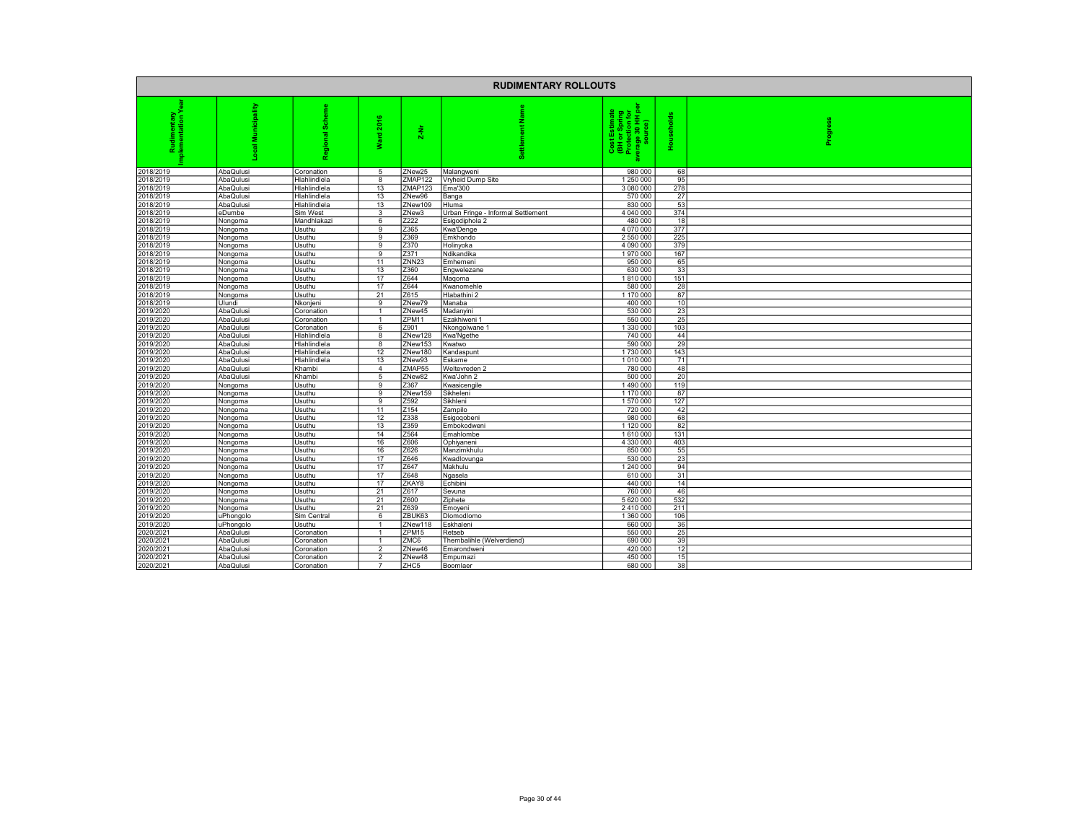|                        |                        |                            |                  |                   | <b>RUDIMENTARY ROLLOUTS</b>                 |                                                                                 |                       |         |
|------------------------|------------------------|----------------------------|------------------|-------------------|---------------------------------------------|---------------------------------------------------------------------------------|-----------------------|---------|
|                        | nicipality<br>€        | $\overline{a}$<br>읆        | ۴<br>ន<br>펕<br>z | $\frac{1}{2}$     |                                             | Cost Estimate<br>(BH or Spring<br>Protection for<br>Protege 30 HH pe<br>source) | 흐<br>둠<br><b>Hous</b> | Progres |
| 2018/2019              | AbaQulusi              | Coronation                 | 5                | ZNew25            | Malangweni                                  | 980 000                                                                         | 68                    |         |
| 2018/2019              | AbaQulusi              | Hlahlindlela               | 8                | ZMAP122           | Vryheid Dump Site                           | 250 000                                                                         | 95                    |         |
| 2018/2019              | AbaQulusi              | Hlahlindlela               | 13               | ZMAP123           | <b>Ema'300</b>                              | 3 080 000                                                                       | 278                   |         |
| 2018/2019              | AbaQulusi              | Hlahlindlela               | 13               | ZNew96            | Banga                                       | 570 000                                                                         | 27                    |         |
| 2018/2019<br>2018/2019 | AbaQulusi<br>eDumbe    | Hlahlindlela<br>Sim West   | 13<br>3          | ZNew109<br>ZNew3  | Hluma<br>Urban Fringe - Informal Settlement | 830 000<br>4 040 000                                                            | 53<br>374             |         |
| 2018/2019              | Nongoma                | Mandhlakazi                | 6                | Z222              | Esigodiphola 2                              | 480 000                                                                         | 18                    |         |
| 2018/2019              | Nongoma                | Usuthu                     | 9                | Z365              | Kwa'Denge                                   | 4 0 7 0 0 0 0                                                                   | 377                   |         |
| 2018/2019              | Nongoma                | Usuthu                     | 9                | Z369              | Emkhondo                                    | 2 550 000                                                                       | 225                   |         |
| 2018/2019              | Nongoma                | Usuthu                     | 9                | Z370              | Holinyoka                                   | 4 090 000                                                                       | 379                   |         |
| 2018/2019              | Nongoma                | Usuthu                     | 9                | Z371              | Ndikandika                                  | 1970000                                                                         | 167                   |         |
| 2018/2019              | Nongoma                | Usuthu                     | 11               | ZNN <sub>23</sub> | Emhemeni                                    | 950 000                                                                         | 65                    |         |
| 2018/2019              | Nongoma                | Usuthu                     | 13               | Z360              | Engwelezane                                 | 630 000                                                                         | 33                    |         |
| 2018/2019              | Nongoma                | Usuthu                     | 17               | Z644              | Magoma                                      | 1810000                                                                         | 151                   |         |
| 2018/2019              | Nongoma                | Usuthu                     | 17               | Z644              | Kwanomehle                                  | 580 000                                                                         | 28                    |         |
| 2018/2019              | Nongoma                | Usuthu                     | 21               | Z615              | Hlabathini 2                                | 1 170 000                                                                       | 87                    |         |
| 2018/2019              | Ulundi                 | Nkonjeni                   | 9                | ZNew79            | Manaba                                      | 400 000                                                                         | 10                    |         |
| 2019/2020              | AbaQulusi              | Coronation                 |                  | ZNew45            | Madanyini                                   | 530 000                                                                         | 23                    |         |
| 2019/2020              | AbaQulusi              | Coronation                 | 6                | ZPM11<br>Z901     | Ezakhiweni 1                                | 550 000<br>1 330 000                                                            | 25                    |         |
| 2019/2020<br>2019/2020 | AbaQulusi<br>AbaQulusi | Coronation<br>Hlahlindlela | 8                | ZNew128           | Nkongolwane 1<br>Kwa'Ngethe                 | 740 000                                                                         | 103<br>44             |         |
| 2019/2020              | AbaQulusi              | Hlahlindlela               | 8                | ZNew153           | Kwatwo                                      | 590 000                                                                         | 29                    |         |
| 2019/2020              | AbaQulusi              | Hlahlindlela               | 12               | ZNew180           | Kandaspunt                                  | 1730 000                                                                        | 143                   |         |
| 2019/2020              | AbaQulusi              | Hlahlindlela               | 13               | ZNew93            | Eskame                                      | 1010000                                                                         | 71                    |         |
| 2019/2020              | AbaQulusi              | Khambi                     | $\overline{4}$   | ZMAP55            | Weltevreden 2                               | 780 000                                                                         | 48                    |         |
| 2019/2020              | AbaQulusi              | Khambi                     | 5                | ZNew82            | Kwa'John 2                                  | 500 000                                                                         | 20                    |         |
| 2019/2020              | Nongoma                | Usuthu                     | q                | Z367              | Kwasicengile                                | 1490 000                                                                        | 119                   |         |
| 2019/2020              | Nongoma                | Usuthu                     | 9                | ZNew159           | Sikheleni                                   | 1 170 000                                                                       | 87                    |         |
| 2019/2020              | Nongoma                | Usuthu                     | 9                | Z592              | Sikhleni                                    | 1570000                                                                         | 127                   |         |
| 2019/2020              | Nongoma                | Usuthu                     | 11               | Z154              | Zampilo                                     | 720 000                                                                         | 42                    |         |
| 2019/2020              | Nongoma                | Usuthu                     | 12               | Z338              | Esigoqobeni                                 | 980 000                                                                         | 68                    |         |
| 2019/2020              | Nongoma                | Usuthu                     | 13               | Z359              | Embokodweni                                 | 1 120 000                                                                       | 82                    |         |
| 2019/2020              | Nongoma                | Usuthu                     | 14               | Z564              | Emahlombe                                   | 1610000                                                                         | 131                   |         |
| 2019/2020<br>2019/2020 | Nongoma                | Usuthu                     | 16<br>16         | Z606<br>Z626      | Ophiyaneni                                  | 4 330 000<br>850 000                                                            | 403<br>55             |         |
| 2019/2020              | Nongoma<br>Nongoma     | Usuthu<br>Usuthu           | 17               | Z646              | Manzimkhulu<br>Kwadlovunga                  | 530 000                                                                         | 23                    |         |
| 2019/2020              | Nongoma                | Usuthu                     | 17               | Z647              | Makhulu                                     | 1 240 000                                                                       | 94                    |         |
| 2019/2020              | Nongoma                | Usuthu                     | 17               | Z648              | Ngasela                                     | 610 000                                                                         | 31                    |         |
| 2019/2020              | Nongoma                | Usuthu                     | 17               | ZKAY8             | Echibini                                    | 440 000                                                                         | 14                    |         |
| 2019/2020              | Nongoma                | Usuthu                     | 21               | Z617              | Sevuna                                      | 760 000                                                                         | 46                    |         |
| 2019/2020              | Nongoma                | Usuthu                     | 21               | Z600              | Ziphete                                     | 5 620 000                                                                       | 532                   |         |
| 2019/2020              | Nongoma                | Usuthu                     | 21               | Z639              | Emoyeni                                     | 2410000                                                                         | 211                   |         |
| 2019/2020              | uPhongolo              | Sim Central                | 6                | ZBUK63            | Dlomodlomo                                  | 1 360 000                                                                       | 106                   |         |
| 2019/2020              | uPhongolo              | Usuthu                     |                  | ZNew118           | Eskhaleni                                   | 660 000                                                                         | 36                    |         |
| 2020/2021              | AbaQulusi              | Coronation                 |                  | ZPM15             | Retseb                                      | 550 000                                                                         | 25                    |         |
| 2020/2021              | AbaQulusi              | Coronation                 |                  | ZMC6              | Thembalihle (Welverdiend)                   | 690 000                                                                         | 39                    |         |
| 2020/2021              | AbaQulusi              | Coronation                 | $\mathfrak{p}$   | ZNew46            | Emarondweni                                 | 420 000                                                                         | 12                    |         |
| 2020/2021              | AbaQulusi              | Coronation                 | $\mathfrak{p}$   | ZNew48            | Empumazi                                    | 450 000                                                                         | 15                    |         |
| 2020/2021              | AbaQulusi              | Coronation                 |                  | ZHC5              | Boomlaer                                    | 680 000                                                                         | 38                    |         |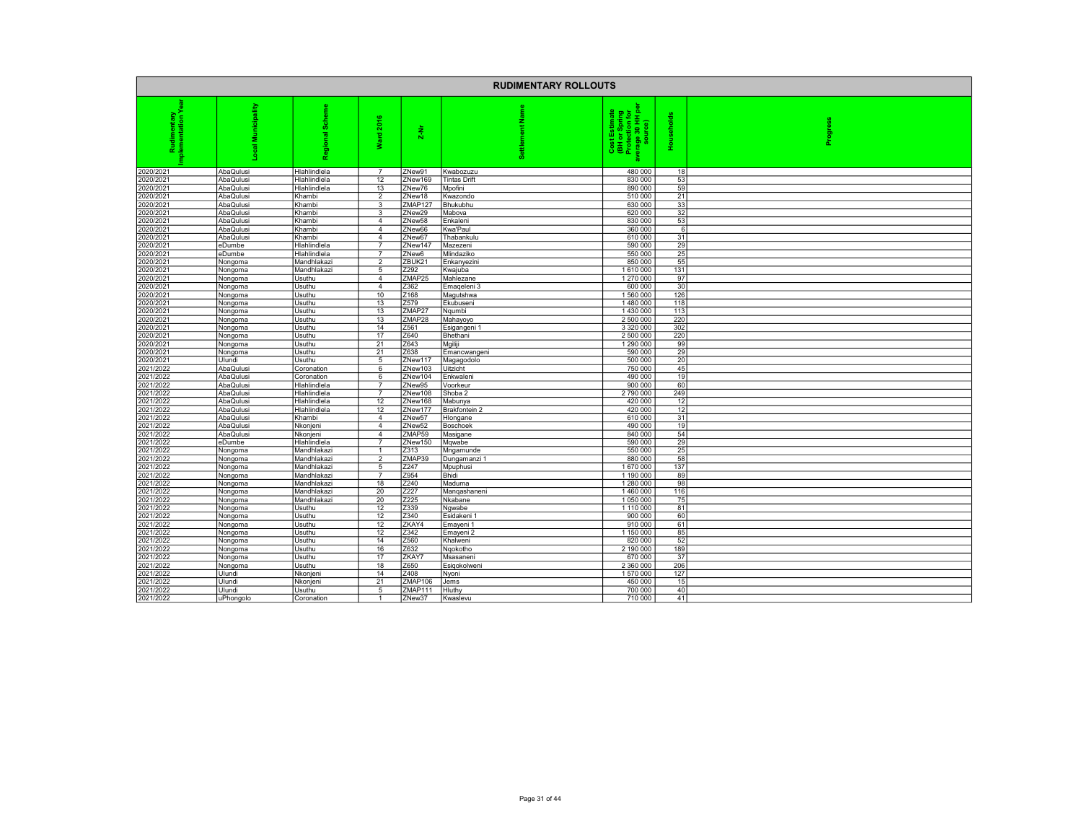| <b>RUDIMENTARY ROLLOUTS</b> |                        |                            |                     |                   |                     |                                                                                |                |         |
|-----------------------------|------------------------|----------------------------|---------------------|-------------------|---------------------|--------------------------------------------------------------------------------|----------------|---------|
| ē                           | 着<br>€                 |                            | 2016<br>gue<br>š    | $\frac{1}{2}$     | Name<br>Ē           | Cost Estimate<br>(BH or Spring<br>Protection for<br>verage 30 HH pe<br>source) | eholds<br>Hous | Progres |
| 2020/2021                   | AbaQulusi              | Hlahlindlela               | $\overline{7}$      | ZNew91            | Kwabozuzu           | 480 000                                                                        | 18             |         |
| 2020/2021                   | AbaQulusi              | Hlahlindlela               | 12                  | ZNew169           | <b>Tintas Drift</b> | 830 000                                                                        | 53             |         |
| 2020/2021                   | AbaQulusi              | Hlahlindlela               | 13                  | ZNew76            | Mpofini             | 890 000                                                                        | 59             |         |
| 2020/2021                   | AbaQulusi              | Khambi                     | $\overline{2}$      | ZNew18            | Kwazondo            | 510 000                                                                        | 21             |         |
| 2020/2021<br>2020/2021      | AbaQulusi<br>AbaQulusi | Khambi<br>Khambi           | 3<br>3              | ZMAP127<br>ZNew29 | Bhukubhu<br>Mabova  | 630 000<br>620 000                                                             | 33<br>32       |         |
| 2020/2021                   | AbaQulusi              | Khambi                     | $\overline{4}$      | ZNew58            | Enkaleni            | 830 000                                                                        | 53             |         |
| 2020/2021                   | AbaQulusi              | Khambi                     | $\overline{4}$      | ZNew66            | Kwa'Paul            | 360 000                                                                        | -6             |         |
| 2020/2021                   | AbaQulusi              | Khambi                     | $\overline{4}$      | ZNew67            | Thabankulu          | 610 000                                                                        | 31             |         |
| 2020/2021                   | eDumbe                 | Hlahlindlela               | 7                   | ZNew14            | Mazezeni            | 590 000                                                                        | 29             |         |
| 2020/2021                   | eDumbe                 | Hlahlindlela               |                     | ZNew6             | Mlindaziko          | 550 000                                                                        | 25             |         |
| 2020/2021                   | Nongoma                | Mandhlakazi                | 2                   | ZBUK21            | Enkanyezini         | 850 000                                                                        | 55             |         |
| 2020/2021                   | Nongoma                | Mandhlakazi                | 5                   | Z292              | Kwajuba             | 1610000                                                                        | 131            |         |
| 2020/2021                   | Nongoma                | Usuthu                     | $\overline{4}$      | ZMAP25            | Mahlezane           | 1 270 000                                                                      | 97             |         |
| 2020/2021                   | Nongoma                | Usuthu                     | $\overline{4}$      | Z362              | Emageleni 3         | 600 000                                                                        | 30             |         |
| 2020/2021                   | Nongoma                | Usuthu                     | 10                  | Z168              | Magutshwa           | 1560000                                                                        | 126            |         |
| 2020/2021                   | Nongoma                | Usuthu                     | 13                  | Z579              | Ekubuseni           | 1480000                                                                        | 118            |         |
| 2020/2021                   | Nongoma                | Usuthu                     | 13                  | ZMAP27            | Ngumbi              | 1430 000                                                                       | 113            |         |
| 2020/2021                   | Nongoma                | Usuthu                     | 13                  | ZMAP28            | Mahayoyo            | 2 500 000                                                                      | 220            |         |
| 2020/2021                   | Nongoma                | Usuthu                     | 14                  | Z561              | Esigangeni 1        | 3 3 2 0 0 0 0                                                                  | 302            |         |
| 2020/2021<br>2020/2021      | Nongoma                | Usuthu<br>Usuthu           | 17<br>21            | Z640<br>Z643      | Bhethani<br>Mgiliji | 2 500 000<br>1 290 000                                                         | 220<br>99      |         |
| 2020/2021                   | Nongoma<br>Nongoma     | Usuthu                     | 21                  | Z638              | Emancwangeni        | 590 000                                                                        | 29             |         |
| 2020/2021                   | Ulundi                 | Usuthu                     | 5                   | ZNew117           | Magagodolo          | 500 000                                                                        | 20             |         |
| 2021/2022                   | AbaQulusi              | Coronation                 | 6                   | ZNew103           | Uitzicht            | 750 000                                                                        | 45             |         |
| 2021/2022                   | AbaQulusi              | Coronation                 | 6                   | ZNew104           | Enkwaleni           | 490 000                                                                        | 19             |         |
| 2021/2022                   | AbaQulusi              | Hlahlindlela               |                     | ZNew95            | Voorkeur            | 900 000                                                                        | 60             |         |
| 2021/2022                   | AbaQulusi              | Hlahlindlela               | $\overline{7}$      | ZNew108           | Shoba 2             | 2790000                                                                        | 249            |         |
| 2021/2022                   | AbaQulusi              | Hlahlindlela               | 12                  | ZNew168           | Mabunya             | 420 000                                                                        | 12             |         |
| 2021/2022                   | AbaQulusi              | Hlahlindlela               | 12                  | ZNew177           | Brakfontein 2       | 420 000                                                                        | 12             |         |
| 2021/2022                   | AbaQulusi              | Khambi                     | $\overline{4}$      | ZNew57            | Hlongane            | 610 000                                                                        | 31             |         |
| 2021/2022                   | AbaQulusi              | Nkonjeni                   | $\overline{4}$      | ZNew52            | Boschoek            | 490 000                                                                        | 19             |         |
| 2021/2022                   | AbaQulusi              | Nkonjeni                   | $\overline{4}$      | ZMAP59            | Masigane            | 840 000                                                                        | 54             |         |
| 2021/2022                   | eDumbe                 | Hlahlindlela               | $\overline{7}$      | ZNew150           | Mqwabe              | 590 000                                                                        | 29             |         |
| 2021/2022                   | Nongoma                | Mandhlakazi                | $\overline{1}$      | Z313              | Mngamunde           | 550 000                                                                        | 25             |         |
| 2021/2022                   | Nongoma                | Mandhlakazi                | $\overline{2}$      | ZMAP39            | Dungamanzi 1        | 880 000                                                                        | 58             |         |
| 2021/2022<br>2021/2022      | Nongoma                | Mandhlakazi                | 5<br>$\overline{7}$ | Z247<br>Z954      | Mpuphusi            | 1670000                                                                        | 137            |         |
| 2021/2022                   | Nongoma                | Mandhlakazi<br>Mandhlakazi | 18                  | Z240              | Bhidi<br>Maduma     | 1 190 000<br>1 280 000                                                         | 89<br>98       |         |
| 2021/2022                   | Nongoma<br>Nongoma     | Mandhlakazi                | 20                  | Z227              | Mangashaneni        | 1460000                                                                        | 116            |         |
| 2021/2022                   | Nongoma                | Mandhlakazi                | 20                  | Z225              | Nkabane             | 1050000                                                                        | 75             |         |
| 2021/2022                   | Nongoma                | Usuthu                     | 12                  | Z339              | Ngwabe              | 1110 000                                                                       | 81             |         |
| 2021/2022                   | Nongoma                | Usuthu                     | 12                  | Z340              | Esidakeni           | 900 000                                                                        | 60             |         |
| 2021/2022                   | Nongoma                | Usuthu                     | 12                  | ZKAY4             | Emayeni 1           | 910 000                                                                        | 61             |         |
| 2021/2022                   | Nongoma                | Usuthu                     | 12                  | Z342              | Emayeni 2           | 1 150 000                                                                      | 85             |         |
| 2021/2022                   | Nongoma                | Usuthu                     | 14                  | Z560              | Khalweni            | 820 000                                                                        | 52             |         |
| 2021/2022                   | Nongoma                | Usuthu                     | 16                  | Z632              | Ngokotho            | 2 190 000                                                                      | 189            |         |
| 2021/2022                   | Nongoma                | Usuthu                     | 17                  | ZKAY7             | Msasaneni           | 670 000                                                                        | 37             |         |
| 2021/2022                   | Nongoma                | Usuthu                     | 18                  | Z650              | Esigokolweni        | 2 360 000                                                                      | 206            |         |
| 2021/2022                   | Ulundi                 | Nkonjeni                   | 14                  | Z408              | Nyoni               | 1570000                                                                        | 127            |         |
| 2021/2022                   | Ulundi                 | Nkonjeni                   | 21                  | ZMAP106           | Jems                | 450 000                                                                        | 15             |         |
| 2021/2022                   | Ulundi                 | Usuthu                     | 5                   | ZMAP111           | Hluthy              | 700 000                                                                        | 40             |         |
| 2021/2022                   | uPhongolo              | Coronation                 | -1                  | ZNew37            | Kwaslevu            | 710 000                                                                        | 41             |         |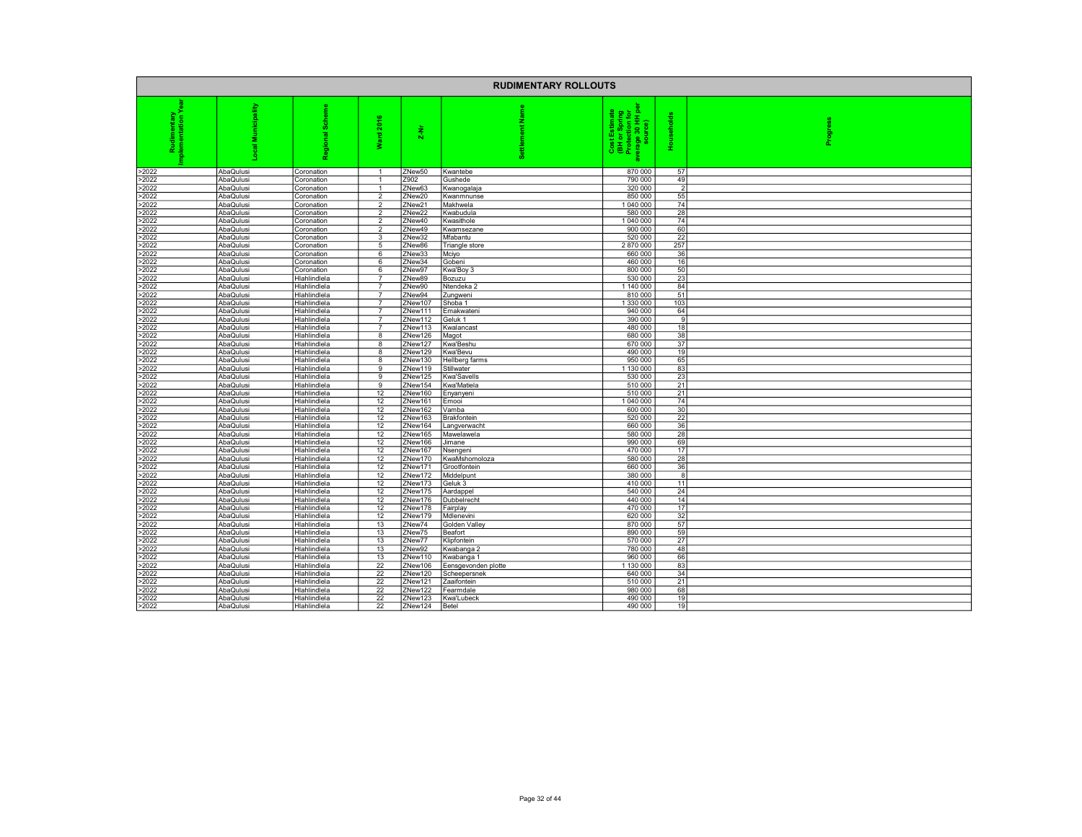|                |                        |                              |                                  |                    | <b>RUDIMENTARY ROLLOUTS</b>       |                                                                                       |                |         |
|----------------|------------------------|------------------------------|----------------------------------|--------------------|-----------------------------------|---------------------------------------------------------------------------------------|----------------|---------|
|                | ipality                | 8<br>ᇛ<br>ъ                  | ٠<br>å,<br>gue<br>≳              | $\frac{1}{2}$      |                                   | Cost Estimate<br>(BH or Spring<br>Protection for<br>Protection for<br>verage 30 HH pe | 둥<br>Hous      | Progres |
| >2022          | AbaQulusi              | Coronation                   | $\overline{1}$                   | ZNew50             | Kwantebe                          | 870 000                                                                               | 57             |         |
| >2022          | AbaQulusi              | Coronation                   |                                  | Z902               | Gushede                           | 790 000                                                                               | 49             |         |
| >2022          | AbaQulusi              | Coronation                   |                                  | ZNew63             | Kwanogalaja                       | 320 000                                                                               | $\overline{2}$ |         |
| >2022<br>>2022 | AbaQulusi<br>AbaQulusi | Coronation<br>Coronation     | $\overline{2}$<br>$\overline{2}$ | ZNew20<br>ZNew21   | Kwanmnunse<br>Makhwela            | 850 000<br>1 040 000                                                                  | 55<br>74       |         |
| >2022          | AbaQulusi              | Coronation                   | $\mathfrak{p}$                   | ZNew22             | Kwabudula                         | 580 000                                                                               | 28             |         |
| >2022          | AbaQulusi              | Coronation                   | $\overline{2}$                   | ZNew40             | Kwasithole                        | 1 040 000                                                                             | 74             |         |
| >2022          | AbaQulusi              | Coronation                   | $\mathcal{P}$                    | ZNew49             | Kwamsezane                        | 900 000                                                                               | 60             |         |
| >2022          | AbaQulusi              | Coronation                   | 3                                | ZNew32             | Mfabantu                          | 520 000                                                                               | 22             |         |
| >2022          | AbaQulusi              | Coronation                   | 5                                | ZNew86             | Triangle store                    | 2870000                                                                               | 257            |         |
| >2022<br>>2022 | AbaQulusi<br>AbaQulusi | Coronation                   | 6                                | ZNew33             | Mciyo                             | 660 000<br>460 000                                                                    | 36<br>16       |         |
| >2022          | AbaQulusi              | Coronation<br>Coronation     | 6<br>6                           | ZNew34<br>ZNew97   | Gobeni<br>Kwa'Boy 3               | 800 000                                                                               | 50             |         |
| >2022          | AbaQulusi              | Hlahlindlela                 | 7                                | ZNew89             | Bozuzu                            | 530 000                                                                               | 23             |         |
| >2022          | AbaQulusi              | Hlahlindlela                 | $\overline{7}$                   | ZNew90             | Ntendeka 2                        | 1 140 000                                                                             | 84             |         |
| >2022          | AbaQulusi              | Hlahlindlela                 | $\overline{7}$                   | ZNew94             | Zungweni                          | 810 000                                                                               | 51             |         |
| >2022          | AbaQulusi              | Hlahlindlela                 |                                  | ZNew107            | Shoba 1                           | 1 330 000                                                                             | 103            |         |
| >2022          | AbaQulusi              | Hlahlindlela                 |                                  | ZNew111            | Emakwateni                        | 940 000                                                                               | 64             |         |
| >2022          | AbaQulusi              | Hlahlindlela                 |                                  | ZNew112            | Geluk 1                           | 390 000                                                                               | $\overline{9}$ |         |
| >2022          | AbaQulusi              | Hlahlindlela                 | 8                                | ZNew113            | Kwalancast                        | 480 000                                                                               | 18             |         |
| >2022<br>>2022 | AbaQulusi<br>AbaQulusi | Hlahlindlela<br>Hlahlindlela | 8                                | ZNew126<br>ZNew127 | Magot<br>Kwa'Beshu                | 680 000<br>670 000                                                                    | 38<br>37       |         |
| >2022          | AbaQulusi              | Hlahlindlela                 | 8                                | ZNew129            | Kwa'Bevu                          | 490 000                                                                               | 19             |         |
| >2022          | AbaQulusi              | Hlahlindlela                 | 8                                | ZNew130            | Hellberg farms                    | 950 000                                                                               | 65             |         |
| >2022          | AbaQulusi              | Hlahlindlela                 | 9                                | ZNew119            | Stillwater                        | 1 130 000                                                                             | 83             |         |
| >2022          | AbaQulusi              | Hlahlindlela                 | 9                                | ZNew125            | Kwa'Savells                       | 530 000                                                                               | 23             |         |
| >2022          | AbaQulusi              | Hlahlindlela                 | q                                | ZNew154            | Kwa'Matiela                       | 510 000                                                                               | 21             |         |
| >2022          | AbaQulusi              | Hlahlindlela                 | 12                               | ZNew160            | Enyanyeni                         | 510 000                                                                               | 21             |         |
| >2022          | AbaQulusi              | Hlahlindlela                 | 12<br>12                         | ZNew161            | Emooi                             | 1040000                                                                               | 74<br>30       |         |
| >2022<br>>2022 | AbaQulusi<br>AbaQulusi | Hlahlindlela<br>Hlahlindlela | 12                               | ZNew162<br>ZNew163 | Vamba<br>Brakfontein              | 600 000<br>520 000                                                                    | 22             |         |
| >2022          | AbaQulusi              | Hlahlindlela                 | 12                               | ZNew164            | Langverwacht                      | 660 000                                                                               | 36             |         |
| >2022          | AbaQulusi              | Hlahlindlela                 | 12                               | ZNew165            | Mawelawela                        | 580 000                                                                               | 28             |         |
| >2022          | AbaQulusi              | Hlahlindlela                 | 12                               | ZNew166            | Jimane                            | 990 000                                                                               | 69             |         |
| >2022          | AbaQulusi              | Hlahlindlela                 | 12                               | ZNew167            | Nsengeni                          | 470 000                                                                               | 17             |         |
| >2022          | AbaQulusi              | Hlahlindlela                 | 12                               | ZNew170            | KwaMshomoloza                     | 580 000                                                                               | 28             |         |
| >2022          | AbaQulusi              | Hlahlindlela                 | 12                               | ZNew171            | Grootfontein                      | 660 000                                                                               | 36             |         |
| >2022<br>>2022 | AbaQulusi<br>AbaQulusi | Hlahlindlela<br>Hlahlindlela | 12<br>12                         | ZNew172<br>ZNew173 | Middelpunt<br>Geluk 3             | 380 000<br>410 000                                                                    | 8<br>11        |         |
| >2022          | AbaQulusi              | Hlahlindlela                 | 12                               | ZNew175            | Aardappel                         | 540 000                                                                               | 24             |         |
| >2022          | AbaQulusi              | Hlahlindlela                 | 12                               | ZNew176            | Dubbelrecht                       | 440 000                                                                               | 14             |         |
| >2022          | AbaQulusi              | Hlahlindlela                 | 12                               | ZNew178            | Fairplay                          | 470 000                                                                               | 17             |         |
| >2022          | AbaQulusi              | Hlahlindlela                 | 12                               | ZNew179            | Mdlenevini                        | 620 000                                                                               | 32             |         |
| >2022          | AbaQulusi              | Hlahlindlela                 | 13                               | ZNew74             | Golden Valley                     | 870 000                                                                               | 57             |         |
| >2022          | AbaQulusi              | Hlahlindlela                 | 13                               | ZNew75             | Beafort                           | 890 000                                                                               | 59             |         |
| >2022          | AbaQulusi              | Hlahlindlela                 | 13                               | ZNew77             | Klipfontein                       | 570 000                                                                               | 27             |         |
| >2022<br>>2022 | AbaQulusi<br>AbaQulusi | Hlahlindlela<br>Hlahlindlela | 13<br>13                         | ZNew92<br>ZNew110  | Kwabanga 2                        | 780 000<br>960 000                                                                    | 48<br>66       |         |
| >2022          | AbaQulusi              | Hlahlindlela                 | 22                               | ZNew106            | Kwabanga 1<br>Eensgevonden plotte | 1 130 000                                                                             | 83             |         |
| >2022          | AbaQulusi              | Hlahlindlela                 | 22                               | ZNew120            | Scheepersnek                      | 640 000                                                                               | 34             |         |
| >2022          | AbaQulusi              | Hlahlindlela                 | 22                               | ZNew121            | Zaaifontein                       | 510 000                                                                               | 21             |         |
| >2022          | AbaQulusi              | Hlahlindlela                 | 22                               | ZNew122            | Fearmdale                         | 980 000                                                                               | 68             |         |
| >2022          | AbaQulusi              | Hlahlindlela                 | 22                               | ZNew123            | Kwa'Lubeck                        | 490 000                                                                               | 19             |         |
| >2022          | AbaQulusi              | Hlahlindlela                 | 22                               | ZNew124            | Betel                             | 490 000                                                                               | 19             |         |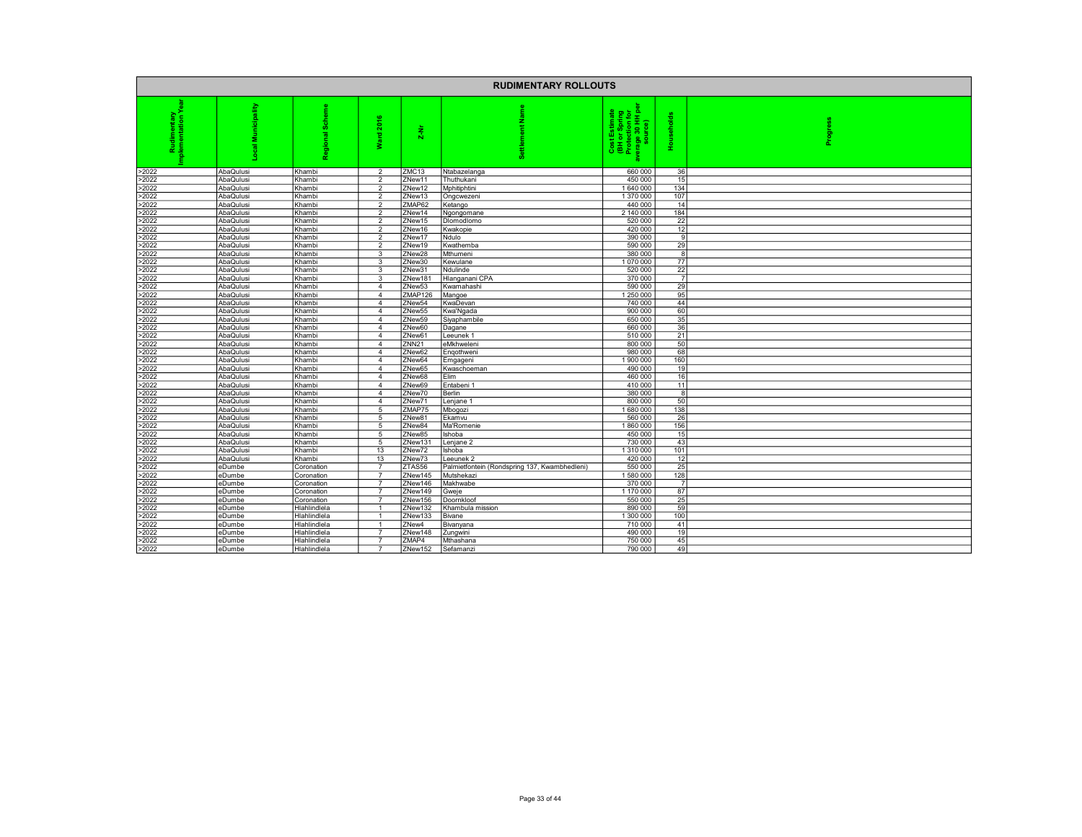|                |                        |                  |                                  |                   | <b>RUDIMENTARY ROLLOUTS</b>                   |                                                                                |                |  |
|----------------|------------------------|------------------|----------------------------------|-------------------|-----------------------------------------------|--------------------------------------------------------------------------------|----------------|--|
|                | pality                 | శ్ర<br>흗<br>ō    | ٠<br>ard 20<br>s.                | $2-Nr$            | z                                             | Cost Estimate<br>(BH or Spring<br>Protection for<br>Prage 30 HH per<br>source) | Households     |  |
| >2022          | AbaQulusi              | Khambi           | $\overline{2}$                   | ZMC13             | Ntabazelanga                                  | 660 000                                                                        | 36             |  |
| >2022          | AbaQulusi              | Khambi           | $\overline{2}$                   | ZNew11            | Thuthukani                                    | 450 000                                                                        | 15             |  |
| >2022          | AbaQulusi              | Khambi           | $\overline{2}$                   | ZNew12            | Mphitiphtini                                  | 1640000                                                                        | 134            |  |
| >2022          | AbaQulusi              | Khambi           | $\mathfrak{p}$                   | ZNew13            | Ongcwezeni                                    | 1 370 000                                                                      | 107            |  |
| >2022          | AbaQulusi              | Khambi           | $\overline{2}$                   | ZMAP62            | Ketango                                       | 440 000                                                                        | 14             |  |
| >2022          | AbaQulusi              | Khambi           | $\overline{2}$                   | ZNew14            | Ngongomane                                    | 2 140 000                                                                      | 184            |  |
| >2022          | AbaQulusi              | Khambi           | $\mathfrak{p}$<br>$\mathcal{P}$  | ZNew15            | Diomodiomo                                    | 520 000                                                                        | 22             |  |
| >2022          | AbaQulusi              | Khambi           |                                  | ZNew16            | Kwakopie                                      | 420 000                                                                        | 12             |  |
| >2022<br>>2022 | AbaQulusi<br>AbaQulusi | Khambi<br>Khambi | $\overline{2}$<br>$\mathfrak{p}$ | ZNew17<br>ZNew19  | Ndulo                                         | 390 000<br>590 000                                                             | 9<br>29        |  |
| >2022          | AbaQulusi              | Khambi           | 3                                | ZNew28            | Kwathemba<br>Mthumeni                         | 380 000                                                                        | 8              |  |
| >2022          | AbaQulusi              | Khambi           | 3                                | ZNew30            | Kewulane                                      | 1070000                                                                        | 77             |  |
| >2022          | AbaQulusi              | Khambi           | 3                                | ZNew31            | Ndulinde                                      | 520 000                                                                        | 22             |  |
| >2022          | AbaQulusi              | Khambi           | 3                                | ZNew181           | Hlanganani CPA                                | 370 000                                                                        | $\overline{7}$ |  |
| >2022          | AbaQulusi              | Khambi           | $\overline{4}$                   | ZNew53            | Kwamahashi                                    | 590 000                                                                        | 29             |  |
| >2022          | AbaQulusi              | Khambi           | $\overline{4}$                   | ZMAP126           | Mangoe                                        | 1 250 000                                                                      | 95             |  |
| >2022          | AbaQulusi              | Khambi           | $\overline{4}$                   | ZNew54            | KwaDevan                                      | 740 000                                                                        | 44             |  |
| >2022          | AbaQulusi              | Khambi           | $\overline{4}$                   | ZNew55            | Kwa'Ngada                                     | 900 000                                                                        | 60             |  |
| >2022          | AbaQulusi              | Khambi           | $\overline{4}$                   | ZNew59            | Siyaphambile                                  | 650 000                                                                        | 35             |  |
| >2022          | AbaQulusi              | Khambi           | $\overline{4}$                   | ZNew60            | Dagane                                        | 660 000                                                                        | 36             |  |
| >2022          | AbaQulusi              | Khambi           | 4                                | ZNew61            | Leeunek 1                                     | 510 000                                                                        | 21             |  |
| >2022          | AbaQulusi              | Khambi           | $\overline{4}$                   | ZNN <sub>21</sub> | eMkhweleni                                    | 800 000                                                                        | 50             |  |
| >2022          | AbaQulusi              | Khambi           | $\overline{4}$                   | ZNew62            | Engothweni                                    | 980 000                                                                        | 68             |  |
| >2022          | AbaQulusi              | Khambi           | $\overline{4}$                   | ZNew64            | Emgageni                                      | 1900000                                                                        | 160            |  |
| >2022          | AbaQulusi              | Khambi           | $\overline{4}$                   | ZNew65            | Kwaschoeman                                   | 490 000                                                                        | 19             |  |
| >2022          | AbaQulusi              | Khambi           | $\overline{4}$                   | ZNew68            | Elim                                          | 460 000                                                                        | 16             |  |
| >2022          | AbaQulusi              | Khambi           | $\overline{4}$                   | ZNew69            | Entabeni 1                                    | 410 000                                                                        | 11             |  |
| >2022          | AbaQulusi              | Khambi           | $\overline{4}$                   | ZNew70            | Berlin                                        | 380 000                                                                        | 8              |  |
| >2022          | AbaQulusi              | Khambi           | $\overline{4}$                   | ZNew71            | Lenjane 1                                     | 800 000                                                                        | 50             |  |
| >2022          | AbaQulusi              | Khambi           | 5                                | ZMAP75            | Mbogozi                                       | 1680000                                                                        | 138            |  |
| >2022          | AbaQulusi              | Khambi           | 5                                | ZNew81            | Ekamvu                                        | 560 000                                                                        | 26             |  |
| >2022          | AbaQulusi              | Khambi           | 5                                | ZNew84            | Ma'Romenie                                    | 1860000                                                                        | 156            |  |
| >2022          | AbaQulusi              | Khambi           | 5                                | ZNew85            | Ishoba                                        | 450 000                                                                        | 15             |  |
| >2022          | AbaQulusi              | Khambi           | 5                                | ZNew131           | Lenjane 2                                     | 730 000                                                                        | 43             |  |
| >2022          | AbaQulusi              | Khambi           | 13                               | ZNew72            | Ishoba                                        | 1 310 000                                                                      | 101            |  |
| >2022          | AbaQulusi              | Khambi           | 13                               | ZNew73            | eeunek <sub>2</sub>                           | 420 000                                                                        | 12             |  |
| >2022          | eDumbe                 | Coronation       | $\overline{7}$                   | ZTAS56            | Palmietfontein (Rondspring 137, Kwambhedleni) | 550 000                                                                        | 25             |  |
| >2022          | eDumbe                 | Coronation       |                                  | ZNew145           | Mutshekazi                                    | 1580000                                                                        | 128            |  |
| >2022          | eDumbe                 | Coronation       | $\overline{7}$                   | ZNew146           | Makhwabe                                      | 370 000                                                                        | $\overline{7}$ |  |
| >2022          | eDumbe                 | Coronation       |                                  | ZNew149           | Gweje                                         | 1 170 000                                                                      | 87             |  |
| >2022          | eDumbe                 | Coronation       | $\overline{7}$                   | ZNew156           | Doornkloof                                    | 550 000                                                                        | 25             |  |
| >2022          | eDumbe                 | Hlahlindlela     |                                  | ZNew132           | Khambula mission                              | 890 000                                                                        | 59             |  |
| >2022          | eDumbe                 | Hlahlindlela     |                                  | ZNew133           | Bivane                                        | 1 300 000                                                                      | 100            |  |
| >2022          | eDumbe                 | Hlahlindlela     | -1                               | ZNew4             | Bivanyana                                     | 710 000                                                                        | 41             |  |
| >2022          | eDumbe                 | Hlahlindlela     |                                  | ZNew148           | Zungwini                                      | 490 000                                                                        | 19             |  |
| >2022          | eDumbe                 | Hlahlindlela     | $\overline{7}$                   | ZMAP4             | Mthashana                                     | 750 000                                                                        | 45             |  |
| >2022          | eDumbe                 | Hlahlindlela     |                                  | ZNew152           | Sefamanzi                                     | 790 000                                                                        | 49             |  |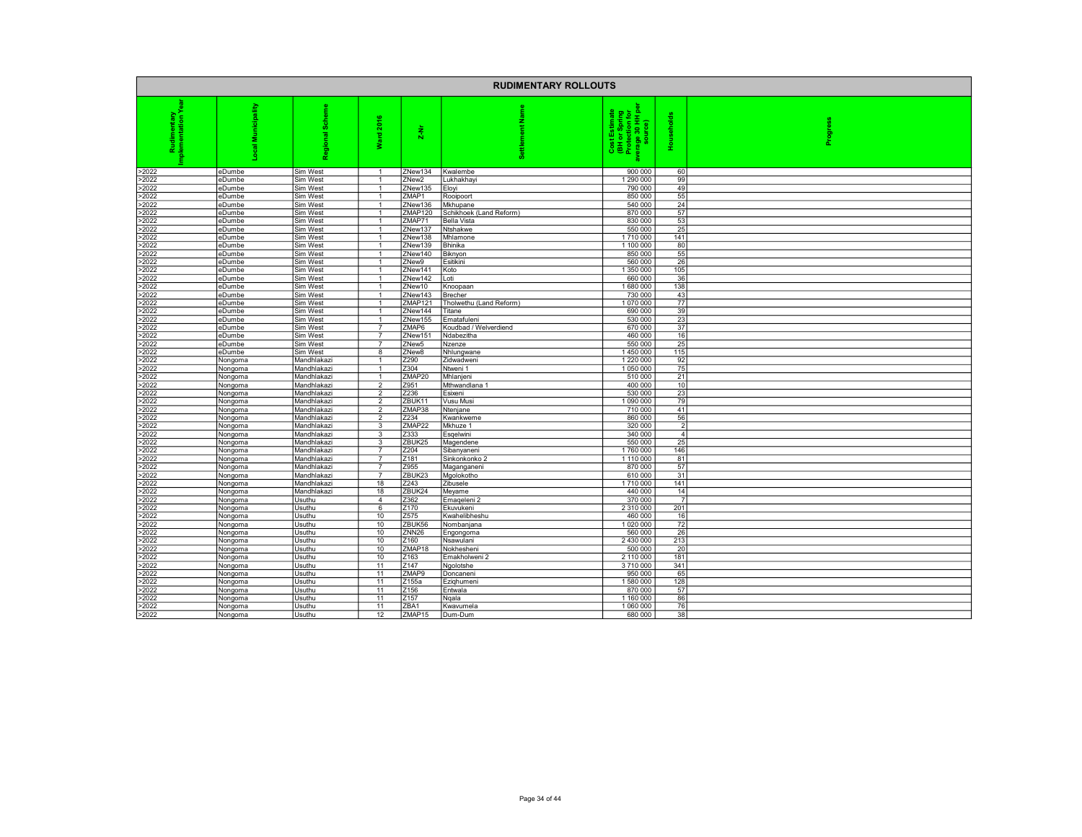|                |                    |                            |                                  |                   | <b>RUDIMENTARY ROLLOUTS</b> |                                                                                |                  |        |
|----------------|--------------------|----------------------------|----------------------------------|-------------------|-----------------------------|--------------------------------------------------------------------------------|------------------|--------|
|                | cipality<br>Ξ      | ة<br>8<br>힡<br>음           | ٠<br>å<br><b>Pue</b><br>ż        | $\frac{1}{2}$     | z<br>ã                      | Cost Estimate<br>(BH or Spring<br>Protection for<br>verage 30 HH pe<br>source) | <b>olds</b><br>훈 | Progre |
| >2022          | eDumbe             | Sim West                   |                                  | ZNew134           | Kwalembe                    | 900 000                                                                        | 60               |        |
| >2022          | eDumbe             | Sim West                   |                                  | ZNew <sub>2</sub> | Lukhakhay                   | 1 290 000                                                                      | 99               |        |
| >2022<br>>2022 | eDumbe             | Sim West                   | $\overline{1}$                   | ZNew135           | Eloyi                       | 790 000<br>850 000                                                             | 49<br>55         |        |
| >2022          | eDumbe<br>eDumbe   | Sim West<br>Sim West       |                                  | ZMAP1<br>ZNew136  | Rooipoort<br>Mkhupane       | 540 000                                                                        | 24               |        |
| >2022          | eDumbe             | Sim West                   |                                  | ZMAP120           | Schikhoek (Land Reform)     | 870 000                                                                        | $\overline{57}$  |        |
| >2022          | eDumbe             | Sim West                   | $\overline{1}$                   | ZMAP71            | Bella Vista                 | 830 000                                                                        | 53               |        |
| >2022          | eDumbe             | Sim West                   |                                  | ZNew137           | Ntshakwe                    | 550 000                                                                        | 25               |        |
| >2022          | eDumbe             | Sim West                   |                                  | ZNew138           | Mhlamone                    | 1710000                                                                        | 141              |        |
| >2022          | eDumbe             | Sim West                   |                                  | ZNew139           | Bhinika                     | 1 100 000                                                                      | 80               |        |
| >2022          | eDumbe             | Sim West                   | $\overline{1}$                   | ZNew140           | Biknyon                     | 850 000                                                                        | 55               |        |
| >2022          | eDumbe             | Sim West                   |                                  | ZNew9             | Esitikini                   | 560 000                                                                        | 26               |        |
| >2022          | eDumbe             | Sim West                   |                                  | ZNew141           | Koto                        | 1 350 000                                                                      | 105              |        |
| >2022<br>>2022 | eDumbe<br>eDumbe   | Sim West<br>Sim West       | $\overline{1}$                   | ZNew142<br>ZNew10 | Loti<br>Knoopaan            | 660 000<br>1680000                                                             | 36<br>138        |        |
| >2022          | eDumbe             | Sim West                   |                                  | ZNew143           | Brecher                     | 730 000                                                                        | 43               |        |
| >2022          | eDumbe             | Sim West                   |                                  | ZMAP121           | Tholwethu (Land Reform)     | 1070000                                                                        | 77               |        |
| >2022          | eDumbe             | Sim West                   |                                  | ZNew144           | Titane                      | 690 000                                                                        | 39               |        |
| >2022          | eDumbe             | Sim West                   |                                  | ZNew155           | Ematafuleni                 | 530 000                                                                        | 23               |        |
| >2022          | eDumbe             | Sim West                   | $\overline{7}$                   | ZMAP6             | Koudbad / Welverdiend       | 670 000                                                                        | 37               |        |
| >2022          | eDumbe             | Sim West                   | $\overline{7}$                   | ZNew151           | Ndabezitha                  | 460 000                                                                        | 16               |        |
| >2022          | eDumbe             | Sim West                   | $\overline{7}$                   | ZNew <sub>5</sub> | Nzenze                      | 550 000                                                                        | 25               |        |
| >2022          | eDumbe             | Sim West                   | 8                                | ZNew8             | Nhlungwane                  | 1450000                                                                        | 115              |        |
| >2022          | Nongoma            | Mandhlakazi                |                                  | Z290              | Zidwadweni                  | 1 2 2 0 0 0 0                                                                  | 92               |        |
| >2022<br>>2022 | Nongoma            | Mandhlakazi                |                                  | Z304<br>ZMAP20    | Ntweni 1                    | 1 050 000                                                                      | 75<br>21         |        |
| >2022          | Nongoma            | Mandhlakazi<br>Mandhlakazi | $\overline{2}$                   | Z951              | Mhlanjeni<br>Mthwandlana 1  | 510 000<br>400 000                                                             | 10               |        |
| >2022          | Nongoma<br>Nongoma | Mandhlakazi                | $\overline{2}$                   | Z236              | Esixeni                     | 530 000                                                                        | 23               |        |
| >2022          | Nongoma            | Mandhlakazi                | $\mathfrak{p}$                   | ZBUK11            | Vusu Musi                   | 1090000                                                                        | 79               |        |
| >2022          | Nongoma            | Mandhlakazi                | $\overline{2}$                   | ZMAP38            | Ntenjane                    | 710 000                                                                        | 41               |        |
| >2022          | Nongoma            | Mandhlakazi                | $\overline{2}$                   | Z234              | Kwankweme                   | 860 000                                                                        | 56               |        |
| >2022          | Nongoma            | Mandhlakazi                | 3                                | ZMAP22            | Mkhuze 1                    | 320 000                                                                        | $\overline{2}$   |        |
| >2022          | Nongoma            | Mandhlakazi                | 3                                | Z333              | Esqelwini                   | 340 000                                                                        | $\overline{4}$   |        |
| >2022          | Nongoma            | Mandhlakazi                | 3                                | ZBUK25            | Magendene                   | 550 000                                                                        | 25               |        |
| >2022          | Nongoma            | Mandhlakazi                | $\overline{7}$                   | Z204              | Sibanyaneni                 | 1760000                                                                        | 146              |        |
| >2022          | Nongoma            | Mandhlakazi                | $\overline{7}$<br>$\overline{7}$ | Z181              | Sinkonkonko 2               | 1110 000                                                                       | 81               |        |
| >2022<br>>2022 | Nongoma            | Mandhlakazi<br>Mandhlakazi |                                  | Z955<br>ZBUK23    | Maganganeni<br>Mgolokotho   | 870 000<br>610 000                                                             | 57<br>31         |        |
| >2022          | Nongoma<br>Nongoma | Mandhlakazi                | 18                               | Z243              | Zibusele                    | 1710000                                                                        | 141              |        |
| >2022          | Nongoma            | Mandhlakazi                | 18                               | ZBUK24            | Meyame                      | 440 000                                                                        | 14               |        |
| >2022          | Nongoma            | Usuthu                     | $\overline{4}$                   | Z362              | Emageleni 2                 | 370 000                                                                        | $\overline{7}$   |        |
| >2022          | Nongoma            | Usuthu                     | 6                                | Z170              | Ekuvukeni                   | 2 310 000                                                                      | 201              |        |
| >2022          | Nongoma            | Usuthu                     | 10                               | Z575              | Kwahelibheshu               | 460 000                                                                        | 16               |        |
| >2022          | Nongoma            | Usuthu                     | 10                               | ZBUK56            | Nombanjana                  | 1020000                                                                        | 72               |        |
| >2022          | Nongoma            | Usuthu                     | 10                               | ZNN <sub>26</sub> | Engongoma                   | 560 000                                                                        | 26               |        |
| >2022          | Nongoma            | Usuthu                     | 10                               | Z160              | Nsawulani                   | 2 430 000                                                                      | 213              |        |
| >2022<br>>2022 | Nongoma            | Usuthu                     | 10<br>10                         | ZMAP18<br>Z163    | Nokhesheni                  | 500 000<br>2 110 000                                                           | 20<br>181        |        |
| >2022          | Nongoma<br>Nongoma | Usuthu<br>Usuthu           | 11                               | Z147              | Emakholweni 2<br>Ngolotshe  | 3710000                                                                        | 341              |        |
| >2022          | Nongoma            | Usuthu                     | 11                               | ZMAP9             | Doncaneni                   | 950 000                                                                        | 65               |        |
| >2022          | Nongoma            | Usuthu                     | 11                               | Z155a             | Ezighumeni                  | 1580000                                                                        | 128              |        |
| >2022          | Nongoma            | Usuthu                     | 11                               | Z156              | Entwala                     | 870 000                                                                        | 57               |        |
| >2022          | Nongoma            | Usuthu                     | 11                               | Z157              | Nqala                       | 1 160 000                                                                      | 86               |        |
| >2022          | Nongoma            | Usuthu                     | 11                               | ZBA1              | Kwavumela                   | 1 060 000                                                                      | 76               |        |
| >2022          | Nongoma            | Usuthu                     | 12                               | ZMAP15            | Dum-Dum                     | 680 000                                                                        | 38               |        |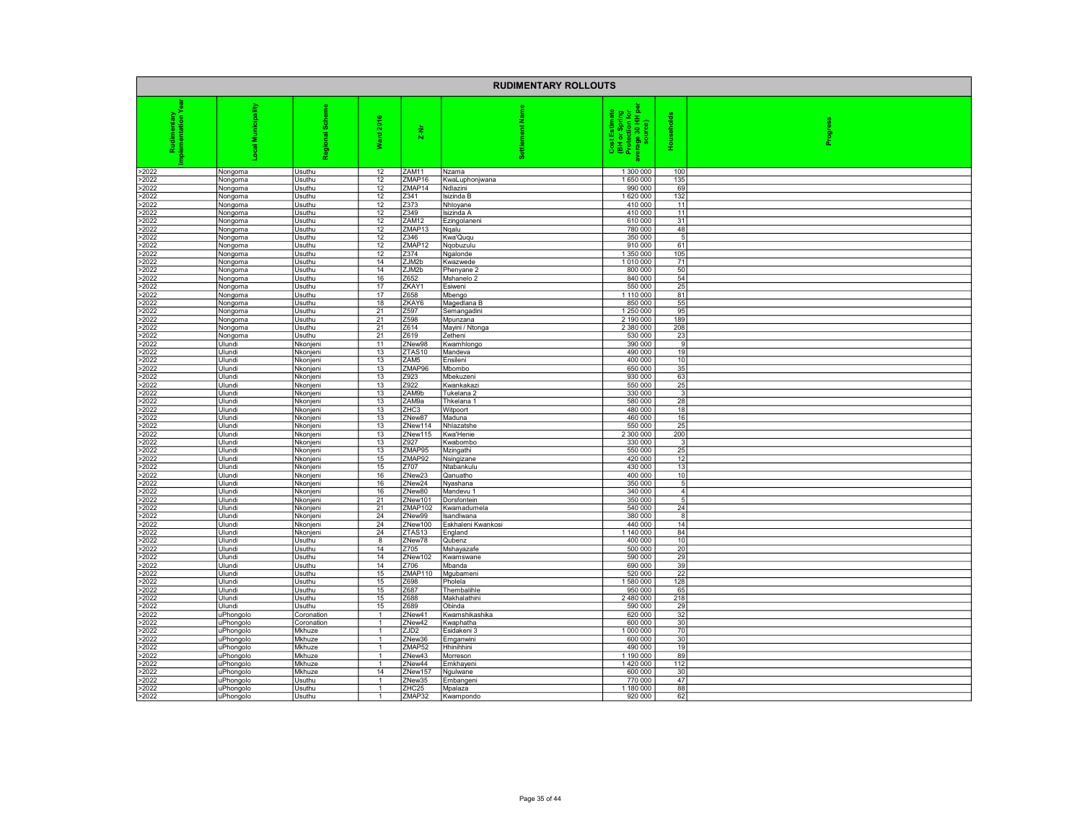|                | <b>RUDIMENTARY ROLLOUTS</b> |                          |                      |                    |                               |                                                                                |                       |        |  |
|----------------|-----------------------------|--------------------------|----------------------|--------------------|-------------------------------|--------------------------------------------------------------------------------|-----------------------|--------|--|
|                | 음<br>š<br>ल                 | 8<br>恵<br>Region         | 2016<br>꾛<br>₹       | $\frac{1}{2}$      | nent                          | Cost Estimate<br>(BH or Spring<br>Protection for<br>verage 30 HH pe<br>source) | 듳<br>훈                | ie.fo. |  |
| >2022          | Nongoma                     | Usuthu                   | 12                   | ZAM11              | Nzama                         | 1 300 000                                                                      | 100                   |        |  |
| >2022          | Nongoma                     | Usuthu                   | 12                   | ZMAP16             | KwaLuphonjwana                | 1650000                                                                        | 135                   |        |  |
| >2022<br>>2022 | Nongoma                     | Usuthu<br>Usuthu         | 12<br>12             | ZMAP14<br>Z341     | Ndlazini<br>lsizinda B        | 990 000<br>1620000                                                             | 69<br>132             |        |  |
| >2022          | Nongoma<br>Nongoma          | Usuthu                   | 12                   | Z373               | Nhloyane                      | 410 000                                                                        | 11                    |        |  |
| >2022          | Nongoma                     | Usuthu                   | 12                   | Z349               | Isizinda A                    | 410 000                                                                        | 11                    |        |  |
| >2022          | Nongoma                     | Usuthu                   | 12                   | ZAM12              | Ezingolaneni                  | 610 000                                                                        | 31                    |        |  |
| >2022          | Nongoma                     | Usuthu                   | 12                   | ZMAP13             | Ngalu                         | 780 000                                                                        | 48                    |        |  |
| >2022<br>>2022 | Nongoma<br>Nongoma          | Usuthu<br>Usuthu         | 12<br>12             | Z346<br>ZMAP12     | Kwa'Ququ<br>Ngobuzulu         | 350 000<br>910 000                                                             | $5\phantom{.0}$<br>61 |        |  |
| >2022          | Nongoma                     | Usuthu                   | 12                   | Z374               | Ngalonde                      | 1 350 000                                                                      | 105                   |        |  |
| >2022          | Nongoma                     | Usuthu                   | 14                   | ZJM2b              | Kwazwede                      | 1010000                                                                        | 71                    |        |  |
| >2022          | Nongoma                     | Usuthu                   | 14                   | ZJM2b              | Phenyane <sub>2</sub>         | 800 000                                                                        | 50                    |        |  |
| >2022<br>>2022 | Nongoma                     | Usuthu<br>Usuthu         | 16<br>17             | Z652<br>ZKAY1      | Mshanelo 2<br>Esiweni         | 840 000<br>550 000                                                             | 54<br>25              |        |  |
| >2022          | Nongoma<br>Nongoma          | Usuthu                   | 17                   | Z658               | Mbengo                        | 1110000                                                                        | 81                    |        |  |
| >2022          | Nongoma                     | Usuthu                   | 18                   | ZKAY6              | Magedlana B                   | 850 000                                                                        | 55                    |        |  |
| >2022          | Nongoma                     | Usuthu                   | 21                   | Z <sub>597</sub>   | Semangadini                   | 1 250 000                                                                      | 95                    |        |  |
| >2022          | Nongoma                     | Usuthu                   | $\overline{21}$      | Z598               | Mpunzana                      | 2 190 000                                                                      | 189                   |        |  |
| >2022          | Nongoma                     | Usuthu                   | 21<br>21             | Z614<br>Z619       | Mayini / Ntonga               | 2 380 000<br>530 000                                                           | 208<br>23             |        |  |
| >2022<br>>2022 | Nongoma<br>Ulundi           | Usuthu<br>Nkonjeni       | 11                   | ZNew98             | Zetheni<br>Kwamhlongo         | 390 000                                                                        | 9                     |        |  |
| >2022          | Ulundi                      | Nkonjeni                 | 13                   | ZTAS10             | Mandeva                       | 490 000                                                                        | 19                    |        |  |
| >2022          | Ulundi                      | Nkonjeni                 | 13                   | ZAM5               | Ensileni                      | 400 000                                                                        | 10                    |        |  |
| >2022          | Ulundi                      | Nkonjeni                 | 13                   | ZMAP96             | Mbombo                        | 650 000                                                                        | 35                    |        |  |
| >2022<br>>2022 | Ulundi<br>Ulundi            | Nkonjeni                 | 13<br>13             | Z923<br>Z922       | Mbekuzen<br>Kwankakazi        | 930 000<br>550 000                                                             | 63<br>25              |        |  |
| >2022          | Ulundi                      | Nkonjeni<br>Nkonjeni     | 13                   | ZAM9b              | Tukelana 2                    | 330 000                                                                        | 3 <sup>1</sup>        |        |  |
| >2022          | Ulundi                      | Nkonjeni                 | 13                   | ZAM9a              | Thkelana 1                    | 580 000                                                                        | 28                    |        |  |
| >2022          | Ulundi                      | Nkonjeni                 | 13                   | ZHC3               | Witpoort                      | 480 000                                                                        | 18                    |        |  |
| >2022          | Ulundi                      | Nkonjeni                 | 13                   | ZNew87             | Maduna                        | 460 000                                                                        | 16                    |        |  |
| >2022<br>>2022 | Ulundi                      | Nkonjeni                 | 13<br>13             | ZNew114<br>ZNew115 | Nhlazatshe                    | 550 000<br>2 300 000                                                           | 25<br>200             |        |  |
| >2022          | Ulundi<br>Ulundi            | Nkonjeni<br>Nkonjeni     | 13                   | Z927               | Kwa'Henie<br>Kwabombo         | 330 000                                                                        | 3                     |        |  |
| >2022          | Ulundi                      | Nkonjeni                 | 13                   | ZMAP95             | Mzingathi                     | 550 000                                                                        | 25                    |        |  |
| >2022          | Ulundi                      | Nkonjeni                 | 15                   | ZMAP92             | Nsingizane                    | 420 000                                                                        | 12                    |        |  |
| >2022          | Ulundi                      | Nkonjeni                 | 15                   | Z707               | Ntabankulu                    | 430 000                                                                        | 13                    |        |  |
| >2022<br>>2022 | Ulundi<br>Ulundi            | Nkonjeni<br>Nkonjeni     | 16<br>16             | ZNew23<br>ZNew24   | Qanuatho<br>Nyashana          | 400 000<br>350 000                                                             | 10<br>5               |        |  |
| >2022          | Ulundi                      | Nkonjeni                 | 16                   | ZNew80             | Mandevu 1                     | 340 000                                                                        | 4 <sup>1</sup>        |        |  |
| >2022          | Ulundi                      | Nkonjeni                 | 21                   | ZNew101            | Dorsfontein                   | 350 000                                                                        | 5 <sub>5</sub>        |        |  |
| >2022          | Ulundi                      | Nkonjeni                 | 21                   | ZMAP102            | Kwamadumela                   | 540 000                                                                        | 24                    |        |  |
| >2022          | Ulundi                      | Nkonjeni                 | 24<br>24             | ZNew99             | Isandlwana                    | 380 000                                                                        | 8                     |        |  |
| >2022<br>>2022 | Ulundi<br><b>Ulundi</b>     | Nkonjeni<br>Nkonjeni     | 24                   | ZNew100<br>ZTAS13  | Eskhaleni Kwankosi<br>England | 440 000<br>1 140 000                                                           | 14<br>84              |        |  |
| >2022          | Ulundi                      | Usuthu                   | 8                    | ZNew78             | Qubenz                        | 400 000                                                                        | 10                    |        |  |
| >2022          | Ulundi                      | Usuthu                   | 14                   | Z705               | Mshayazafe                    | 500 000                                                                        | 20                    |        |  |
| >2022          | Ulundi                      | Usuthu                   | 14                   | ZNew102            | Kwamswane                     | 590 000                                                                        | 29                    |        |  |
| >2022<br>>2022 | Ulundi<br>Ulundi            | Usuthu<br>Usuthu         | 14<br>15             | Z706<br>ZMAP110    | Mbanda<br>Mgubameni           | 690 000<br>520 000                                                             | 39<br>22              |        |  |
| >2022          | Ulundi                      | Usuthu                   | 15                   | Z698               | Pholela                       | 1580000                                                                        | 128                   |        |  |
| >2022          | Ulundi                      | Usuthu                   | 15                   | Z687               | Thembalihle                   | 950 000                                                                        | 65                    |        |  |
| >2022          | Ulundi                      | Usuthu                   | 15                   | Z688               | Makhalathini                  | 2 480 000                                                                      | 218                   |        |  |
| >2022          | Ulundi                      | Usuthu                   | 15<br>$\mathbf{1}$   | Z689               | Obinda                        | 590 000                                                                        | 29<br>32              |        |  |
| >2022<br>>2022 | uPhongolo<br>uPhongolo      | Coronation<br>Coronation | $\overline{1}$       | ZNew41<br>ZNew42   | Kwamshikashika<br>Kwaphatha   | 620 000<br>600 000                                                             | 30                    |        |  |
| >2022          | uPhongolo                   | Mkhuze                   | $\overline{1}$       | ZJD <sub>2</sub>   | Esidakeni 3                   | 1000000                                                                        | 70                    |        |  |
| >2022          | uPhongolo                   | Mkhuze                   | -1                   | ZNew36             | Emganwini                     | 600 000                                                                        | 30                    |        |  |
| >2022          | uPhongolo                   | Mkhuze                   | $\overline{1}$       | ZMAP52             | Hhinihhini                    | 490 000                                                                        | 19                    |        |  |
| >2022<br>>2022 | uPhongolo                   | Mkhuze<br>Mkhuze         |                      | ZNew43<br>ZNew44   | Morreson                      | 1 190 000<br>1420 000                                                          | 89<br>112             |        |  |
| >2022          | uPhongolo<br>uPhongolo      | Mkhuze                   | 14                   | ZNew157            | Emkhayeni<br>Ngulwane         | 600 000                                                                        | 30                    |        |  |
| >2022          | uPhongolo                   | Usuthu                   |                      | ZNew35             | Embangeni                     | 770 000                                                                        | 47                    |        |  |
| >2022          | uPhongolo                   | Usuthu                   | $\overline{1}$       | ZHC25              | Mpalaza                       | 1 180 000                                                                      | 88                    |        |  |
| >2022          | uPhongolo                   | Usuthu                   | $\blacktriangleleft$ | ZMAP32             | Kwampondo                     | 920 000                                                                        | 62                    |        |  |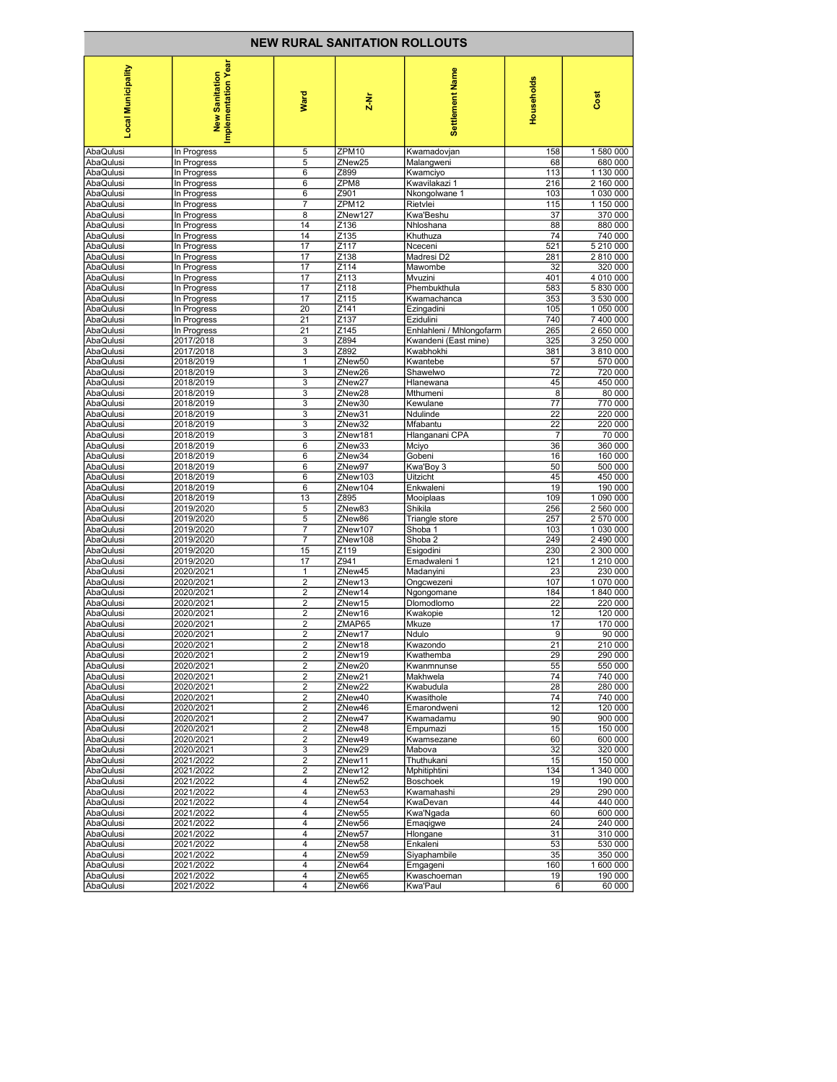| <b>NEW RURAL SANITATION ROLLOUTS</b> |                                       |                         |                              |                             |                |                        |  |  |  |  |
|--------------------------------------|---------------------------------------|-------------------------|------------------------------|-----------------------------|----------------|------------------------|--|--|--|--|
| <b>Local Municipality</b>            | Implementation Year<br>New Sanitation | Ward                    | $\frac{1}{2}$                | Settlement Name             | Households     | Cost                   |  |  |  |  |
| AbaQulusi                            | In Progress                           | 5                       | ZPM10                        | Kwamadovjan                 | 158            | 1 580 000              |  |  |  |  |
| AbaQulusi                            | In Progress                           | 5                       | ZNew25                       | Malangweni                  | 68             | 680 000                |  |  |  |  |
| AbaQulusi                            | In Progress                           | 6                       | Z899                         | Kwamciyo                    | 113            | 1 130 000              |  |  |  |  |
| AbaQulusi                            | In Progress                           | 6                       | ZPM8                         | Kwavilakazi 1               | 216            | 2 160 000              |  |  |  |  |
| AbaQulusi                            | In Progress                           | 6                       | Z901                         | Nkongolwane 1               | 103            | 1 030 000              |  |  |  |  |
| AbaQulusi<br>AbaQulusi               | In Progress<br>In Progress            | 7<br>8                  | ZPM <sub>12</sub><br>ZNew127 | Rietvlei<br>Kwa'Beshu       | 115<br>37      | 1 150 000<br>370 000   |  |  |  |  |
| AbaQulusi                            | In Progress                           | 14                      | Z136                         | Nhloshana                   | 88             | 880 000                |  |  |  |  |
| AbaQulusi                            | In Progress                           | 14                      | Z135                         | Khuthuza                    | 74             | 740 000                |  |  |  |  |
| AbaQulusi                            | In Progress                           | 17                      | Z117                         | Nceceni                     | 521            | 5 210 000              |  |  |  |  |
| AbaQulusi                            | In Progress                           | 17                      | Z138                         | Madresi D2                  | 281            | 2 810 000              |  |  |  |  |
| AbaQulusi                            | In Progress                           | 17                      | Z114                         | Mawombe                     | 32             | 320 000                |  |  |  |  |
| AbaQulusi                            | In Progress                           | 17                      | Z113                         | Mvuzini                     | 401            | 4 010 000              |  |  |  |  |
| AbaQulusi<br>AbaQulusi               | In Progress<br>In Progress            | 17<br>17                | Z118<br>Z115                 | Phembukthula<br>Kwamachanca | 583<br>353     | 5 830 000<br>3 530 000 |  |  |  |  |
| AbaQulusi                            | In Progress                           | 20                      | Z141                         | Ezingadini                  | 105            | 1 050 000              |  |  |  |  |
| AbaQulusi                            | In Progress                           | 21                      | Z137                         | Ezidulini                   | 740            | 7 400 000              |  |  |  |  |
| AbaQulusi                            | In Progress                           | 21                      | Z145                         | Enhlahleni / Mhlongofarm    | 265            | 2 650 000              |  |  |  |  |
| AbaQulusi                            | 2017/2018                             | 3                       | Z894                         | Kwandeni (East mine)        | 325            | 3 250 000              |  |  |  |  |
| AbaQulusi                            | 2017/2018                             | 3                       | Z892                         | Kwabhokhi                   | 381            | 3 810 000              |  |  |  |  |
| AbaQulusi                            | 2018/2019                             | 1                       | ZNew50                       | Kwantebe                    | 57             | 570 000                |  |  |  |  |
| AbaQulusi                            | 2018/2019                             | 3                       | ZNew26                       | Shawelwo                    | 72             | 720 000                |  |  |  |  |
| AbaQulusi<br>AbaQulusi               | 2018/2019<br>2018/2019                | 3<br>3                  | ZNew27<br>ZNew28             | Hlanewana<br>Mthumeni       | 45<br>8        | 450 000<br>80 000      |  |  |  |  |
| AbaQulusi                            | 2018/2019                             | 3                       | ZNew30                       | Kewulane                    | 77             | 770 000                |  |  |  |  |
| AbaQulusi                            | 2018/2019                             | 3                       | ZNew31                       | Ndulinde                    | 22             | 220 000                |  |  |  |  |
| AbaQulusi                            | 2018/2019                             | 3                       | ZNew32                       | Mfabantu                    | 22             | 220 000                |  |  |  |  |
| AbaQulusi                            | 2018/2019                             | 3                       | ZNew181                      | Hlanganani CPA              | $\overline{7}$ | 70 000                 |  |  |  |  |
| AbaQulusi                            | 2018/2019                             | 6                       | ZNew33                       | Mciyo                       | 36             | 360 000                |  |  |  |  |
| AbaQulusi                            | 2018/2019                             | 6                       | ZNew34                       | Gobeni                      | 16             | 160 000                |  |  |  |  |
| AbaQulusi                            | 2018/2019                             | 6                       | ZNew97                       | Kwa'Boy 3                   | 50             | 500 000                |  |  |  |  |
| AbaQulusi<br>AbaQulusi               | 2018/2019<br>2018/2019                | 6<br>6                  | ZNew103<br>ZNew104           | Uitzicht<br>Enkwaleni       | 45<br>19       | 450 000<br>190 000     |  |  |  |  |
| AbaQulusi                            | 2018/2019                             | 13                      | Z895                         | Mooiplaas                   | 109            | 1 090 000              |  |  |  |  |
| AbaQulusi                            | 2019/2020                             | 5                       | ZNew83                       | Shikila                     | 256            | 2 560 000              |  |  |  |  |
| AbaQulusi                            | 2019/2020                             | 5                       | ZNew86                       | Triangle store              | 257            | 2 570 000              |  |  |  |  |
| AbaQulusi                            | 2019/2020                             | $\overline{7}$          | ZNew107                      | Shoba 1                     | 103            | 1 030 000              |  |  |  |  |
| AbaQulusi                            | 2019/2020                             | 7                       | ZNew108                      | Shoba 2                     | 249            | 2 490 000              |  |  |  |  |
| AbaQulusi                            | 2019/2020                             | 15                      | Z119                         | Esigodini                   | 230            | 2 300 000              |  |  |  |  |
| AbaQulusi                            | 2019/2020                             | 17                      | Z941                         | Emadwaleni 1                | 121            | 1 210 000              |  |  |  |  |
| AbaQulusi<br>AbaQulusi               | 2020/2021<br>2020/2021                | 1<br>2                  | ZNew45<br>ZNew13             | Madanyini<br>Ongcwezeni     | 23<br>107      | 230 000<br>1 070 000   |  |  |  |  |
| AbaQulusi                            | 2020/2021                             | $\overline{\mathbf{c}}$ | ZNew14                       | Ngongomane                  | 184            | 1840 000               |  |  |  |  |
| AbaQulusi                            | 2020/2021                             | $\overline{\mathbf{c}}$ | ZNew15                       | Dlomodlomo                  | 22             | 220 000                |  |  |  |  |
| AbaQulusi                            | 2020/2021                             | 2                       | ZNew16                       | Kwakopie                    | 12             | 120 000                |  |  |  |  |
| AbaQulusi                            | 2020/2021                             | $\overline{2}$          | ZMAP65                       | Mkuze                       | 17             | 170 000                |  |  |  |  |
| AbaQulusi                            | 2020/2021                             | $\overline{2}$          | ZNew17                       | Ndulo                       | 9              | 90 000                 |  |  |  |  |
| AbaQuiusi                            | 2020/2021                             |                         | ∠New18                       | Kwazondo                    | 21             | 210 000                |  |  |  |  |
| AbaQulusi<br>AbaQulusi               | 2020/2021<br>2020/2021                | 2<br>2                  | ZNew19                       | Kwathemba<br>Kwanmnunse     | 29<br>55       | 290 000<br>550 000     |  |  |  |  |
| AbaQulusi                            | 2020/2021                             | 2                       | ZNew20<br>ZNew <sub>21</sub> | Makhwela                    | 74             | 740 000                |  |  |  |  |
| AbaQulusi                            | 2020/2021                             | $\overline{\mathbf{c}}$ | ZNew22                       | Kwabudula                   | 28             | 280 000                |  |  |  |  |
| AbaQulusi                            | 2020/2021                             | 2                       | ZNew40                       | Kwasithole                  | 74             | 740 000                |  |  |  |  |
| AbaQulusi                            | 2020/2021                             | $\overline{2}$          | ZNew46                       | Emarondweni                 | 12             | 120 000                |  |  |  |  |
| AbaQulusi                            | 2020/2021                             | 2                       | ZNew47                       | Kwamadamu                   | 90             | 900 000                |  |  |  |  |
| AbaQulusi                            | 2020/2021                             | $\overline{\mathbf{c}}$ | ZNew48                       | Empumazi                    | 15             | 150 000                |  |  |  |  |
| AbaQulusi                            | 2020/2021                             | 2                       | ZNew49                       | Kwamsezane                  | 60             | 600 000                |  |  |  |  |
| AbaQulusi<br>AbaQulusi               | 2020/2021                             | 3                       | ZNew <sub>29</sub>           | Mabova                      | 32             | 320 000<br>150 000     |  |  |  |  |
| AbaQulusi                            | 2021/2022<br>2021/2022                | 2<br>$\overline{2}$     | ZNew11<br>ZNew12             | Thuthukani<br>Mphitiphtini  | 15<br>134      | 1 340 000              |  |  |  |  |
| AbaQulusi                            | 2021/2022                             | 4                       | ZNew52                       | <b>Boschoek</b>             | 19             | 190 000                |  |  |  |  |
| AbaQulusi                            | 2021/2022                             | 4                       | ZNew53                       | Kwamahashi                  | 29             | 290 000                |  |  |  |  |
| AbaQulusi                            | 2021/2022                             | 4                       | ZNew54                       | KwaDevan                    | 44             | 440 000                |  |  |  |  |
| AbaQulusi                            | 2021/2022                             | $\overline{4}$          | ZNew55                       | Kwa'Ngada                   | 60             | 600 000                |  |  |  |  |
| AbaQulusi                            | 2021/2022                             | 4                       | ZNew56                       | Emagigwe                    | 24             | 240 000                |  |  |  |  |
| AbaQulusi                            | 2021/2022                             | 4                       | ZNew57                       | Hlongane                    | 31             | 310 000                |  |  |  |  |
| AbaQulusi                            | 2021/2022                             | 4                       | ZNew58                       | Enkaleni                    | 53             | 530 000                |  |  |  |  |
| AbaQulusi<br>AbaQulusi               | 2021/2022<br>2021/2022                | 4<br>4                  | ZNew59<br>ZNew64             | Siyaphambile<br>Emgageni    | 35<br>160      | 350 000<br>1 600 000   |  |  |  |  |
| AbaQulusi                            | 2021/2022                             | 4                       | ZNew65                       | Kwaschoeman                 | 19             | 190 000                |  |  |  |  |
| AbaQulusi                            | 2021/2022                             | 4                       | ZNew66                       | Kwa'Paul                    | 6              | 60 000                 |  |  |  |  |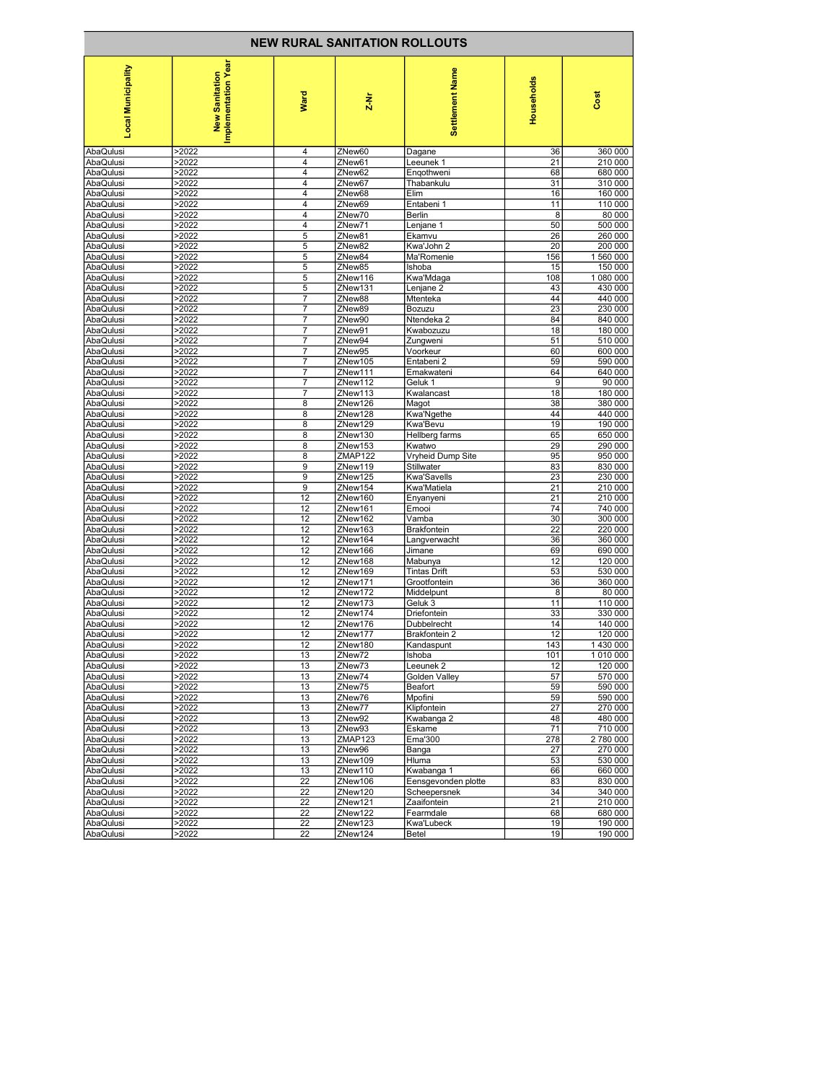| <b>NEW RURAL SANITATION ROLLOUTS</b> |                                       |                |                    |                            |                       |                    |
|--------------------------------------|---------------------------------------|----------------|--------------------|----------------------------|-----------------------|--------------------|
| Local Municipality                   | Implementation Year<br>New Sanitation | Ward           | $\frac{1}{2}$      | Settlement Name            | Households            | Cost               |
| AbaQulusi                            | >2022                                 | 4              | ZNew60             | Dagane                     | 36                    | 360 000            |
| AbaQulusi                            | >2022                                 | $\overline{4}$ | ZNew61             | Leeunek 1                  | 21                    | 210 000            |
| AbaQulusi                            | >2022                                 | 4              | ZNew62             | Engothweni                 | 68                    | 680 000            |
| AbaQulusi                            | >2022                                 | 4              | ZNew67             | Thabankulu                 | 31                    | 310 000            |
| AbaQulusi                            | >2022                                 | 4              | ZNew68             | Elim                       | 16                    | 160 000            |
| AbaQulusi                            | >2022                                 | 4              | ZNew69             | Entabeni 1                 | 11                    | 110 000            |
| AbaQulusi                            | >2022                                 | 4              | ZNew70             | Berlin                     | 8                     | 80 000             |
| AbaQulusi<br>AbaQulusi               | >2022<br>>2022                        | 4<br>5         | ZNew71<br>ZNew81   | Lenjane 1<br>Ekamvu        | 50<br>26              | 500 000<br>260 000 |
| AbaQulusi                            | >2022                                 | 5              | ZNew82             | Kwa'John 2                 | 20                    | 200 000            |
| AbaQulusi                            | >2022                                 | 5              | ZNew84             | Ma'Romenie                 | 156                   | 1 560 000          |
| AbaQulusi                            | >2022                                 | 5              | ZNew85             | Ishoba                     | 15                    | 150 000            |
| AbaQulusi                            | >2022                                 | 5              | ZNew116            | Kwa'Mdaga                  | 108                   | 1 080 000          |
| AbaQulusi                            | >2022                                 | 5              | ZNew131            | Lenjane 2                  | 43                    | 430 000            |
| AbaQulusi                            | >2022                                 | 7              | ZNew88             | Mtenteka                   | 44                    | 440 000            |
| AbaQulusi                            | >2022                                 | 7              | ZNew89             | Bozuzu                     | 23                    | 230 000            |
| AbaQulusi                            | >2022                                 | 7              | ZNew90             | Ntendeka 2                 | 84                    | 840 000            |
| AbaQulusi                            | >2022                                 | 7              | ZNew91             | Kwabozuzu                  | 18                    | 180 000            |
| AbaQulusi                            | >2022                                 | 7              | ZNew94             | Zungweni                   | 51                    | 510 000            |
| AbaQulusi<br>AbaQulusi               | >2022<br>>2022                        | 7<br>7         | ZNew95<br>ZNew105  | Voorkeur<br>Entabeni 2     | 60<br>59              | 600 000<br>590 000 |
| AbaQulusi                            | >2022                                 | 7              | ZNew111            | Emakwateni                 | 64                    | 640 000            |
| AbaQulusi                            | >2022                                 | 7              | ZNew112            | Geluk 1                    | 9                     | 90 000             |
| AbaQulusi                            | >2022                                 | 7              | ZNew113            | Kwalancast                 | 18                    | 180 000            |
| AbaQulusi                            | >2022                                 | 8              | ZNew126            | Magot                      | 38                    | 380 000            |
| AbaQulusi                            | >2022                                 | 8              | ZNew128            | Kwa'Ngethe                 | 44                    | 440 000            |
| AbaQulusi                            | >2022                                 | 8              | ZNew129            | Kwa'Bevu                   | 19                    | 190 000            |
| AbaQulusi                            | >2022                                 | 8              | ZNew130            | Hellberg farms             | 65                    | 650 000            |
| AbaQulusi                            | >2022                                 | 8              | ZNew153            | Kwatwo                     | 29                    | 290 000            |
| AbaQulusi                            | >2022                                 | 8              | ZMAP122            | Vryheid Dump Site          | 95                    | 950 000            |
| AbaQulusi<br>AbaQulusi               | >2022<br>>2022                        | 9<br>9         | ZNew119<br>ZNew125 | Stillwater<br>Kwa'Savells  | 83<br>23              | 830 000<br>230 000 |
| AbaQulusi                            | >2022                                 | 9              | ZNew154            | Kwa'Matiela                | 21                    | 210 000            |
| AbaQulusi                            | >2022                                 | 12             | ZNew160            | Enyanyeni                  | 21                    | 210 000            |
| AbaQulusi                            | >2022                                 | 12             | ZNew161            | Emooi                      | 74                    | 740 000            |
| AbaQulusi                            | >2022                                 | 12             | ZNew162            | Vamba                      | 30                    | 300 000            |
| AbaQulusi                            | >2022                                 | 12             | ZNew163            | <b>Brakfontein</b>         | $\overline{22}$       | 220 000            |
| AbaQulusi                            | >2022                                 | 12             | ZNew164            | Langverwacht               | 36                    | 360 000            |
| AbaQulusi                            | >2022                                 | 12             | ZNew166            | Jimane                     | 69                    | 690 000            |
| AbaQulusi                            | >2022                                 | 12             | ZNew168            | Mabunya                    | 12                    | 120 000            |
| AbaQulusi                            | >2022                                 | 12             | ZNew169            | <b>Tintas Drift</b>        | 53                    | 530 000            |
| AbaQulusi<br>AbaQulusi               | >2022<br>>2022                        | 12<br>12       | ZNew171<br>ZNew172 | Grootfontein<br>Middelpunt | 36<br>8               | 360 000<br>80 000  |
| AbaQulusi                            | >2022                                 | 12             | ZNew173            | Geluk 3                    | 11                    | 110 000            |
| AbaQulusi                            | >2022                                 | 12             | ZNew174            | Driefontein                | 33                    | 330 000            |
| AbaQulusi                            | >2022                                 | 12             | ZNew176            | Dubbelrecht                | 14                    | 140 000            |
| AbaQulusi                            | >2022                                 | 12             | ZNew177            | <b>Brakfontein 2</b>       | 12                    | 120 000            |
| AbaQuiusi                            | 22022                                 | 12             | ZNew180            | Kandaspunt                 | 143                   | 1430000            |
| AbaQulusi                            | >2022                                 | 13             | ZNew72             | Ishoba                     | 101                   | 1 010 000          |
| AbaQulusi                            | >2022                                 | 13             | ZNew73             | Leeunek 2                  | 12                    | 120 000            |
| AbaQulusi                            | >2022                                 | 13             | ZNew74             | <b>Golden Valley</b>       | 57                    | 570 000            |
| AbaQulusi                            | >2022                                 | 13             | ZNew75             | Beafort                    | 59                    | 590 000            |
| AbaQulusi                            | >2022                                 | 13<br>13       | ZNew76<br>ZNew77   | Mpofini                    | 59<br>$\overline{27}$ | 590 000            |
| AbaQulusi<br>AbaQulusi               | >2022<br>>2022                        | 13             | ZNew92             | Klipfontein<br>Kwabanga 2  | 48                    | 270 000<br>480 000 |
| AbaQulusi                            | >2022                                 | 13             | ZNew93             | Eskame                     | 71                    | 710 000            |
| AbaQulusi                            | >2022                                 | 13             | ZMAP123            | Ema'300                    | 278                   | 2 780 000          |
| AbaQulusi                            | >2022                                 | 13             | ZNew96             | Banga                      | 27                    | 270 000            |
| AbaQulusi                            | >2022                                 | 13             | ZNew109            | Hluma                      | 53                    | 530 000            |
| AbaQulusi                            | >2022                                 | 13             | ZNew110            | Kwabanga 1                 | 66                    | 660 000            |
| AbaQulusi                            | >2022                                 | 22             | ZNew106            | Eensgevonden plotte        | 83                    | 830 000            |
| AbaQulusi                            | >2022                                 | 22             | ZNew120            | Scheepersnek               | 34                    | 340 000            |
| AbaQulusi                            | >2022                                 | 22             | ZNew121            | Zaaifontein                | 21                    | 210 000            |
| AbaQulusi                            | >2022                                 | 22             | ZNew122            | Fearmdale                  | 68                    | 680 000<br>190 000 |
| AbaQulusi<br>AbaQulusi               | >2022<br>>2022                        | 22<br>22       | ZNew123<br>ZNew124 | Kwa'Lubeck<br>Betel        | 19<br>19              | 190 000            |
|                                      |                                       |                |                    |                            |                       |                    |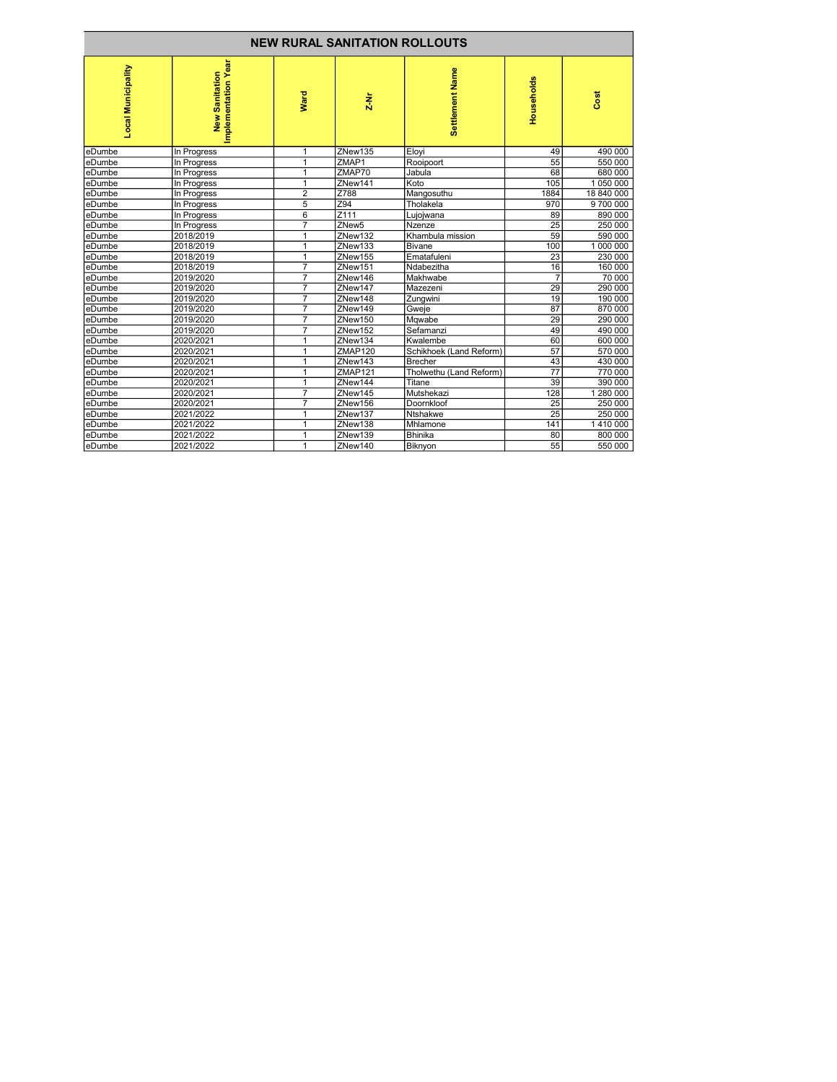| <b>NEW RURAL SANITATION ROLLOUTS</b> |                                       |                         |                   |                         |                 |            |
|--------------------------------------|---------------------------------------|-------------------------|-------------------|-------------------------|-----------------|------------|
| Local Municipality                   | Implementation Year<br>New Sanitation | Ward                    | $\frac{1}{2}$     | Settlement Name         | Households      | Cost       |
| leDumbe                              | In Progress                           | 1                       | ZNew135           | Eloyi                   | 49              | 490 000    |
| eDumbe                               | In Progress                           | 1                       | ZMAP1             | Rooipoort               | 55              | 550 000    |
| eDumbe                               | In Progress                           | 1                       | ZMAP70            | Jabula                  | 68              | 680 000    |
| eDumbe                               | In Progress                           | 1                       | ZNew141           | Koto                    | 105             | 1 050 000  |
| eDumbe                               | In Progress                           | 2                       | Z788              | Mangosuthu              | 1884            | 18 840 000 |
| eDumbe                               | In Progress                           | 5                       | Z94               | Tholakela               | 970             | 9700000    |
| eDumbe                               | In Progress                           | 6                       | Z <sub>111</sub>  | Lujojwana               | 89              | 890 000    |
| leDumbe                              | In Progress                           | $\overline{7}$          | ZNew <sub>5</sub> | Nzenze                  | 25              | 250 000    |
| leDumbe                              | 2018/2019                             |                         | ZNew132           | Khambula mission        | 59              | 590 000    |
| eDumbe                               | 2018/2019                             | 1                       | ZNew133           | Bivane                  | 100             | 1 000 000  |
| eDumbe                               | 2018/2019                             | 1                       | ZNew155           | Ematafuleni             | 23              | 230 000    |
| eDumbe                               | 2018/2019                             | $\overline{7}$          | ZNew151           | Ndabezitha              | 16              | 160 000    |
| eDumbe                               | 2019/2020                             | 7                       | ZNew146           | Makhwabe                | $\overline{7}$  | 70 000     |
| leDumbe                              | 2019/2020                             | $\overline{7}$          | ZNew147           | Mazezeni                | 29              | 290 000    |
| leDumbe                              | 2019/2020                             | $\overline{7}$          | ZNew148           | Zungwini                | 19              | 190 000    |
| leDumbe                              | 2019/2020                             | 7                       | ZNew149           | Gweje                   | 87              | 870 000    |
| eDumbe                               | 2019/2020                             | 7                       | ZNew150           | Mqwabe                  | 29              | 290 000    |
| eDumbe                               | 2019/2020                             | 7                       | ZNew152           | Sefamanzi               | 49              | 490 000    |
| eDumbe                               | 2020/2021                             |                         | ZNew134           | Kwalembe                | 60              | 600 000    |
| eDumbe                               | 2020/2021                             | 1                       | <b>ZMAP120</b>    | Schikhoek (Land Reform) | 57              | 570 000    |
| leDumbe                              | 2020/2021                             | 1                       | ZNew143           | <b>Brecher</b>          | 43              | 430 000    |
| eDumbe                               | 2020/2021                             | 1                       | ZMAP121           | Tholwethu (Land Reform) | 77              | 770 000    |
| leDumbe                              | 2020/2021                             | 1                       | ZNew144           | Titane                  | 39              | 390 000    |
| leDumbe                              | 2020/2021                             | 7                       | ZNew145           | Mutshekazi              | 128             | 1 280 000  |
| leDumbe                              | 2020/2021                             | $\overline{\mathbf{z}}$ | ZNew156           | Doornkloof              | $\overline{25}$ | 250 000    |
| eDumbe                               | 2021/2022                             | 1                       | ZNew137           | <b>Ntshakwe</b>         | 25              | 250 000    |
| eDumbe                               | 2021/2022                             | 1                       | ZNew138           | Mhlamone                | 141             | 1410 000   |
| leDumbe                              | 2021/2022                             | 1                       | ZNew139           | <b>Bhinika</b>          | 80              | 800 000    |
| eDumbe                               | 2021/2022                             | 1                       | ZNew140           | Biknyon                 | 55              | 550 000    |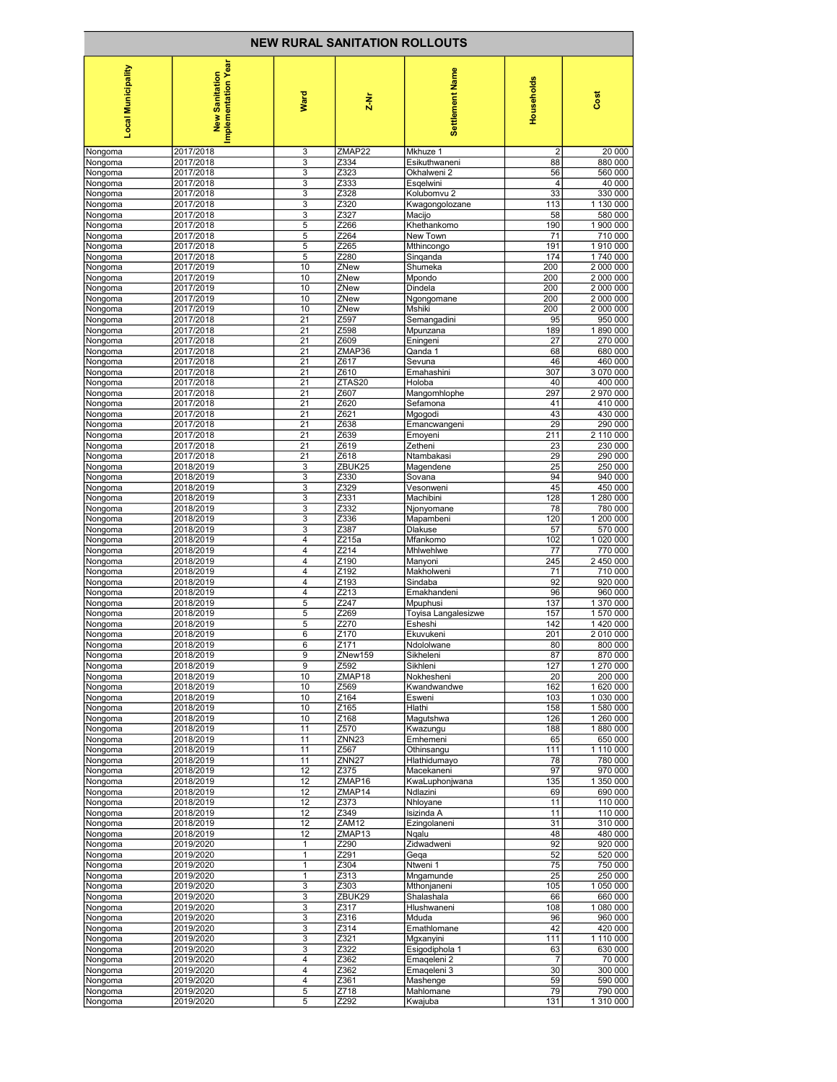| <b>NEW RURAL SANITATION ROLLOUTS</b> |                                       |                     |                            |                            |                |                      |
|--------------------------------------|---------------------------------------|---------------------|----------------------------|----------------------------|----------------|----------------------|
| <b>Local Municipality</b>            | Implementation Year<br>New Sanitation | Ward                | $\frac{1}{2}$              | Settlement Name            | Households     | Cost                 |
| Nongoma                              | 2017/2018                             | 3                   | ZMAP22                     | Mkhuze 1                   | $\overline{2}$ | 20 000               |
| Nongoma                              | 2017/2018                             | 3                   | Z334                       | Esikuthwaneni              | 88             | 880 000              |
| Nongoma                              | 2017/2018                             | 3                   | Z323                       | Okhalweni 2                | 56             | 560 000              |
| Nongoma                              | 2017/2018                             | 3                   | Z333                       | Esgelwini                  | 4              | 40 000               |
| Nongoma                              | 2017/2018                             | 3                   | Z328                       | Kolubomvu 2                | 33             | 330 000              |
| Nongoma                              | 2017/2018                             | 3                   | Z320                       | Kwagongolozane             | 113            | 1 130 000            |
| Nongoma                              | 2017/2018                             | 3                   | Z327                       | Macijo                     | 58             | 580 000              |
| Nongoma                              | 2017/2018                             | $\overline{5}$      | Z266                       | Khethankomo                | 190            | 1 900 000            |
| Nongoma                              | 2017/2018                             | 5<br>$\overline{5}$ | Z264                       | New Town                   | 71<br>191      | 710 000<br>1 910 000 |
| Nongoma<br>Nongoma                   | 2017/2018<br>2017/2018                | $\overline{5}$      | Z265<br>Z280               | Mthincongo<br>Singanda     | 174            | 1740 000             |
| Nongoma                              | 2017/2019                             | 10                  | ZNew                       | Shumeka                    | 200            | 2 000 000            |
| Nongoma                              | 2017/2019                             | 10                  | ZNew                       | Mpondo                     | 200            | 2 000 000            |
| Nongoma                              | 2017/2019                             | 10                  | ZNew                       | Dindela                    | 200            | 2 000 000            |
| Nongoma                              | 2017/2019                             | 10                  | ZNew                       | Ngongomane                 | 200            | 2 000 000            |
| Nongoma                              | 2017/2019                             | 10                  | ZNew                       | Mshiki                     | 200            | 2 000 000            |
| Nongoma                              | 2017/2018                             | 21                  | Z597                       | Semangadini                | 95             | 950 000              |
| Nongoma                              | 2017/2018                             | 21                  | Z598                       | Mpunzana                   | 189            | 1890 000             |
| Nongoma<br>Nongoma                   | 2017/2018<br>2017/2018                | 21<br>21            | Z609<br>ZMAP36             | Eningeni<br>Qanda 1        | 27<br>68       | 270 000<br>680 000   |
| Nongoma                              | 2017/2018                             | 21                  | Z617                       | Sevuna                     | 46             | 460 000              |
| Nongoma                              | 2017/2018                             | 21                  | Z610                       | Emahashini                 | 307            | 3 070 000            |
| Nongoma                              | 2017/2018                             | 21                  | ZTAS20                     | Holoba                     | 40             | 400 000              |
| Nongoma                              | 2017/2018                             | 21                  | Z607                       | Mangomhlophe               | 297            | 2 970 000            |
| Nongoma                              | 2017/2018                             | $\overline{21}$     | Z620                       | Sefamona                   | 41             | 410 000              |
| Nongoma                              | 2017/2018                             | 21                  | Z621                       | Mgogodi                    | 43             | 430 000              |
| Nongoma                              | 2017/2018                             | 21                  | Z638                       | Emancwangeni               | 29             | 290 000              |
| Nongoma                              | 2017/2018                             | 21                  | Z639                       | Emoyeni                    | 211            | 2 110 000            |
| Nongoma                              | 2017/2018                             | 21                  | Z619                       | Zetheni                    | 23             | 230 000              |
| Nongoma<br>Nongoma                   | 2017/2018<br>2018/2019                | 21<br>3             | Z618<br>ZBUK25             | Ntambakasi<br>Magendene    | 29<br>25       | 290 000<br>250 000   |
| Nongoma                              | 2018/2019                             | 3                   | Z330                       | Sovana                     | 94             | 940 000              |
| Nongoma                              | 2018/2019                             | $\overline{3}$      | Z329                       | Vesonweni                  | 45             | 450 000              |
| Nongoma                              | 2018/2019                             | 3                   | Z331                       | Machibini                  | 128            | 1 280 000            |
| Nongoma                              | 2018/2019                             | 3                   | Z332                       | Njonyomane                 | 78             | 780 000              |
| Nongoma                              | 2018/2019                             | 3                   | Z336                       | Mapambeni                  | 120            | 1 200 000            |
| Nongoma                              | 2018/2019                             | 3                   | Z387                       | <b>Dlakuse</b>             | 57             | 570 000              |
| Nongoma                              | 2018/2019                             | 4                   | Z215a                      | Mfankomo                   | 102            | 1 020 000            |
| Nongoma                              | 2018/2019                             | 4                   | Z214                       | Mhlwehlwe                  | 77             | 770 000              |
| Nongoma                              | 2018/2019                             | 4<br>$\overline{4}$ | Z190<br>Z192               | Manyoni<br>Makholweni      | 245<br>71      | 2 450 000<br>710 000 |
| Nongoma<br>Nongoma                   | 2018/2019<br>2018/2019                | 4                   | Z193                       | Sindaba                    | 92             | 920 000              |
| Nongoma                              | 2018/2019                             | 4                   | Z213                       | Emakhandeni                | 96             | 960 000              |
| Nongoma                              | 2018/2019                             | 5                   | Z247                       | Mpuphusi                   | 137            | 1 370 000            |
| Nongoma                              | 2018/2019                             | 5                   | Z269                       | Toyisa Langalesizwe        | 157            | 1 570 000            |
| Nongoma                              | 2018/2019                             | 5                   | Z270                       | Esheshi                    | 142            | 1 420 000            |
| Nongoma                              | 2018/2019                             | 6                   | Z170                       | Ekuvukeni                  | 201            | 2 010 000            |
| Nongoma                              | 2018/2019                             | 6                   | Z171                       | Ndololwane                 | 80             | 800 000              |
| Nongoma                              | 2018/2019                             | 9                   | ZNew159                    | Sikheleni                  | 87             | 870 000              |
| Nongoma                              | 2018/2019                             | 9<br>10             | Z592<br>ZMAP18             | Sikhleni<br>Nokhesheni     | 127<br>20      | 1 270 000            |
| Nongoma<br>Nongoma                   | 2018/2019<br>2018/2019                | 10                  | Z569                       | Kwandwandwe                | 162            | 200 000<br>1 620 000 |
| Nongoma                              | 2018/2019                             | 10                  | Z164                       | Esweni                     | 103            | 1 030 000            |
| Nongoma                              | 2018/2019                             | 10                  | Z <sub>165</sub>           | Hlathi                     | 158            | 1 580 000            |
| Nongoma                              | 2018/2019                             | 10                  | Z168                       | Magutshwa                  | 126            | 1 260 000            |
| Nongoma                              | 2018/2019                             | 11                  | Z570                       | Kwazungu                   | 188            | 1880 000             |
| Nongoma                              | 2018/2019                             | 11                  | ZNN23                      | Emhemeni                   | 65             | 650 000              |
| Nongoma                              | 2018/2019                             | 11                  | Z567                       | Othinsangu                 | 111            | 1 110 000            |
| Nongoma                              | 2018/2019                             | 11                  | ZNN <sub>27</sub>          | Hlathidumayo               | 78             | 780 000              |
| Nongoma                              | 2018/2019                             | 12<br>12            | Z375<br>ZMAP <sub>16</sub> | Macekaneni                 | 97             | 970 000              |
| Nongoma<br>Nongoma                   | 2018/2019<br>2018/2019                | 12                  | ZMAP14                     | KwaLuphonjwana<br>Ndlazini | 135<br>69      | 1 350 000<br>690 000 |
| Nongoma                              | 2018/2019                             | 12                  | Z373                       | Nhloyane                   | 11             | 110 000              |
| Nongoma                              | 2018/2019                             | 12                  | Z349                       | Isizinda A                 | 11             | 110 000              |
| Nongoma                              | 2018/2019                             | 12                  | ZAM12                      | Ezingolaneni               | 31             | 310 000              |
| Nongoma                              | 2018/2019                             | 12                  | ZMAP13                     | Nqalu                      | 48             | 480 000              |
| Nongoma                              | 2019/2020                             | $\mathbf{1}$        | Z290                       | Zidwadweni                 | 92             | 920 000              |
| Nongoma                              | 2019/2020                             | $\overline{1}$      | Z <sub>291</sub>           | Gega                       | 52             | 520 000              |
| Nongoma                              | 2019/2020                             | $\mathbf{1}$        | Z304                       | Ntweni 1                   | 75             | 750 000              |
| Nongoma                              | 2019/2020                             | 1                   | Z313                       | Mngamunde                  | 25             | 250 000              |
| Nongoma<br>Nongoma                   | 2019/2020<br>2019/2020                | 3<br>3              | Z303<br>ZBUK29             | Mthonjaneni<br>Shalashala  | 105<br>66      | 1 050 000<br>660 000 |
| Nongoma                              | 2019/2020                             | 3                   | Z317                       | Hlushwaneni                | 108            | 1 080 000            |
| Nongoma                              | 2019/2020                             | 3                   | Z316                       | Mduda                      | 96             | 960 000              |
| Nongoma                              | 2019/2020                             | 3                   | Z314                       | Emathlomane                | 42             | 420 000              |
| Nongoma                              | 2019/2020                             | 3                   | Z321                       | Mgxanyini                  | 111            | 1 110 000            |
| Nongoma                              | 2019/2020                             | $\overline{3}$      | Z322                       | Esigodiphola 1             | 63             | 630 000              |
| Nongoma                              | 2019/2020                             | 4                   | Z362                       | Emageleni 2                | 7              | 70 000               |
| Nongoma                              | 2019/2020                             | 4                   | Z362                       | Emageleni 3                | 30             | 300 000              |
| Nongoma                              | 2019/2020                             | 4                   | Z361                       | Mashenge                   | 59             | 590 000              |
| Nongoma                              | 2019/2020                             | 5                   | Z718                       | Mahlomane                  | 79             | 790 000              |
| Nongoma                              | 2019/2020                             | 5                   | Z292                       | Kwajuba                    | 131            | 1 310 000            |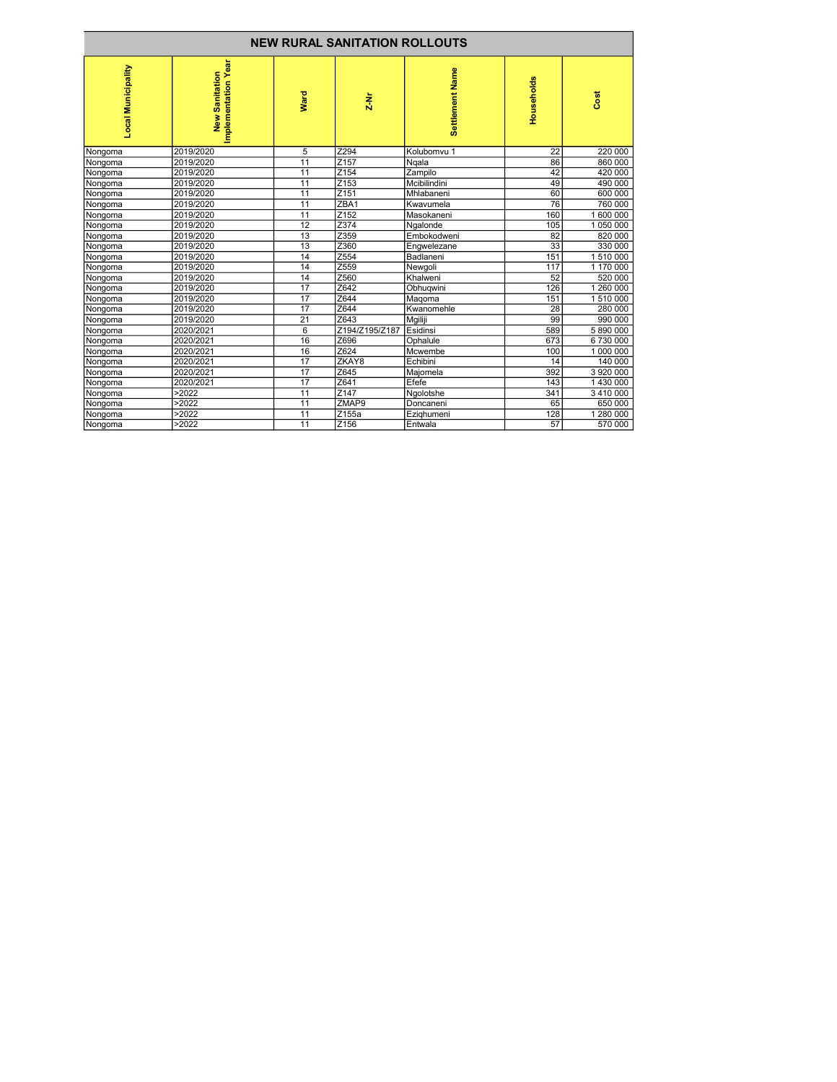| <b>NEW RURAL SANITATION ROLLOUTS</b> |                                       |                 |                  |                    |                 |           |
|--------------------------------------|---------------------------------------|-----------------|------------------|--------------------|-----------------|-----------|
| <b>Local Municipality</b>            | Implementation Year<br>New Sanitation | Ward            | $2-Nr$           | Settlement Name    | Households      | Cost      |
| Nongoma                              | 2019/2020                             | 5               | Z294             | Kolubomvu 1        | $\overline{22}$ | 220 000   |
| Nongoma                              | 2019/2020                             | $\overline{11}$ | Z <sub>157</sub> | Ngala              | 86              | 860 000   |
| Nongoma                              | 2019/2020                             | 11              | Z154             | Zampilo            | 42              | 420 000   |
| Nongoma                              | 2019/2020                             | 11              | Z <sub>153</sub> | Mcibilindini       | 49              | 490 000   |
| Nongoma                              | 2019/2020                             | 11              | Z151             | Mhlabaneni         | 60              | 600 000   |
| Nongoma                              | 2019/2020                             | $\overline{11}$ | ZBA1             | <b>Kwavumela</b>   | 76              | 760 000   |
| Nongoma                              | 2019/2020                             | 11              | Z <sub>152</sub> | <b>IMasokaneni</b> | 160             | 1 600 000 |
| Nongoma                              | 2019/2020                             | 12              | Z374             | Ngalonde           | 105             | 1 050 000 |
| Nongoma                              | 2019/2020                             | 13              | Z359             | Embokodweni        | 82              | 820 000   |
| Nongoma                              | 2019/2020                             | 13              | Z360             | Engwelezane        | 33              | 330 000   |
| Nongoma                              | 2019/2020                             | 14              | Z554             | Badlaneni          | 151             | 1 510 000 |
| Nongoma                              | 2019/2020                             | 14              | Z559             | Newgoli            | 117             | 1 170 000 |
| Nongoma                              | 2019/2020                             | 14              | Z560             | İKhalweni          | 52              | 520 000   |
| Nongoma                              | 2019/2020                             | 17              | Z642             | Obhuqwini          | 126             | 1 260 000 |
| Nongoma                              | 2019/2020                             | $\overline{17}$ | Z644             | Magoma             | 151             | 1 510 000 |
| Nongoma                              | 2019/2020                             | 17              | Z644             | Kwanomehle         | 28              | 280 000   |
| Nongoma                              | 2019/2020                             | $\overline{21}$ | Z643             | Mgiliji            | 99              | 990 000   |
| Nongoma                              | 2020/2021                             | $6\phantom{1}6$ | Z194/Z195/Z187   | Esidinsi           | 589             | 5 890 000 |
| Nongoma                              | 2020/2021                             | 16              | Z696             | Ophalule           | 673             | 6730000   |
| Nongoma                              | 2020/2021                             | 16              | Z624             | Mcwembe            | 100             | 1 000 000 |
| Nongoma                              | 2020/2021                             | $\overline{17}$ | ZKAY8            | Echibini           | 14              | 140 000   |
| Nongoma                              | 2020/2021                             | $\overline{17}$ | Z645             | Majomela           | 392             | 3 920 000 |
| Nongoma                              | 2020/2021                             | 17              | Z641             | Efefe              | 143             | 1 430 000 |
| Nongoma                              | >2022                                 | 11              | Z147             | Ngolotshe          | 341             | 3 410 000 |
| Nongoma                              | >2022                                 | $\overline{11}$ | ZMAP9            | Doncaneni          | 65              | 650 000   |
| Nongoma                              | >2022                                 | 11              | Z155a            | Ezighumeni         | 128             | 1 280 000 |
| Nongoma                              | >2022                                 | 11              | Z156             | Entwala            | 57              | 570 000   |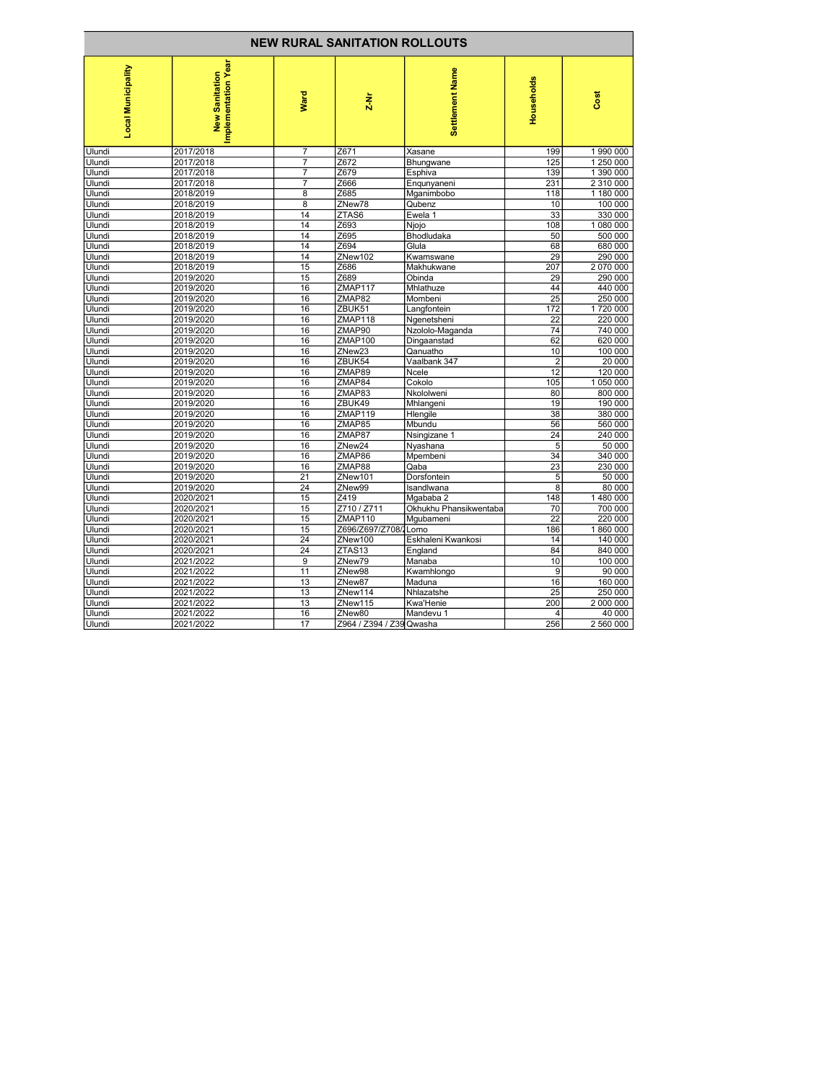| <b>NEW RURAL SANITATION ROLLOUTS</b> |                                       |                 |                          |                        |                 |           |
|--------------------------------------|---------------------------------------|-----------------|--------------------------|------------------------|-----------------|-----------|
| Local Municipality                   | Implementation Year<br>New Sanitation | <b>Ward</b>     | $\frac{1}{2}$            | Settlement Name        | Households      | Cost      |
| Ulundi                               | 2017/2018                             | 7               | Z671                     | Xasane                 | 199             | 1 990 000 |
| Ulundi                               | 2017/2018                             | $\overline{7}$  | Z672                     | Bhungwane              | 125             | 1 250 000 |
| Ulundi                               | 2017/2018                             | $\overline{7}$  | Z679                     | Esphiva                | 139             | 1 390 000 |
| Ulundi                               | 2017/2018                             | 7               | Z666                     | Engunyaneni            | 231             | 2 310 000 |
| Ulundi                               | 2018/2019                             | 8               | Z685                     | Mganimbobo             | 118             | 1 180 000 |
| Ulundi                               | 2018/2019                             | $\overline{8}$  | ZNew78                   | Qubenz                 | 10              | 100 000   |
| Ulundi                               | 2018/2019                             | 14              | ZTAS6                    | Ewela 1                | 33              | 330 000   |
| Ulundi                               | 2018/2019                             | 14              | Z693                     | Njojo                  | 108             | 1 080 000 |
| Ulundi                               | 2018/2019                             | 14              | Z695                     | Bhodludaka             | 50              | 500 000   |
| Ulundi                               | 2018/2019                             | 14              | Z694                     | Glula                  | 68              | 680 000   |
| Ulundi                               | 2018/2019                             | 14              | ZNew102                  | Kwamswane              | 29              | 290 000   |
| Ulundi                               | 2018/2019                             | 15              | Z686                     | Makhukwane             | 207             | 2 070 000 |
| Ulundi                               | 2019/2020                             | 15              | Z689                     | Obinda                 | 29              | 290 000   |
| Ulundi                               | 2019/2020                             | 16              | ZMAP117                  | Mhlathuze              | 44              | 440 000   |
| Ulundi                               | 2019/2020                             | 16              | ZMAP82                   | Mombeni                | $\overline{25}$ | 250 000   |
| Ulundi                               | 2019/2020                             | 16              | ZBUK51                   | Langfontein            | 172             | 1720 000  |
| Ulundi                               | 2019/2020                             | 16              | ZMAP118                  | Ngenetsheni            | 22              | 220 000   |
| Ulundi                               | 2019/2020                             | 16              | ZMAP90                   | Nzololo-Maganda        | 74              | 740 000   |
| Ulundi                               | 2019/2020                             | 16              | ZMAP100                  | Dingaanstad            | 62              | 620 000   |
| Ulundi                               | 2019/2020                             | 16              | ZNew <sub>23</sub>       | Qanuatho               | 10              | 100 000   |
| Ulundi                               | 2019/2020                             | 16              | ZBUK54                   | Vaalbank 347           | $\overline{2}$  | 20 000    |
| Ulundi                               | 2019/2020                             | 16              | ZMAP89                   | Ncele                  | 12              | 120 000   |
| Ulundi                               | 2019/2020                             | 16              | ZMAP84                   | Cokolo                 | 105             | 1 050 000 |
| Ulundi                               | 2019/2020                             | 16              | ZMAP83                   | Nkololweni             | 80              | 800 000   |
| Ulundi                               | 2019/2020                             | 16              | ZBUK49                   | Mhlangeni              | 19              | 190 000   |
| Ulundi                               | 2019/2020                             | 16              | ZMAP119                  | Hlengile               | 38              | 380 000   |
| Ulundi                               | 2019/2020                             | 16              | ZMAP85                   | Mbundu                 | 56              | 560 000   |
| Ulundi                               | 2019/2020                             | 16              | ZMAP87                   | Nsingizane 1           | 24              | 240 000   |
| Ulundi                               | 2019/2020                             | 16              | ZNew <sub>24</sub>       | Nyashana               | 5               | 50 000    |
| Ulundi                               | 2019/2020                             | 16              | ZMAP86                   | Mpembeni               | 34              | 340 000   |
| Ulundi                               | 2019/2020                             | 16              | ZMAP88                   | Qaba                   | 23              | 230 000   |
| Ulundi                               | 2019/2020                             | 21              | ZNew101                  | Dorsfontein            | 5               | 50 000    |
| Ulundi                               | 2019/2020                             | $\overline{24}$ | ZNew99                   | Isandlwana             | $\overline{8}$  | 80 000    |
| Ulundi                               | 2020/2021                             | 15              | Z419                     | Mgababa 2              | 148             | 1 480 000 |
| Ulundi                               | 2020/2021                             | 15              | Z710/Z711                | Okhukhu Phansikwentaba | 70              | 700 000   |
| Ulundi                               | 2020/2021                             | 15              | ZMAP110                  | Mgubameni              | 22              | 220 000   |
| Ulundi                               | 2020/2021                             | 15              | Z696/Z697/Z708/1Lomo     |                        | 186             | 1860000   |
| Ulundi                               | 2020/2021                             | $\overline{24}$ | ZNew100                  | Eskhaleni Kwankosi     | 14              | 140 000   |
| Ulundi                               | 2020/2021                             | 24              | ZTAS <sub>13</sub>       | England                | 84              | 840 000   |
| Ulundi                               | 2021/2022                             | $\overline{9}$  | ZNew79                   | Manaba                 | 10              | 100 000   |
| Ulundi                               | 2021/2022                             | 11              | ZNew98                   | Kwamhlongo             | 9               | 90 000    |
| Ulundi                               | 2021/2022                             | 13              | ZNew87                   | Maduna                 | 16              | 160 000   |
| Ulundi                               | 2021/2022                             | 13              | ZNew114                  | Nhlazatshe             | 25              | 250 000   |
| Ulundi                               | 2021/2022                             | 13              | ZNew115                  | <b>Kwa'Henie</b>       | 200             | 2 000 000 |
| Ulundi                               | 2021/2022                             | 16              | ZNew80                   | Mandevu 1              | 4               | 40 000    |
| <b>Ulundi</b>                        | 2021/2022                             | 17              | Z964 / Z394 / Z39 Qwasha |                        | 256             | 2 560 000 |
|                                      |                                       |                 |                          |                        |                 |           |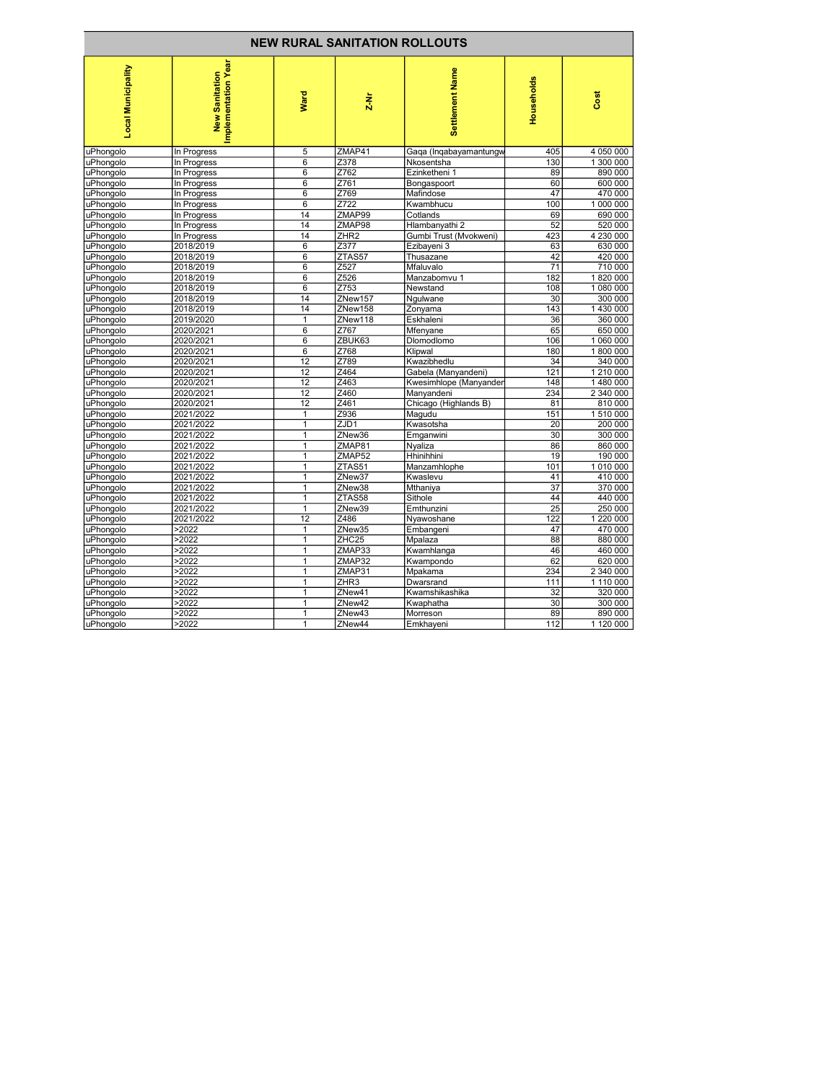| <b>NEW RURAL SANITATION ROLLOUTS</b> |                                       |                 |                  |                        |                        |           |
|--------------------------------------|---------------------------------------|-----------------|------------------|------------------------|------------------------|-----------|
| Local Municipality                   | Implementation Year<br>New Sanitation | <b>Ward</b>     | $2-Nr$           | Settlement Name        | Households             | Cost      |
| uPhongolo                            | In Progress                           | 5               | ZMAP41           | Gaga (Ingabayamantungw | 405                    | 4 050 000 |
| uPhongolo                            | In Progress                           | $\overline{6}$  | Z378             | Nkosentsha             | 130                    | 1 300 000 |
| uPhongolo                            | In Progress                           | 6               | Z762             | Ezinketheni 1          | 89                     | 890 000   |
| uPhongolo                            | In Progress                           | $\overline{6}$  | Z761             | Bongaspoort            | 60                     | 600 000   |
| uPhongolo                            | In Progress                           | 6               | Z769             | Mafindose              | 47                     | 470 000   |
| uPhongolo                            | In Progress                           | $\overline{6}$  | Z722             | Kwambhucu              | 100                    | 1 000 000 |
| uPhongolo                            | In Progress                           | 14              | ZMAP99           | Cotlands               | 69                     | 690 000   |
| uPhongolo                            | In Progress                           | $\overline{14}$ | ZMAP98           | Hlambanyathi 2         | 52                     | 520 000   |
| uPhongolo                            | In Progress                           | 14              | ZHR <sub>2</sub> | Gumbi Trust (Mvokweni) | 423                    | 4 230 000 |
| uPhongolo                            | 2018/2019                             | 6               | Z377             | Ezibayeni 3            | 63                     | 630 000   |
| uPhongolo                            | 2018/2019                             | $\overline{6}$  | ZTAS57           | Thusazane              | 42                     | 420 000   |
| uPhongolo                            | 2018/2019                             | 6               | Z527             | Mfaluvalo              | 71                     | 710 000   |
| uPhongolo                            | 2018/2019                             | 6               | Z526             | Manzabomvu 1           | 182                    | 1820 000  |
| uPhongolo                            | 2018/2019                             | $\overline{6}$  | Z753             | Newstand               | 108                    | 1 080 000 |
| uPhongolo                            | 2018/2019                             | 14              | ZNew157          | Ngulwane               | 30                     | 300 000   |
| uPhongolo                            | 2018/2019                             | 14              | ZNew158          | Zonyama                | 143                    | 1 430 000 |
| uPhongolo                            | 2019/2020                             | 1               | ZNew118          | Eskhaleni              | 36                     | 360 000   |
| uPhongolo                            | 2020/2021                             | $\overline{6}$  | Z767             | Mfenyane               | 65                     | 650 000   |
| uPhongolo                            | 2020/2021                             | 6               | ZBUK63           | Dlomodlomo             | 106                    | 1 060 000 |
| uPhongolo                            | 2020/2021                             | 6               | Z768             | Klipwal                | 180                    | 1800 000  |
| uPhongolo                            | 2020/2021                             | $\overline{12}$ | Z789             | Kwazibhedlu            | 34                     | 340 000   |
| uPhongolo                            | 2020/2021                             | 12              | Z464             | Gabela (Manyandeni)    | 121                    | 1 210 000 |
| uPhongolo                            | 2020/2021                             | $\overline{12}$ | Z463             | Kwesimhlope (Manyanden | 148                    | 1480 000  |
| uPhongolo                            | 2020/2021                             | 12              | Z460             | Manyandeni             | 234                    | 2 340 000 |
| uPhongolo                            | 2020/2021                             | 12              | Z461             | Chicago (Highlands B)  | 81                     | 810 000   |
| uPhongolo                            | 2021/2022                             | $\overline{1}$  | Z936             | Magudu                 | 151                    | 1 510 000 |
| uPhongolo                            | 2021/2022                             | 1               | ZJD1             | Kwasotsha              | 20                     | 200 000   |
| uPhongolo                            | 2021/2022                             | 1               | ZNew36           | Emganwini              | 30                     | 300 000   |
| uPhongolo                            | 2021/2022                             | $\mathbf{1}$    | ZMAP81           | Nyaliza                | 86                     | 860 000   |
| uPhongolo                            | 2021/2022                             | 1               | ZMAP52           | Hhinihhini             | 19                     | 190 000   |
| uPhongolo                            | 2021/2022                             | 1               | ZTAS51           | Manzamhlophe           | 101                    | 1 010 000 |
| uPhongolo                            | 2021/2022                             | 1               | ZNew37           | Kwaslevu               | 41                     | 410 000   |
| uPhongolo                            | 2021/2022                             | $\overline{1}$  | ZNew38           | Mthaniya               | $\overline{37}$        | 370 000   |
| uPhongolo                            | 2021/2022                             | $\mathbf{1}$    | ZTAS58           | Sithole                | 44                     | 440 000   |
| uPhongolo                            | 2021/2022                             | 1<br>12         | ZNew39           | Emthunzini             | $\overline{25}$<br>122 | 250 000   |
| uPhongolo                            | 2021/2022                             |                 | Z486             | Nyawoshane             |                        | 1 220 000 |
| uPhongolo                            | >2022                                 | $\mathbf{1}$    | ZNew35           | Embangeni              | 47                     | 470 000   |
| uPhongolo                            | >2022                                 | $\overline{1}$  | ZHC25            | Mpalaza                | 88                     | 880 000   |
| uPhongolo                            | >2022                                 | $\mathbf{1}$    | ZMAP33           | Kwamhlanga             | 46                     | 460 000   |
| uPhongolo                            | >2022                                 | 1               | ZMAP32           | Kwampondo              | 62                     | 620 000   |
| uPhongolo                            | >2022                                 | 1               | ZMAP31           | Mpakama                | 234                    | 2 340 000 |
| uPhongolo                            | >2022                                 | 1               | ZHR3             | Dwarsrand              | 111                    | 1 110 000 |
| uPhongolo                            | >2022                                 | 1               | ZNew41           | Kwamshikashika         | 32                     | 320 000   |
| uPhongolo                            | >2022                                 | $\mathbf{1}$    | ZNew42           | Kwaphatha              | 30                     | 300 000   |
| uPhongolo                            | >2022                                 | 1<br>1          | ZNew43           | Morreson               | 89                     | 890 000   |
| uPhongolo                            | >2022                                 |                 | ZNew44           | Emkhayeni              | 112                    | 1 120 000 |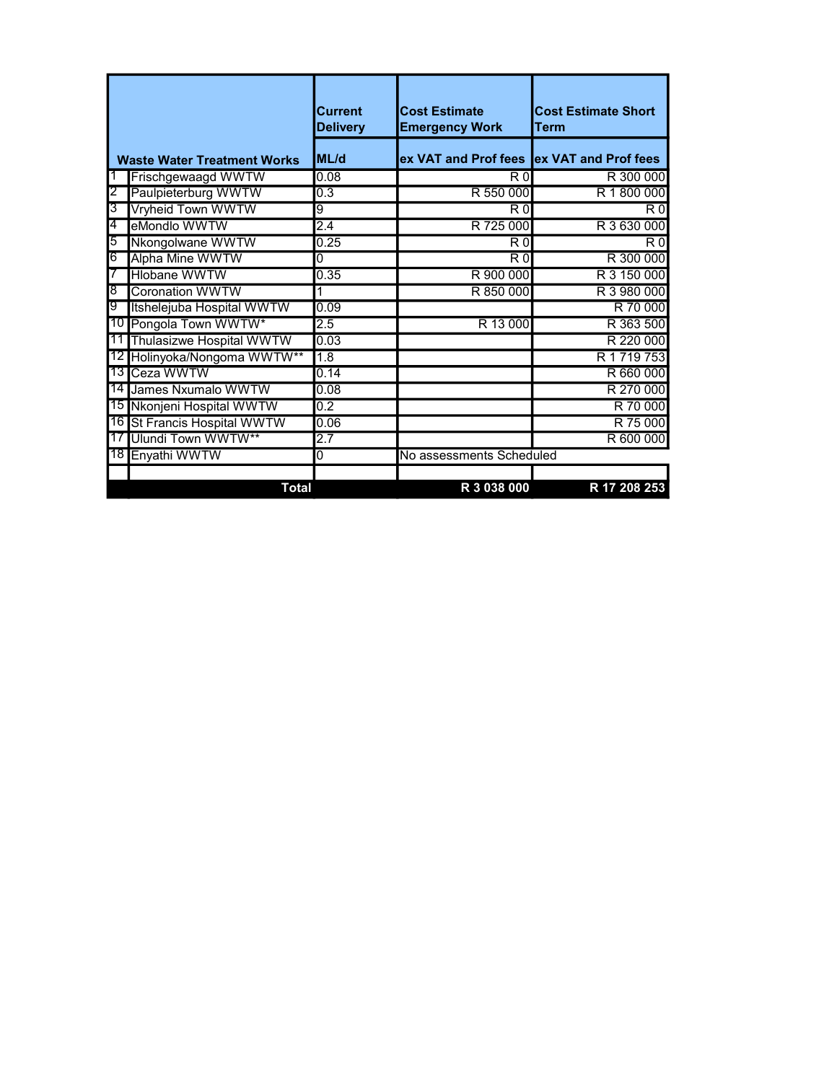|    |                                    | <b>Current</b><br><b>Delivery</b> | <b>Cost Estimate</b><br><b>Emergency Work</b> | <b>Cost Estimate Short</b><br>Term |
|----|------------------------------------|-----------------------------------|-----------------------------------------------|------------------------------------|
|    | <b>Waste Water Treatment Works</b> | <b>ML/d</b>                       | ex VAT and Prof fees ex VAT and Prof fees     |                                    |
|    | Frischgewaagd WWTW                 | 0.08                              | R <sub>0</sub>                                | R 300 000                          |
| 2  | Paulpieterburg WWTW                | 0.3                               | R 550 000                                     | R 1800 000                         |
| 3  | Vryheid Town WWTW                  | g                                 | $\overline{R}0$                               | $\overline{R}$ $\overline{0}$      |
| 4  | eMondlo WWTW                       | 2.4                               | R 725 000                                     | R 3 630 000                        |
| 5  | Nkongolwane WWTW                   | 0.25                              | $\overline{R}0$                               | R <sub>0</sub>                     |
| 6  | <b>Alpha Mine WWTW</b>             | 0                                 | $\overline{R}$ $\overline{0}$                 | R 300 000                          |
|    | <b>Hlobane WWTW</b>                | 0.35                              | R 900 000                                     | R 3 150 000                        |
| ৪  | <b>Coronation WWTW</b>             |                                   | R 850 000                                     | R 3 980 000                        |
| 9  | Itshelejuba Hospital WWTW          | 0.09                              |                                               | R 70 000                           |
|    | 10 Pongola Town WWTW*              | 2.5                               | R 13 000                                      | R 363 500                          |
| 11 | Thulasizwe Hospital WWTW           | 0.03                              |                                               | R 220 000                          |
| 12 | Holinyoka/Nongoma WWTW**           | 1.8                               |                                               | R 1 719 753                        |
| 13 | Ceza WWTW                          | 0.14                              |                                               | R 660 000                          |
|    | 14 James Nxumalo WWTW              | 0.08                              |                                               | R 270 000                          |
| 15 | Nkonjeni Hospital WWTW             | 0.2                               |                                               | R 70 000                           |
|    | 16 St Francis Hospital WWTW        | 0.06                              |                                               | R 75 000                           |
|    | 17 Ulundi Town WWTW**              | 2.7                               |                                               | R 600 000                          |
|    | 18 Enyathi WWTW                    | 0                                 | No assessments Scheduled                      |                                    |
|    |                                    |                                   |                                               |                                    |
|    | <b>Total</b>                       |                                   | R 3 038 000                                   | R 17 208 253                       |